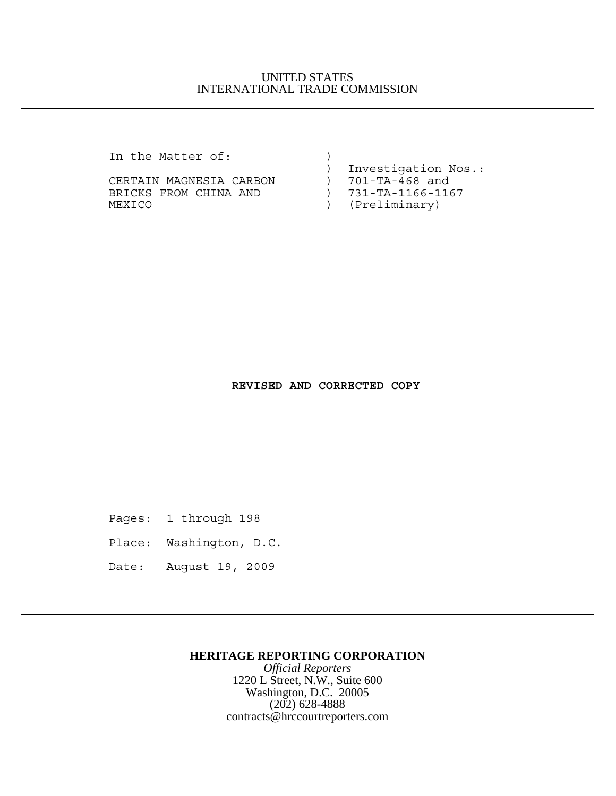### UNITED STATES INTERNATIONAL TRADE COMMISSION

In the Matter of:

CERTAIN MAGNESIA CARBON ) 701-TA-468 and BRICKS FROM CHINA AND (731-TA-1166-1167 MEXICO ) (Preliminary)

) Investigation Nos.:

#### **REVISED AND CORRECTED COPY**

Pages: 1 through 198

Place: Washington, D.C.

Date: August 19, 2009

#### **HERITAGE REPORTING CORPORATION**

*Official Reporters* 1220 L Street, N.W., Suite 600 Washington, D.C. 20005 (202) 628-4888 contracts@hrccourtreporters.com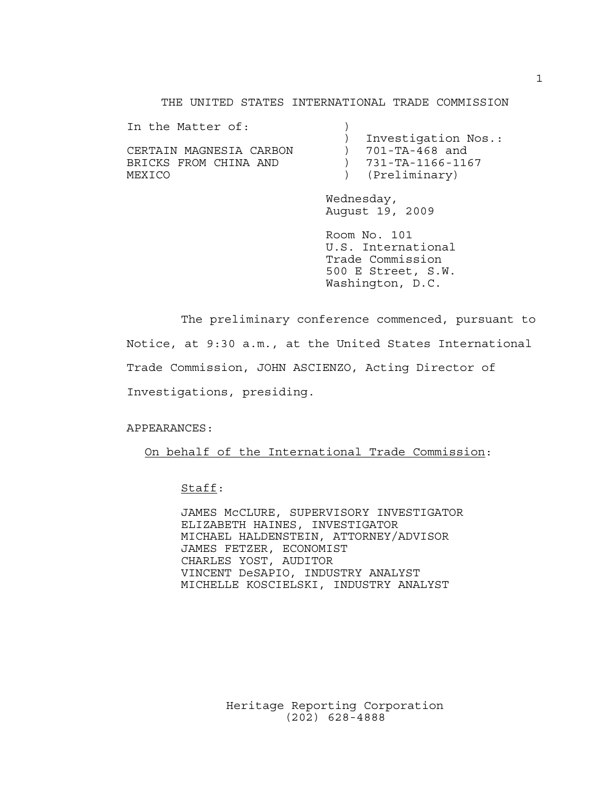THE UNITED STATES INTERNATIONAL TRADE COMMISSION

| In the Matter of:       |                     |
|-------------------------|---------------------|
|                         | Investigation Nos.: |
| CERTAIN MAGNESIA CARBON | 701-TA-468 and      |
| BRICKS FROM CHINA AND   | ) 731-TA-1166-1167  |
| MEXICO                  | ) (Preliminary)     |

Wednesday, August 19, 2009

Room No. 101 U.S. International Trade Commission 500 E Street, S.W. Washington, D.C.

The preliminary conference commenced, pursuant to Notice, at 9:30 a.m., at the United States International Trade Commission, JOHN ASCIENZO, Acting Director of Investigations, presiding.

APPEARANCES:

On behalf of the International Trade Commission:

Staff:

JAMES McCLURE, SUPERVISORY INVESTIGATOR ELIZABETH HAINES, INVESTIGATOR MICHAEL HALDENSTEIN, ATTORNEY/ADVISOR JAMES FETZER, ECONOMIST CHARLES YOST, AUDITOR VINCENT DeSAPIO, INDUSTRY ANALYST MICHELLE KOSCIELSKI, INDUSTRY ANALYST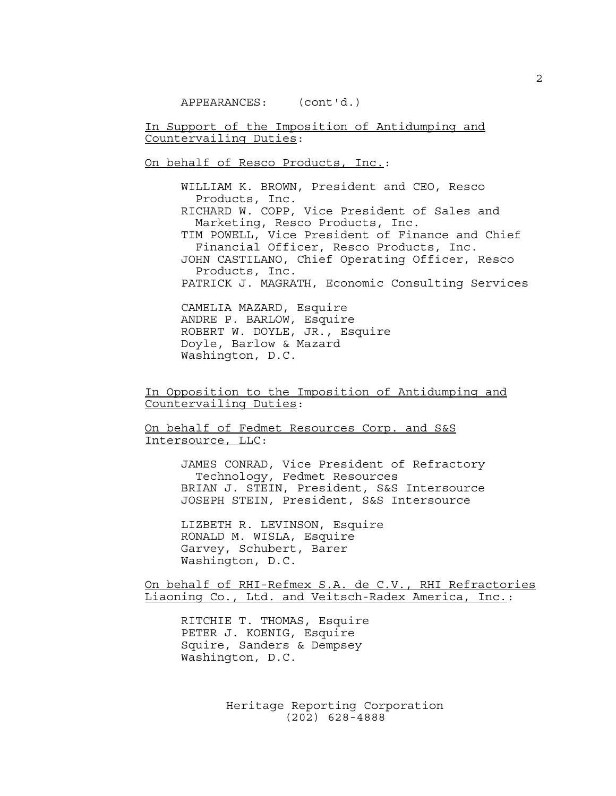In Support of the Imposition of Antidumping and Countervailing Duties:

On behalf of Resco Products, Inc.:

WILLIAM K. BROWN, President and CEO, Resco Products, Inc. RICHARD W. COPP, Vice President of Sales and Marketing, Resco Products, Inc. TIM POWELL, Vice President of Finance and Chief Financial Officer, Resco Products, Inc. JOHN CASTILANO, Chief Operating Officer, Resco Products, Inc. PATRICK J. MAGRATH, Economic Consulting Services CAMELIA MAZARD, Esquire

ANDRE P. BARLOW, Esquire ROBERT W. DOYLE, JR., Esquire Doyle, Barlow & Mazard Washington, D.C.

In Opposition to the Imposition of Antidumping and Countervailing Duties:

On behalf of Fedmet Resources Corp. and S&S Intersource, LLC:

> JAMES CONRAD, Vice President of Refractory Technology, Fedmet Resources BRIAN J. STEIN, President, S&S Intersource JOSEPH STEIN, President, S&S Intersource

LIZBETH R. LEVINSON, Esquire RONALD M. WISLA, Esquire Garvey, Schubert, Barer Washington, D.C.

On behalf of RHI-Refmex S.A. de C.V., RHI Refractories Liaoning Co., Ltd. and Veitsch-Radex America, Inc.:

RITCHIE T. THOMAS, Esquire PETER J. KOENIG, Esquire Squire, Sanders & Dempsey Washington, D.C.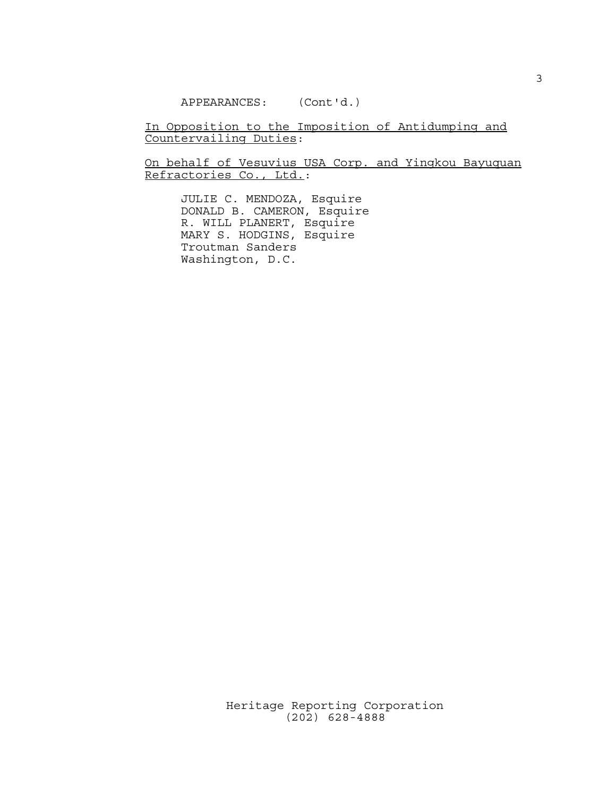APPEARANCES: (Cont'd.)

In Opposition to the Imposition of Antidumping and Countervailing Duties:

On behalf of Vesuvius USA Corp. and Yingkou Bayuquan Refractories Co., Ltd.:

JULIE C. MENDOZA, Esquire DONALD B. CAMERON, Esquire R. WILL PLANERT, Esquire MARY S. HODGINS, Esquire Troutman Sanders Washington, D.C.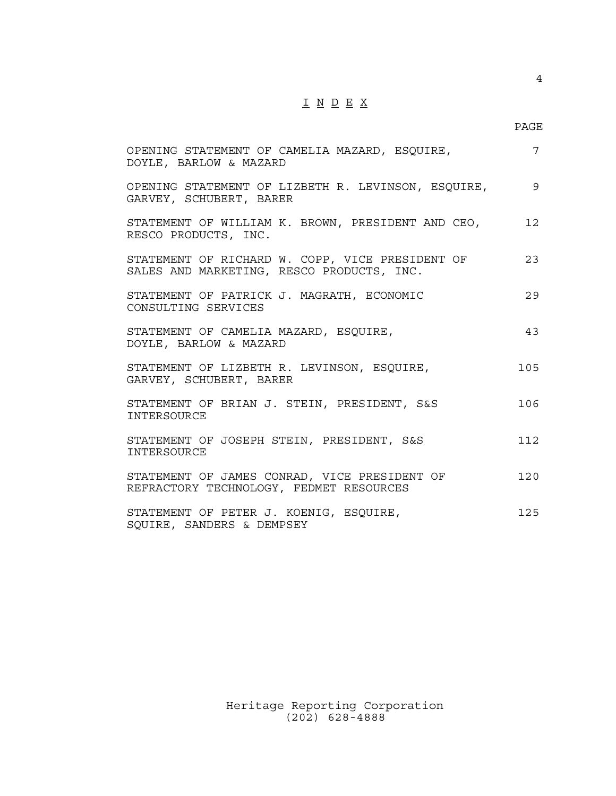# I N D E X

4

| OPENING STATEMENT OF CAMELIA MAZARD, ESQUIRE,<br>DOYLE, BARLOW & MAZARD                      | 7              |
|----------------------------------------------------------------------------------------------|----------------|
| OPENING STATEMENT OF LIZBETH R. LEVINSON, ESQUIRE,<br>GARVEY, SCHUBERT, BARER                | $\overline{9}$ |
| STATEMENT OF WILLIAM K. BROWN, PRESIDENT AND CEO,<br>RESCO PRODUCTS, INC.                    | 12             |
| STATEMENT OF RICHARD W. COPP, VICE PRESIDENT OF<br>SALES AND MARKETING, RESCO PRODUCTS, INC. | 23             |
| STATEMENT OF PATRICK J. MAGRATH, ECONOMIC<br>CONSULTING SERVICES                             | 29             |
| STATEMENT OF CAMELIA MAZARD, ESQUIRE,<br>DOYLE, BARLOW & MAZARD                              | 43             |
| STATEMENT OF LIZBETH R. LEVINSON, ESQUIRE,<br>GARVEY, SCHUBERT, BARER                        | 105            |
| STATEMENT OF BRIAN J. STEIN, PRESIDENT, S&S<br><b>TNTERSOURCE</b>                            | 106            |
| STATEMENT OF JOSEPH STEIN, PRESIDENT, S&S<br>INTERSOURCE                                     | 112            |
| STATEMENT OF JAMES CONRAD, VICE PRESIDENT OF<br>REFRACTORY TECHNOLOGY, FEDMET RESOURCES      | 120            |
| STATEMENT OF PETER J. KOENIG, ESQUIRE,<br>SQUIRE, SANDERS & DEMPSEY                          | 125            |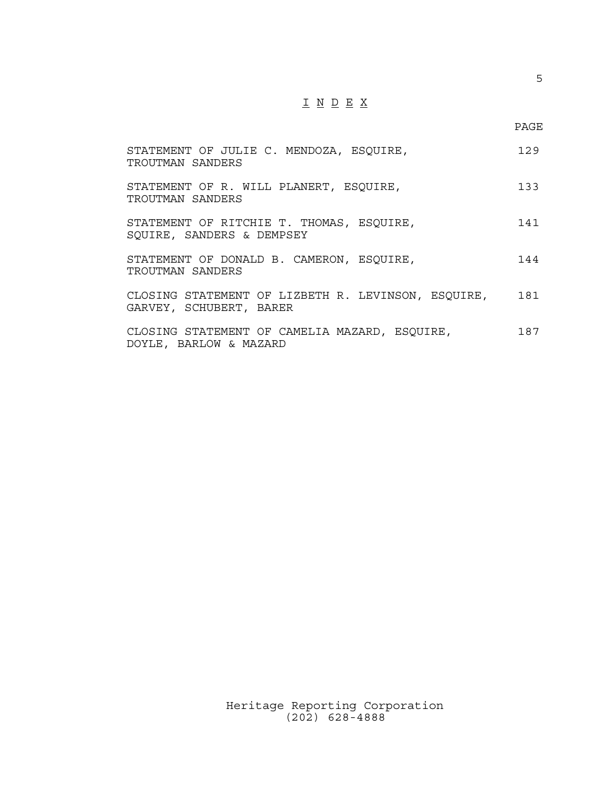## I N D E X

| STATEMENT OF JULIE C. MENDOZA, ESQUIRE,<br>TROUTMAN SANDERS                   | 129 |
|-------------------------------------------------------------------------------|-----|
| STATEMENT OF R. WILL PLANERT, ESQUIRE,<br>TROUTMAN SANDERS                    | 133 |
| STATEMENT OF RITCHIE T. THOMAS, ESQUIRE,<br>SOUIRE, SANDERS & DEMPSEY         | 141 |
| STATEMENT OF DONALD B. CAMERON, ESQUIRE,<br>TROUTMAN SANDERS                  | 144 |
| CLOSING STATEMENT OF LIZBETH R. LEVINSON, ESQUIRE,<br>GARVEY, SCHUBERT, BARER | 181 |
| CLOSING STATEMENT OF CAMELIA MAZARD, ESQUIRE,<br>DOYLE, BARLOW & MAZARD       | 187 |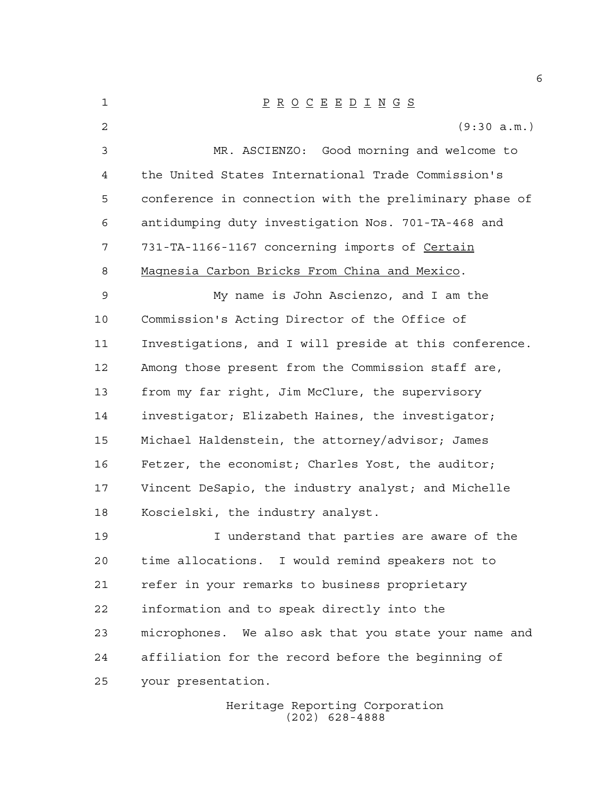| 1  | $\underline{P} \underline{R} \underline{O} \underline{C} \underline{E} \underline{E} \underline{D} \underline{I} \underline{N} \underline{G} \underline{S}$ |
|----|-------------------------------------------------------------------------------------------------------------------------------------------------------------|
| 2  | (9:30 a.m.)                                                                                                                                                 |
| 3  | MR. ASCIENZO: Good morning and welcome to                                                                                                                   |
| 4  | the United States International Trade Commission's                                                                                                          |
| 5  | conference in connection with the preliminary phase of                                                                                                      |
| 6  | antidumping duty investigation Nos. 701-TA-468 and                                                                                                          |
| 7  | 731-TA-1166-1167 concerning imports of Certain                                                                                                              |
| 8  | Magnesia Carbon Bricks From China and Mexico.                                                                                                               |
| 9  | My name is John Ascienzo, and I am the                                                                                                                      |
| 10 | Commission's Acting Director of the Office of                                                                                                               |
| 11 | Investigations, and I will preside at this conference.                                                                                                      |
| 12 | Among those present from the Commission staff are,                                                                                                          |
| 13 | from my far right, Jim McClure, the supervisory                                                                                                             |
| 14 | investigator; Elizabeth Haines, the investigator;                                                                                                           |
| 15 | Michael Haldenstein, the attorney/advisor; James                                                                                                            |
| 16 | Fetzer, the economist; Charles Yost, the auditor;                                                                                                           |
| 17 | Vincent DeSapio, the industry analyst; and Michelle                                                                                                         |
| 18 | Koscielski, the industry analyst.                                                                                                                           |
| 19 | I understand that parties are aware of the                                                                                                                  |
| 20 | time allocations. I would remind speakers not to                                                                                                            |
| 21 | refer in your remarks to business proprietary                                                                                                               |
| 22 | information and to speak directly into the                                                                                                                  |
| 23 | microphones. We also ask that you state your name and                                                                                                       |
| 24 | affiliation for the record before the beginning of                                                                                                          |
| 25 | your presentation.                                                                                                                                          |
|    | Heritage Reporting Corporation                                                                                                                              |

(202) 628-4888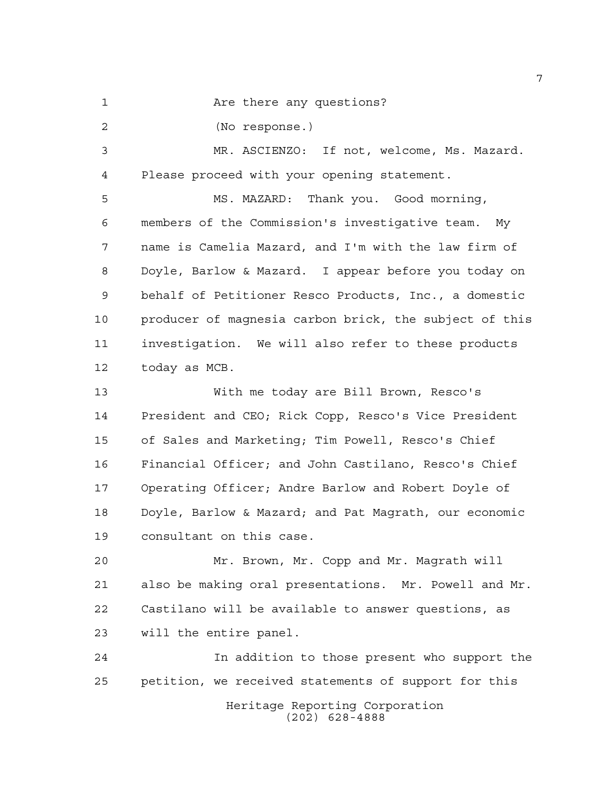1 Are there any questions?

(No response.)

 MR. ASCIENZO: If not, welcome, Ms. Mazard. Please proceed with your opening statement.

 MS. MAZARD: Thank you. Good morning, members of the Commission's investigative team. My name is Camelia Mazard, and I'm with the law firm of Doyle, Barlow & Mazard. I appear before you today on behalf of Petitioner Resco Products, Inc., a domestic producer of magnesia carbon brick, the subject of this investigation. We will also refer to these products today as MCB.

 With me today are Bill Brown, Resco's President and CEO; Rick Copp, Resco's Vice President of Sales and Marketing; Tim Powell, Resco's Chief Financial Officer; and John Castilano, Resco's Chief Operating Officer; Andre Barlow and Robert Doyle of Doyle, Barlow & Mazard; and Pat Magrath, our economic consultant on this case.

 Mr. Brown, Mr. Copp and Mr. Magrath will also be making oral presentations. Mr. Powell and Mr. Castilano will be available to answer questions, as will the entire panel.

 In addition to those present who support the petition, we received statements of support for this

Heritage Reporting Corporation (202) 628-4888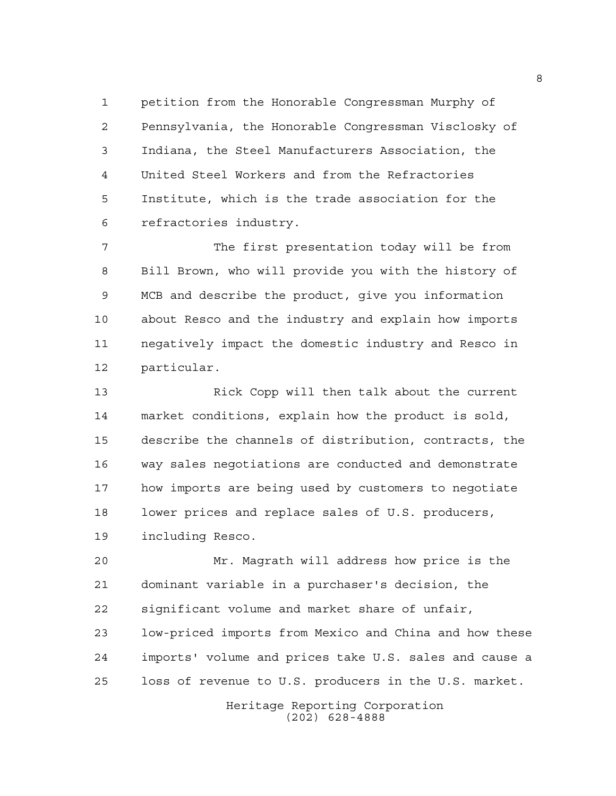petition from the Honorable Congressman Murphy of Pennsylvania, the Honorable Congressman Visclosky of Indiana, the Steel Manufacturers Association, the United Steel Workers and from the Refractories Institute, which is the trade association for the refractories industry.

 The first presentation today will be from Bill Brown, who will provide you with the history of MCB and describe the product, give you information about Resco and the industry and explain how imports negatively impact the domestic industry and Resco in particular.

 Rick Copp will then talk about the current market conditions, explain how the product is sold, describe the channels of distribution, contracts, the way sales negotiations are conducted and demonstrate how imports are being used by customers to negotiate lower prices and replace sales of U.S. producers, including Resco.

 Mr. Magrath will address how price is the dominant variable in a purchaser's decision, the significant volume and market share of unfair, low-priced imports from Mexico and China and how these imports' volume and prices take U.S. sales and cause a loss of revenue to U.S. producers in the U.S. market.

> Heritage Reporting Corporation (202) 628-4888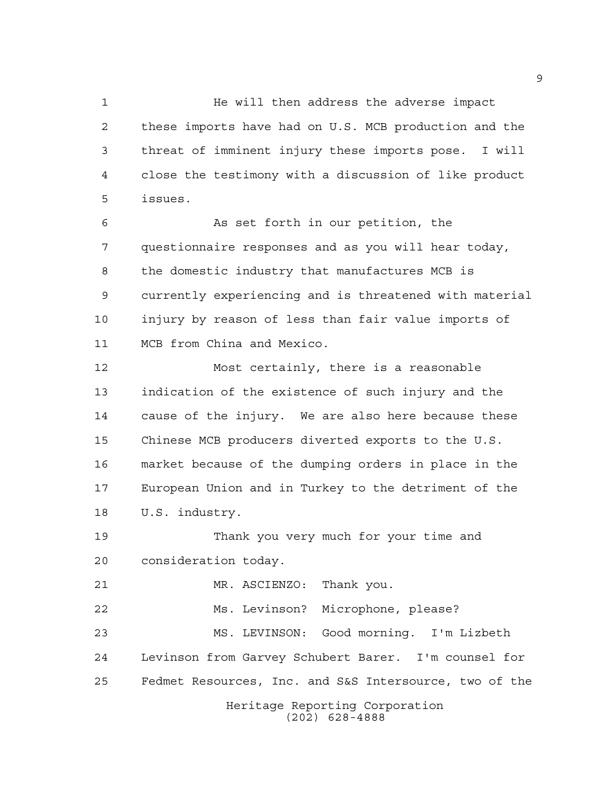He will then address the adverse impact these imports have had on U.S. MCB production and the threat of imminent injury these imports pose. I will close the testimony with a discussion of like product issues.

6 6 As set forth in our petition, the questionnaire responses and as you will hear today, the domestic industry that manufactures MCB is currently experiencing and is threatened with material injury by reason of less than fair value imports of MCB from China and Mexico.

 Most certainly, there is a reasonable indication of the existence of such injury and the cause of the injury. We are also here because these Chinese MCB producers diverted exports to the U.S. market because of the dumping orders in place in the European Union and in Turkey to the detriment of the U.S. industry.

 Thank you very much for your time and consideration today.

Heritage Reporting Corporation (202) 628-4888 MR. ASCIENZO: Thank you. Ms. Levinson? Microphone, please? MS. LEVINSON: Good morning. I'm Lizbeth Levinson from Garvey Schubert Barer. I'm counsel for Fedmet Resources, Inc. and S&S Intersource, two of the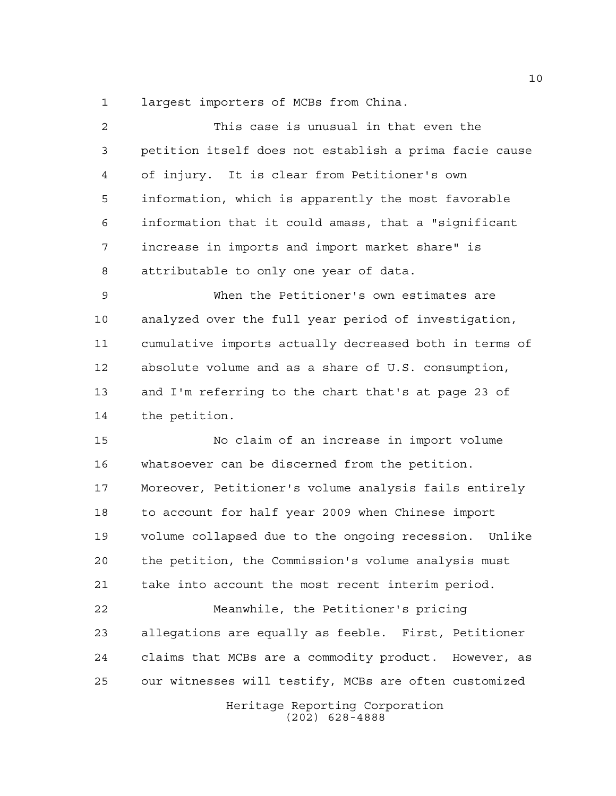largest importers of MCBs from China.

| 2           | This case is unusual in that even the                  |
|-------------|--------------------------------------------------------|
| 3           | petition itself does not establish a prima facie cause |
| 4           | of injury. It is clear from Petitioner's own           |
| 5           | information, which is apparently the most favorable    |
| 6           | information that it could amass, that a "significant   |
| 7           | increase in imports and import market share" is        |
| 8           | attributable to only one year of data.                 |
| $\mathsf 9$ | When the Petitioner's own estimates are                |
| 10          | analyzed over the full year period of investigation,   |
| 11          | cumulative imports actually decreased both in terms of |
| 12          | absolute volume and as a share of U.S. consumption,    |
| 13          | and I'm referring to the chart that's at page 23 of    |
| 14          | the petition.                                          |
| 15          | No claim of an increase in import volume               |
| 16          | whatsoever can be discerned from the petition.         |
| 17          | Moreover, Petitioner's volume analysis fails entirely  |
| 18          | to account for half year 2009 when Chinese import      |
| 19          | volume collapsed due to the ongoing recession. Unlike  |
| 20          | the petition, the Commission's volume analysis must    |
| 21          | take into account the most recent interim period.      |
| 22          | Meanwhile, the Petitioner's pricing                    |
| 23          | allegations are equally as feeble. First, Petitioner   |
| 24          | claims that MCBs are a commodity product. However, as  |
| 25          | our witnesses will testify, MCBs are often customized  |
|             | Heritage Reporting Corporation<br>$(202)$ 628-4888     |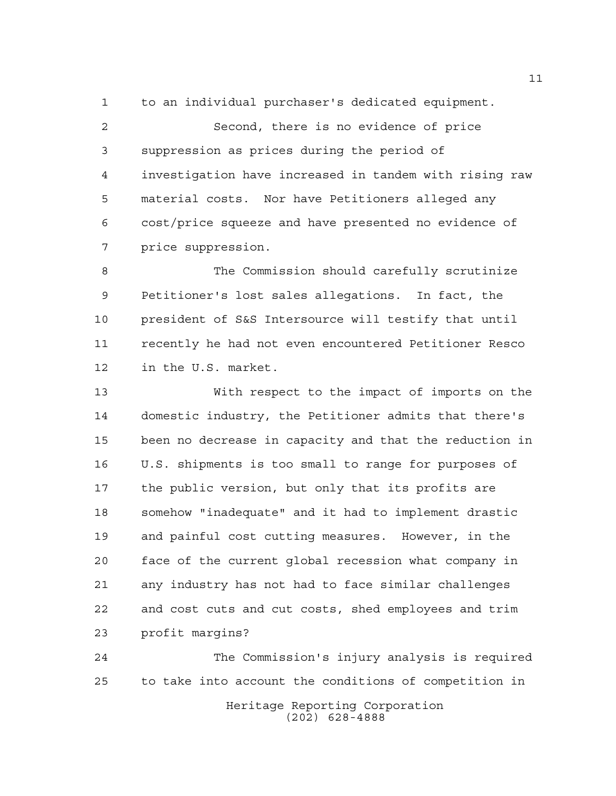to an individual purchaser's dedicated equipment.

 Second, there is no evidence of price suppression as prices during the period of investigation have increased in tandem with rising raw material costs. Nor have Petitioners alleged any cost/price squeeze and have presented no evidence of price suppression.

 The Commission should carefully scrutinize Petitioner's lost sales allegations. In fact, the president of S&S Intersource will testify that until recently he had not even encountered Petitioner Resco in the U.S. market.

 With respect to the impact of imports on the domestic industry, the Petitioner admits that there's been no decrease in capacity and that the reduction in U.S. shipments is too small to range for purposes of the public version, but only that its profits are somehow "inadequate" and it had to implement drastic and painful cost cutting measures. However, in the face of the current global recession what company in any industry has not had to face similar challenges and cost cuts and cut costs, shed employees and trim profit margins?

Heritage Reporting Corporation (202) 628-4888 The Commission's injury analysis is required to take into account the conditions of competition in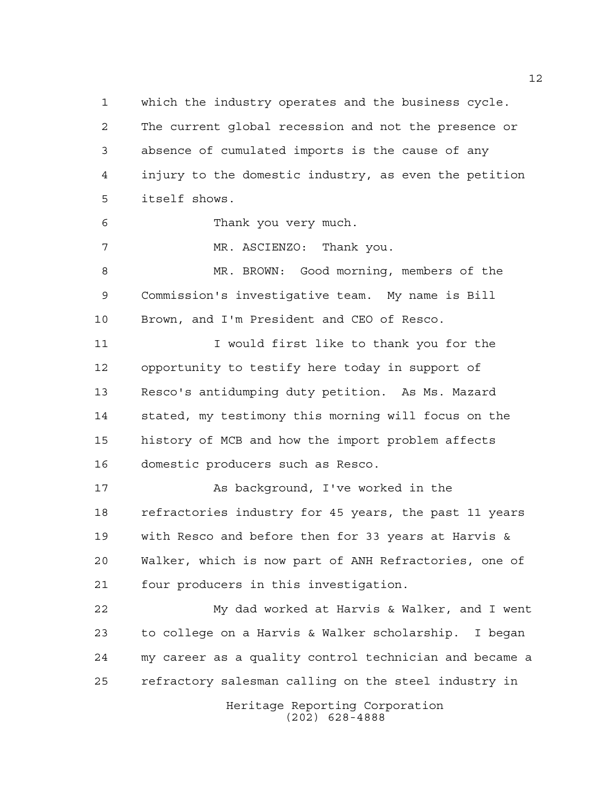which the industry operates and the business cycle. The current global recession and not the presence or absence of cumulated imports is the cause of any injury to the domestic industry, as even the petition itself shows.

Thank you very much.

MR. ASCIENZO: Thank you.

 MR. BROWN: Good morning, members of the Commission's investigative team. My name is Bill Brown, and I'm President and CEO of Resco.

11 11 I would first like to thank you for the opportunity to testify here today in support of Resco's antidumping duty petition. As Ms. Mazard stated, my testimony this morning will focus on the history of MCB and how the import problem affects domestic producers such as Resco.

17 As background, I've worked in the refractories industry for 45 years, the past 11 years with Resco and before then for 33 years at Harvis & Walker, which is now part of ANH Refractories, one of four producers in this investigation.

 My dad worked at Harvis & Walker, and I went to college on a Harvis & Walker scholarship. I began my career as a quality control technician and became a refractory salesman calling on the steel industry in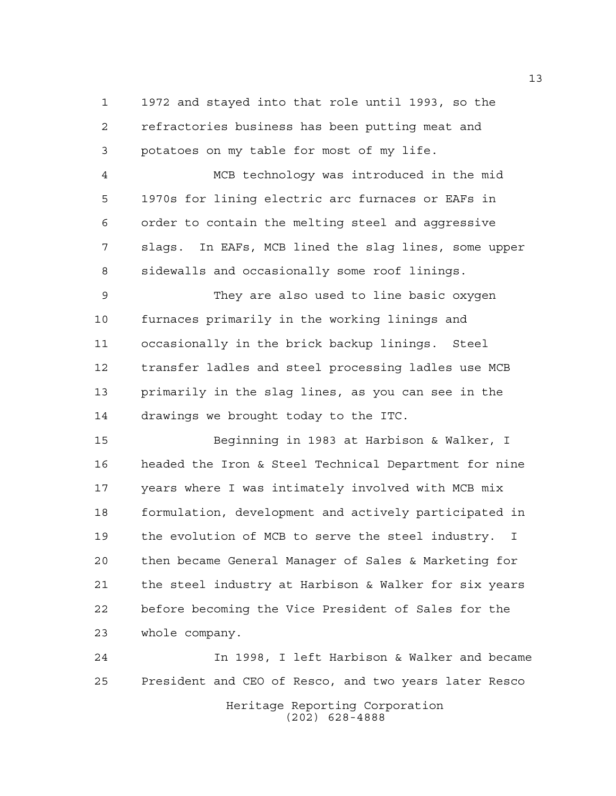1972 and stayed into that role until 1993, so the refractories business has been putting meat and potatoes on my table for most of my life.

 MCB technology was introduced in the mid 1970s for lining electric arc furnaces or EAFs in order to contain the melting steel and aggressive slags. In EAFs, MCB lined the slag lines, some upper sidewalls and occasionally some roof linings.

 They are also used to line basic oxygen furnaces primarily in the working linings and occasionally in the brick backup linings. Steel transfer ladles and steel processing ladles use MCB primarily in the slag lines, as you can see in the drawings we brought today to the ITC.

 Beginning in 1983 at Harbison & Walker, I headed the Iron & Steel Technical Department for nine years where I was intimately involved with MCB mix formulation, development and actively participated in the evolution of MCB to serve the steel industry. I then became General Manager of Sales & Marketing for the steel industry at Harbison & Walker for six years before becoming the Vice President of Sales for the whole company.

Heritage Reporting Corporation (202) 628-4888 In 1998, I left Harbison & Walker and became President and CEO of Resco, and two years later Resco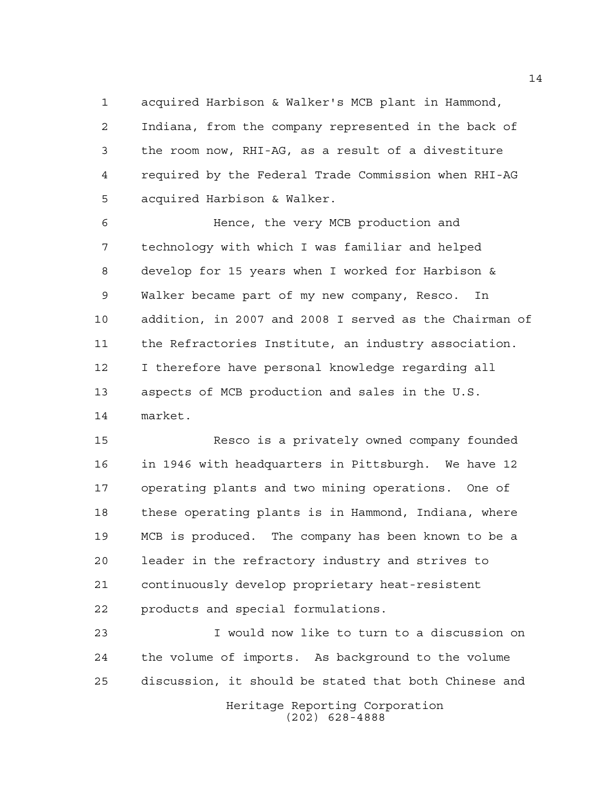acquired Harbison & Walker's MCB plant in Hammond, Indiana, from the company represented in the back of the room now, RHI-AG, as a result of a divestiture required by the Federal Trade Commission when RHI-AG acquired Harbison & Walker.

 Hence, the very MCB production and technology with which I was familiar and helped develop for 15 years when I worked for Harbison & Walker became part of my new company, Resco. In addition, in 2007 and 2008 I served as the Chairman of the Refractories Institute, an industry association. I therefore have personal knowledge regarding all aspects of MCB production and sales in the U.S. market.

 Resco is a privately owned company founded in 1946 with headquarters in Pittsburgh. We have 12 operating plants and two mining operations. One of these operating plants is in Hammond, Indiana, where MCB is produced. The company has been known to be a leader in the refractory industry and strives to continuously develop proprietary heat-resistent products and special formulations.

Heritage Reporting Corporation I would now like to turn to a discussion on the volume of imports. As background to the volume discussion, it should be stated that both Chinese and

(202) 628-4888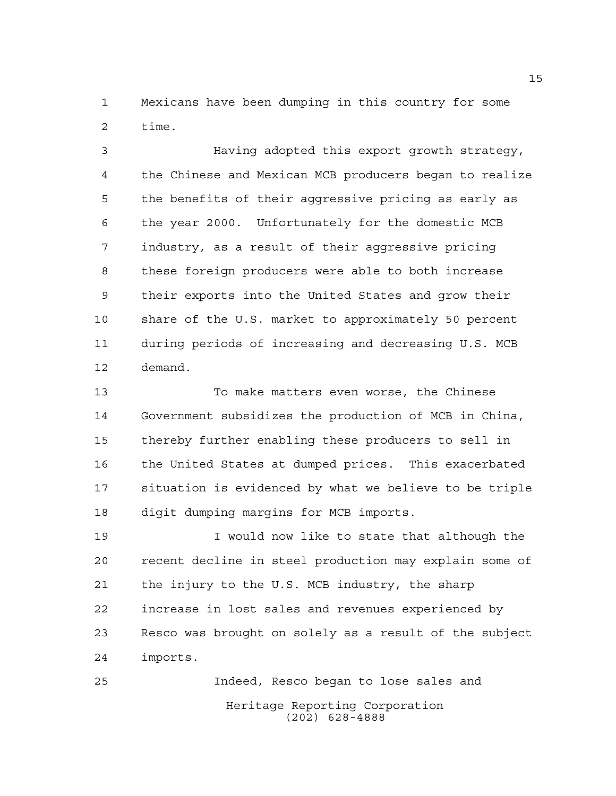Mexicans have been dumping in this country for some time.

 Having adopted this export growth strategy, the Chinese and Mexican MCB producers began to realize the benefits of their aggressive pricing as early as the year 2000. Unfortunately for the domestic MCB industry, as a result of their aggressive pricing these foreign producers were able to both increase their exports into the United States and grow their share of the U.S. market to approximately 50 percent during periods of increasing and decreasing U.S. MCB demand.

 To make matters even worse, the Chinese Government subsidizes the production of MCB in China, thereby further enabling these producers to sell in the United States at dumped prices. This exacerbated situation is evidenced by what we believe to be triple digit dumping margins for MCB imports.

 I would now like to state that although the recent decline in steel production may explain some of the injury to the U.S. MCB industry, the sharp increase in lost sales and revenues experienced by Resco was brought on solely as a result of the subject imports.

Heritage Reporting Corporation (202) 628-4888 Indeed, Resco began to lose sales and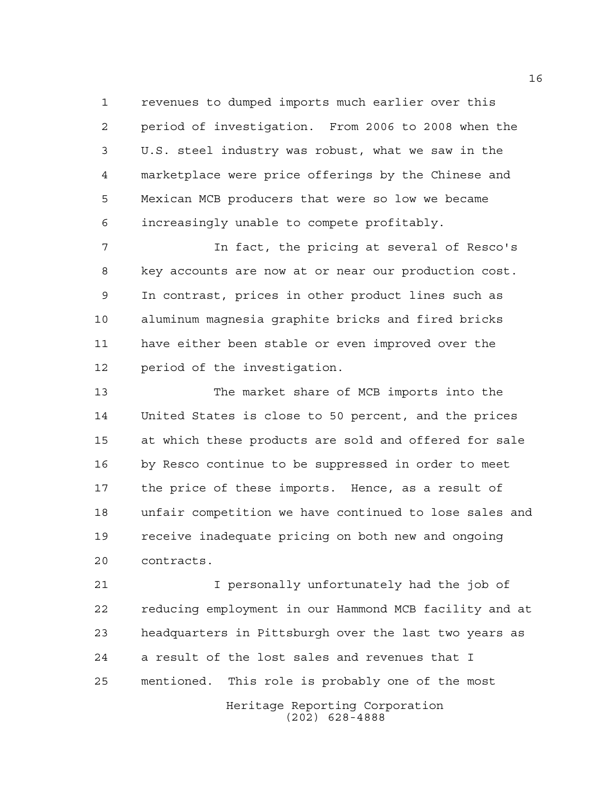revenues to dumped imports much earlier over this period of investigation. From 2006 to 2008 when the U.S. steel industry was robust, what we saw in the marketplace were price offerings by the Chinese and Mexican MCB producers that were so low we became increasingly unable to compete profitably.

 In fact, the pricing at several of Resco's key accounts are now at or near our production cost. In contrast, prices in other product lines such as aluminum magnesia graphite bricks and fired bricks have either been stable or even improved over the period of the investigation.

 The market share of MCB imports into the United States is close to 50 percent, and the prices at which these products are sold and offered for sale by Resco continue to be suppressed in order to meet the price of these imports. Hence, as a result of unfair competition we have continued to lose sales and receive inadequate pricing on both new and ongoing contracts.

 I personally unfortunately had the job of reducing employment in our Hammond MCB facility and at headquarters in Pittsburgh over the last two years as a result of the lost sales and revenues that I mentioned. This role is probably one of the most

> Heritage Reporting Corporation (202) 628-4888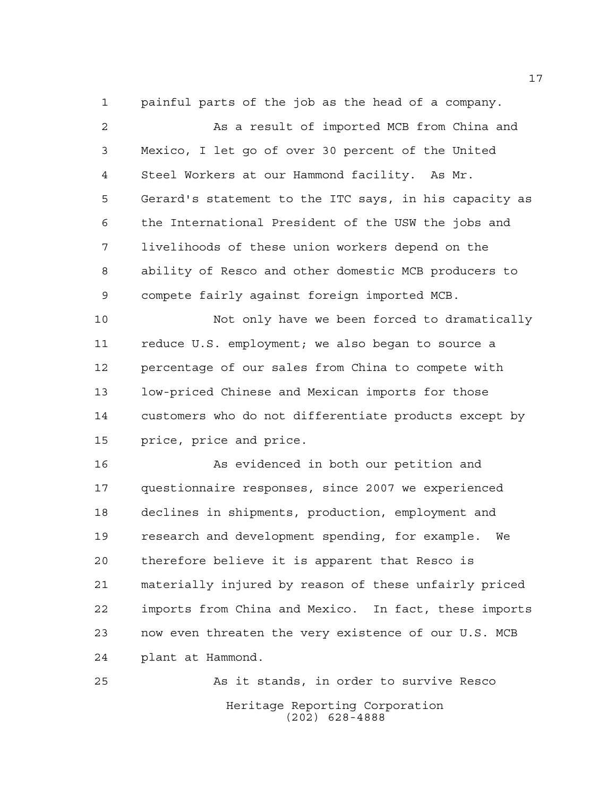painful parts of the job as the head of a company.

 As a result of imported MCB from China and Mexico, I let go of over 30 percent of the United Steel Workers at our Hammond facility. As Mr. Gerard's statement to the ITC says, in his capacity as the International President of the USW the jobs and livelihoods of these union workers depend on the ability of Resco and other domestic MCB producers to compete fairly against foreign imported MCB.

 Not only have we been forced to dramatically reduce U.S. employment; we also began to source a percentage of our sales from China to compete with low-priced Chinese and Mexican imports for those customers who do not differentiate products except by price, price and price.

 As evidenced in both our petition and questionnaire responses, since 2007 we experienced declines in shipments, production, employment and research and development spending, for example. We therefore believe it is apparent that Resco is materially injured by reason of these unfairly priced imports from China and Mexico. In fact, these imports now even threaten the very existence of our U.S. MCB plant at Hammond.

Heritage Reporting Corporation (202) 628-4888 As it stands, in order to survive Resco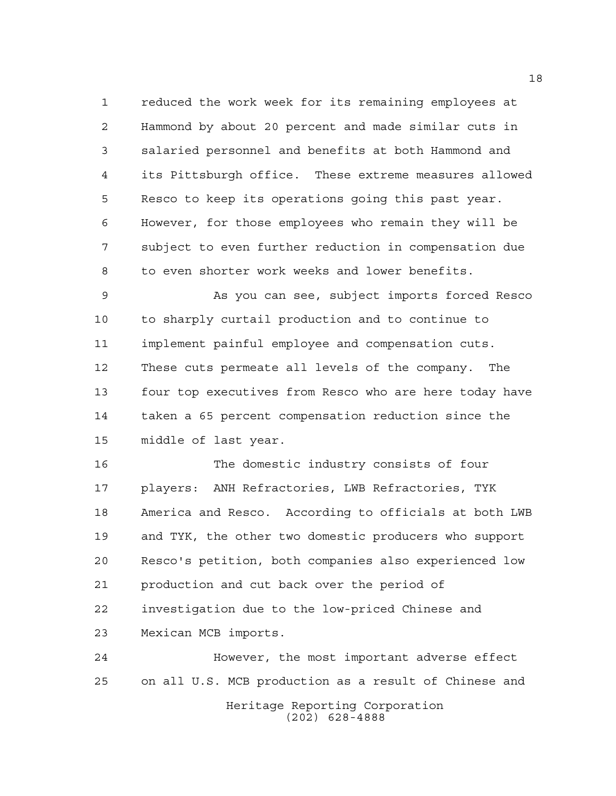reduced the work week for its remaining employees at Hammond by about 20 percent and made similar cuts in salaried personnel and benefits at both Hammond and its Pittsburgh office. These extreme measures allowed Resco to keep its operations going this past year. However, for those employees who remain they will be subject to even further reduction in compensation due to even shorter work weeks and lower benefits.

 As you can see, subject imports forced Resco to sharply curtail production and to continue to implement painful employee and compensation cuts. These cuts permeate all levels of the company. The four top executives from Resco who are here today have taken a 65 percent compensation reduction since the middle of last year.

 The domestic industry consists of four players: ANH Refractories, LWB Refractories, TYK America and Resco. According to officials at both LWB and TYK, the other two domestic producers who support Resco's petition, both companies also experienced low production and cut back over the period of investigation due to the low-priced Chinese and Mexican MCB imports.

Heritage Reporting Corporation However, the most important adverse effect on all U.S. MCB production as a result of Chinese and

(202) 628-4888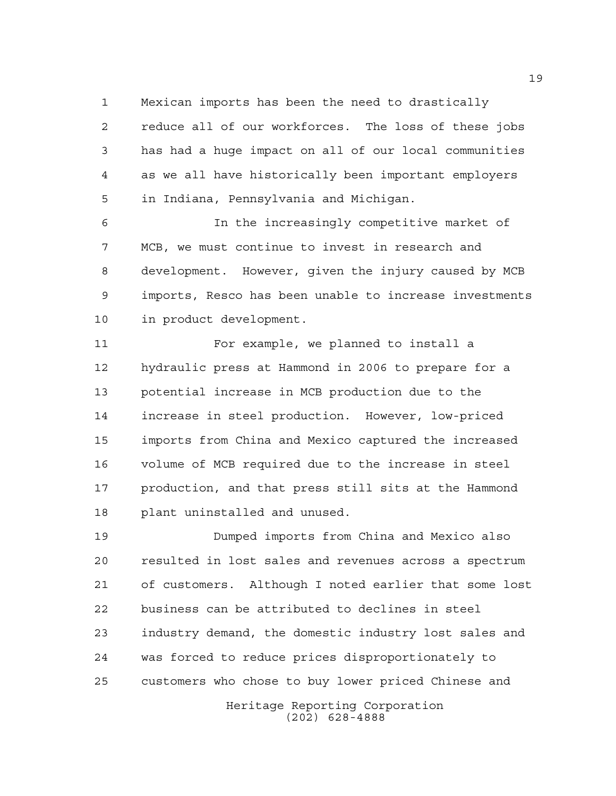Mexican imports has been the need to drastically

 reduce all of our workforces. The loss of these jobs has had a huge impact on all of our local communities as we all have historically been important employers in Indiana, Pennsylvania and Michigan.

 In the increasingly competitive market of MCB, we must continue to invest in research and development. However, given the injury caused by MCB imports, Resco has been unable to increase investments in product development.

 For example, we planned to install a hydraulic press at Hammond in 2006 to prepare for a potential increase in MCB production due to the increase in steel production. However, low-priced imports from China and Mexico captured the increased volume of MCB required due to the increase in steel production, and that press still sits at the Hammond plant uninstalled and unused.

 Dumped imports from China and Mexico also resulted in lost sales and revenues across a spectrum of customers. Although I noted earlier that some lost business can be attributed to declines in steel industry demand, the domestic industry lost sales and was forced to reduce prices disproportionately to customers who chose to buy lower priced Chinese and

> Heritage Reporting Corporation (202) 628-4888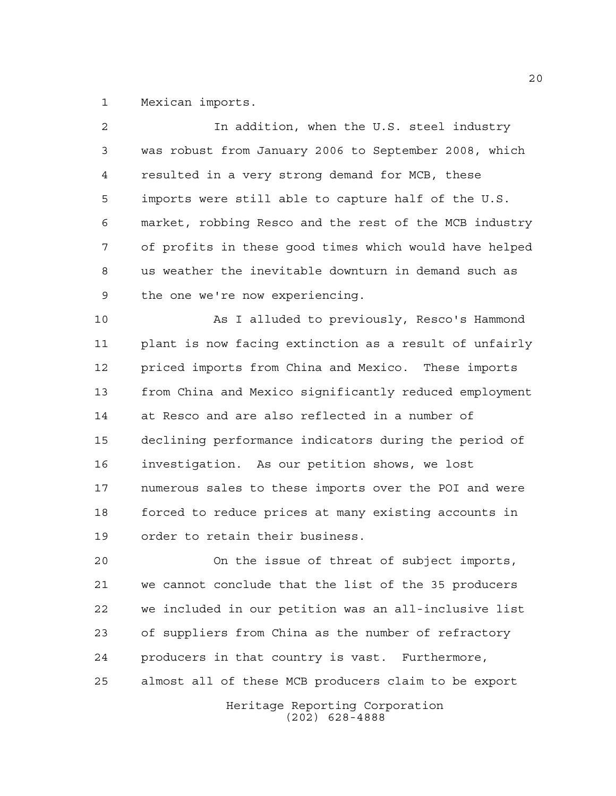Mexican imports.

| 2  | In addition, when the U.S. steel industry              |
|----|--------------------------------------------------------|
| 3  | was robust from January 2006 to September 2008, which  |
| 4  | resulted in a very strong demand for MCB, these        |
| 5  | imports were still able to capture half of the U.S.    |
| 6  | market, robbing Resco and the rest of the MCB industry |
| 7  | of profits in these good times which would have helped |
| 8  | us weather the inevitable downturn in demand such as   |
| 9  | the one we're now experiencing.                        |
| 10 | As I alluded to previously, Resco's Hammond            |
| 11 | plant is now facing extinction as a result of unfairly |
| 12 | priced imports from China and Mexico. These imports    |
| 13 | from China and Mexico significantly reduced employment |
| 14 | at Resco and are also reflected in a number of         |
| 15 | declining performance indicators during the period of  |
| 16 | investigation. As our petition shows, we lost          |
| 17 | numerous sales to these imports over the POI and were  |
| 18 | forced to reduce prices at many existing accounts in   |
| 19 | order to retain their business.                        |
| 20 | On the issue of threat of subject imports,             |
| 21 | we cannot conclude that the list of the 35 producers   |
| 22 | we included in our petition was an all-inclusive list  |
| 23 | of suppliers from China as the number of refractory    |
| 24 | producers in that country is vast. Furthermore,        |

almost all of these MCB producers claim to be export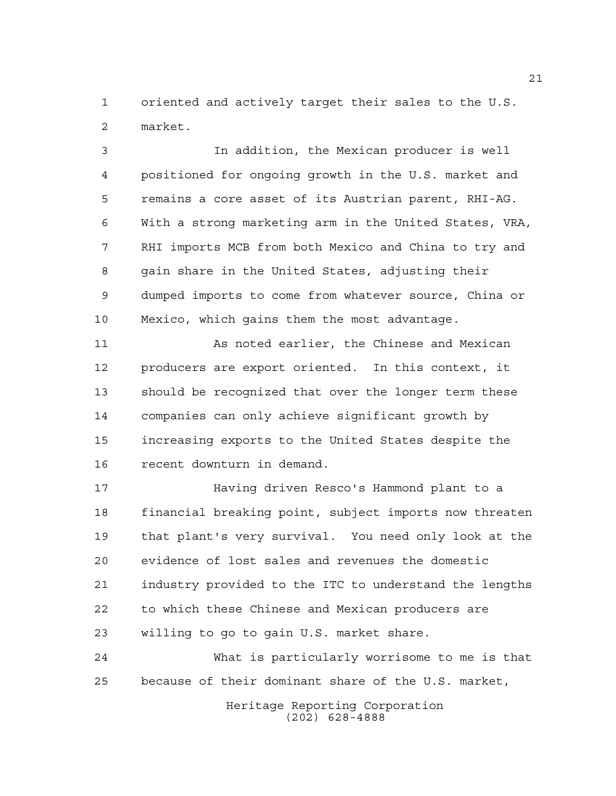oriented and actively target their sales to the U.S. market.

 In addition, the Mexican producer is well positioned for ongoing growth in the U.S. market and remains a core asset of its Austrian parent, RHI-AG. With a strong marketing arm in the United States, VRA, RHI imports MCB from both Mexico and China to try and gain share in the United States, adjusting their dumped imports to come from whatever source, China or Mexico, which gains them the most advantage.

 As noted earlier, the Chinese and Mexican producers are export oriented. In this context, it should be recognized that over the longer term these companies can only achieve significant growth by increasing exports to the United States despite the recent downturn in demand.

 Having driven Resco's Hammond plant to a financial breaking point, subject imports now threaten that plant's very survival. You need only look at the evidence of lost sales and revenues the domestic industry provided to the ITC to understand the lengths to which these Chinese and Mexican producers are willing to go to gain U.S. market share.

 What is particularly worrisome to me is that because of their dominant share of the U.S. market,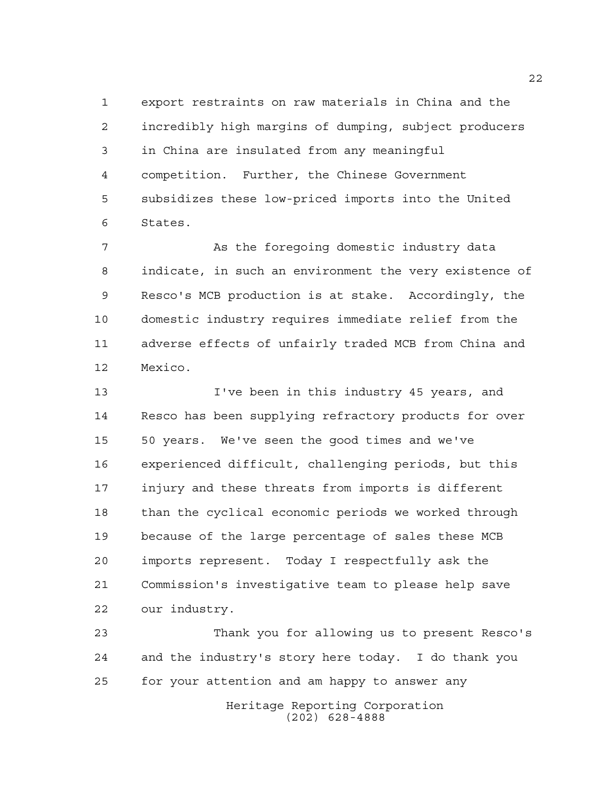export restraints on raw materials in China and the incredibly high margins of dumping, subject producers in China are insulated from any meaningful competition. Further, the Chinese Government subsidizes these low-priced imports into the United States.

 As the foregoing domestic industry data indicate, in such an environment the very existence of Resco's MCB production is at stake. Accordingly, the domestic industry requires immediate relief from the adverse effects of unfairly traded MCB from China and Mexico.

 I've been in this industry 45 years, and Resco has been supplying refractory products for over 50 years. We've seen the good times and we've experienced difficult, challenging periods, but this injury and these threats from imports is different than the cyclical economic periods we worked through because of the large percentage of sales these MCB imports represent. Today I respectfully ask the Commission's investigative team to please help save our industry.

 Thank you for allowing us to present Resco's and the industry's story here today. I do thank you for your attention and am happy to answer any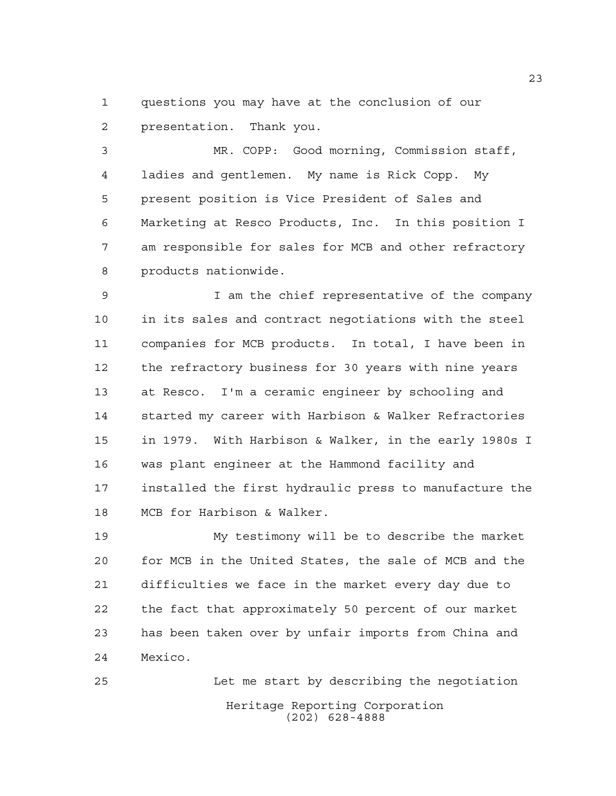questions you may have at the conclusion of our presentation. Thank you.

 MR. COPP: Good morning, Commission staff, ladies and gentlemen. My name is Rick Copp. My present position is Vice President of Sales and Marketing at Resco Products, Inc. In this position I am responsible for sales for MCB and other refractory products nationwide.

 I am the chief representative of the company in its sales and contract negotiations with the steel companies for MCB products. In total, I have been in the refractory business for 30 years with nine years at Resco. I'm a ceramic engineer by schooling and started my career with Harbison & Walker Refractories in 1979. With Harbison & Walker, in the early 1980s I was plant engineer at the Hammond facility and installed the first hydraulic press to manufacture the MCB for Harbison & Walker.

 My testimony will be to describe the market for MCB in the United States, the sale of MCB and the difficulties we face in the market every day due to the fact that approximately 50 percent of our market has been taken over by unfair imports from China and Mexico.

Heritage Reporting Corporation (202) 628-4888 Let me start by describing the negotiation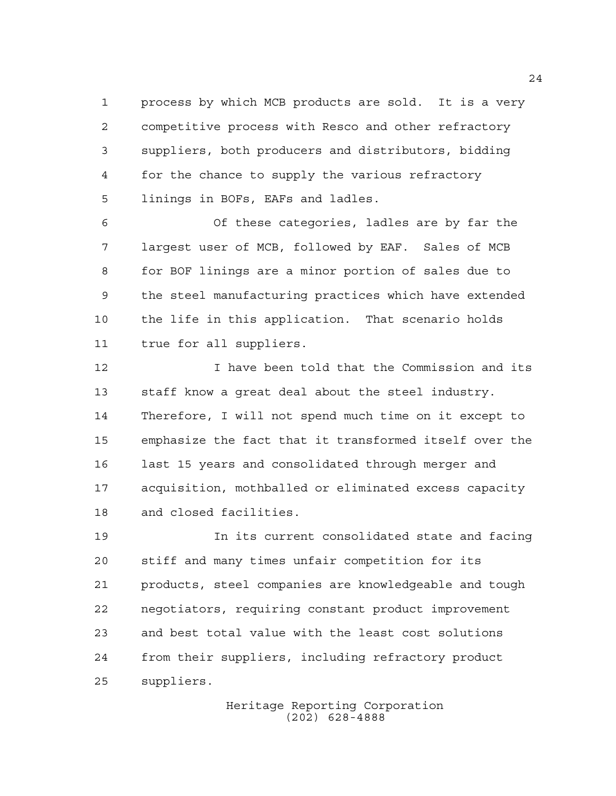process by which MCB products are sold. It is a very competitive process with Resco and other refractory suppliers, both producers and distributors, bidding for the chance to supply the various refractory linings in BOFs, EAFs and ladles.

 Of these categories, ladles are by far the largest user of MCB, followed by EAF. Sales of MCB for BOF linings are a minor portion of sales due to the steel manufacturing practices which have extended the life in this application. That scenario holds true for all suppliers.

 I have been told that the Commission and its staff know a great deal about the steel industry. Therefore, I will not spend much time on it except to emphasize the fact that it transformed itself over the last 15 years and consolidated through merger and acquisition, mothballed or eliminated excess capacity and closed facilities.

 In its current consolidated state and facing stiff and many times unfair competition for its products, steel companies are knowledgeable and tough negotiators, requiring constant product improvement and best total value with the least cost solutions from their suppliers, including refractory product suppliers.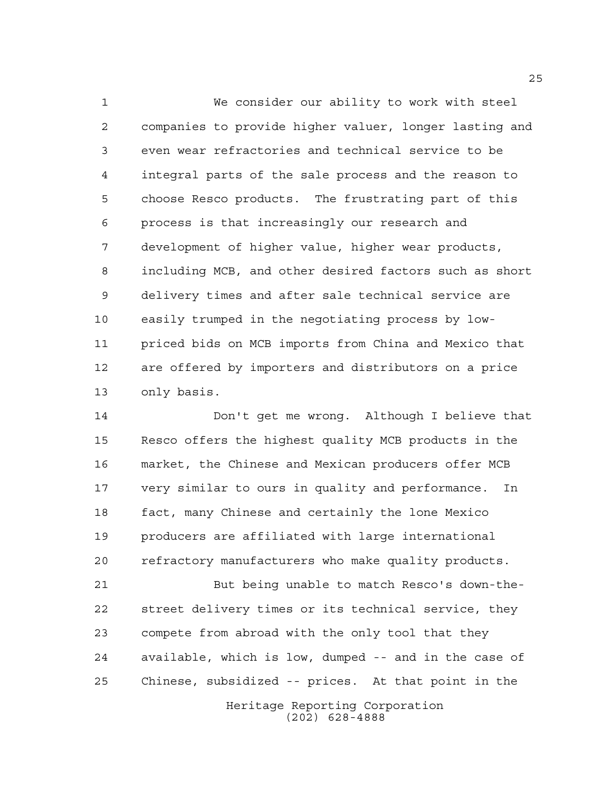We consider our ability to work with steel companies to provide higher valuer, longer lasting and even wear refractories and technical service to be integral parts of the sale process and the reason to choose Resco products. The frustrating part of this process is that increasingly our research and development of higher value, higher wear products, including MCB, and other desired factors such as short delivery times and after sale technical service are easily trumped in the negotiating process by low- priced bids on MCB imports from China and Mexico that are offered by importers and distributors on a price only basis.

 Don't get me wrong. Although I believe that Resco offers the highest quality MCB products in the market, the Chinese and Mexican producers offer MCB very similar to ours in quality and performance. In fact, many Chinese and certainly the lone Mexico producers are affiliated with large international refractory manufacturers who make quality products.

Heritage Reporting Corporation (202) 628-4888 But being unable to match Resco's down-the- street delivery times or its technical service, they compete from abroad with the only tool that they available, which is low, dumped -- and in the case of Chinese, subsidized -- prices. At that point in the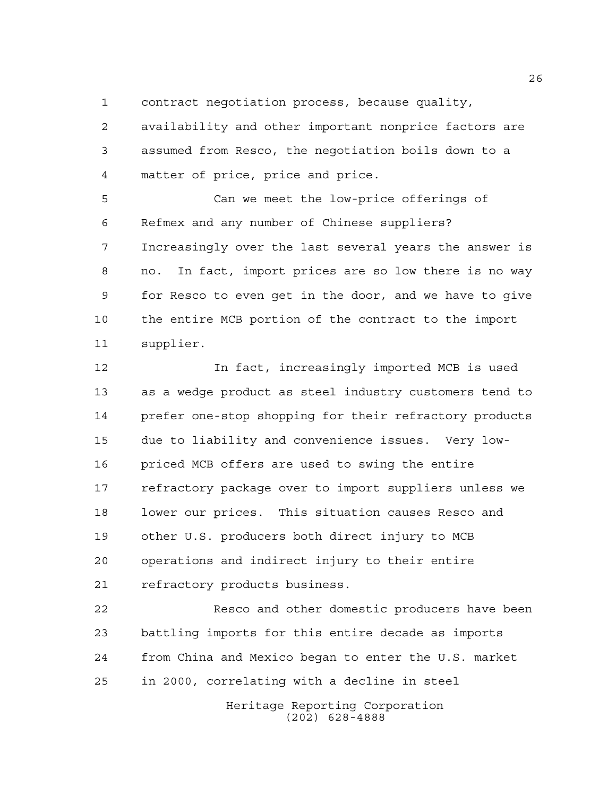contract negotiation process, because quality,

 availability and other important nonprice factors are assumed from Resco, the negotiation boils down to a matter of price, price and price.

 Can we meet the low-price offerings of Refmex and any number of Chinese suppliers? Increasingly over the last several years the answer is no. In fact, import prices are so low there is no way for Resco to even get in the door, and we have to give the entire MCB portion of the contract to the import supplier.

 In fact, increasingly imported MCB is used as a wedge product as steel industry customers tend to prefer one-stop shopping for their refractory products due to liability and convenience issues. Very low- priced MCB offers are used to swing the entire refractory package over to import suppliers unless we lower our prices. This situation causes Resco and other U.S. producers both direct injury to MCB operations and indirect injury to their entire refractory products business.

 Resco and other domestic producers have been battling imports for this entire decade as imports from China and Mexico began to enter the U.S. market in 2000, correlating with a decline in steel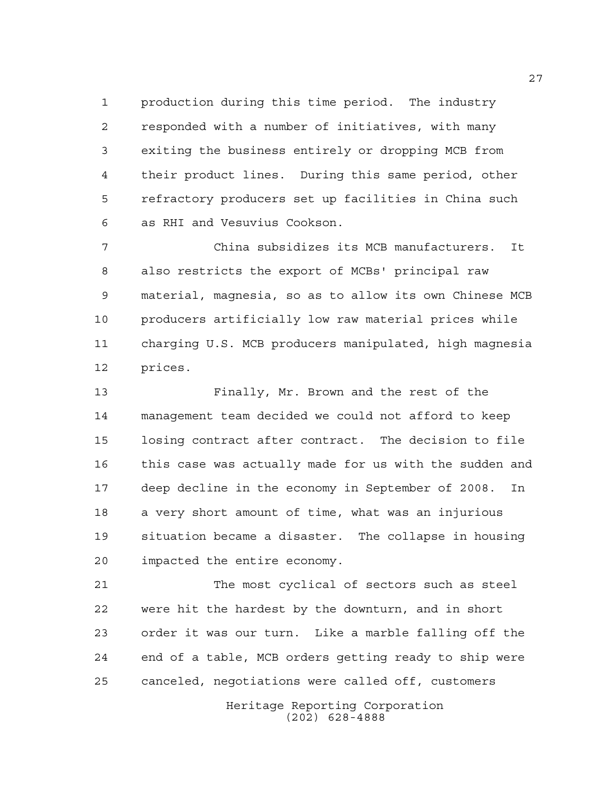production during this time period. The industry responded with a number of initiatives, with many exiting the business entirely or dropping MCB from their product lines. During this same period, other refractory producers set up facilities in China such as RHI and Vesuvius Cookson.

 China subsidizes its MCB manufacturers. It also restricts the export of MCBs' principal raw material, magnesia, so as to allow its own Chinese MCB producers artificially low raw material prices while charging U.S. MCB producers manipulated, high magnesia prices.

 Finally, Mr. Brown and the rest of the management team decided we could not afford to keep losing contract after contract. The decision to file this case was actually made for us with the sudden and deep decline in the economy in September of 2008. In a very short amount of time, what was an injurious situation became a disaster. The collapse in housing impacted the entire economy.

 The most cyclical of sectors such as steel were hit the hardest by the downturn, and in short order it was our turn. Like a marble falling off the end of a table, MCB orders getting ready to ship were canceled, negotiations were called off, customers

> Heritage Reporting Corporation (202) 628-4888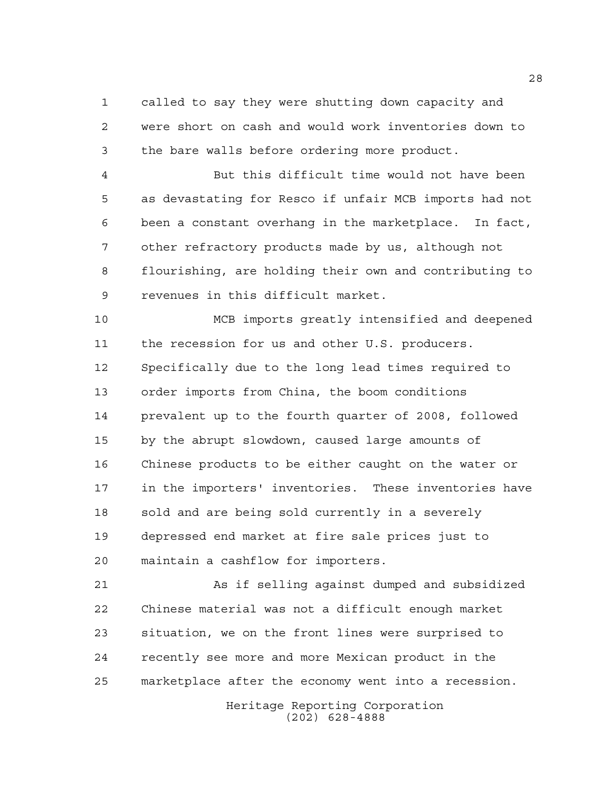called to say they were shutting down capacity and were short on cash and would work inventories down to the bare walls before ordering more product.

 But this difficult time would not have been as devastating for Resco if unfair MCB imports had not been a constant overhang in the marketplace. In fact, other refractory products made by us, although not flourishing, are holding their own and contributing to revenues in this difficult market.

 MCB imports greatly intensified and deepened the recession for us and other U.S. producers. Specifically due to the long lead times required to order imports from China, the boom conditions prevalent up to the fourth quarter of 2008, followed by the abrupt slowdown, caused large amounts of Chinese products to be either caught on the water or in the importers' inventories. These inventories have 18 sold and are being sold currently in a severely depressed end market at fire sale prices just to maintain a cashflow for importers.

 As if selling against dumped and subsidized Chinese material was not a difficult enough market situation, we on the front lines were surprised to recently see more and more Mexican product in the marketplace after the economy went into a recession.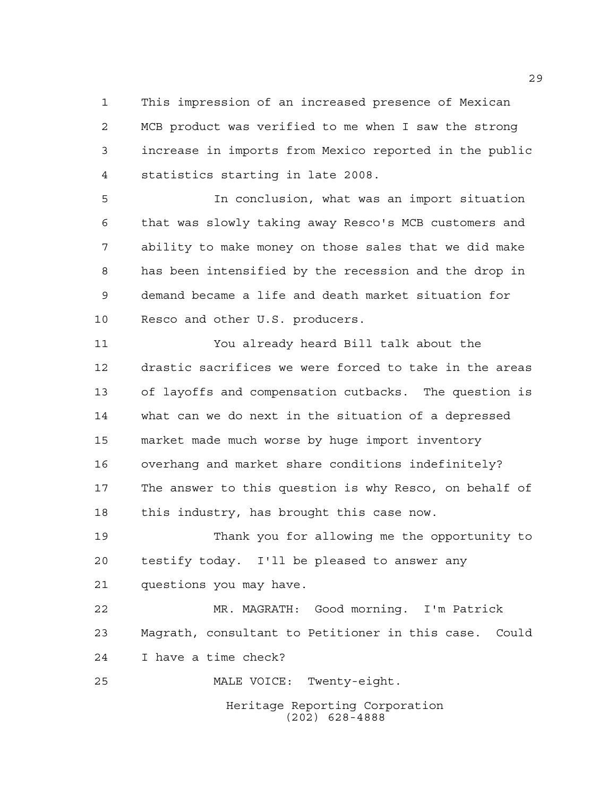This impression of an increased presence of Mexican MCB product was verified to me when I saw the strong increase in imports from Mexico reported in the public statistics starting in late 2008.

 In conclusion, what was an import situation that was slowly taking away Resco's MCB customers and ability to make money on those sales that we did make has been intensified by the recession and the drop in demand became a life and death market situation for Resco and other U.S. producers.

 You already heard Bill talk about the drastic sacrifices we were forced to take in the areas of layoffs and compensation cutbacks. The question is what can we do next in the situation of a depressed market made much worse by huge import inventory overhang and market share conditions indefinitely? The answer to this question is why Resco, on behalf of this industry, has brought this case now.

 Thank you for allowing me the opportunity to testify today. I'll be pleased to answer any questions you may have.

 MR. MAGRATH: Good morning. I'm Patrick Magrath, consultant to Petitioner in this case. Could I have a time check?

MALE VOICE: Twenty-eight.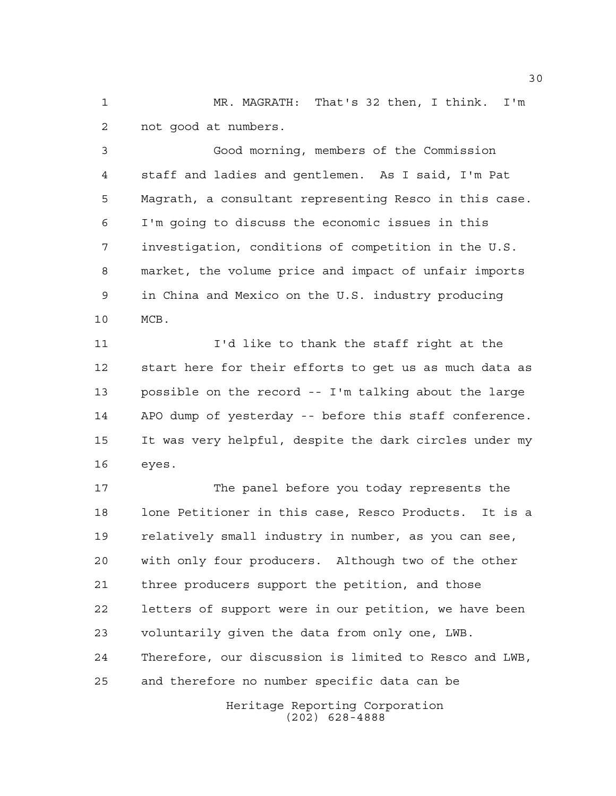MR. MAGRATH: That's 32 then, I think. I'm not good at numbers.

 Good morning, members of the Commission staff and ladies and gentlemen. As I said, I'm Pat Magrath, a consultant representing Resco in this case. I'm going to discuss the economic issues in this investigation, conditions of competition in the U.S. market, the volume price and impact of unfair imports in China and Mexico on the U.S. industry producing MCB.

 I'd like to thank the staff right at the start here for their efforts to get us as much data as possible on the record -- I'm talking about the large APO dump of yesterday -- before this staff conference. It was very helpful, despite the dark circles under my eyes.

 The panel before you today represents the lone Petitioner in this case, Resco Products. It is a relatively small industry in number, as you can see, with only four producers. Although two of the other three producers support the petition, and those letters of support were in our petition, we have been voluntarily given the data from only one, LWB. Therefore, our discussion is limited to Resco and LWB, and therefore no number specific data can be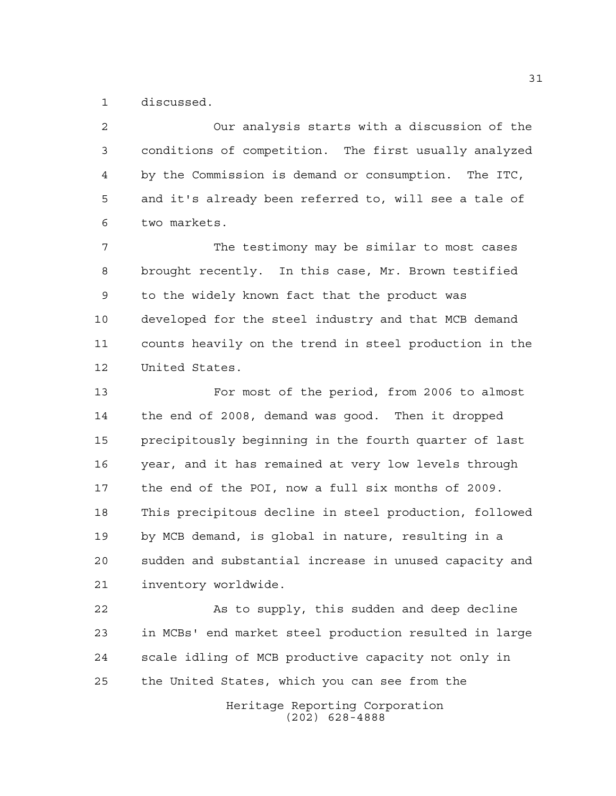discussed.

 Our analysis starts with a discussion of the conditions of competition. The first usually analyzed by the Commission is demand or consumption. The ITC, and it's already been referred to, will see a tale of two markets.

 The testimony may be similar to most cases brought recently. In this case, Mr. Brown testified to the widely known fact that the product was developed for the steel industry and that MCB demand counts heavily on the trend in steel production in the United States.

 For most of the period, from 2006 to almost the end of 2008, demand was good. Then it dropped precipitously beginning in the fourth quarter of last year, and it has remained at very low levels through the end of the POI, now a full six months of 2009. This precipitous decline in steel production, followed by MCB demand, is global in nature, resulting in a sudden and substantial increase in unused capacity and inventory worldwide.

22 As to supply, this sudden and deep decline in MCBs' end market steel production resulted in large scale idling of MCB productive capacity not only in the United States, which you can see from the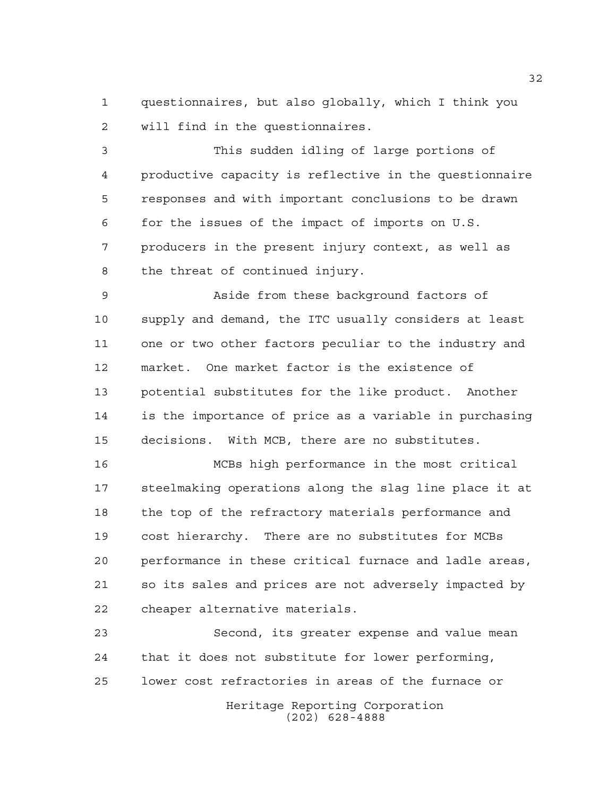questionnaires, but also globally, which I think you will find in the questionnaires.

 This sudden idling of large portions of productive capacity is reflective in the questionnaire responses and with important conclusions to be drawn for the issues of the impact of imports on U.S. producers in the present injury context, as well as the threat of continued injury.

 Aside from these background factors of supply and demand, the ITC usually considers at least one or two other factors peculiar to the industry and market. One market factor is the existence of potential substitutes for the like product. Another is the importance of price as a variable in purchasing decisions. With MCB, there are no substitutes.

 MCBs high performance in the most critical steelmaking operations along the slag line place it at the top of the refractory materials performance and cost hierarchy. There are no substitutes for MCBs performance in these critical furnace and ladle areas, so its sales and prices are not adversely impacted by cheaper alternative materials.

Heritage Reporting Corporation Second, its greater expense and value mean that it does not substitute for lower performing, lower cost refractories in areas of the furnace or

(202) 628-4888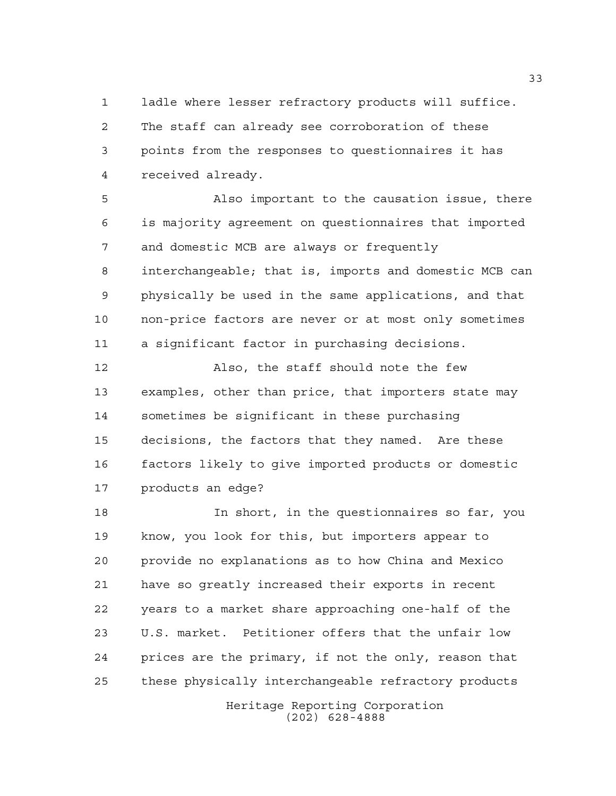ladle where lesser refractory products will suffice. The staff can already see corroboration of these points from the responses to questionnaires it has received already.

 Also important to the causation issue, there is majority agreement on questionnaires that imported and domestic MCB are always or frequently interchangeable; that is, imports and domestic MCB can physically be used in the same applications, and that non-price factors are never or at most only sometimes a significant factor in purchasing decisions.

 Also, the staff should note the few examples, other than price, that importers state may sometimes be significant in these purchasing decisions, the factors that they named. Are these factors likely to give imported products or domestic products an edge?

 In short, in the questionnaires so far, you know, you look for this, but importers appear to provide no explanations as to how China and Mexico have so greatly increased their exports in recent years to a market share approaching one-half of the U.S. market. Petitioner offers that the unfair low prices are the primary, if not the only, reason that these physically interchangeable refractory products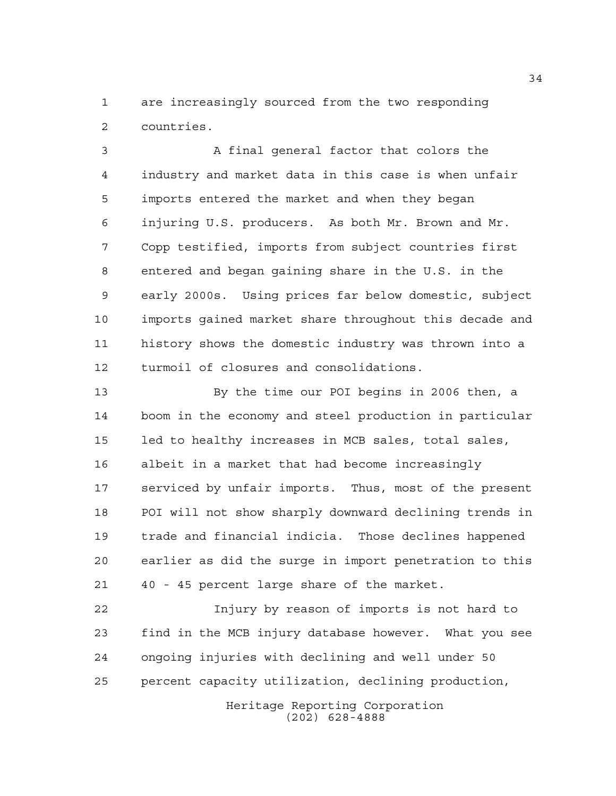are increasingly sourced from the two responding countries.

 A final general factor that colors the industry and market data in this case is when unfair imports entered the market and when they began injuring U.S. producers. As both Mr. Brown and Mr. Copp testified, imports from subject countries first entered and began gaining share in the U.S. in the early 2000s. Using prices far below domestic, subject imports gained market share throughout this decade and history shows the domestic industry was thrown into a turmoil of closures and consolidations.

 By the time our POI begins in 2006 then, a boom in the economy and steel production in particular led to healthy increases in MCB sales, total sales, albeit in a market that had become increasingly serviced by unfair imports. Thus, most of the present POI will not show sharply downward declining trends in trade and financial indicia. Those declines happened earlier as did the surge in import penetration to this 40 - 45 percent large share of the market.

 Injury by reason of imports is not hard to find in the MCB injury database however. What you see ongoing injuries with declining and well under 50 percent capacity utilization, declining production,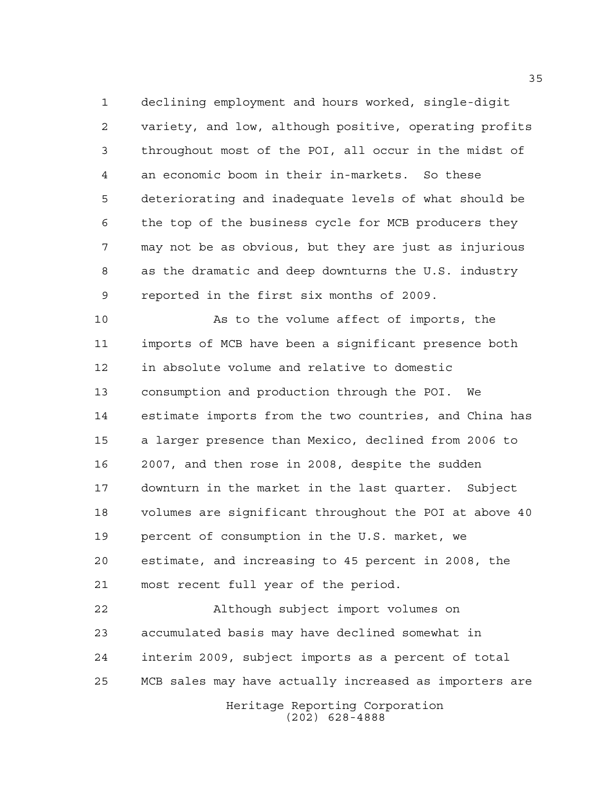declining employment and hours worked, single-digit variety, and low, although positive, operating profits throughout most of the POI, all occur in the midst of an economic boom in their in-markets. So these deteriorating and inadequate levels of what should be the top of the business cycle for MCB producers they may not be as obvious, but they are just as injurious as the dramatic and deep downturns the U.S. industry reported in the first six months of 2009.

 As to the volume affect of imports, the imports of MCB have been a significant presence both in absolute volume and relative to domestic consumption and production through the POI. We estimate imports from the two countries, and China has a larger presence than Mexico, declined from 2006 to 2007, and then rose in 2008, despite the sudden downturn in the market in the last quarter. Subject volumes are significant throughout the POI at above 40 percent of consumption in the U.S. market, we estimate, and increasing to 45 percent in 2008, the most recent full year of the period.

 Although subject import volumes on accumulated basis may have declined somewhat in interim 2009, subject imports as a percent of total MCB sales may have actually increased as importers are

Heritage Reporting Corporation (202) 628-4888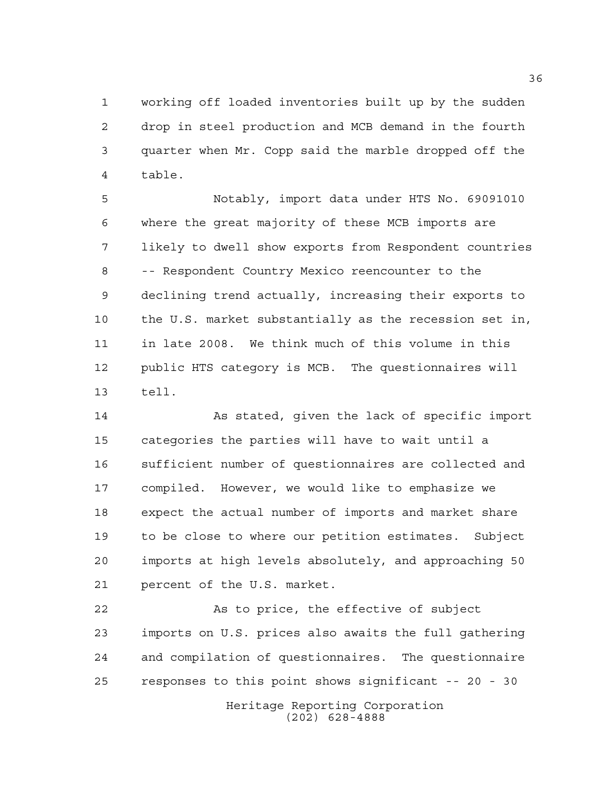working off loaded inventories built up by the sudden drop in steel production and MCB demand in the fourth quarter when Mr. Copp said the marble dropped off the table.

 Notably, import data under HTS No. 69091010 where the great majority of these MCB imports are likely to dwell show exports from Respondent countries -- Respondent Country Mexico reencounter to the declining trend actually, increasing their exports to the U.S. market substantially as the recession set in, in late 2008. We think much of this volume in this public HTS category is MCB. The questionnaires will tell.

 As stated, given the lack of specific import categories the parties will have to wait until a sufficient number of questionnaires are collected and compiled. However, we would like to emphasize we expect the actual number of imports and market share to be close to where our petition estimates. Subject imports at high levels absolutely, and approaching 50 percent of the U.S. market.

 As to price, the effective of subject imports on U.S. prices also awaits the full gathering and compilation of questionnaires. The questionnaire responses to this point shows significant -- 20 - 30

> Heritage Reporting Corporation (202) 628-4888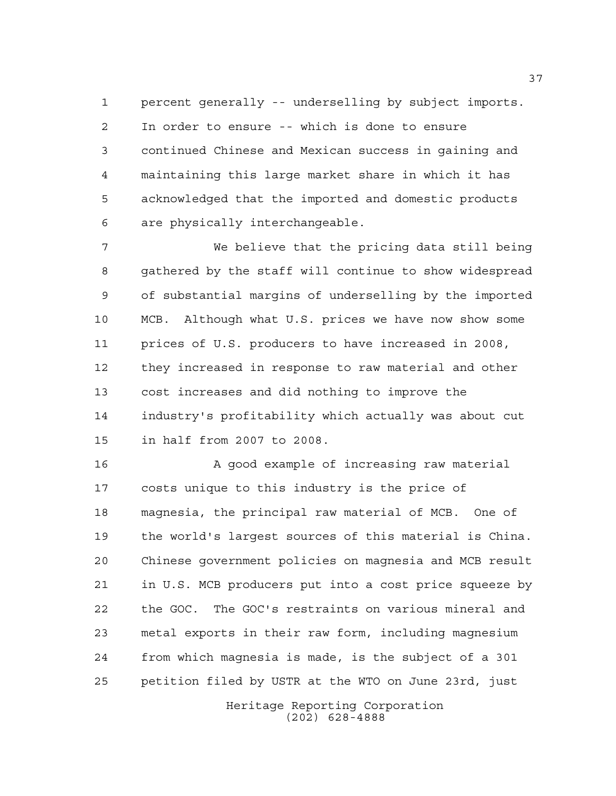percent generally -- underselling by subject imports. In order to ensure -- which is done to ensure continued Chinese and Mexican success in gaining and maintaining this large market share in which it has acknowledged that the imported and domestic products are physically interchangeable.

 We believe that the pricing data still being gathered by the staff will continue to show widespread of substantial margins of underselling by the imported MCB. Although what U.S. prices we have now show some prices of U.S. producers to have increased in 2008, they increased in response to raw material and other cost increases and did nothing to improve the industry's profitability which actually was about cut in half from 2007 to 2008.

16 A good example of increasing raw material costs unique to this industry is the price of magnesia, the principal raw material of MCB. One of the world's largest sources of this material is China. Chinese government policies on magnesia and MCB result in U.S. MCB producers put into a cost price squeeze by the GOC. The GOC's restraints on various mineral and metal exports in their raw form, including magnesium from which magnesia is made, is the subject of a 301 petition filed by USTR at the WTO on June 23rd, just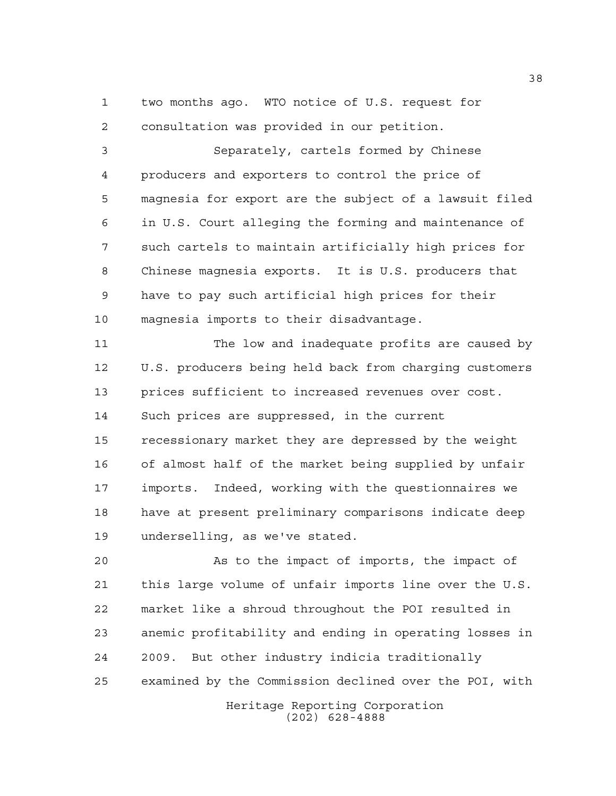two months ago. WTO notice of U.S. request for consultation was provided in our petition.

 Separately, cartels formed by Chinese producers and exporters to control the price of magnesia for export are the subject of a lawsuit filed in U.S. Court alleging the forming and maintenance of such cartels to maintain artificially high prices for Chinese magnesia exports. It is U.S. producers that have to pay such artificial high prices for their magnesia imports to their disadvantage.

 The low and inadequate profits are caused by U.S. producers being held back from charging customers prices sufficient to increased revenues over cost. Such prices are suppressed, in the current recessionary market they are depressed by the weight of almost half of the market being supplied by unfair imports. Indeed, working with the questionnaires we have at present preliminary comparisons indicate deep underselling, as we've stated.

 As to the impact of imports, the impact of this large volume of unfair imports line over the U.S. market like a shroud throughout the POI resulted in anemic profitability and ending in operating losses in 2009. But other industry indicia traditionally examined by the Commission declined over the POI, with

> Heritage Reporting Corporation (202) 628-4888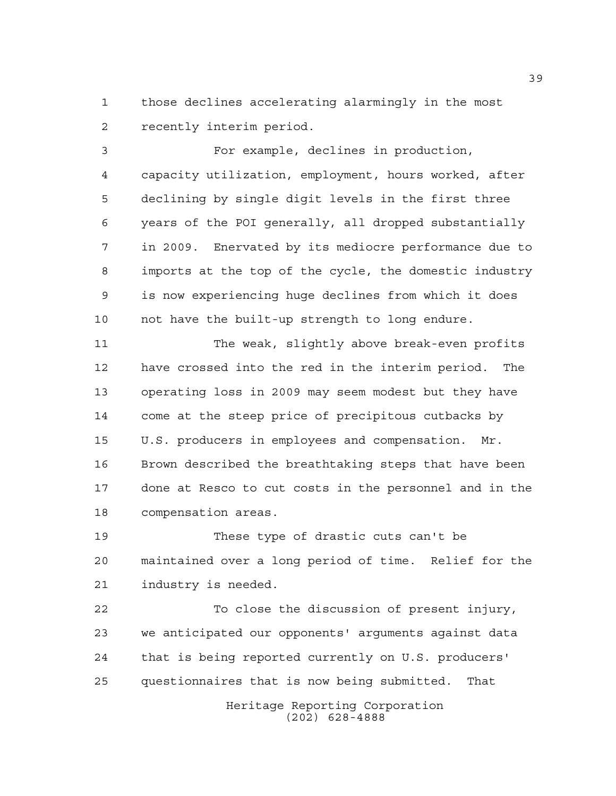those declines accelerating alarmingly in the most recently interim period.

 For example, declines in production, capacity utilization, employment, hours worked, after declining by single digit levels in the first three years of the POI generally, all dropped substantially in 2009. Enervated by its mediocre performance due to imports at the top of the cycle, the domestic industry is now experiencing huge declines from which it does not have the built-up strength to long endure.

 The weak, slightly above break-even profits have crossed into the red in the interim period. The operating loss in 2009 may seem modest but they have come at the steep price of precipitous cutbacks by U.S. producers in employees and compensation. Mr. Brown described the breathtaking steps that have been done at Resco to cut costs in the personnel and in the compensation areas.

 These type of drastic cuts can't be maintained over a long period of time. Relief for the industry is needed.

 To close the discussion of present injury, we anticipated our opponents' arguments against data that is being reported currently on U.S. producers' questionnaires that is now being submitted. That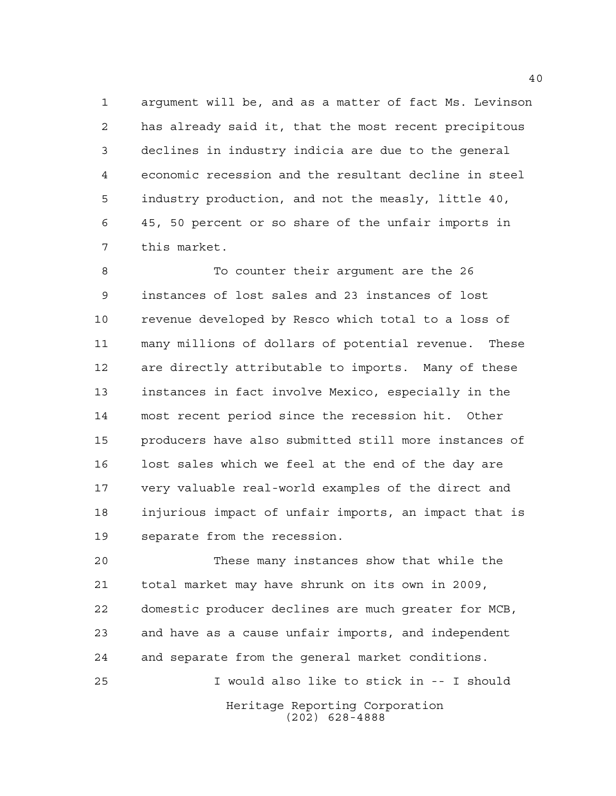argument will be, and as a matter of fact Ms. Levinson has already said it, that the most recent precipitous declines in industry indicia are due to the general economic recession and the resultant decline in steel industry production, and not the measly, little 40, 45, 50 percent or so share of the unfair imports in this market.

8 To counter their argument are the 26 instances of lost sales and 23 instances of lost revenue developed by Resco which total to a loss of many millions of dollars of potential revenue. These are directly attributable to imports. Many of these instances in fact involve Mexico, especially in the most recent period since the recession hit. Other producers have also submitted still more instances of lost sales which we feel at the end of the day are very valuable real-world examples of the direct and injurious impact of unfair imports, an impact that is separate from the recession.

 These many instances show that while the total market may have shrunk on its own in 2009, domestic producer declines are much greater for MCB, and have as a cause unfair imports, and independent and separate from the general market conditions. I would also like to stick in -- I should

Heritage Reporting Corporation (202) 628-4888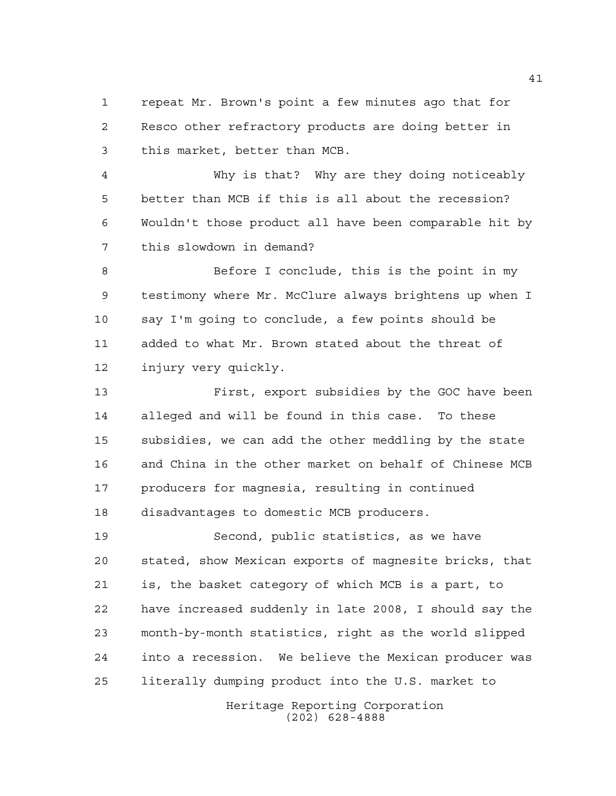repeat Mr. Brown's point a few minutes ago that for Resco other refractory products are doing better in this market, better than MCB.

 Why is that? Why are they doing noticeably better than MCB if this is all about the recession? Wouldn't those product all have been comparable hit by this slowdown in demand?

8 Before I conclude, this is the point in my testimony where Mr. McClure always brightens up when I say I'm going to conclude, a few points should be added to what Mr. Brown stated about the threat of injury very quickly.

 First, export subsidies by the GOC have been alleged and will be found in this case. To these subsidies, we can add the other meddling by the state and China in the other market on behalf of Chinese MCB producers for magnesia, resulting in continued disadvantages to domestic MCB producers.

 Second, public statistics, as we have stated, show Mexican exports of magnesite bricks, that is, the basket category of which MCB is a part, to have increased suddenly in late 2008, I should say the month-by-month statistics, right as the world slipped into a recession. We believe the Mexican producer was literally dumping product into the U.S. market to

> Heritage Reporting Corporation (202) 628-4888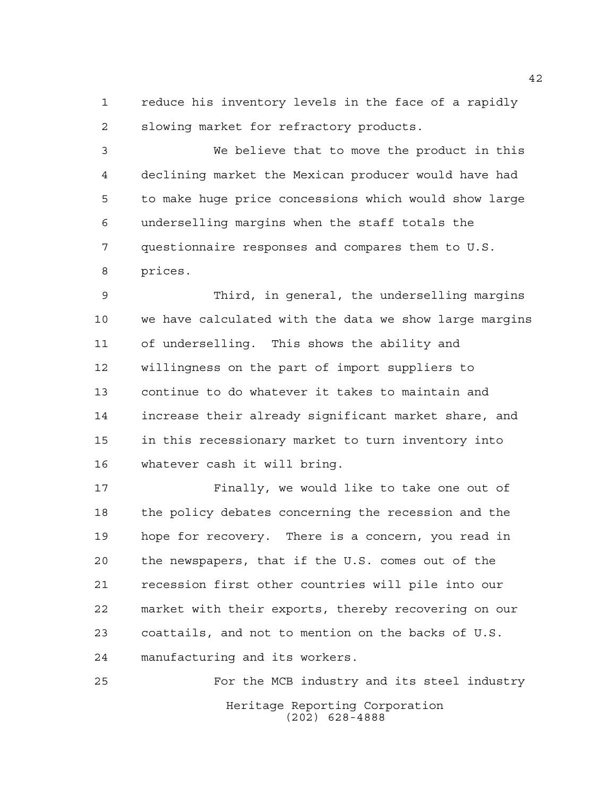reduce his inventory levels in the face of a rapidly slowing market for refractory products.

 We believe that to move the product in this declining market the Mexican producer would have had to make huge price concessions which would show large underselling margins when the staff totals the questionnaire responses and compares them to U.S. prices.

 Third, in general, the underselling margins we have calculated with the data we show large margins of underselling. This shows the ability and willingness on the part of import suppliers to continue to do whatever it takes to maintain and increase their already significant market share, and in this recessionary market to turn inventory into whatever cash it will bring.

 Finally, we would like to take one out of the policy debates concerning the recession and the hope for recovery. There is a concern, you read in the newspapers, that if the U.S. comes out of the recession first other countries will pile into our market with their exports, thereby recovering on our coattails, and not to mention on the backs of U.S. manufacturing and its workers.

Heritage Reporting Corporation (202) 628-4888 For the MCB industry and its steel industry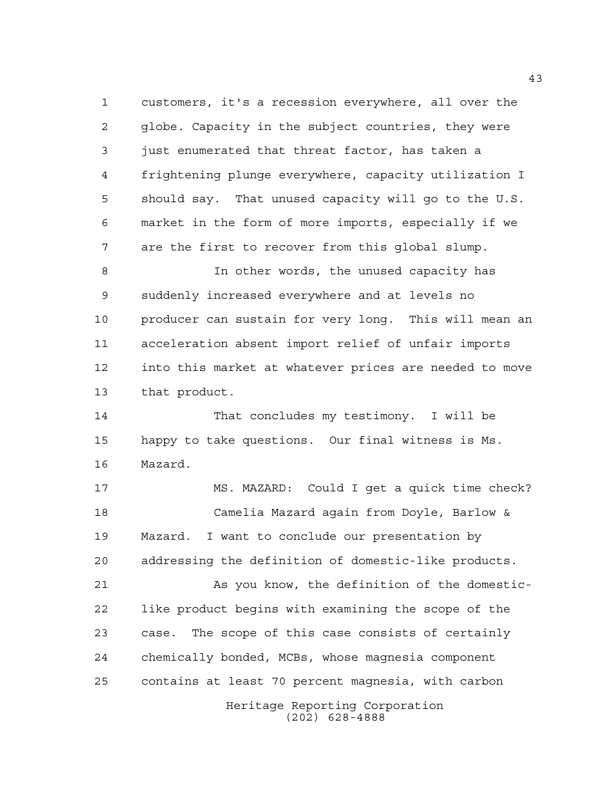customers, it's a recession everywhere, all over the globe. Capacity in the subject countries, they were just enumerated that threat factor, has taken a frightening plunge everywhere, capacity utilization I should say. That unused capacity will go to the U.S. market in the form of more imports, especially if we are the first to recover from this global slump.

 In other words, the unused capacity has suddenly increased everywhere and at levels no producer can sustain for very long. This will mean an acceleration absent import relief of unfair imports into this market at whatever prices are needed to move that product.

 That concludes my testimony. I will be happy to take questions. Our final witness is Ms. Mazard.

 MS. MAZARD: Could I get a quick time check? Camelia Mazard again from Doyle, Barlow & Mazard. I want to conclude our presentation by addressing the definition of domestic-like products.

Heritage Reporting Corporation As you know, the definition of the domestic- like product begins with examining the scope of the case. The scope of this case consists of certainly chemically bonded, MCBs, whose magnesia component contains at least 70 percent magnesia, with carbon

(202) 628-4888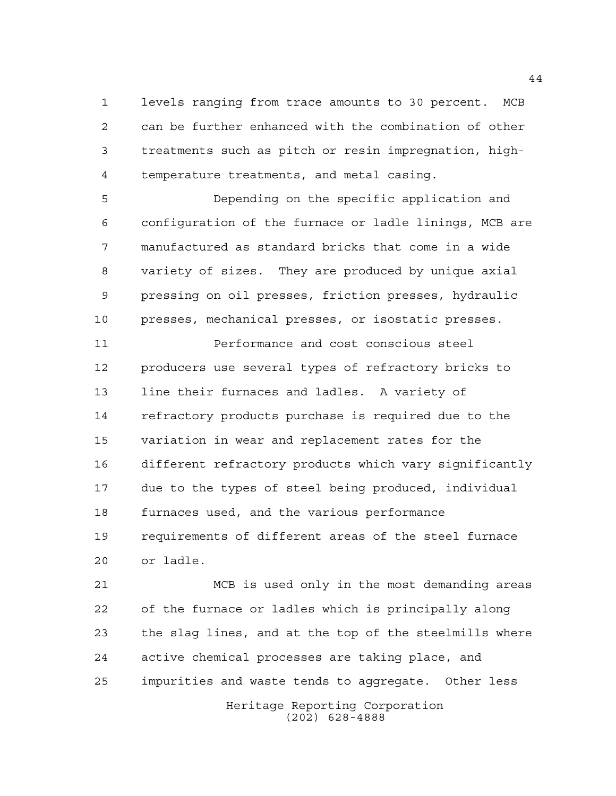levels ranging from trace amounts to 30 percent. MCB can be further enhanced with the combination of other treatments such as pitch or resin impregnation, high-temperature treatments, and metal casing.

 Depending on the specific application and configuration of the furnace or ladle linings, MCB are manufactured as standard bricks that come in a wide variety of sizes. They are produced by unique axial pressing on oil presses, friction presses, hydraulic presses, mechanical presses, or isostatic presses.

**Performance and cost conscious steel**  producers use several types of refractory bricks to line their furnaces and ladles. A variety of refractory products purchase is required due to the variation in wear and replacement rates for the different refractory products which vary significantly due to the types of steel being produced, individual furnaces used, and the various performance requirements of different areas of the steel furnace or ladle.

 MCB is used only in the most demanding areas of the furnace or ladles which is principally along the slag lines, and at the top of the steelmills where active chemical processes are taking place, and impurities and waste tends to aggregate. Other less

Heritage Reporting Corporation (202) 628-4888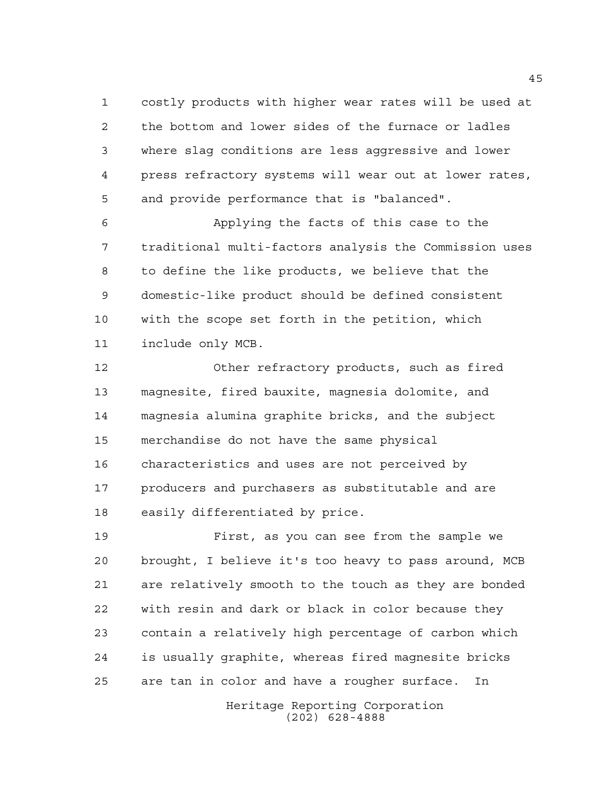costly products with higher wear rates will be used at the bottom and lower sides of the furnace or ladles where slag conditions are less aggressive and lower press refractory systems will wear out at lower rates, and provide performance that is "balanced".

 Applying the facts of this case to the traditional multi-factors analysis the Commission uses to define the like products, we believe that the domestic-like product should be defined consistent with the scope set forth in the petition, which include only MCB.

 Other refractory products, such as fired magnesite, fired bauxite, magnesia dolomite, and magnesia alumina graphite bricks, and the subject merchandise do not have the same physical characteristics and uses are not perceived by producers and purchasers as substitutable and are easily differentiated by price.

 First, as you can see from the sample we brought, I believe it's too heavy to pass around, MCB are relatively smooth to the touch as they are bonded with resin and dark or black in color because they contain a relatively high percentage of carbon which is usually graphite, whereas fired magnesite bricks are tan in color and have a rougher surface. In

> Heritage Reporting Corporation (202) 628-4888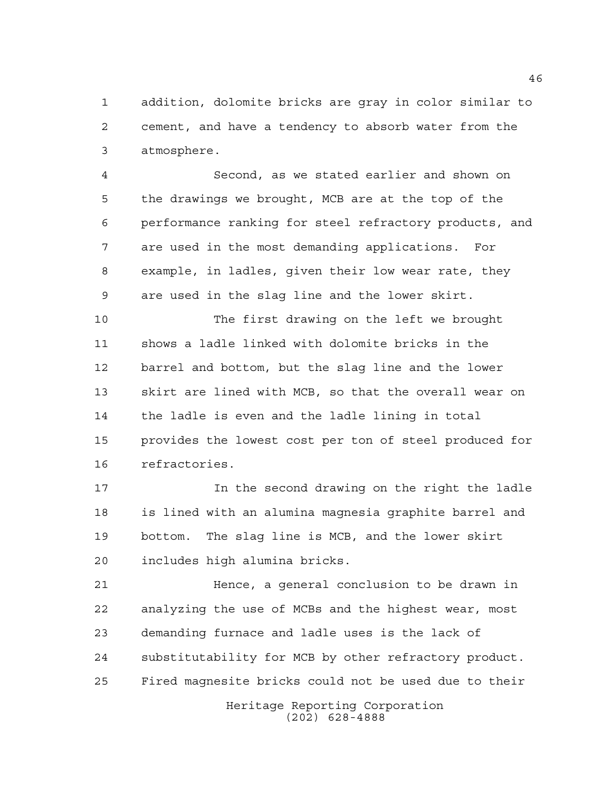addition, dolomite bricks are gray in color similar to cement, and have a tendency to absorb water from the atmosphere.

 Second, as we stated earlier and shown on the drawings we brought, MCB are at the top of the performance ranking for steel refractory products, and are used in the most demanding applications. For example, in ladles, given their low wear rate, they are used in the slag line and the lower skirt.

 The first drawing on the left we brought shows a ladle linked with dolomite bricks in the barrel and bottom, but the slag line and the lower skirt are lined with MCB, so that the overall wear on the ladle is even and the ladle lining in total provides the lowest cost per ton of steel produced for refractories.

 In the second drawing on the right the ladle is lined with an alumina magnesia graphite barrel and bottom. The slag line is MCB, and the lower skirt includes high alumina bricks.

 Hence, a general conclusion to be drawn in analyzing the use of MCBs and the highest wear, most demanding furnace and ladle uses is the lack of substitutability for MCB by other refractory product. Fired magnesite bricks could not be used due to their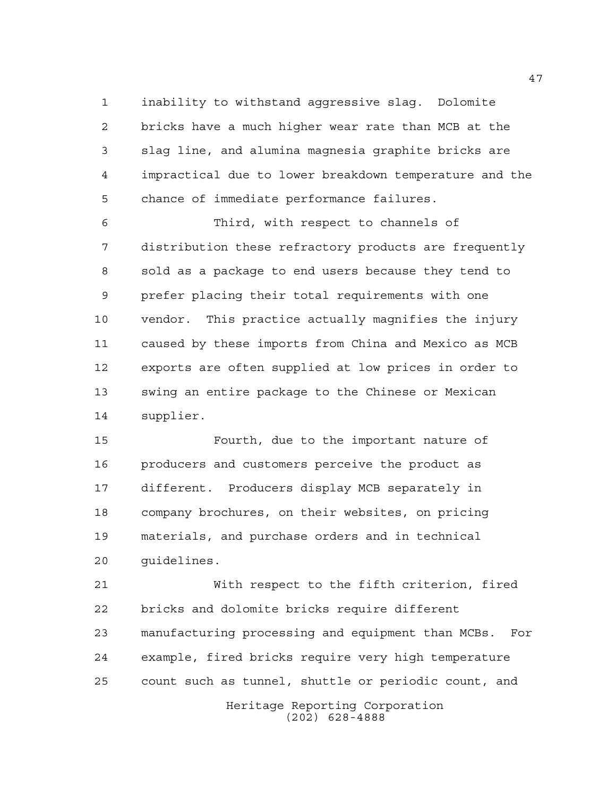inability to withstand aggressive slag. Dolomite bricks have a much higher wear rate than MCB at the slag line, and alumina magnesia graphite bricks are impractical due to lower breakdown temperature and the chance of immediate performance failures.

 Third, with respect to channels of distribution these refractory products are frequently sold as a package to end users because they tend to prefer placing their total requirements with one vendor. This practice actually magnifies the injury caused by these imports from China and Mexico as MCB exports are often supplied at low prices in order to swing an entire package to the Chinese or Mexican supplier.

 Fourth, due to the important nature of producers and customers perceive the product as different. Producers display MCB separately in company brochures, on their websites, on pricing materials, and purchase orders and in technical guidelines.

 With respect to the fifth criterion, fired bricks and dolomite bricks require different manufacturing processing and equipment than MCBs. For example, fired bricks require very high temperature count such as tunnel, shuttle or periodic count, and

> Heritage Reporting Corporation (202) 628-4888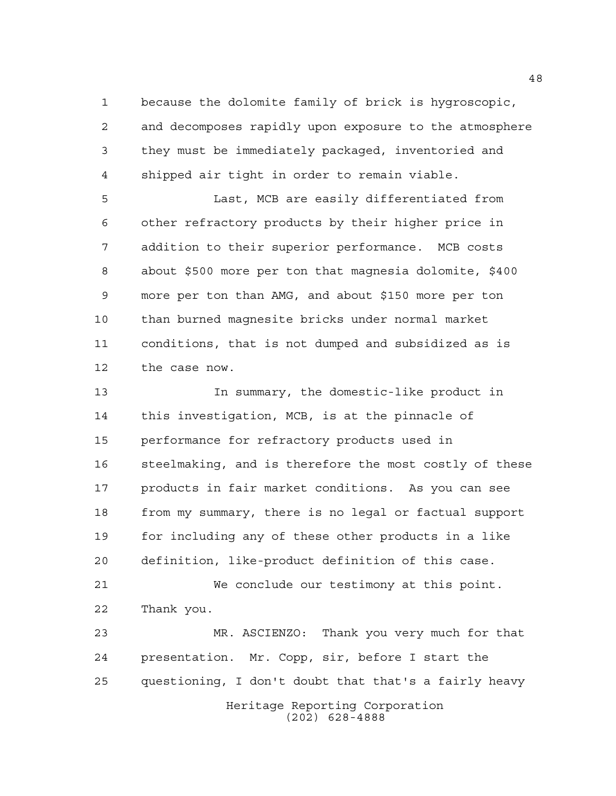because the dolomite family of brick is hygroscopic, and decomposes rapidly upon exposure to the atmosphere they must be immediately packaged, inventoried and shipped air tight in order to remain viable.

 Last, MCB are easily differentiated from other refractory products by their higher price in addition to their superior performance. MCB costs about \$500 more per ton that magnesia dolomite, \$400 more per ton than AMG, and about \$150 more per ton than burned magnesite bricks under normal market conditions, that is not dumped and subsidized as is the case now.

 In summary, the domestic-like product in this investigation, MCB, is at the pinnacle of performance for refractory products used in steelmaking, and is therefore the most costly of these products in fair market conditions. As you can see from my summary, there is no legal or factual support for including any of these other products in a like definition, like-product definition of this case.

 We conclude our testimony at this point. Thank you.

Heritage Reporting Corporation (202) 628-4888 MR. ASCIENZO: Thank you very much for that presentation. Mr. Copp, sir, before I start the questioning, I don't doubt that that's a fairly heavy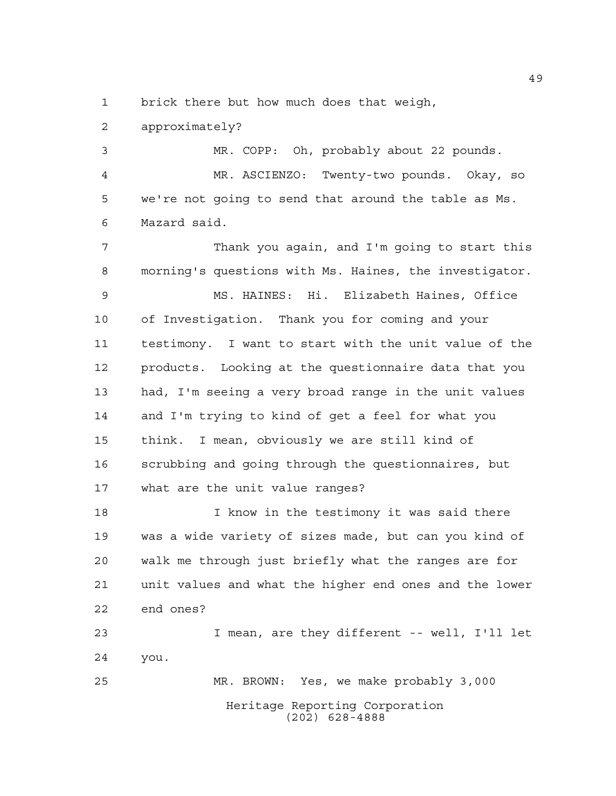1 brick there but how much does that weigh,

approximately?

 MR. COPP: Oh, probably about 22 pounds. MR. ASCIENZO: Twenty-two pounds. Okay, so we're not going to send that around the table as Ms. Mazard said.

 Thank you again, and I'm going to start this morning's questions with Ms. Haines, the investigator.

 MS. HAINES: Hi. Elizabeth Haines, Office of Investigation. Thank you for coming and your testimony. I want to start with the unit value of the products. Looking at the questionnaire data that you had, I'm seeing a very broad range in the unit values and I'm trying to kind of get a feel for what you think. I mean, obviously we are still kind of scrubbing and going through the questionnaires, but what are the unit value ranges?

 I know in the testimony it was said there was a wide variety of sizes made, but can you kind of walk me through just briefly what the ranges are for unit values and what the higher end ones and the lower end ones?

 I mean, are they different -- well, I'll let you. MR. BROWN: Yes, we make probably 3,000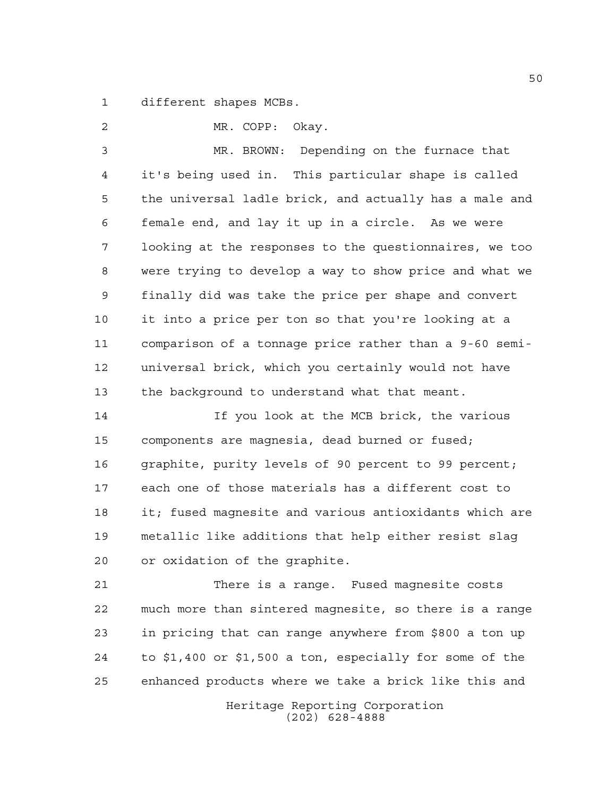different shapes MCBs.

 MR. COPP: Okay. MR. BROWN: Depending on the furnace that it's being used in. This particular shape is called the universal ladle brick, and actually has a male and female end, and lay it up in a circle. As we were looking at the responses to the questionnaires, we too were trying to develop a way to show price and what we finally did was take the price per shape and convert it into a price per ton so that you're looking at a comparison of a tonnage price rather than a 9-60 semi- universal brick, which you certainly would not have the background to understand what that meant.

 If you look at the MCB brick, the various components are magnesia, dead burned or fused; graphite, purity levels of 90 percent to 99 percent; each one of those materials has a different cost to it; fused magnesite and various antioxidants which are metallic like additions that help either resist slag or oxidation of the graphite.

 There is a range. Fused magnesite costs much more than sintered magnesite, so there is a range in pricing that can range anywhere from \$800 a ton up to \$1,400 or \$1,500 a ton, especially for some of the enhanced products where we take a brick like this and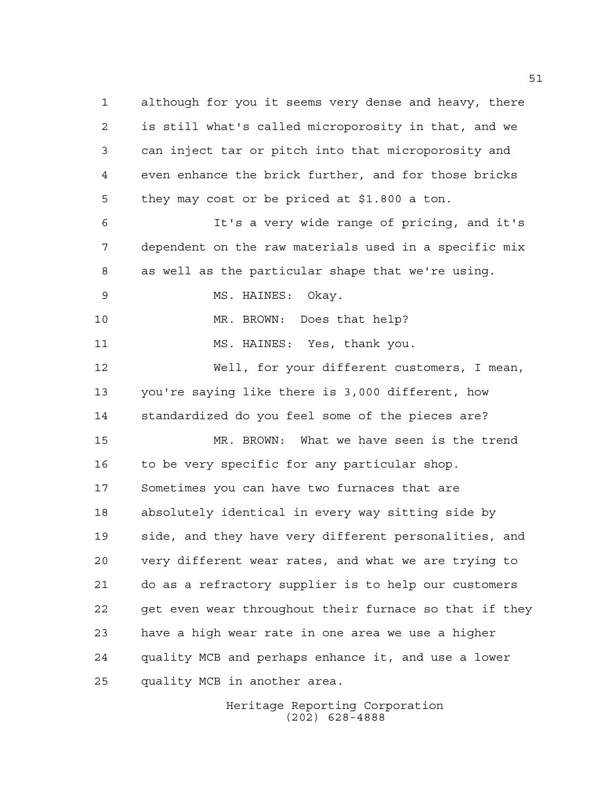although for you it seems very dense and heavy, there is still what's called microporosity in that, and we can inject tar or pitch into that microporosity and even enhance the brick further, and for those bricks they may cost or be priced at \$1.800 a ton. It's a very wide range of pricing, and it's dependent on the raw materials used in a specific mix

as well as the particular shape that we're using.

MS. HAINES: Okay.

MR. BROWN: Does that help?

MS. HAINES: Yes, thank you.

 Well, for your different customers, I mean, you're saying like there is 3,000 different, how standardized do you feel some of the pieces are?

 MR. BROWN: What we have seen is the trend to be very specific for any particular shop. Sometimes you can have two furnaces that are absolutely identical in every way sitting side by side, and they have very different personalities, and very different wear rates, and what we are trying to do as a refractory supplier is to help our customers get even wear throughout their furnace so that if they have a high wear rate in one area we use a higher quality MCB and perhaps enhance it, and use a lower quality MCB in another area.

> Heritage Reporting Corporation (202) 628-4888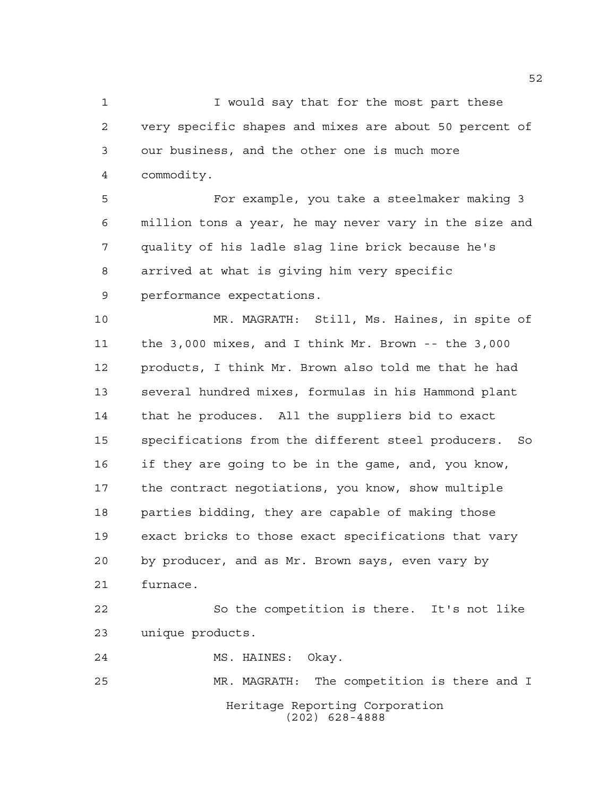1 I would say that for the most part these very specific shapes and mixes are about 50 percent of our business, and the other one is much more commodity.

 For example, you take a steelmaker making 3 million tons a year, he may never vary in the size and quality of his ladle slag line brick because he's arrived at what is giving him very specific performance expectations.

 MR. MAGRATH: Still, Ms. Haines, in spite of the 3,000 mixes, and I think Mr. Brown -- the 3,000 products, I think Mr. Brown also told me that he had several hundred mixes, formulas in his Hammond plant that he produces. All the suppliers bid to exact specifications from the different steel producers. So if they are going to be in the game, and, you know, the contract negotiations, you know, show multiple parties bidding, they are capable of making those exact bricks to those exact specifications that vary by producer, and as Mr. Brown says, even vary by furnace.

 So the competition is there. It's not like unique products.

MS. HAINES: Okay.

Heritage Reporting Corporation (202) 628-4888 MR. MAGRATH: The competition is there and I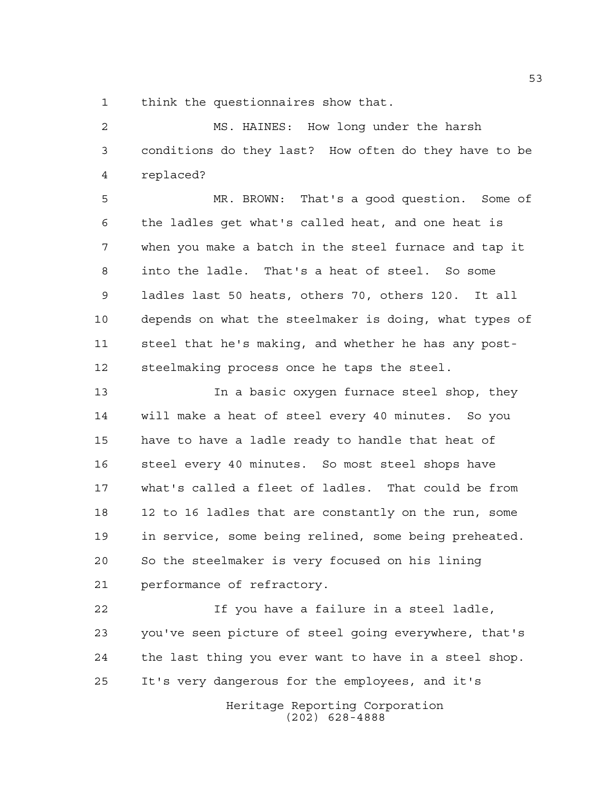think the questionnaires show that.

 MS. HAINES: How long under the harsh conditions do they last? How often do they have to be replaced?

 MR. BROWN: That's a good question. Some of the ladles get what's called heat, and one heat is when you make a batch in the steel furnace and tap it into the ladle. That's a heat of steel. So some ladles last 50 heats, others 70, others 120. It all depends on what the steelmaker is doing, what types of steel that he's making, and whether he has any post-steelmaking process once he taps the steel.

 In a basic oxygen furnace steel shop, they will make a heat of steel every 40 minutes. So you have to have a ladle ready to handle that heat of steel every 40 minutes. So most steel shops have what's called a fleet of ladles. That could be from 12 to 16 ladles that are constantly on the run, some in service, some being relined, some being preheated. So the steelmaker is very focused on his lining performance of refractory.

 If you have a failure in a steel ladle, you've seen picture of steel going everywhere, that's the last thing you ever want to have in a steel shop. It's very dangerous for the employees, and it's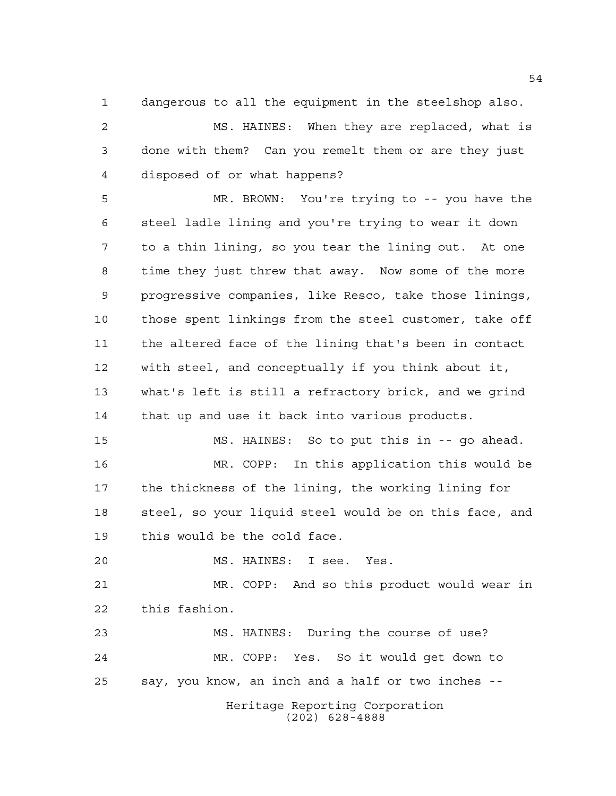dangerous to all the equipment in the steelshop also.

 MS. HAINES: When they are replaced, what is done with them? Can you remelt them or are they just disposed of or what happens?

 MR. BROWN: You're trying to -- you have the steel ladle lining and you're trying to wear it down to a thin lining, so you tear the lining out. At one time they just threw that away. Now some of the more progressive companies, like Resco, take those linings, those spent linkings from the steel customer, take off the altered face of the lining that's been in contact with steel, and conceptually if you think about it, what's left is still a refractory brick, and we grind that up and use it back into various products.

 MS. HAINES: So to put this in -- go ahead. MR. COPP: In this application this would be the thickness of the lining, the working lining for steel, so your liquid steel would be on this face, and this would be the cold face.

MS. HAINES: I see. Yes.

 MR. COPP: And so this product would wear in this fashion.

 MS. HAINES: During the course of use? MR. COPP: Yes. So it would get down to say, you know, an inch and a half or two inches --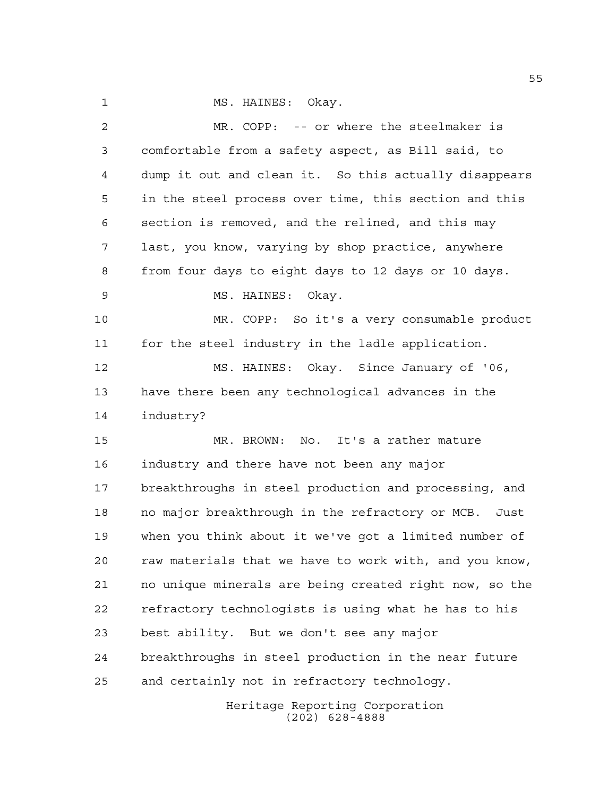1 MS. HAINES: Okay.

 MR. COPP: -- or where the steelmaker is comfortable from a safety aspect, as Bill said, to dump it out and clean it. So this actually disappears in the steel process over time, this section and this section is removed, and the relined, and this may last, you know, varying by shop practice, anywhere from four days to eight days to 12 days or 10 days. MS. HAINES: Okay. MR. COPP: So it's a very consumable product for the steel industry in the ladle application. MS. HAINES: Okay. Since January of '06, have there been any technological advances in the industry? MR. BROWN: No. It's a rather mature industry and there have not been any major breakthroughs in steel production and processing, and no major breakthrough in the refractory or MCB. Just when you think about it we've got a limited number of raw materials that we have to work with, and you know, no unique minerals are being created right now, so the refractory technologists is using what he has to his best ability. But we don't see any major breakthroughs in steel production in the near future and certainly not in refractory technology.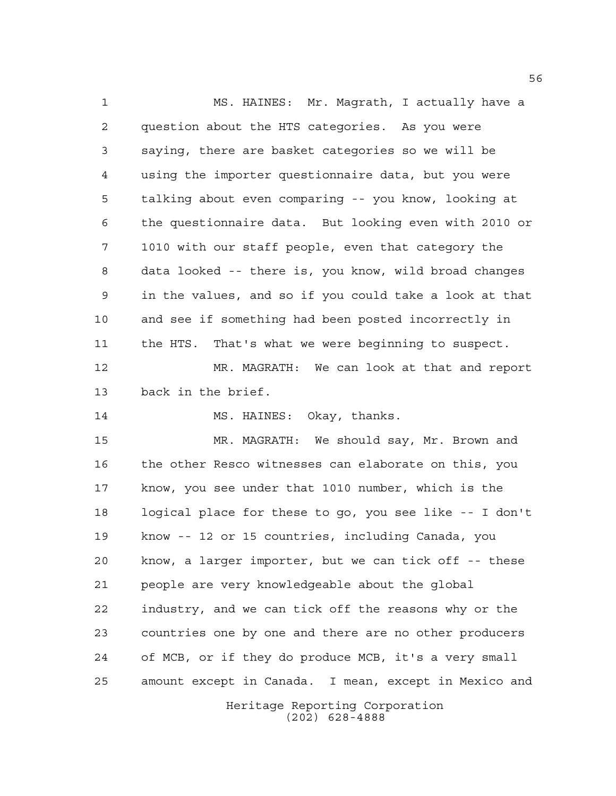Heritage Reporting Corporation MS. HAINES: Mr. Magrath, I actually have a question about the HTS categories. As you were saying, there are basket categories so we will be using the importer questionnaire data, but you were talking about even comparing -- you know, looking at the questionnaire data. But looking even with 2010 or 1010 with our staff people, even that category the data looked -- there is, you know, wild broad changes in the values, and so if you could take a look at that and see if something had been posted incorrectly in the HTS. That's what we were beginning to suspect. MR. MAGRATH: We can look at that and report back in the brief. MS. HAINES: Okay, thanks. MR. MAGRATH: We should say, Mr. Brown and the other Resco witnesses can elaborate on this, you know, you see under that 1010 number, which is the logical place for these to go, you see like -- I don't know -- 12 or 15 countries, including Canada, you know, a larger importer, but we can tick off -- these people are very knowledgeable about the global industry, and we can tick off the reasons why or the countries one by one and there are no other producers of MCB, or if they do produce MCB, it's a very small amount except in Canada. I mean, except in Mexico and

(202) 628-4888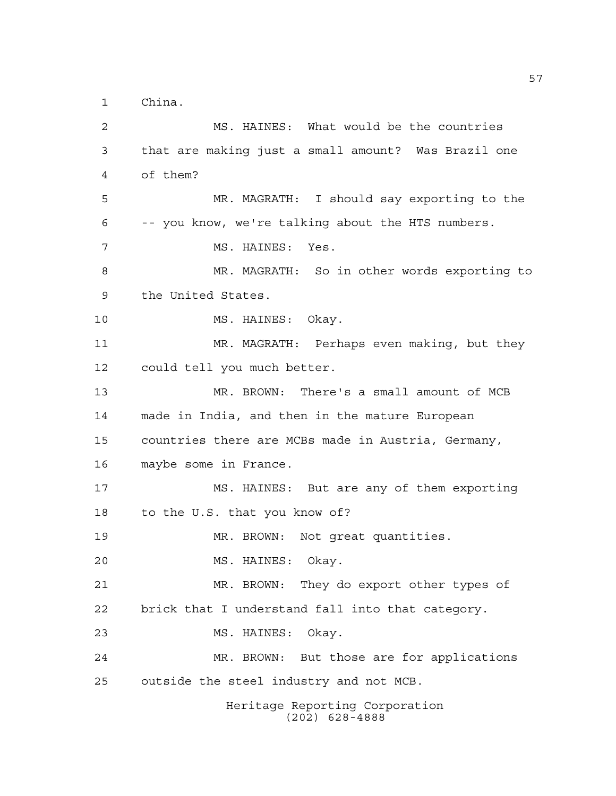China.

Heritage Reporting Corporation (202) 628-4888 MS. HAINES: What would be the countries that are making just a small amount? Was Brazil one of them? MR. MAGRATH: I should say exporting to the -- you know, we're talking about the HTS numbers. MS. HAINES: Yes. MR. MAGRATH: So in other words exporting to the United States. 10 MS. HAINES: Okay. MR. MAGRATH: Perhaps even making, but they could tell you much better. MR. BROWN: There's a small amount of MCB made in India, and then in the mature European countries there are MCBs made in Austria, Germany, maybe some in France. MS. HAINES: But are any of them exporting to the U.S. that you know of? MR. BROWN: Not great quantities. MS. HAINES: Okay. MR. BROWN: They do export other types of brick that I understand fall into that category. MS. HAINES: Okay. MR. BROWN: But those are for applications outside the steel industry and not MCB.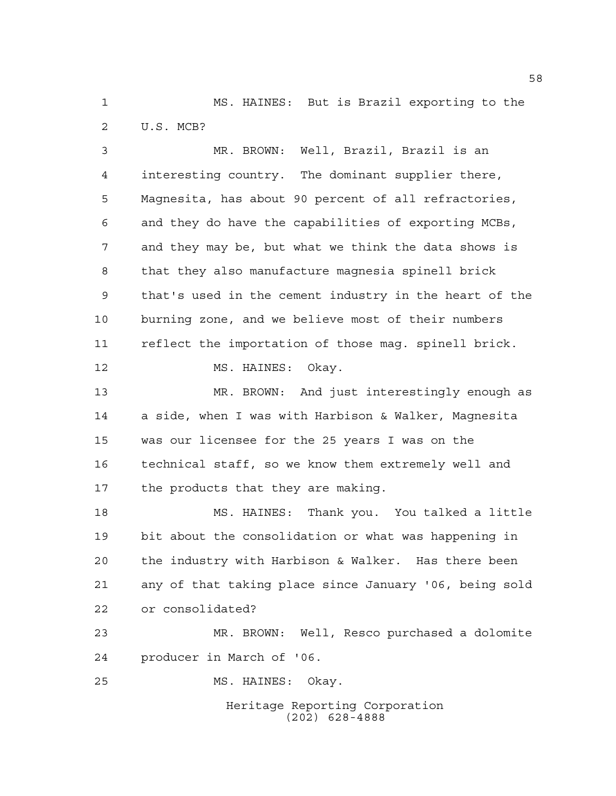MS. HAINES: But is Brazil exporting to the U.S. MCB?

 MR. BROWN: Well, Brazil, Brazil is an interesting country. The dominant supplier there, Magnesita, has about 90 percent of all refractories, and they do have the capabilities of exporting MCBs, and they may be, but what we think the data shows is that they also manufacture magnesia spinell brick that's used in the cement industry in the heart of the burning zone, and we believe most of their numbers reflect the importation of those mag. spinell brick. 12 MS. HAINES: Okay. MR. BROWN: And just interestingly enough as a side, when I was with Harbison & Walker, Magnesita was our licensee for the 25 years I was on the technical staff, so we know them extremely well and the products that they are making.

 MS. HAINES: Thank you. You talked a little bit about the consolidation or what was happening in the industry with Harbison & Walker. Has there been any of that taking place since January '06, being sold or consolidated?

 MR. BROWN: Well, Resco purchased a dolomite producer in March of '06.

MS. HAINES: Okay.

Heritage Reporting Corporation (202) 628-4888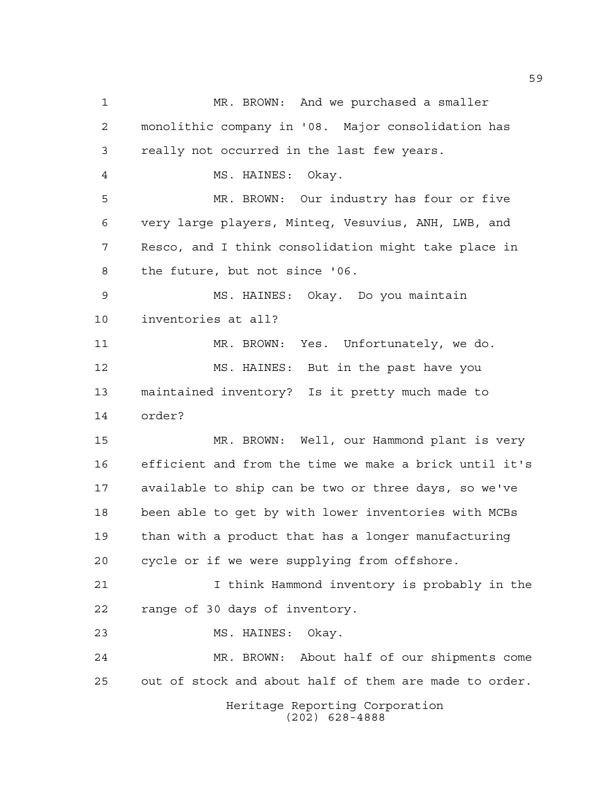Heritage Reporting Corporation (202) 628-4888 MR. BROWN: And we purchased a smaller monolithic company in '08. Major consolidation has really not occurred in the last few years. MS. HAINES: Okay. MR. BROWN: Our industry has four or five very large players, Minteq, Vesuvius, ANH, LWB, and Resco, and I think consolidation might take place in the future, but not since '06. MS. HAINES: Okay. Do you maintain inventories at all? MR. BROWN: Yes. Unfortunately, we do. MS. HAINES: But in the past have you maintained inventory? Is it pretty much made to order? MR. BROWN: Well, our Hammond plant is very efficient and from the time we make a brick until it's available to ship can be two or three days, so we've been able to get by with lower inventories with MCBs than with a product that has a longer manufacturing cycle or if we were supplying from offshore. I think Hammond inventory is probably in the range of 30 days of inventory. MS. HAINES: Okay. MR. BROWN: About half of our shipments come out of stock and about half of them are made to order.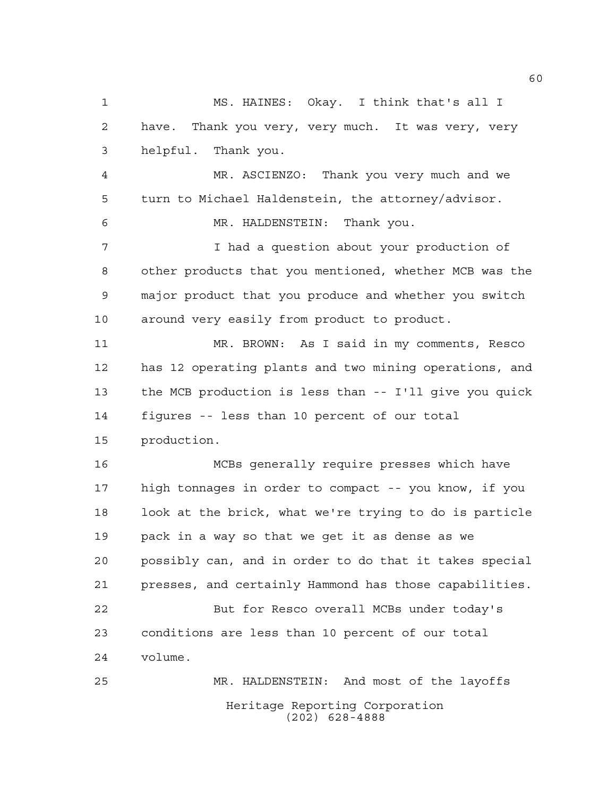Heritage Reporting Corporation MS. HAINES: Okay. I think that's all I have. Thank you very, very much. It was very, very helpful. Thank you. MR. ASCIENZO: Thank you very much and we turn to Michael Haldenstein, the attorney/advisor. MR. HALDENSTEIN: Thank you. I had a question about your production of other products that you mentioned, whether MCB was the major product that you produce and whether you switch around very easily from product to product. MR. BROWN: As I said in my comments, Resco has 12 operating plants and two mining operations, and the MCB production is less than -- I'll give you quick figures -- less than 10 percent of our total production. MCBs generally require presses which have high tonnages in order to compact -- you know, if you look at the brick, what we're trying to do is particle pack in a way so that we get it as dense as we possibly can, and in order to do that it takes special presses, and certainly Hammond has those capabilities. But for Resco overall MCBs under today's conditions are less than 10 percent of our total volume. MR. HALDENSTEIN: And most of the layoffs

(202) 628-4888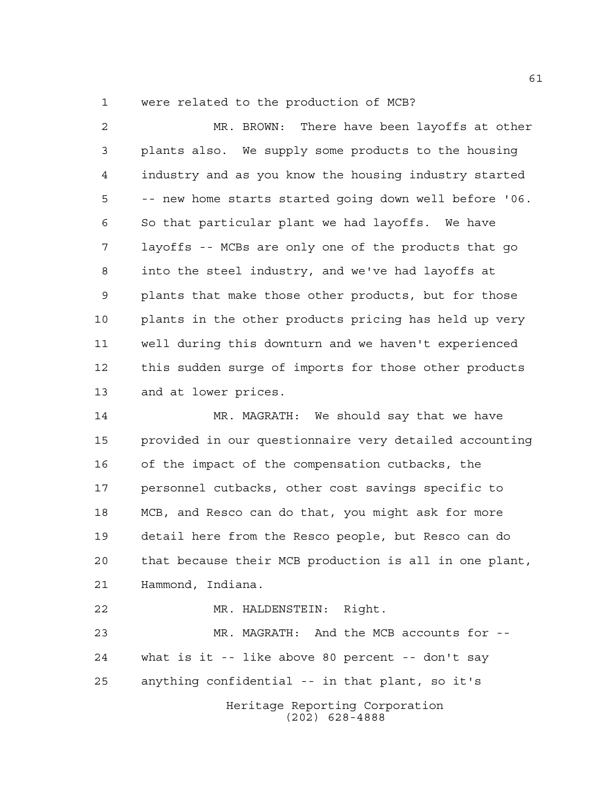were related to the production of MCB?

 MR. BROWN: There have been layoffs at other plants also. We supply some products to the housing industry and as you know the housing industry started -- new home starts started going down well before '06. So that particular plant we had layoffs. We have layoffs -- MCBs are only one of the products that go into the steel industry, and we've had layoffs at plants that make those other products, but for those plants in the other products pricing has held up very well during this downturn and we haven't experienced this sudden surge of imports for those other products and at lower prices.

 MR. MAGRATH: We should say that we have provided in our questionnaire very detailed accounting of the impact of the compensation cutbacks, the personnel cutbacks, other cost savings specific to MCB, and Resco can do that, you might ask for more detail here from the Resco people, but Resco can do that because their MCB production is all in one plant, Hammond, Indiana.

Heritage Reporting Corporation (202) 628-4888 MR. HALDENSTEIN: Right. MR. MAGRATH: And the MCB accounts for -- what is it -- like above 80 percent -- don't say anything confidential -- in that plant, so it's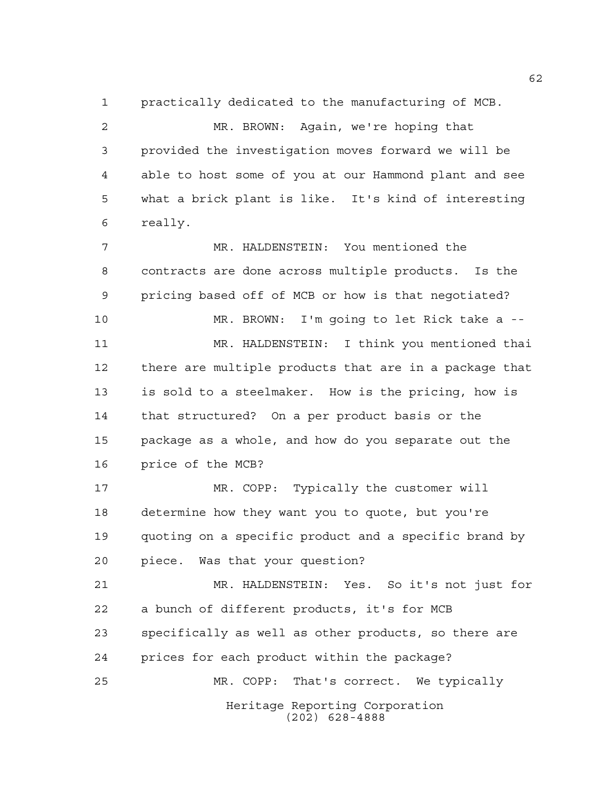practically dedicated to the manufacturing of MCB.

 MR. BROWN: Again, we're hoping that provided the investigation moves forward we will be able to host some of you at our Hammond plant and see what a brick plant is like. It's kind of interesting really.

 MR. HALDENSTEIN: You mentioned the contracts are done across multiple products. Is the pricing based off of MCB or how is that negotiated? MR. BROWN: I'm going to let Rick take a -- MR. HALDENSTEIN: I think you mentioned thai there are multiple products that are in a package that is sold to a steelmaker. How is the pricing, how is that structured? On a per product basis or the package as a whole, and how do you separate out the price of the MCB? MR. COPP: Typically the customer will determine how they want you to quote, but you're

 quoting on a specific product and a specific brand by piece. Was that your question?

Heritage Reporting Corporation MR. HALDENSTEIN: Yes. So it's not just for a bunch of different products, it's for MCB specifically as well as other products, so there are prices for each product within the package? MR. COPP: That's correct. We typically

(202) 628-4888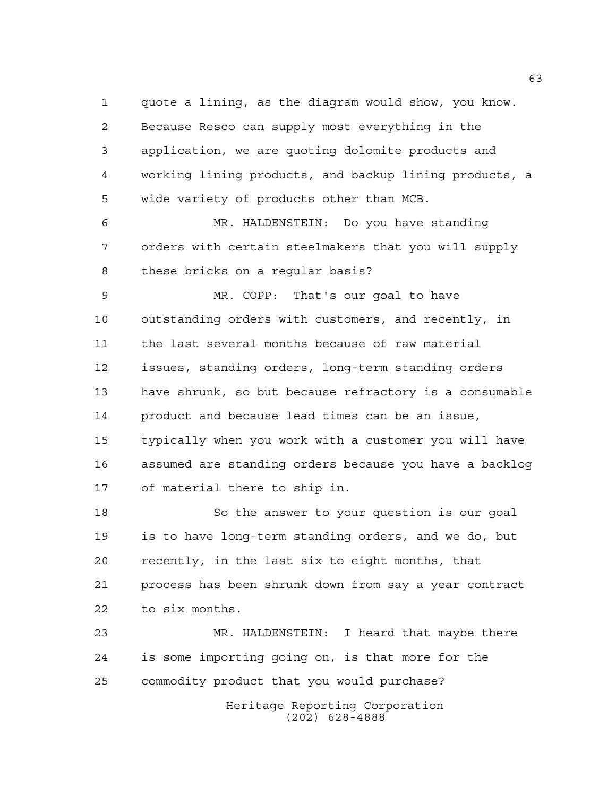quote a lining, as the diagram would show, you know. Because Resco can supply most everything in the application, we are quoting dolomite products and working lining products, and backup lining products, a wide variety of products other than MCB.

 MR. HALDENSTEIN: Do you have standing orders with certain steelmakers that you will supply these bricks on a regular basis?

 MR. COPP: That's our goal to have outstanding orders with customers, and recently, in the last several months because of raw material issues, standing orders, long-term standing orders have shrunk, so but because refractory is a consumable product and because lead times can be an issue, typically when you work with a customer you will have assumed are standing orders because you have a backlog of material there to ship in.

 So the answer to your question is our goal is to have long-term standing orders, and we do, but recently, in the last six to eight months, that process has been shrunk down from say a year contract to six months.

 MR. HALDENSTEIN: I heard that maybe there is some importing going on, is that more for the commodity product that you would purchase?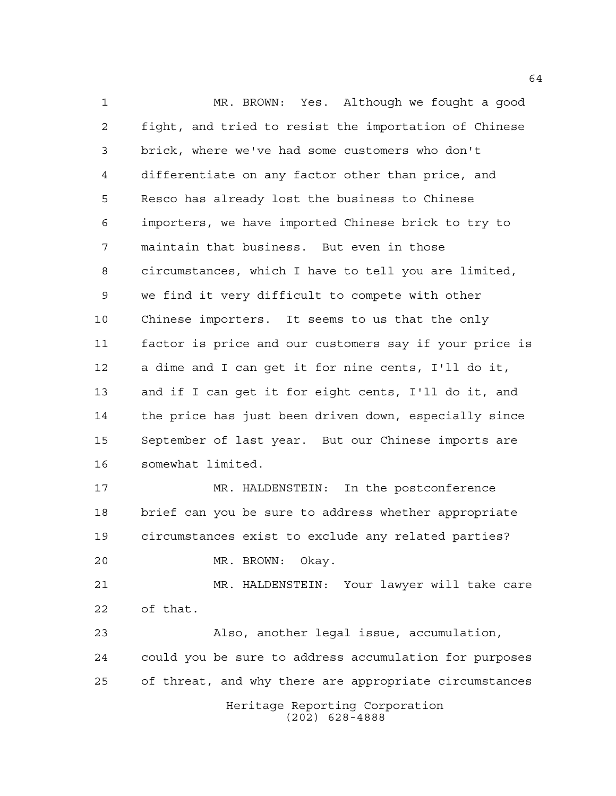MR. BROWN: Yes. Although we fought a good fight, and tried to resist the importation of Chinese brick, where we've had some customers who don't differentiate on any factor other than price, and Resco has already lost the business to Chinese importers, we have imported Chinese brick to try to maintain that business. But even in those circumstances, which I have to tell you are limited, we find it very difficult to compete with other Chinese importers. It seems to us that the only factor is price and our customers say if your price is a dime and I can get it for nine cents, I'll do it, and if I can get it for eight cents, I'll do it, and the price has just been driven down, especially since September of last year. But our Chinese imports are somewhat limited. MR. HALDENSTEIN: In the postconference brief can you be sure to address whether appropriate circumstances exist to exclude any related parties? MR. BROWN: Okay. MR. HALDENSTEIN: Your lawyer will take care of that. Also, another legal issue, accumulation, could you be sure to address accumulation for purposes

of threat, and why there are appropriate circumstances

Heritage Reporting Corporation (202) 628-4888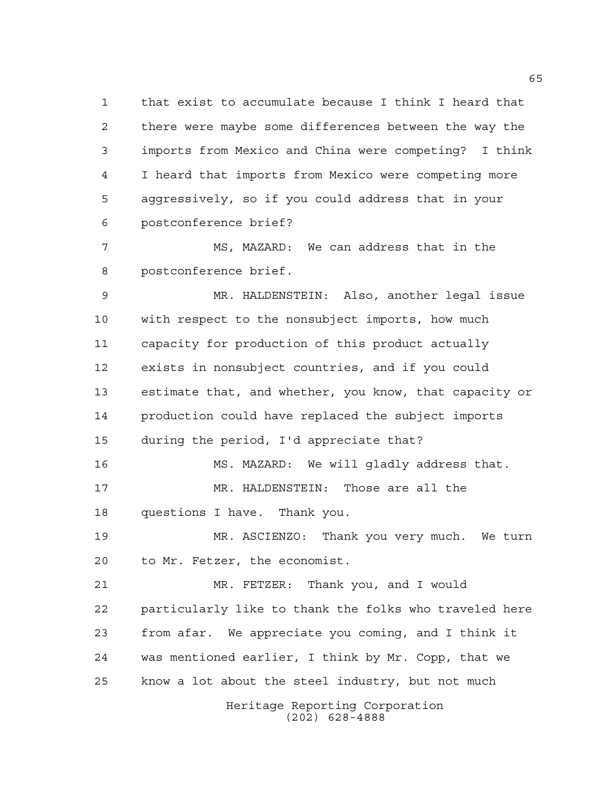that exist to accumulate because I think I heard that there were maybe some differences between the way the imports from Mexico and China were competing? I think I heard that imports from Mexico were competing more aggressively, so if you could address that in your postconference brief?

 MS, MAZARD: We can address that in the postconference brief.

 MR. HALDENSTEIN: Also, another legal issue with respect to the nonsubject imports, how much capacity for production of this product actually exists in nonsubject countries, and if you could estimate that, and whether, you know, that capacity or production could have replaced the subject imports during the period, I'd appreciate that? MS. MAZARD: We will gladly address that. MR. HALDENSTEIN: Those are all the questions I have. Thank you. MR. ASCIENZO: Thank you very much. We turn to Mr. Fetzer, the economist.

 MR. FETZER: Thank you, and I would particularly like to thank the folks who traveled here from afar. We appreciate you coming, and I think it was mentioned earlier, I think by Mr. Copp, that we know a lot about the steel industry, but not much

Heritage Reporting Corporation (202) 628-4888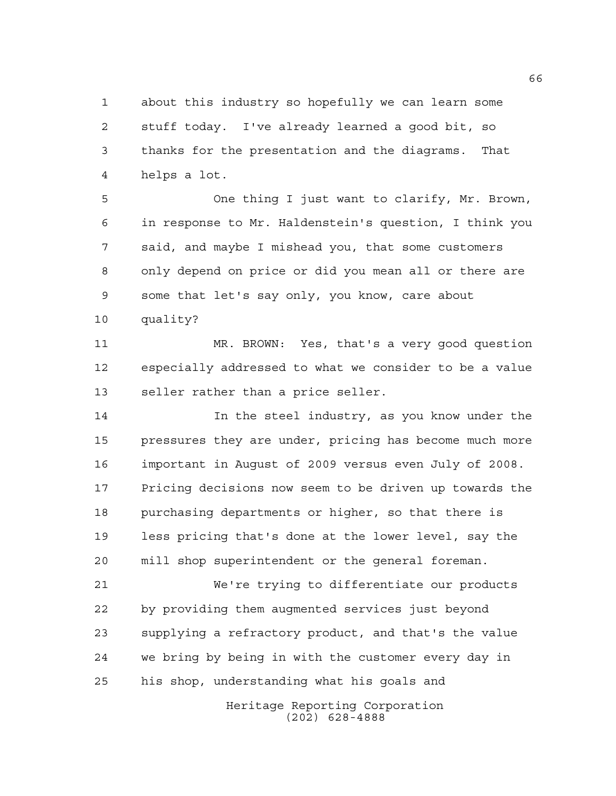about this industry so hopefully we can learn some stuff today. I've already learned a good bit, so thanks for the presentation and the diagrams. That helps a lot.

 One thing I just want to clarify, Mr. Brown, in response to Mr. Haldenstein's question, I think you said, and maybe I mishead you, that some customers only depend on price or did you mean all or there are some that let's say only, you know, care about

quality?

 MR. BROWN: Yes, that's a very good question especially addressed to what we consider to be a value seller rather than a price seller.

 In the steel industry, as you know under the pressures they are under, pricing has become much more important in August of 2009 versus even July of 2008. Pricing decisions now seem to be driven up towards the purchasing departments or higher, so that there is less pricing that's done at the lower level, say the mill shop superintendent or the general foreman.

 We're trying to differentiate our products by providing them augmented services just beyond supplying a refractory product, and that's the value we bring by being in with the customer every day in his shop, understanding what his goals and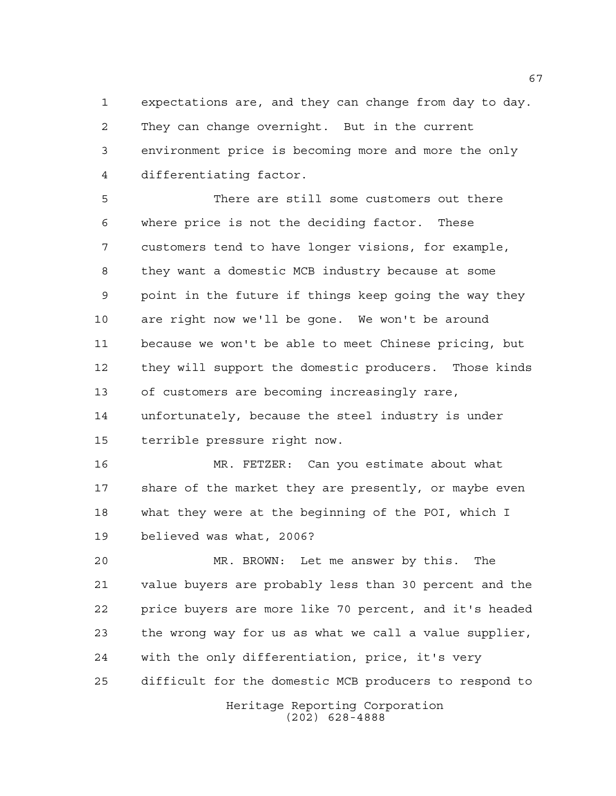expectations are, and they can change from day to day. They can change overnight. But in the current environment price is becoming more and more the only differentiating factor.

 There are still some customers out there where price is not the deciding factor. These customers tend to have longer visions, for example, they want a domestic MCB industry because at some point in the future if things keep going the way they are right now we'll be gone. We won't be around because we won't be able to meet Chinese pricing, but they will support the domestic producers. Those kinds of customers are becoming increasingly rare, unfortunately, because the steel industry is under terrible pressure right now.

 MR. FETZER: Can you estimate about what 17 share of the market they are presently, or maybe even what they were at the beginning of the POI, which I believed was what, 2006?

 MR. BROWN: Let me answer by this. The value buyers are probably less than 30 percent and the price buyers are more like 70 percent, and it's headed the wrong way for us as what we call a value supplier, with the only differentiation, price, it's very difficult for the domestic MCB producers to respond to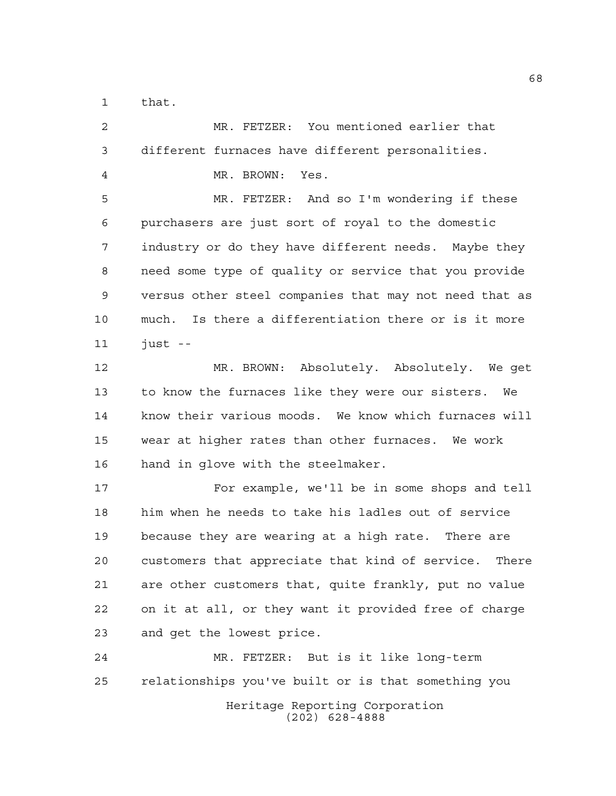that.

Heritage Reporting Corporation (202) 628-4888 MR. FETZER: You mentioned earlier that different furnaces have different personalities. MR. BROWN: Yes. MR. FETZER: And so I'm wondering if these purchasers are just sort of royal to the domestic industry or do they have different needs. Maybe they need some type of quality or service that you provide versus other steel companies that may not need that as much. Is there a differentiation there or is it more just  $-$  MR. BROWN: Absolutely. Absolutely. We get to know the furnaces like they were our sisters. We know their various moods. We know which furnaces will wear at higher rates than other furnaces. We work hand in glove with the steelmaker. For example, we'll be in some shops and tell him when he needs to take his ladles out of service because they are wearing at a high rate. There are customers that appreciate that kind of service. There are other customers that, quite frankly, put no value on it at all, or they want it provided free of charge and get the lowest price. MR. FETZER: But is it like long-term relationships you've built or is that something you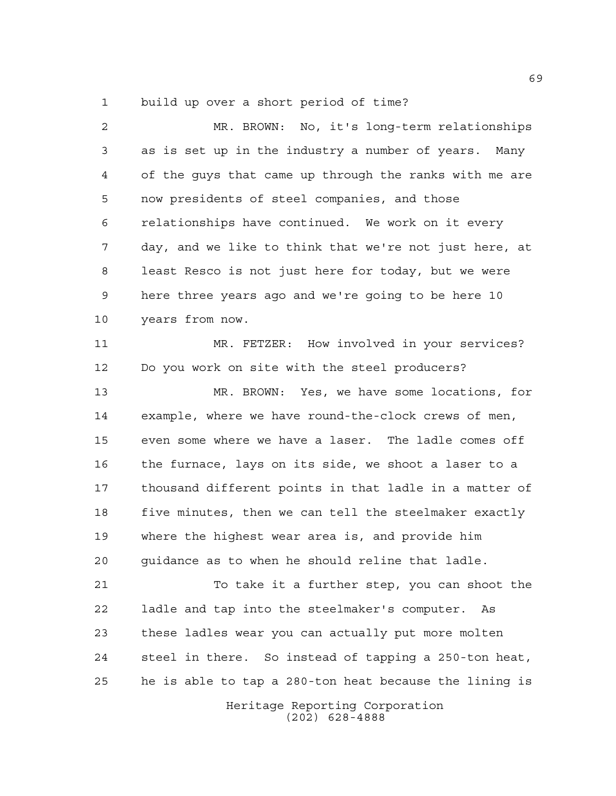build up over a short period of time?

 MR. BROWN: No, it's long-term relationships as is set up in the industry a number of years. Many of the guys that came up through the ranks with me are now presidents of steel companies, and those relationships have continued. We work on it every day, and we like to think that we're not just here, at least Resco is not just here for today, but we were here three years ago and we're going to be here 10 years from now. MR. FETZER: How involved in your services? Do you work on site with the steel producers? MR. BROWN: Yes, we have some locations, for example, where we have round-the-clock crews of men, even some where we have a laser. The ladle comes off the furnace, lays on its side, we shoot a laser to a thousand different points in that ladle in a matter of five minutes, then we can tell the steelmaker exactly where the highest wear area is, and provide him guidance as to when he should reline that ladle. To take it a further step, you can shoot the ladle and tap into the steelmaker's computer. As these ladles wear you can actually put more molten steel in there. So instead of tapping a 250-ton heat, he is able to tap a 280-ton heat because the lining is

Heritage Reporting Corporation (202) 628-4888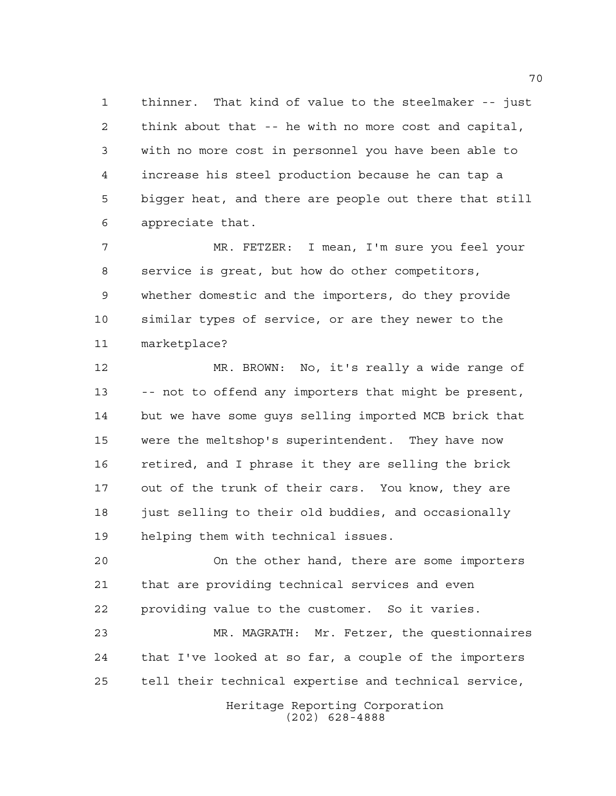thinner. That kind of value to the steelmaker -- just think about that -- he with no more cost and capital, with no more cost in personnel you have been able to increase his steel production because he can tap a bigger heat, and there are people out there that still appreciate that.

 MR. FETZER: I mean, I'm sure you feel your service is great, but how do other competitors, whether domestic and the importers, do they provide similar types of service, or are they newer to the marketplace?

 MR. BROWN: No, it's really a wide range of -- not to offend any importers that might be present, but we have some guys selling imported MCB brick that were the meltshop's superintendent. They have now retired, and I phrase it they are selling the brick out of the trunk of their cars. You know, they are just selling to their old buddies, and occasionally helping them with technical issues.

 On the other hand, there are some importers that are providing technical services and even providing value to the customer. So it varies.

 MR. MAGRATH: Mr. Fetzer, the questionnaires that I've looked at so far, a couple of the importers tell their technical expertise and technical service,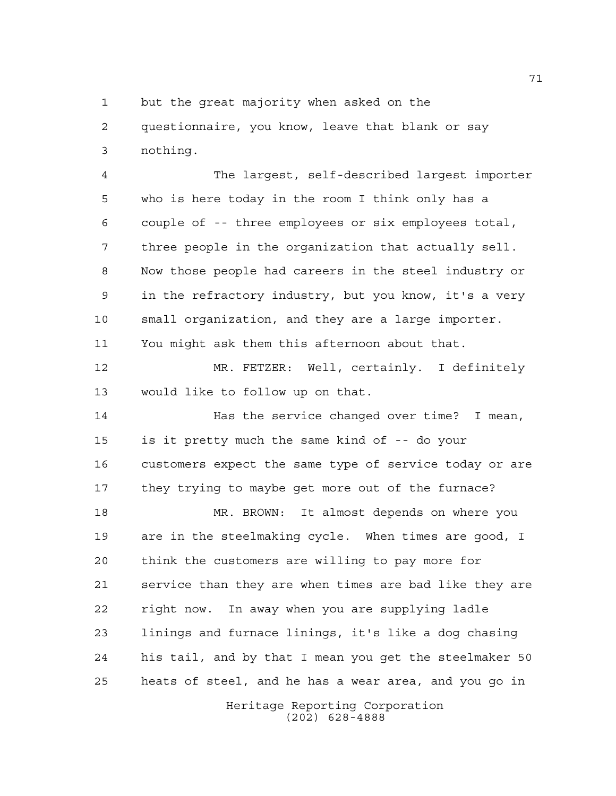but the great majority when asked on the

 questionnaire, you know, leave that blank or say nothing.

 The largest, self-described largest importer who is here today in the room I think only has a couple of -- three employees or six employees total, three people in the organization that actually sell. Now those people had careers in the steel industry or in the refractory industry, but you know, it's a very small organization, and they are a large importer. You might ask them this afternoon about that.

 MR. FETZER: Well, certainly. I definitely would like to follow up on that.

 Has the service changed over time? I mean, is it pretty much the same kind of -- do your customers expect the same type of service today or are they trying to maybe get more out of the furnace?

 MR. BROWN: It almost depends on where you are in the steelmaking cycle. When times are good, I think the customers are willing to pay more for service than they are when times are bad like they are right now. In away when you are supplying ladle linings and furnace linings, it's like a dog chasing his tail, and by that I mean you get the steelmaker 50 heats of steel, and he has a wear area, and you go in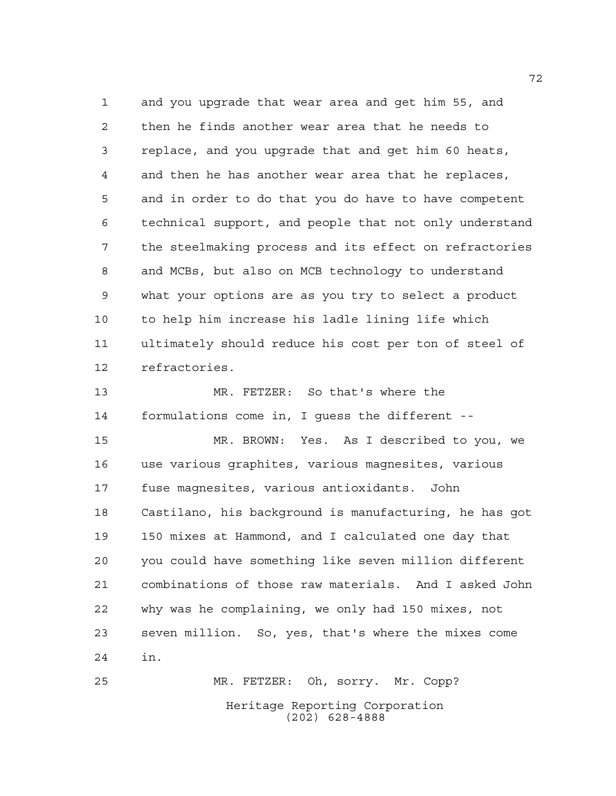and you upgrade that wear area and get him 55, and then he finds another wear area that he needs to replace, and you upgrade that and get him 60 heats, and then he has another wear area that he replaces, and in order to do that you do have to have competent technical support, and people that not only understand the steelmaking process and its effect on refractories and MCBs, but also on MCB technology to understand what your options are as you try to select a product to help him increase his ladle lining life which ultimately should reduce his cost per ton of steel of refractories.

 MR. FETZER: So that's where the formulations come in, I guess the different --

 MR. BROWN: Yes. As I described to you, we use various graphites, various magnesites, various fuse magnesites, various antioxidants. John Castilano, his background is manufacturing, he has got 150 mixes at Hammond, and I calculated one day that you could have something like seven million different combinations of those raw materials. And I asked John why was he complaining, we only had 150 mixes, not seven million. So, yes, that's where the mixes come in.

Heritage Reporting Corporation (202) 628-4888 MR. FETZER: Oh, sorry. Mr. Copp?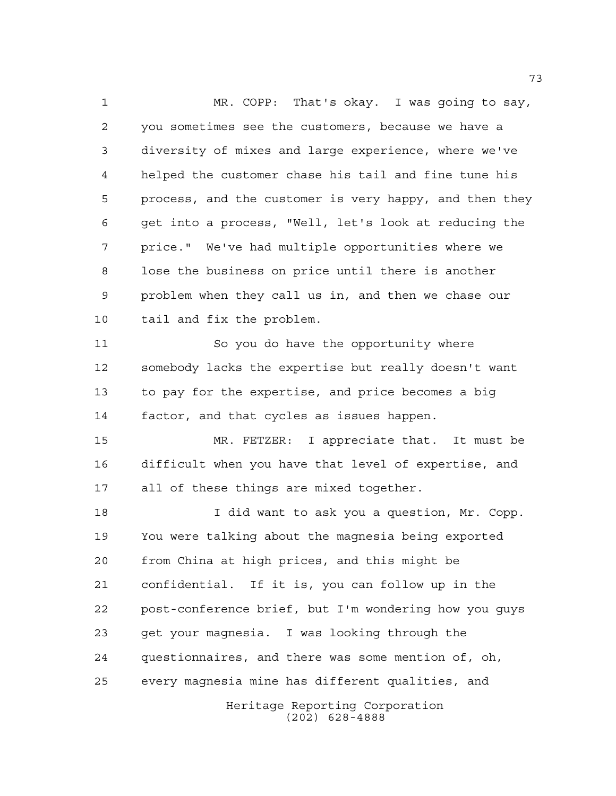Heritage Reporting Corporation (202) 628-4888 MR. COPP: That's okay. I was going to say, you sometimes see the customers, because we have a diversity of mixes and large experience, where we've helped the customer chase his tail and fine tune his process, and the customer is very happy, and then they get into a process, "Well, let's look at reducing the price." We've had multiple opportunities where we lose the business on price until there is another problem when they call us in, and then we chase our tail and fix the problem. So you do have the opportunity where somebody lacks the expertise but really doesn't want to pay for the expertise, and price becomes a big factor, and that cycles as issues happen. MR. FETZER: I appreciate that. It must be difficult when you have that level of expertise, and all of these things are mixed together. I did want to ask you a question, Mr. Copp. You were talking about the magnesia being exported from China at high prices, and this might be confidential. If it is, you can follow up in the post-conference brief, but I'm wondering how you guys get your magnesia. I was looking through the questionnaires, and there was some mention of, oh, every magnesia mine has different qualities, and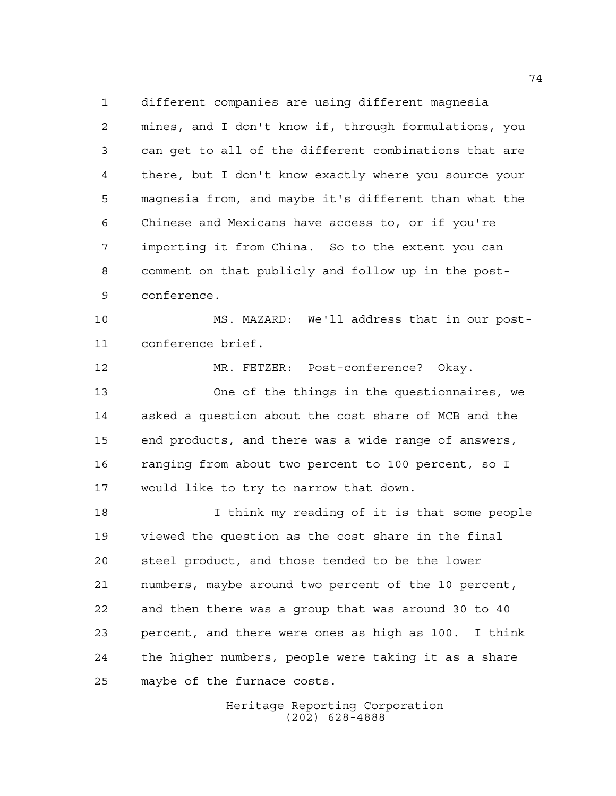different companies are using different magnesia mines, and I don't know if, through formulations, you can get to all of the different combinations that are there, but I don't know exactly where you source your magnesia from, and maybe it's different than what the Chinese and Mexicans have access to, or if you're importing it from China. So to the extent you can comment on that publicly and follow up in the post-conference.

 MS. MAZARD: We'll address that in our post-conference brief.

 MR. FETZER: Post-conference? Okay. One of the things in the questionnaires, we asked a question about the cost share of MCB and the end products, and there was a wide range of answers, ranging from about two percent to 100 percent, so I would like to try to narrow that down.

 I think my reading of it is that some people viewed the question as the cost share in the final steel product, and those tended to be the lower numbers, maybe around two percent of the 10 percent, and then there was a group that was around 30 to 40 percent, and there were ones as high as 100. I think the higher numbers, people were taking it as a share maybe of the furnace costs.

> Heritage Reporting Corporation (202) 628-4888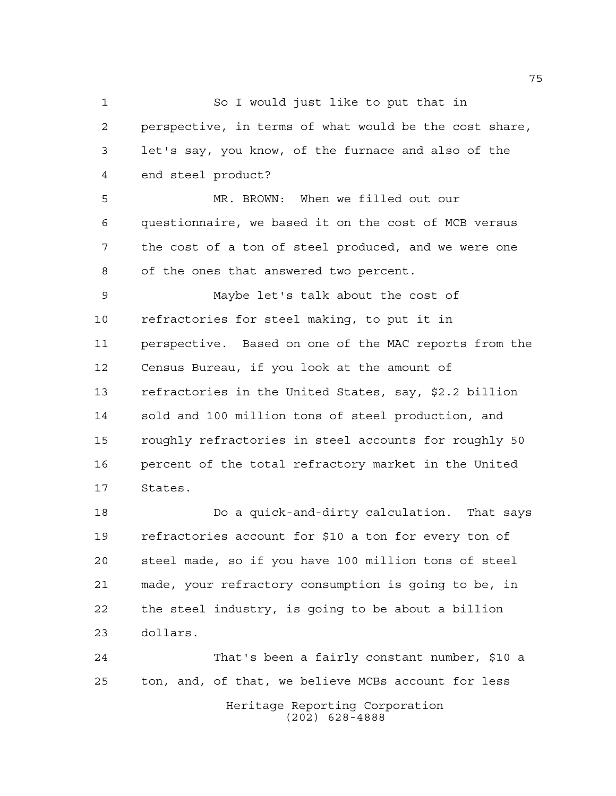So I would just like to put that in perspective, in terms of what would be the cost share, let's say, you know, of the furnace and also of the end steel product?

 MR. BROWN: When we filled out our questionnaire, we based it on the cost of MCB versus the cost of a ton of steel produced, and we were one of the ones that answered two percent.

 Maybe let's talk about the cost of refractories for steel making, to put it in perspective. Based on one of the MAC reports from the Census Bureau, if you look at the amount of refractories in the United States, say, \$2.2 billion sold and 100 million tons of steel production, and roughly refractories in steel accounts for roughly 50 percent of the total refractory market in the United States.

 Do a quick-and-dirty calculation. That says refractories account for \$10 a ton for every ton of steel made, so if you have 100 million tons of steel made, your refractory consumption is going to be, in the steel industry, is going to be about a billion dollars.

Heritage Reporting Corporation (202) 628-4888 That's been a fairly constant number, \$10 a ton, and, of that, we believe MCBs account for less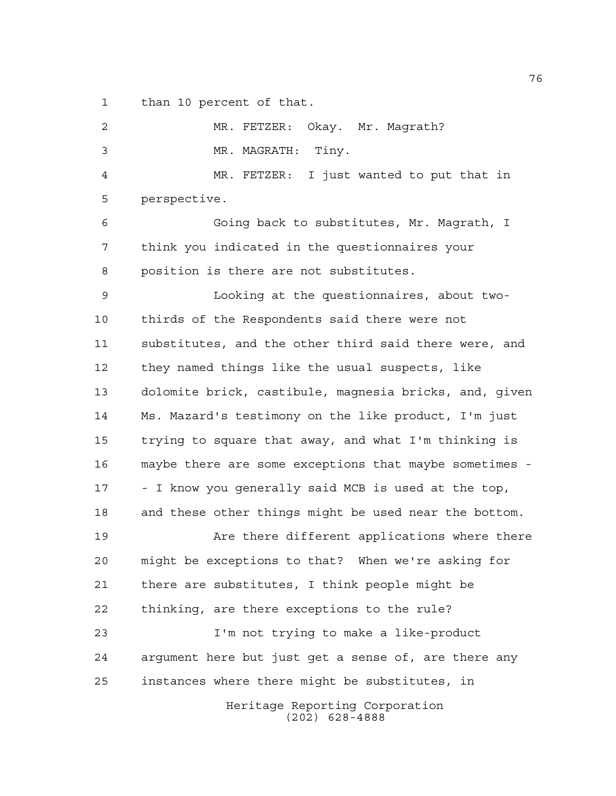than 10 percent of that.

Heritage Reporting Corporation (202) 628-4888 MR. FETZER: Okay. Mr. Magrath? MR. MAGRATH: Tiny. MR. FETZER: I just wanted to put that in perspective. Going back to substitutes, Mr. Magrath, I think you indicated in the questionnaires your position is there are not substitutes. Looking at the questionnaires, about two- thirds of the Respondents said there were not substitutes, and the other third said there were, and they named things like the usual suspects, like dolomite brick, castibule, magnesia bricks, and, given Ms. Mazard's testimony on the like product, I'm just trying to square that away, and what I'm thinking is maybe there are some exceptions that maybe sometimes - - I know you generally said MCB is used at the top, and these other things might be used near the bottom. Are there different applications where there might be exceptions to that? When we're asking for there are substitutes, I think people might be thinking, are there exceptions to the rule? I'm not trying to make a like-product argument here but just get a sense of, are there any instances where there might be substitutes, in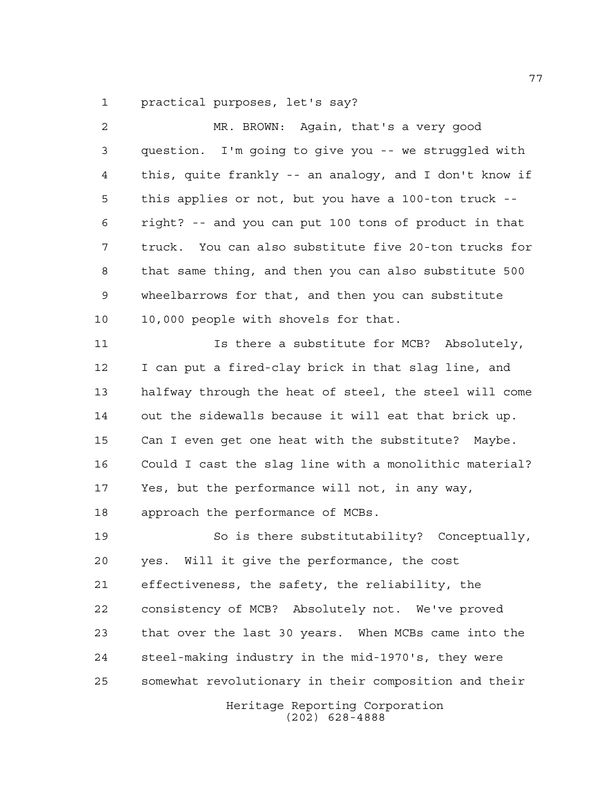practical purposes, let's say?

| $\overline{a}$ | MR. BROWN: Again, that's a very good                   |
|----------------|--------------------------------------------------------|
| 3              | question. I'm going to give you -- we struggled with   |
| 4              | this, quite frankly -- an analogy, and I don't know if |
| 5              | this applies or not, but you have a 100-ton truck --   |
| 6              | right? -- and you can put 100 tons of product in that  |
| 7              | truck. You can also substitute five 20-ton trucks for  |
| 8              | that same thing, and then you can also substitute 500  |
| 9              | wheelbarrows for that, and then you can substitute     |
| 10             | 10,000 people with shovels for that.                   |
| 11             | Is there a substitute for MCB? Absolutely,             |
| 12             | I can put a fired-clay brick in that slag line, and    |
| 13             | halfway through the heat of steel, the steel will come |
| 14             | out the sidewalls because it will eat that brick up.   |
| 15             | Can I even get one heat with the substitute? Maybe.    |
| 16             | Could I cast the slag line with a monolithic material? |
| 17             | Yes, but the performance will not, in any way,         |
| 18             | approach the performance of MCBs.                      |
| 19             | So is there substitutability? Conceptually,            |
| 20             | Will it give the performance, the cost<br>yes.         |
| 21             | effectiveness, the safety, the reliability, the        |
| 22             | consistency of MCB? Absolutely not. We've proved       |
| 23             | that over the last 30 years. When MCBs came into the   |
| 24             | steel-making industry in the mid-1970's, they were     |
| 25             | somewhat revolutionary in their composition and their  |
|                | Heritage Reporting Corporation<br>$(202)$ 628-4888     |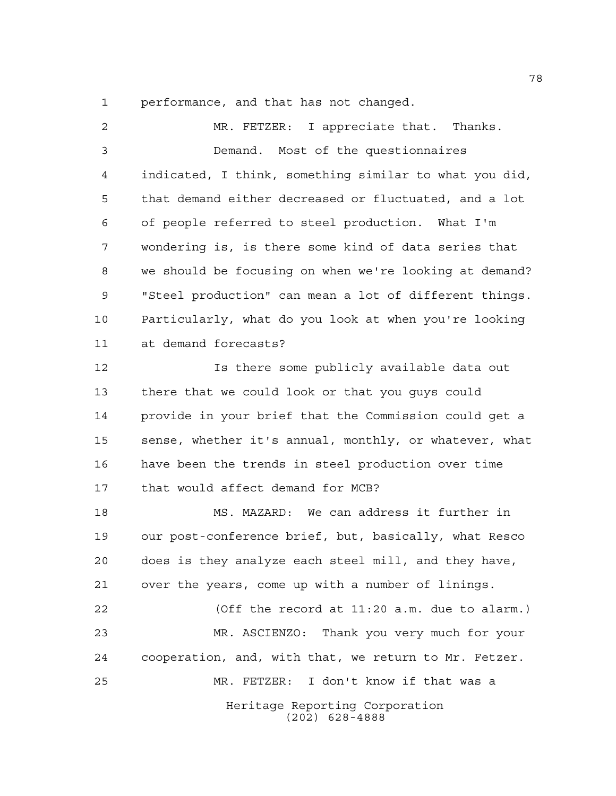performance, and that has not changed.

Heritage Reporting Corporation (202) 628-4888 MR. FETZER: I appreciate that. Thanks. Demand. Most of the questionnaires indicated, I think, something similar to what you did, that demand either decreased or fluctuated, and a lot of people referred to steel production. What I'm wondering is, is there some kind of data series that we should be focusing on when we're looking at demand? "Steel production" can mean a lot of different things. Particularly, what do you look at when you're looking at demand forecasts? Is there some publicly available data out there that we could look or that you guys could provide in your brief that the Commission could get a sense, whether it's annual, monthly, or whatever, what have been the trends in steel production over time that would affect demand for MCB? MS. MAZARD: We can address it further in our post-conference brief, but, basically, what Resco does is they analyze each steel mill, and they have, over the years, come up with a number of linings. (Off the record at 11:20 a.m. due to alarm.) MR. ASCIENZO: Thank you very much for your cooperation, and, with that, we return to Mr. Fetzer. MR. FETZER: I don't know if that was a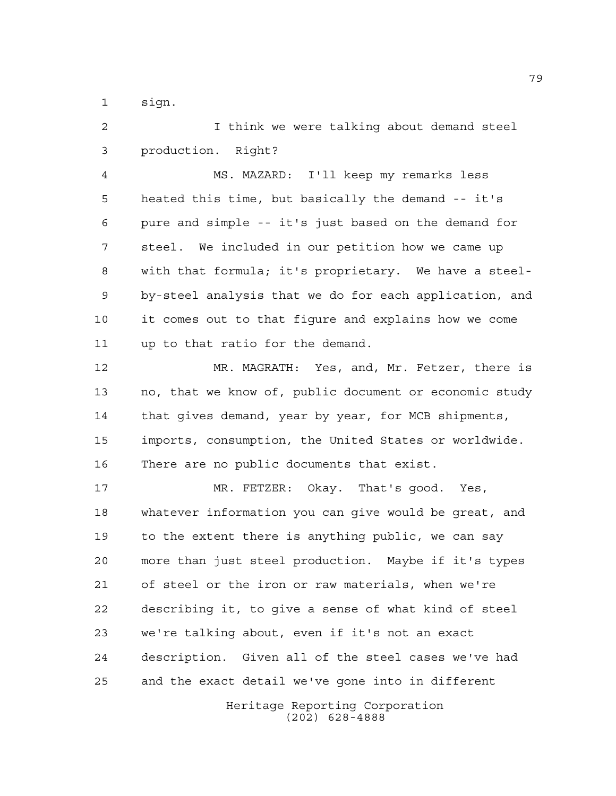sign.

 I think we were talking about demand steel production. Right? MS. MAZARD: I'll keep my remarks less heated this time, but basically the demand -- it's pure and simple -- it's just based on the demand for steel. We included in our petition how we came up with that formula; it's proprietary. We have a steel- by-steel analysis that we do for each application, and it comes out to that figure and explains how we come up to that ratio for the demand. MR. MAGRATH: Yes, and, Mr. Fetzer, there is no, that we know of, public document or economic study that gives demand, year by year, for MCB shipments, imports, consumption, the United States or worldwide. There are no public documents that exist. MR. FETZER: Okay. That's good. Yes, whatever information you can give would be great, and to the extent there is anything public, we can say more than just steel production. Maybe if it's types of steel or the iron or raw materials, when we're describing it, to give a sense of what kind of steel we're talking about, even if it's not an exact description. Given all of the steel cases we've had and the exact detail we've gone into in different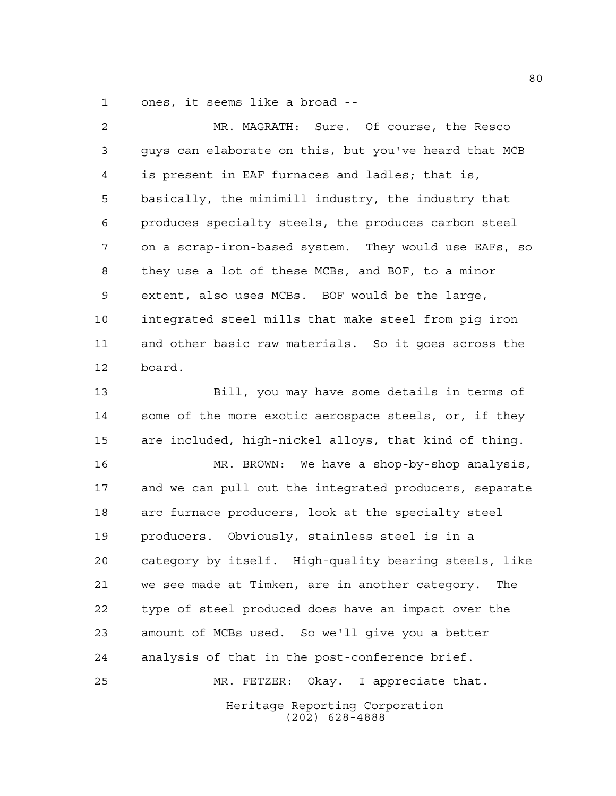ones, it seems like a broad --

 MR. MAGRATH: Sure. Of course, the Resco guys can elaborate on this, but you've heard that MCB is present in EAF furnaces and ladles; that is, basically, the minimill industry, the industry that produces specialty steels, the produces carbon steel on a scrap-iron-based system. They would use EAFs, so they use a lot of these MCBs, and BOF, to a minor extent, also uses MCBs. BOF would be the large, integrated steel mills that make steel from pig iron and other basic raw materials. So it goes across the board.

 Bill, you may have some details in terms of some of the more exotic aerospace steels, or, if they are included, high-nickel alloys, that kind of thing.

 MR. BROWN: We have a shop-by-shop analysis, and we can pull out the integrated producers, separate arc furnace producers, look at the specialty steel producers. Obviously, stainless steel is in a category by itself. High-quality bearing steels, like we see made at Timken, are in another category. The type of steel produced does have an impact over the amount of MCBs used. So we'll give you a better analysis of that in the post-conference brief. MR. FETZER: Okay. I appreciate that.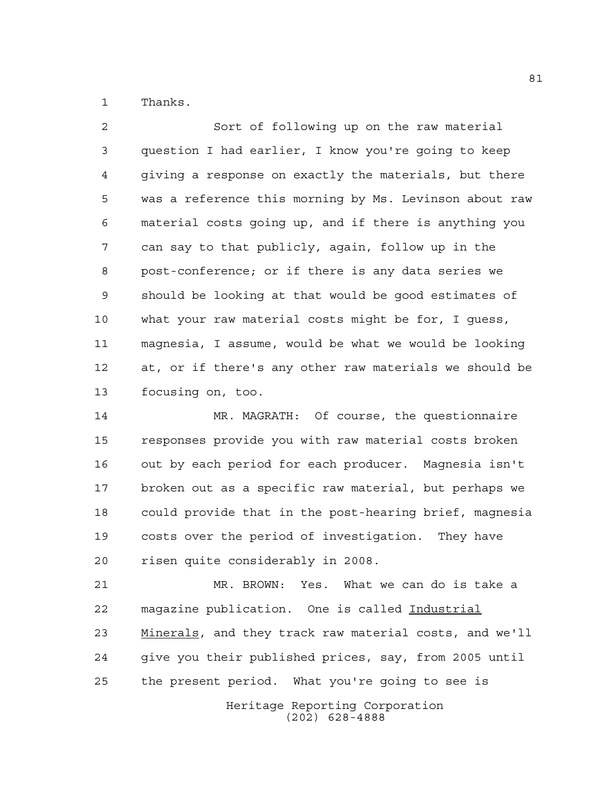Thanks.

 Sort of following up on the raw material question I had earlier, I know you're going to keep giving a response on exactly the materials, but there was a reference this morning by Ms. Levinson about raw material costs going up, and if there is anything you can say to that publicly, again, follow up in the post-conference; or if there is any data series we should be looking at that would be good estimates of what your raw material costs might be for, I guess, magnesia, I assume, would be what we would be looking at, or if there's any other raw materials we should be focusing on, too.

 MR. MAGRATH: Of course, the questionnaire responses provide you with raw material costs broken out by each period for each producer. Magnesia isn't broken out as a specific raw material, but perhaps we could provide that in the post-hearing brief, magnesia costs over the period of investigation. They have risen quite considerably in 2008.

 MR. BROWN: Yes. What we can do is take a magazine publication. One is called Industrial Minerals, and they track raw material costs, and we'll give you their published prices, say, from 2005 until the present period. What you're going to see is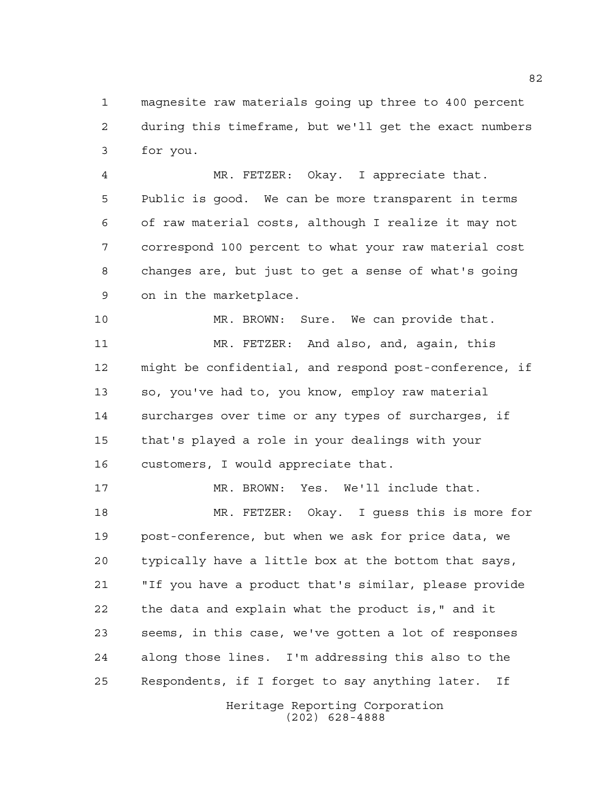magnesite raw materials going up three to 400 percent during this timeframe, but we'll get the exact numbers for you.

 MR. FETZER: Okay. I appreciate that. Public is good. We can be more transparent in terms of raw material costs, although I realize it may not correspond 100 percent to what your raw material cost changes are, but just to get a sense of what's going on in the marketplace.

 MR. BROWN: Sure. We can provide that. MR. FETZER: And also, and, again, this might be confidential, and respond post-conference, if so, you've had to, you know, employ raw material surcharges over time or any types of surcharges, if that's played a role in your dealings with your customers, I would appreciate that.

 MR. BROWN: Yes. We'll include that. MR. FETZER: Okay. I guess this is more for post-conference, but when we ask for price data, we typically have a little box at the bottom that says, "If you have a product that's similar, please provide the data and explain what the product is," and it seems, in this case, we've gotten a lot of responses along those lines. I'm addressing this also to the Respondents, if I forget to say anything later. If

> Heritage Reporting Corporation (202) 628-4888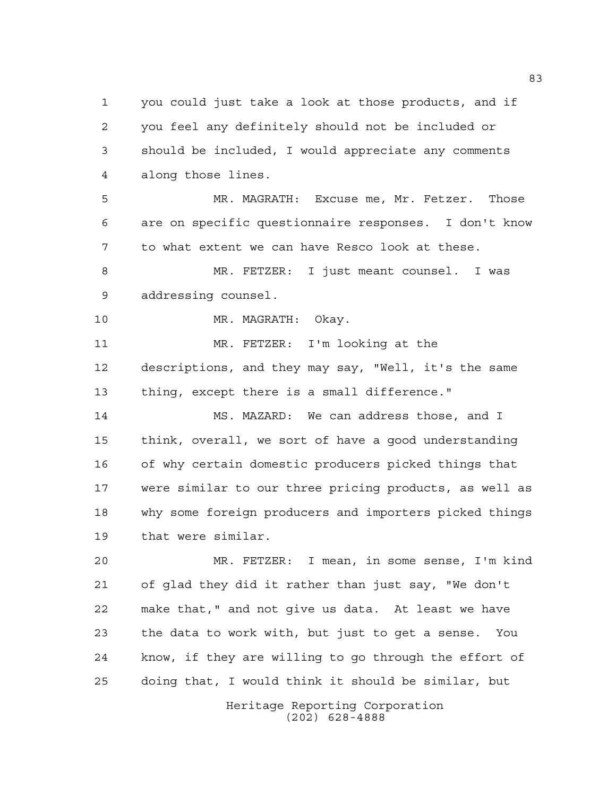you could just take a look at those products, and if you feel any definitely should not be included or should be included, I would appreciate any comments along those lines.

 MR. MAGRATH: Excuse me, Mr. Fetzer. Those are on specific questionnaire responses. I don't know to what extent we can have Resco look at these.

 MR. FETZER: I just meant counsel. I was addressing counsel.

MR. MAGRATH: Okay.

 MR. FETZER: I'm looking at the descriptions, and they may say, "Well, it's the same thing, except there is a small difference."

 MS. MAZARD: We can address those, and I think, overall, we sort of have a good understanding of why certain domestic producers picked things that were similar to our three pricing products, as well as why some foreign producers and importers picked things that were similar.

 MR. FETZER: I mean, in some sense, I'm kind of glad they did it rather than just say, "We don't make that," and not give us data. At least we have the data to work with, but just to get a sense. You know, if they are willing to go through the effort of doing that, I would think it should be similar, but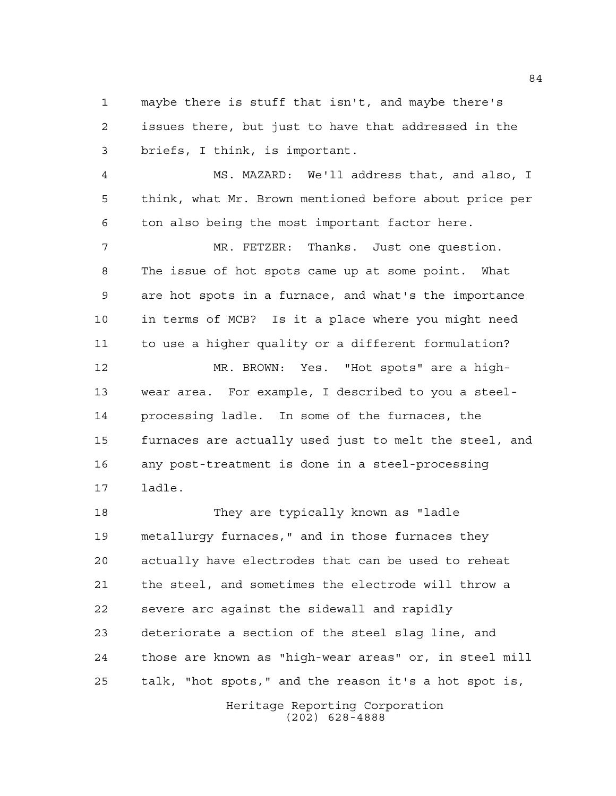maybe there is stuff that isn't, and maybe there's issues there, but just to have that addressed in the briefs, I think, is important.

 MS. MAZARD: We'll address that, and also, I think, what Mr. Brown mentioned before about price per ton also being the most important factor here.

 MR. FETZER: Thanks. Just one question. The issue of hot spots came up at some point. What are hot spots in a furnace, and what's the importance in terms of MCB? Is it a place where you might need to use a higher quality or a different formulation?

 MR. BROWN: Yes. "Hot spots" are a high- wear area. For example, I described to you a steel- processing ladle. In some of the furnaces, the furnaces are actually used just to melt the steel, and any post-treatment is done in a steel-processing ladle.

 They are typically known as "ladle metallurgy furnaces," and in those furnaces they actually have electrodes that can be used to reheat the steel, and sometimes the electrode will throw a severe arc against the sidewall and rapidly deteriorate a section of the steel slag line, and those are known as "high-wear areas" or, in steel mill talk, "hot spots," and the reason it's a hot spot is,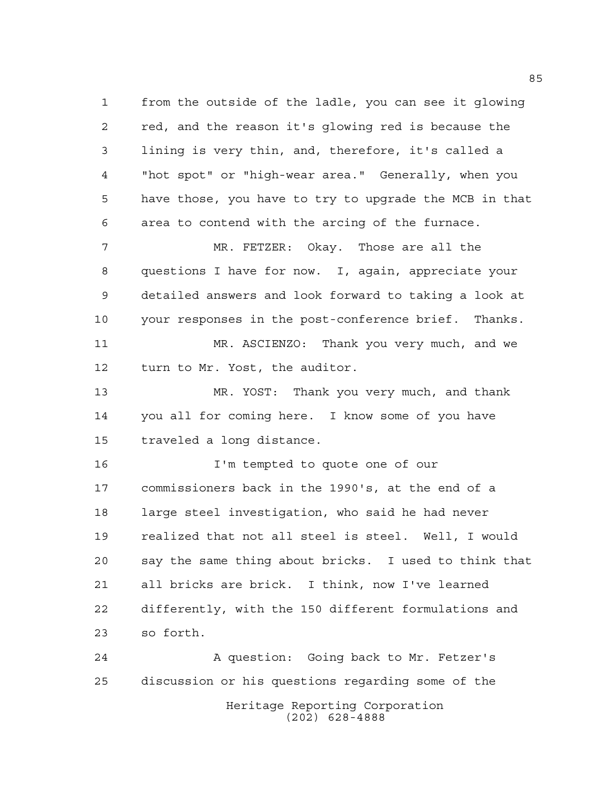from the outside of the ladle, you can see it glowing red, and the reason it's glowing red is because the lining is very thin, and, therefore, it's called a "hot spot" or "high-wear area." Generally, when you have those, you have to try to upgrade the MCB in that area to contend with the arcing of the furnace.

 MR. FETZER: Okay. Those are all the questions I have for now. I, again, appreciate your detailed answers and look forward to taking a look at your responses in the post-conference brief. Thanks. MR. ASCIENZO: Thank you very much, and we turn to Mr. Yost, the auditor.

 MR. YOST: Thank you very much, and thank you all for coming here. I know some of you have traveled a long distance.

 I'm tempted to quote one of our commissioners back in the 1990's, at the end of a large steel investigation, who said he had never realized that not all steel is steel. Well, I would say the same thing about bricks. I used to think that all bricks are brick. I think, now I've learned differently, with the 150 different formulations and so forth.

Heritage Reporting Corporation (202) 628-4888 A question: Going back to Mr. Fetzer's discussion or his questions regarding some of the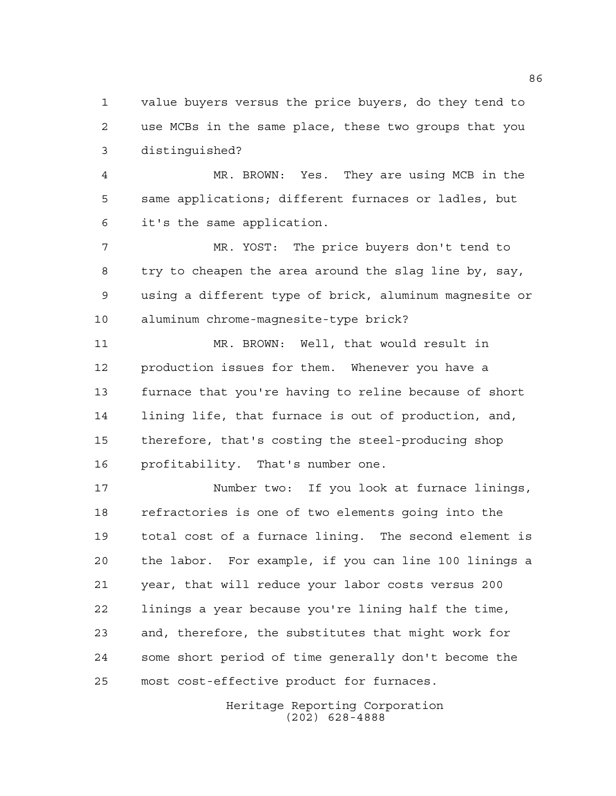value buyers versus the price buyers, do they tend to use MCBs in the same place, these two groups that you distinguished?

 MR. BROWN: Yes. They are using MCB in the same applications; different furnaces or ladles, but it's the same application.

 MR. YOST: The price buyers don't tend to try to cheapen the area around the slag line by, say, using a different type of brick, aluminum magnesite or aluminum chrome-magnesite-type brick?

 MR. BROWN: Well, that would result in production issues for them. Whenever you have a furnace that you're having to reline because of short lining life, that furnace is out of production, and, therefore, that's costing the steel-producing shop profitability. That's number one.

 Number two: If you look at furnace linings, refractories is one of two elements going into the total cost of a furnace lining. The second element is the labor. For example, if you can line 100 linings a year, that will reduce your labor costs versus 200 linings a year because you're lining half the time, and, therefore, the substitutes that might work for some short period of time generally don't become the most cost-effective product for furnaces.

> Heritage Reporting Corporation (202) 628-4888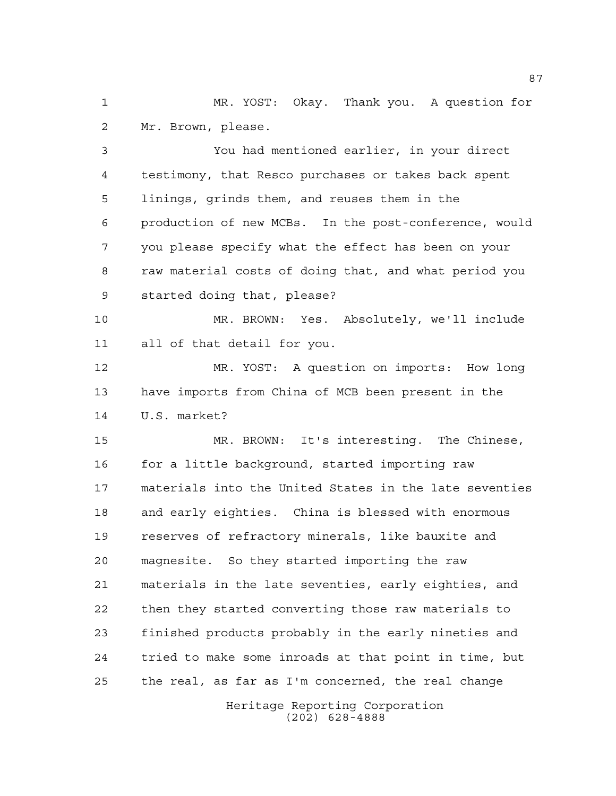MR. YOST: Okay. Thank you. A question for Mr. Brown, please.

 You had mentioned earlier, in your direct testimony, that Resco purchases or takes back spent linings, grinds them, and reuses them in the production of new MCBs. In the post-conference, would you please specify what the effect has been on your raw material costs of doing that, and what period you started doing that, please?

 MR. BROWN: Yes. Absolutely, we'll include all of that detail for you.

 MR. YOST: A question on imports: How long have imports from China of MCB been present in the U.S. market?

 MR. BROWN: It's interesting. The Chinese, for a little background, started importing raw materials into the United States in the late seventies and early eighties. China is blessed with enormous reserves of refractory minerals, like bauxite and magnesite. So they started importing the raw materials in the late seventies, early eighties, and then they started converting those raw materials to finished products probably in the early nineties and tried to make some inroads at that point in time, but the real, as far as I'm concerned, the real change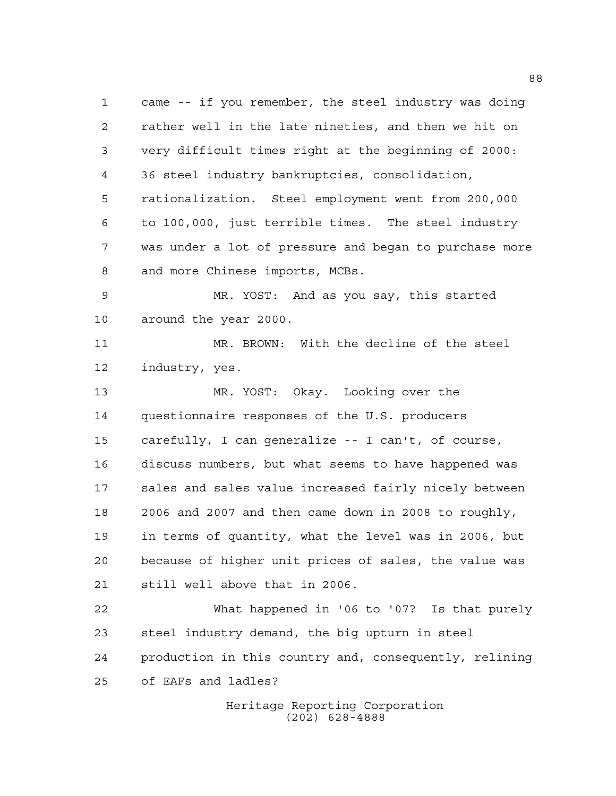came -- if you remember, the steel industry was doing rather well in the late nineties, and then we hit on very difficult times right at the beginning of 2000: 36 steel industry bankruptcies, consolidation, rationalization. Steel employment went from 200,000 to 100,000, just terrible times. The steel industry was under a lot of pressure and began to purchase more and more Chinese imports, MCBs. MR. YOST: And as you say, this started around the year 2000. MR. BROWN: With the decline of the steel industry, yes. MR. YOST: Okay. Looking over the questionnaire responses of the U.S. producers carefully, I can generalize -- I can't, of course, discuss numbers, but what seems to have happened was sales and sales value increased fairly nicely between 2006 and 2007 and then came down in 2008 to roughly, in terms of quantity, what the level was in 2006, but because of higher unit prices of sales, the value was still well above that in 2006. What happened in '06 to '07? Is that purely steel industry demand, the big upturn in steel production in this country and, consequently, relining of EAFs and ladles?

> Heritage Reporting Corporation (202) 628-4888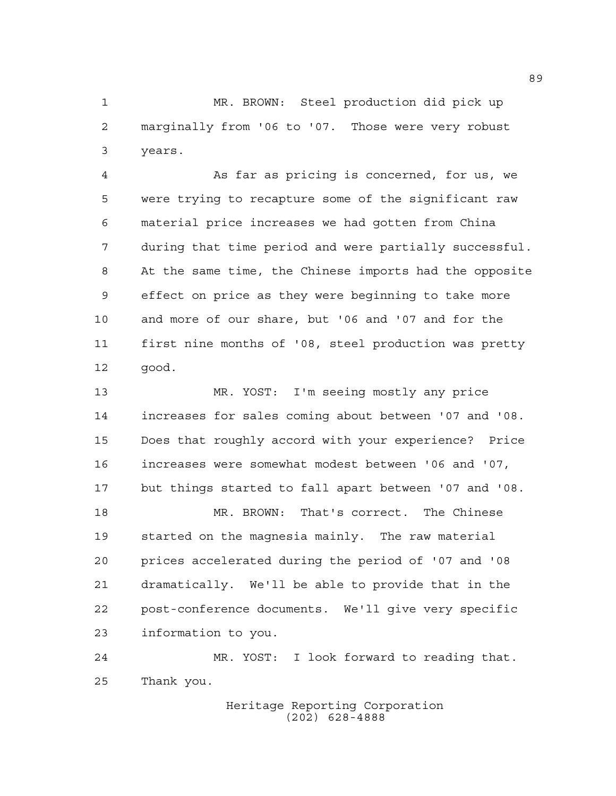MR. BROWN: Steel production did pick up marginally from '06 to '07. Those were very robust years.

 As far as pricing is concerned, for us, we were trying to recapture some of the significant raw material price increases we had gotten from China during that time period and were partially successful. At the same time, the Chinese imports had the opposite effect on price as they were beginning to take more and more of our share, but '06 and '07 and for the first nine months of '08, steel production was pretty good.

 MR. YOST: I'm seeing mostly any price increases for sales coming about between '07 and '08. Does that roughly accord with your experience? Price increases were somewhat modest between '06 and '07, but things started to fall apart between '07 and '08. MR. BROWN: That's correct. The Chinese started on the magnesia mainly. The raw material prices accelerated during the period of '07 and '08 dramatically. We'll be able to provide that in the post-conference documents. We'll give very specific information to you.

 MR. YOST: I look forward to reading that. Thank you.

> Heritage Reporting Corporation (202) 628-4888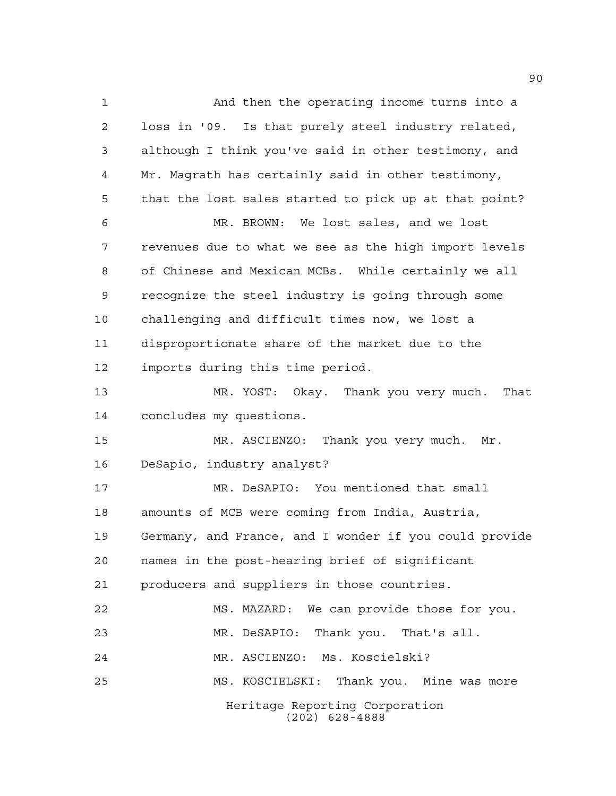Heritage Reporting Corporation (202) 628-4888 And then the operating income turns into a loss in '09. Is that purely steel industry related, although I think you've said in other testimony, and Mr. Magrath has certainly said in other testimony, that the lost sales started to pick up at that point? MR. BROWN: We lost sales, and we lost revenues due to what we see as the high import levels of Chinese and Mexican MCBs. While certainly we all recognize the steel industry is going through some challenging and difficult times now, we lost a disproportionate share of the market due to the imports during this time period. MR. YOST: Okay. Thank you very much. That concludes my questions. MR. ASCIENZO: Thank you very much. Mr. DeSapio, industry analyst? MR. DeSAPIO: You mentioned that small amounts of MCB were coming from India, Austria, Germany, and France, and I wonder if you could provide names in the post-hearing brief of significant producers and suppliers in those countries. MS. MAZARD: We can provide those for you. MR. DeSAPIO: Thank you. That's all. MR. ASCIENZO: Ms. Koscielski? MS. KOSCIELSKI: Thank you. Mine was more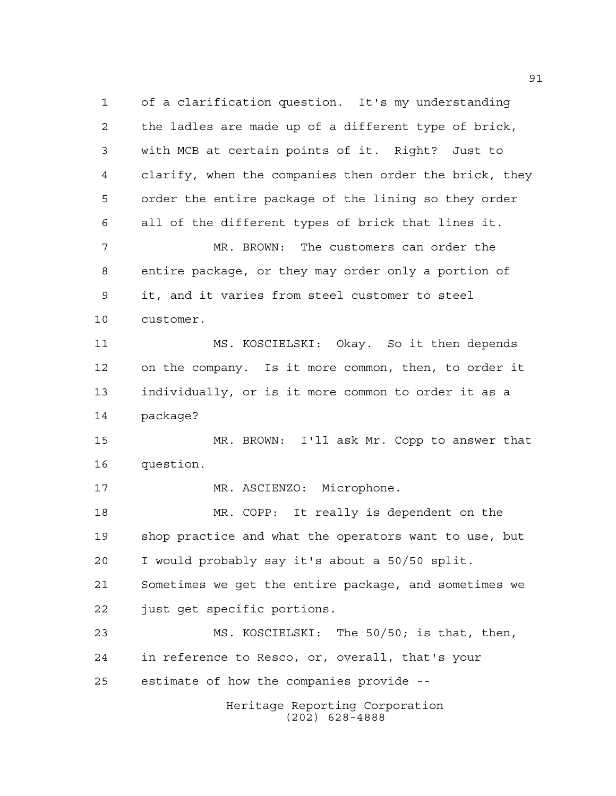Heritage Reporting Corporation (202) 628-4888 of a clarification question. It's my understanding the ladles are made up of a different type of brick, with MCB at certain points of it. Right? Just to clarify, when the companies then order the brick, they order the entire package of the lining so they order all of the different types of brick that lines it. MR. BROWN: The customers can order the entire package, or they may order only a portion of it, and it varies from steel customer to steel customer. MS. KOSCIELSKI: Okay. So it then depends on the company. Is it more common, then, to order it individually, or is it more common to order it as a package? MR. BROWN: I'll ask Mr. Copp to answer that question. 17 MR. ASCIENZO: Microphone. MR. COPP: It really is dependent on the shop practice and what the operators want to use, but I would probably say it's about a 50/50 split. Sometimes we get the entire package, and sometimes we just get specific portions. MS. KOSCIELSKI: The 50/50; is that, then, in reference to Resco, or, overall, that's your estimate of how the companies provide --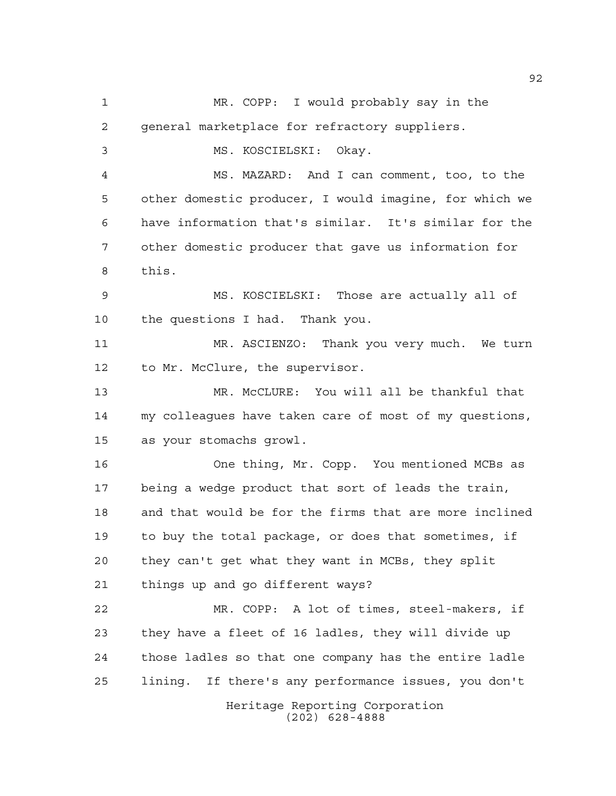Heritage Reporting Corporation (202) 628-4888 MR. COPP: I would probably say in the general marketplace for refractory suppliers. MS. KOSCIELSKI: Okay. MS. MAZARD: And I can comment, too, to the other domestic producer, I would imagine, for which we have information that's similar. It's similar for the other domestic producer that gave us information for this. MS. KOSCIELSKI: Those are actually all of the questions I had. Thank you. MR. ASCIENZO: Thank you very much. We turn to Mr. McClure, the supervisor. MR. McCLURE: You will all be thankful that my colleagues have taken care of most of my questions, as your stomachs growl. One thing, Mr. Copp. You mentioned MCBs as being a wedge product that sort of leads the train, and that would be for the firms that are more inclined to buy the total package, or does that sometimes, if they can't get what they want in MCBs, they split things up and go different ways? MR. COPP: A lot of times, steel-makers, if they have a fleet of 16 ladles, they will divide up those ladles so that one company has the entire ladle lining. If there's any performance issues, you don't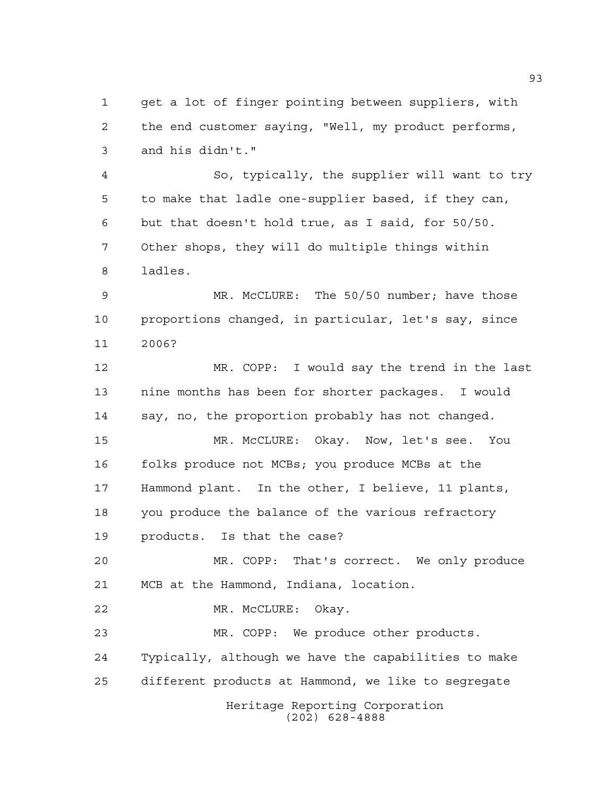get a lot of finger pointing between suppliers, with the end customer saying, "Well, my product performs, and his didn't."

 So, typically, the supplier will want to try to make that ladle one-supplier based, if they can, but that doesn't hold true, as I said, for 50/50. Other shops, they will do multiple things within ladles.

 MR. McCLURE: The 50/50 number; have those proportions changed, in particular, let's say, since 2006?

 MR. COPP: I would say the trend in the last nine months has been for shorter packages. I would say, no, the proportion probably has not changed.

 MR. McCLURE: Okay. Now, let's see. You folks produce not MCBs; you produce MCBs at the Hammond plant. In the other, I believe, 11 plants, you produce the balance of the various refractory products. Is that the case?

 MR. COPP: That's correct. We only produce MCB at the Hammond, Indiana, location.

MR. McCLURE: Okay.

 MR. COPP: We produce other products. Typically, although we have the capabilities to make different products at Hammond, we like to segregate

Heritage Reporting Corporation (202) 628-4888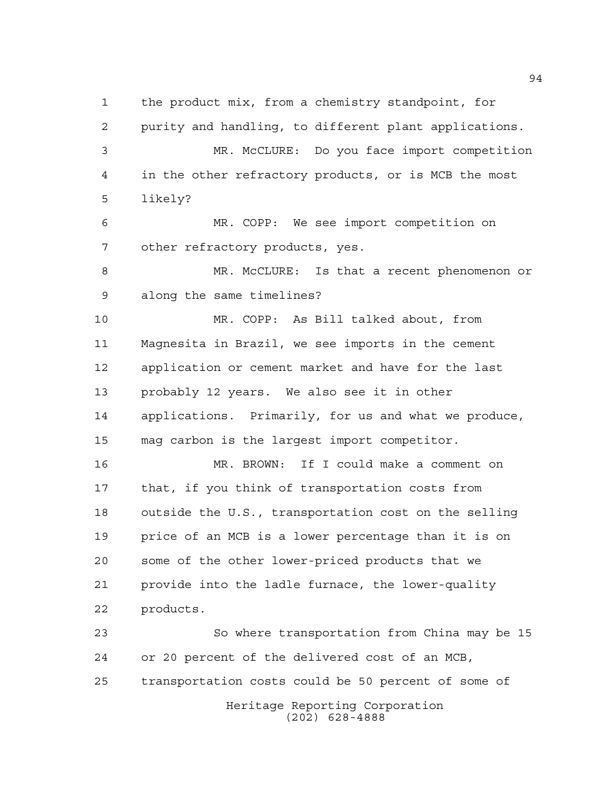the product mix, from a chemistry standpoint, for

 purity and handling, to different plant applications. MR. McCLURE: Do you face import competition in the other refractory products, or is MCB the most likely?

 MR. COPP: We see import competition on other refractory products, yes.

 MR. McCLURE: Is that a recent phenomenon or along the same timelines?

 MR. COPP: As Bill talked about, from Magnesita in Brazil, we see imports in the cement application or cement market and have for the last probably 12 years. We also see it in other applications. Primarily, for us and what we produce, mag carbon is the largest import competitor.

 MR. BROWN: If I could make a comment on that, if you think of transportation costs from outside the U.S., transportation cost on the selling price of an MCB is a lower percentage than it is on some of the other lower-priced products that we provide into the ladle furnace, the lower-quality products.

Heritage Reporting Corporation (202) 628-4888 So where transportation from China may be 15 or 20 percent of the delivered cost of an MCB, transportation costs could be 50 percent of some of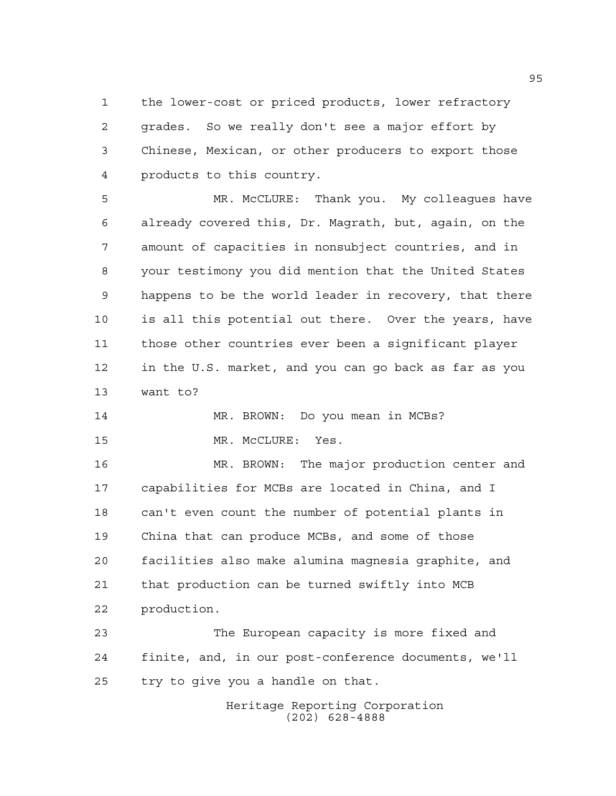the lower-cost or priced products, lower refractory grades. So we really don't see a major effort by Chinese, Mexican, or other producers to export those products to this country.

 MR. McCLURE: Thank you. My colleagues have already covered this, Dr. Magrath, but, again, on the amount of capacities in nonsubject countries, and in your testimony you did mention that the United States happens to be the world leader in recovery, that there is all this potential out there. Over the years, have those other countries ever been a significant player in the U.S. market, and you can go back as far as you want to?

```
14 MR. BROWN: Do you mean in MCBs?
15 MR. McCLURE: Yes.
```
 MR. BROWN: The major production center and capabilities for MCBs are located in China, and I can't even count the number of potential plants in China that can produce MCBs, and some of those facilities also make alumina magnesia graphite, and that production can be turned swiftly into MCB production.

 The European capacity is more fixed and finite, and, in our post-conference documents, we'll try to give you a handle on that.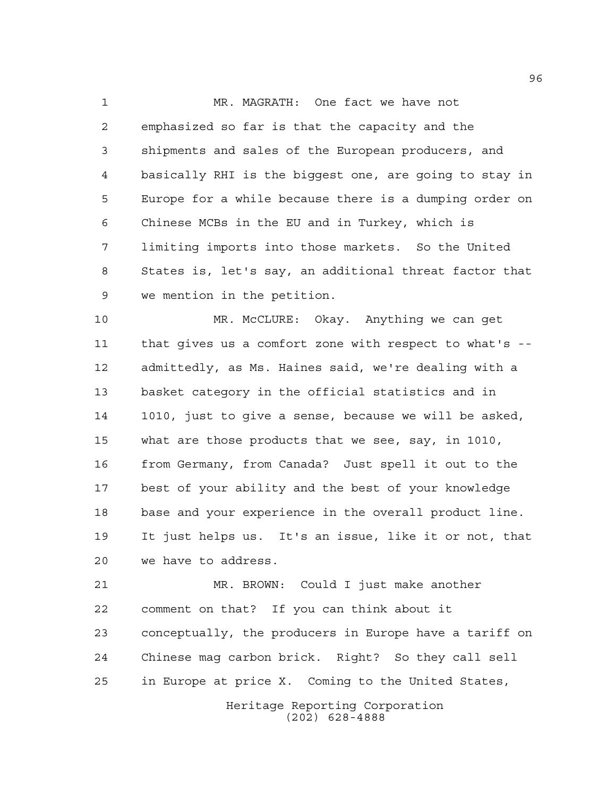MR. MAGRATH: One fact we have not emphasized so far is that the capacity and the shipments and sales of the European producers, and basically RHI is the biggest one, are going to stay in Europe for a while because there is a dumping order on Chinese MCBs in the EU and in Turkey, which is limiting imports into those markets. So the United States is, let's say, an additional threat factor that we mention in the petition.

 MR. McCLURE: Okay. Anything we can get that gives us a comfort zone with respect to what's -- admittedly, as Ms. Haines said, we're dealing with a basket category in the official statistics and in 1010, just to give a sense, because we will be asked, what are those products that we see, say, in 1010, from Germany, from Canada? Just spell it out to the best of your ability and the best of your knowledge base and your experience in the overall product line. It just helps us. It's an issue, like it or not, that we have to address.

 MR. BROWN: Could I just make another comment on that? If you can think about it conceptually, the producers in Europe have a tariff on Chinese mag carbon brick. Right? So they call sell in Europe at price X. Coming to the United States,

> Heritage Reporting Corporation (202) 628-4888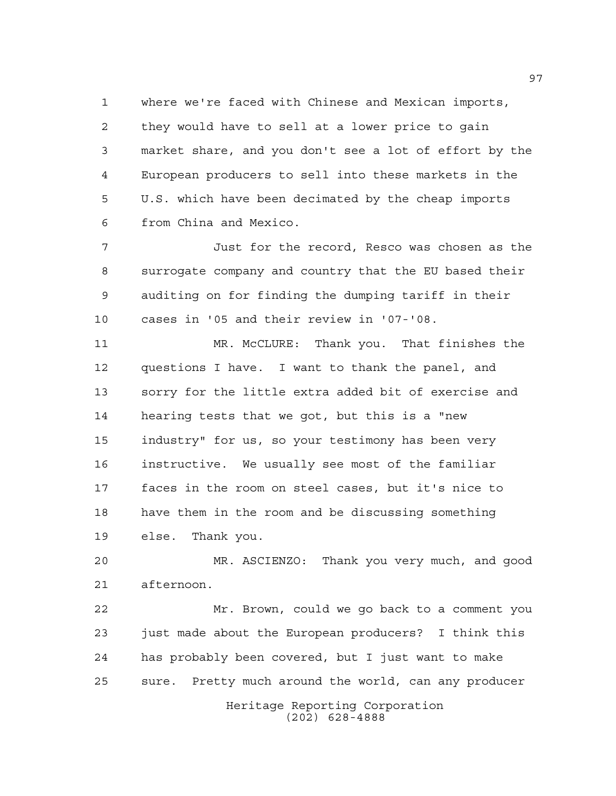where we're faced with Chinese and Mexican imports, they would have to sell at a lower price to gain market share, and you don't see a lot of effort by the European producers to sell into these markets in the U.S. which have been decimated by the cheap imports from China and Mexico.

 Just for the record, Resco was chosen as the surrogate company and country that the EU based their auditing on for finding the dumping tariff in their cases in '05 and their review in '07-'08.

 MR. McCLURE: Thank you. That finishes the questions I have. I want to thank the panel, and sorry for the little extra added bit of exercise and hearing tests that we got, but this is a "new industry" for us, so your testimony has been very instructive. We usually see most of the familiar faces in the room on steel cases, but it's nice to have them in the room and be discussing something else. Thank you.

 MR. ASCIENZO: Thank you very much, and good afternoon.

Heritage Reporting Corporation Mr. Brown, could we go back to a comment you just made about the European producers? I think this has probably been covered, but I just want to make sure. Pretty much around the world, can any producer

(202) 628-4888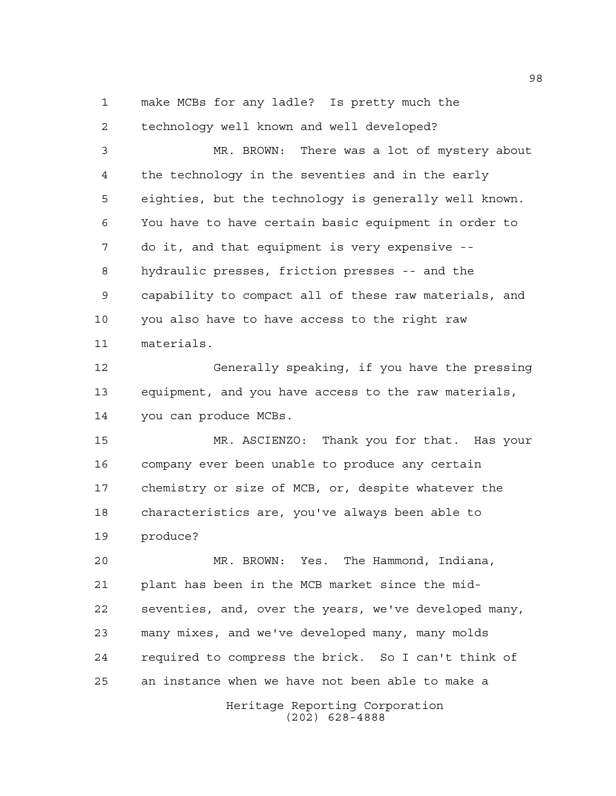make MCBs for any ladle? Is pretty much the

 technology well known and well developed? MR. BROWN: There was a lot of mystery about the technology in the seventies and in the early eighties, but the technology is generally well known. You have to have certain basic equipment in order to do it, and that equipment is very expensive -- hydraulic presses, friction presses -- and the capability to compact all of these raw materials, and you also have to have access to the right raw materials. Generally speaking, if you have the pressing equipment, and you have access to the raw materials,

you can produce MCBs.

 MR. ASCIENZO: Thank you for that. Has your company ever been unable to produce any certain chemistry or size of MCB, or, despite whatever the characteristics are, you've always been able to produce?

 MR. BROWN: Yes. The Hammond, Indiana, plant has been in the MCB market since the mid- seventies, and, over the years, we've developed many, many mixes, and we've developed many, many molds required to compress the brick. So I can't think of an instance when we have not been able to make a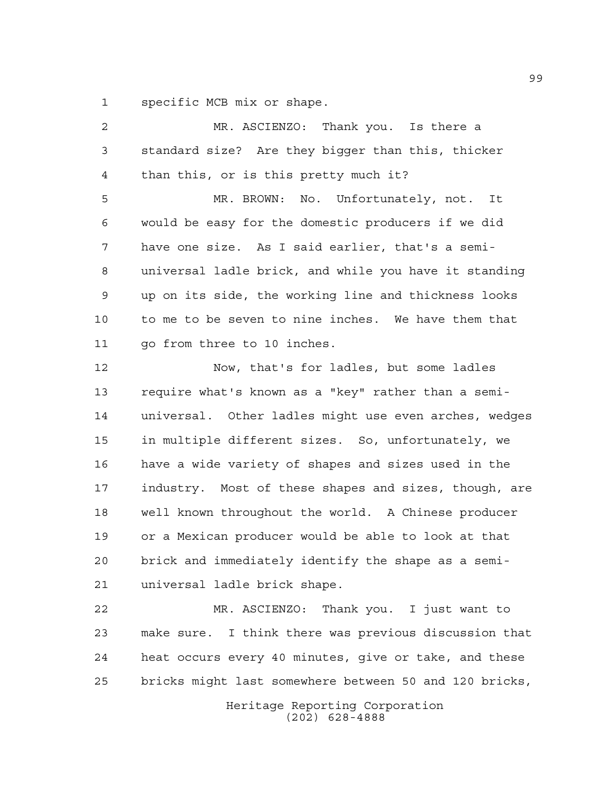specific MCB mix or shape.

 MR. ASCIENZO: Thank you. Is there a standard size? Are they bigger than this, thicker than this, or is this pretty much it? MR. BROWN: No. Unfortunately, not. It would be easy for the domestic producers if we did have one size. As I said earlier, that's a semi- universal ladle brick, and while you have it standing up on its side, the working line and thickness looks to me to be seven to nine inches. We have them that go from three to 10 inches. Now, that's for ladles, but some ladles require what's known as a "key" rather than a semi- universal. Other ladles might use even arches, wedges in multiple different sizes. So, unfortunately, we have a wide variety of shapes and sizes used in the industry. Most of these shapes and sizes, though, are well known throughout the world. A Chinese producer or a Mexican producer would be able to look at that brick and immediately identify the shape as a semi- universal ladle brick shape. MR. ASCIENZO: Thank you. I just want to make sure. I think there was previous discussion that heat occurs every 40 minutes, give or take, and these bricks might last somewhere between 50 and 120 bricks,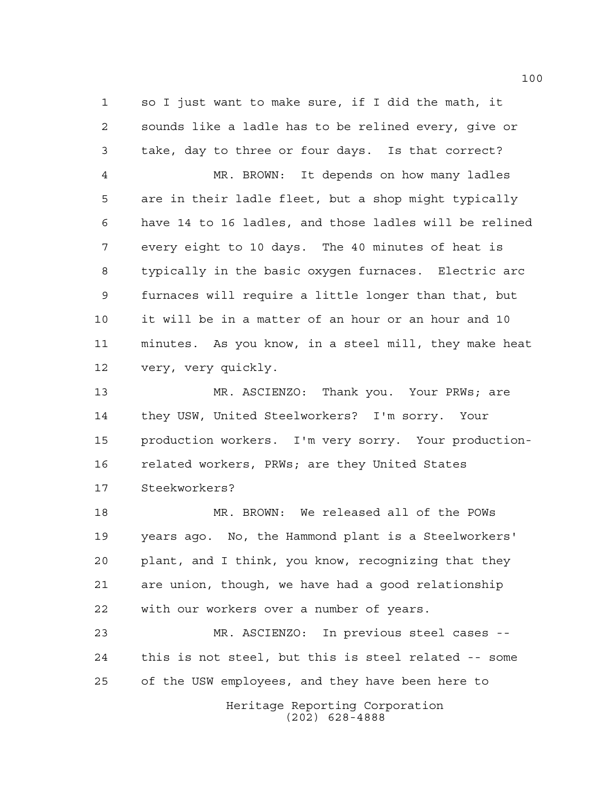so I just want to make sure, if I did the math, it sounds like a ladle has to be relined every, give or take, day to three or four days. Is that correct? MR. BROWN: It depends on how many ladles are in their ladle fleet, but a shop might typically have 14 to 16 ladles, and those ladles will be relined every eight to 10 days. The 40 minutes of heat is typically in the basic oxygen furnaces. Electric arc furnaces will require a little longer than that, but it will be in a matter of an hour or an hour and 10 minutes. As you know, in a steel mill, they make heat very, very quickly.

 MR. ASCIENZO: Thank you. Your PRWs; are they USW, United Steelworkers? I'm sorry. Your production workers. I'm very sorry. Your production- related workers, PRWs; are they United States Steekworkers?

 MR. BROWN: We released all of the POWs years ago. No, the Hammond plant is a Steelworkers' plant, and I think, you know, recognizing that they are union, though, we have had a good relationship with our workers over a number of years.

 MR. ASCIENZO: In previous steel cases -- this is not steel, but this is steel related -- some of the USW employees, and they have been here to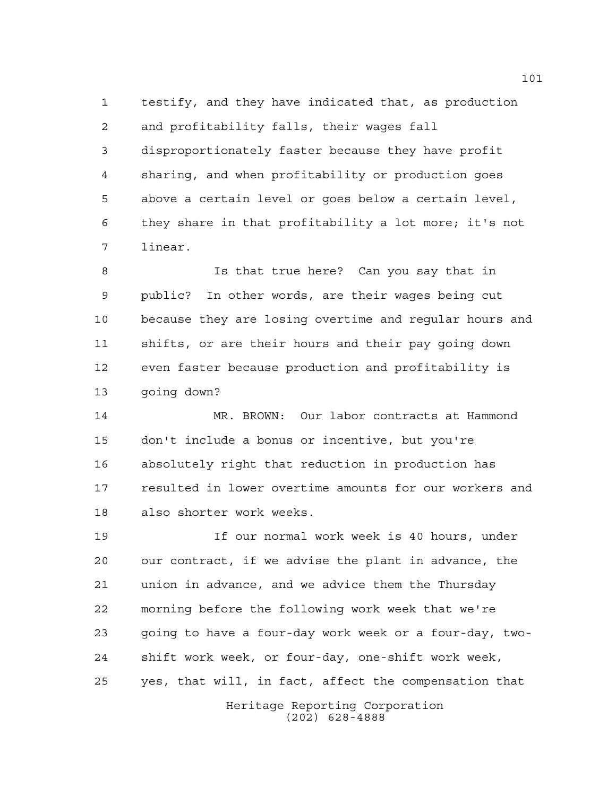testify, and they have indicated that, as production and profitability falls, their wages fall disproportionately faster because they have profit sharing, and when profitability or production goes above a certain level or goes below a certain level, they share in that profitability a lot more; it's not linear.

 Is that true here? Can you say that in public? In other words, are their wages being cut because they are losing overtime and regular hours and shifts, or are their hours and their pay going down even faster because production and profitability is going down?

 MR. BROWN: Our labor contracts at Hammond don't include a bonus or incentive, but you're absolutely right that reduction in production has resulted in lower overtime amounts for our workers and also shorter work weeks.

Heritage Reporting Corporation If our normal work week is 40 hours, under our contract, if we advise the plant in advance, the union in advance, and we advice them the Thursday morning before the following work week that we're going to have a four-day work week or a four-day, two- shift work week, or four-day, one-shift work week, yes, that will, in fact, affect the compensation that

(202) 628-4888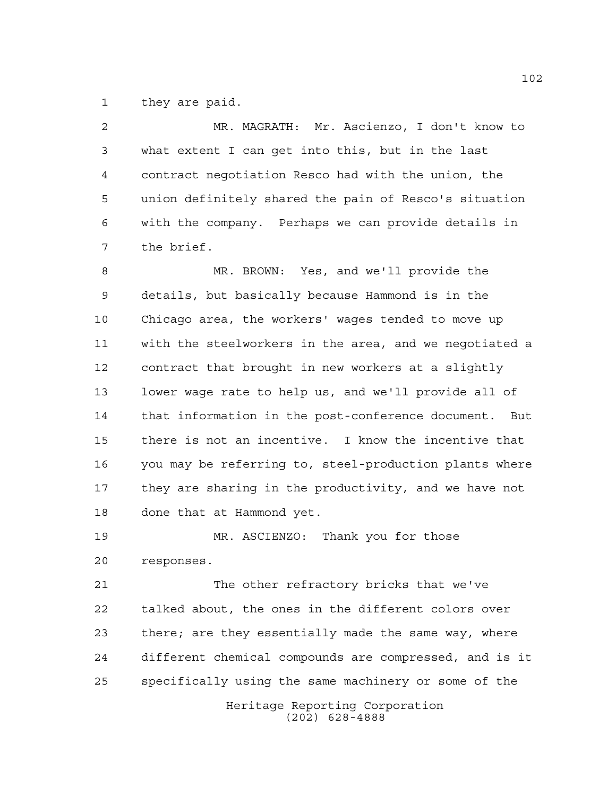they are paid.

 MR. MAGRATH: Mr. Ascienzo, I don't know to what extent I can get into this, but in the last contract negotiation Resco had with the union, the union definitely shared the pain of Resco's situation with the company. Perhaps we can provide details in the brief.

 MR. BROWN: Yes, and we'll provide the details, but basically because Hammond is in the Chicago area, the workers' wages tended to move up with the steelworkers in the area, and we negotiated a contract that brought in new workers at a slightly lower wage rate to help us, and we'll provide all of that information in the post-conference document. But there is not an incentive. I know the incentive that you may be referring to, steel-production plants where they are sharing in the productivity, and we have not done that at Hammond yet.

 MR. ASCIENZO: Thank you for those responses.

 The other refractory bricks that we've talked about, the ones in the different colors over there; are they essentially made the same way, where different chemical compounds are compressed, and is it specifically using the same machinery or some of the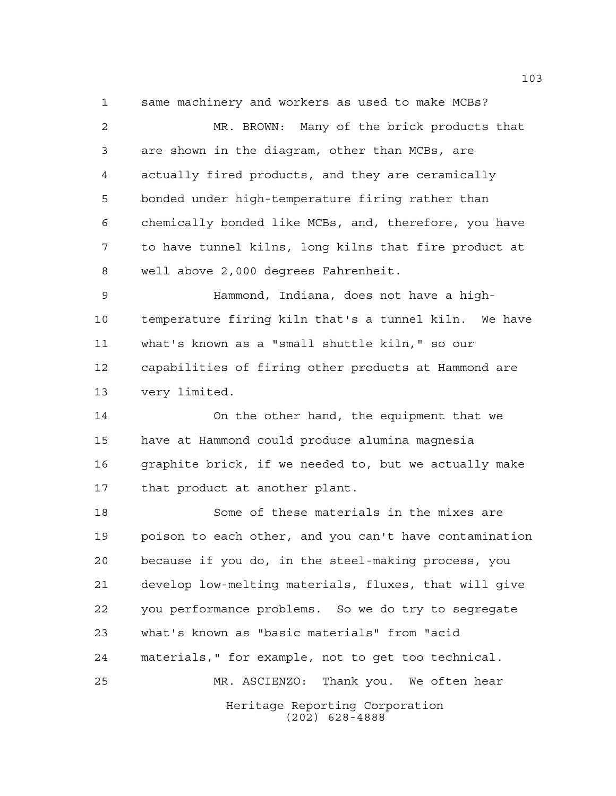same machinery and workers as used to make MCBs?

 MR. BROWN: Many of the brick products that are shown in the diagram, other than MCBs, are actually fired products, and they are ceramically bonded under high-temperature firing rather than chemically bonded like MCBs, and, therefore, you have to have tunnel kilns, long kilns that fire product at well above 2,000 degrees Fahrenheit.

 Hammond, Indiana, does not have a high- temperature firing kiln that's a tunnel kiln. We have what's known as a "small shuttle kiln," so our capabilities of firing other products at Hammond are very limited.

 On the other hand, the equipment that we have at Hammond could produce alumina magnesia graphite brick, if we needed to, but we actually make that product at another plant.

Heritage Reporting Corporation (202) 628-4888 Some of these materials in the mixes are poison to each other, and you can't have contamination because if you do, in the steel-making process, you develop low-melting materials, fluxes, that will give you performance problems. So we do try to segregate what's known as "basic materials" from "acid materials," for example, not to get too technical. MR. ASCIENZO: Thank you. We often hear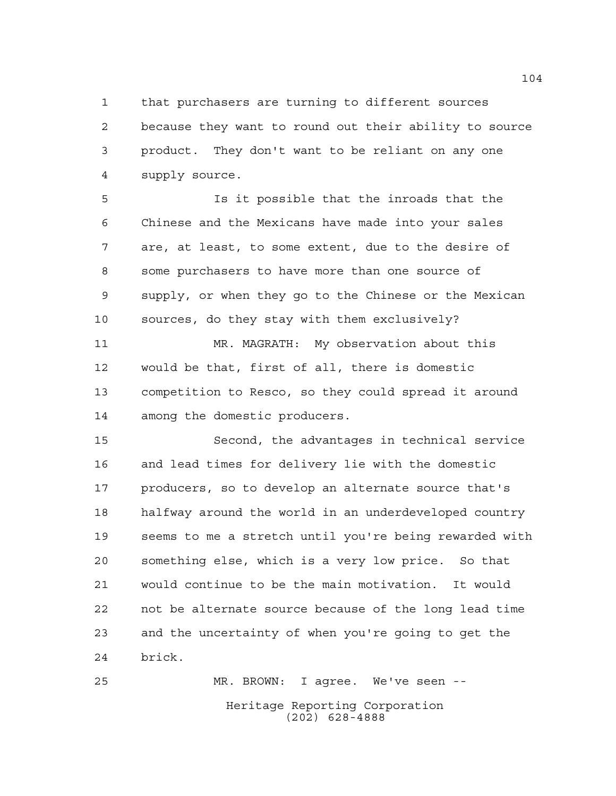that purchasers are turning to different sources

 because they want to round out their ability to source product. They don't want to be reliant on any one supply source.

 Is it possible that the inroads that the Chinese and the Mexicans have made into your sales are, at least, to some extent, due to the desire of some purchasers to have more than one source of supply, or when they go to the Chinese or the Mexican sources, do they stay with them exclusively?

 MR. MAGRATH: My observation about this would be that, first of all, there is domestic competition to Resco, so they could spread it around among the domestic producers.

 Second, the advantages in technical service and lead times for delivery lie with the domestic producers, so to develop an alternate source that's halfway around the world in an underdeveloped country seems to me a stretch until you're being rewarded with something else, which is a very low price. So that would continue to be the main motivation. It would not be alternate source because of the long lead time and the uncertainty of when you're going to get the brick.

Heritage Reporting Corporation (202) 628-4888 MR. BROWN: I agree. We've seen --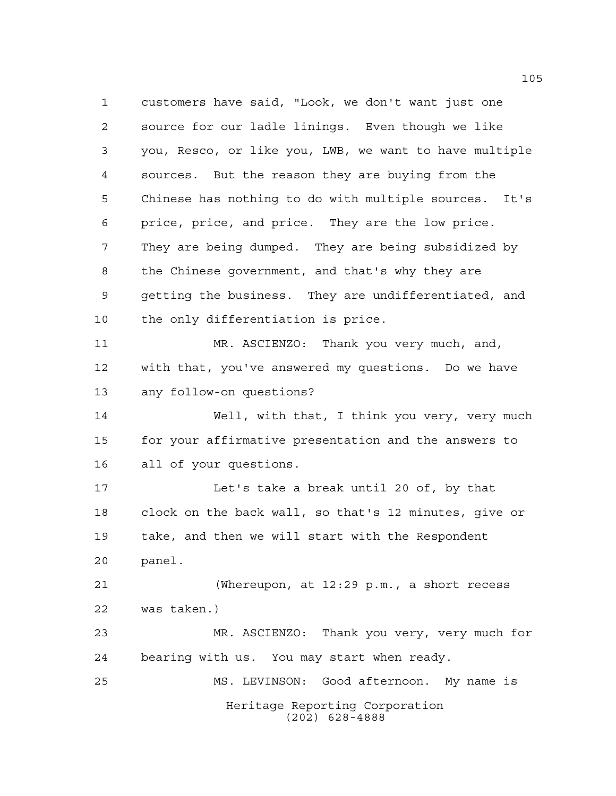Heritage Reporting Corporation (202) 628-4888 customers have said, "Look, we don't want just one source for our ladle linings. Even though we like you, Resco, or like you, LWB, we want to have multiple sources. But the reason they are buying from the Chinese has nothing to do with multiple sources. It's price, price, and price. They are the low price. They are being dumped. They are being subsidized by the Chinese government, and that's why they are getting the business. They are undifferentiated, and the only differentiation is price. MR. ASCIENZO: Thank you very much, and, with that, you've answered my questions. Do we have any follow-on questions? Well, with that, I think you very, very much for your affirmative presentation and the answers to all of your questions. Let's take a break until 20 of, by that clock on the back wall, so that's 12 minutes, give or take, and then we will start with the Respondent panel. (Whereupon, at 12:29 p.m., a short recess was taken.) MR. ASCIENZO: Thank you very, very much for bearing with us. You may start when ready. MS. LEVINSON: Good afternoon. My name is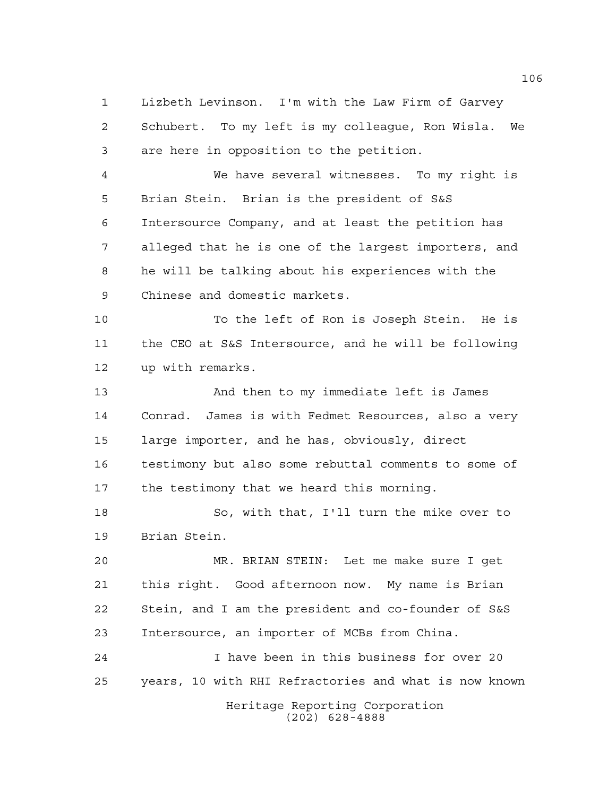Lizbeth Levinson. I'm with the Law Firm of Garvey Schubert. To my left is my colleague, Ron Wisla. We are here in opposition to the petition.

 We have several witnesses. To my right is Brian Stein. Brian is the president of S&S Intersource Company, and at least the petition has alleged that he is one of the largest importers, and he will be talking about his experiences with the Chinese and domestic markets.

 To the left of Ron is Joseph Stein. He is the CEO at S&S Intersource, and he will be following up with remarks.

 And then to my immediate left is James Conrad. James is with Fedmet Resources, also a very large importer, and he has, obviously, direct testimony but also some rebuttal comments to some of the testimony that we heard this morning.

 So, with that, I'll turn the mike over to Brian Stein.

 MR. BRIAN STEIN: Let me make sure I get this right. Good afternoon now. My name is Brian Stein, and I am the president and co-founder of S&S Intersource, an importer of MCBs from China.

 I have been in this business for over 20 years, 10 with RHI Refractories and what is now known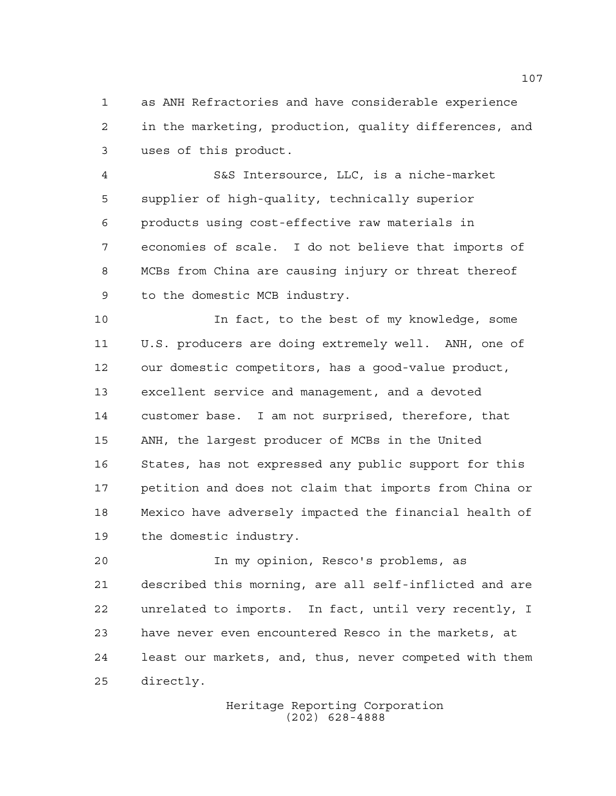as ANH Refractories and have considerable experience in the marketing, production, quality differences, and uses of this product.

 S&S Intersource, LLC, is a niche-market supplier of high-quality, technically superior products using cost-effective raw materials in economies of scale. I do not believe that imports of MCBs from China are causing injury or threat thereof to the domestic MCB industry.

 In fact, to the best of my knowledge, some U.S. producers are doing extremely well. ANH, one of our domestic competitors, has a good-value product, excellent service and management, and a devoted customer base. I am not surprised, therefore, that ANH, the largest producer of MCBs in the United States, has not expressed any public support for this petition and does not claim that imports from China or Mexico have adversely impacted the financial health of the domestic industry.

 In my opinion, Resco's problems, as described this morning, are all self-inflicted and are unrelated to imports. In fact, until very recently, I have never even encountered Resco in the markets, at least our markets, and, thus, never competed with them directly.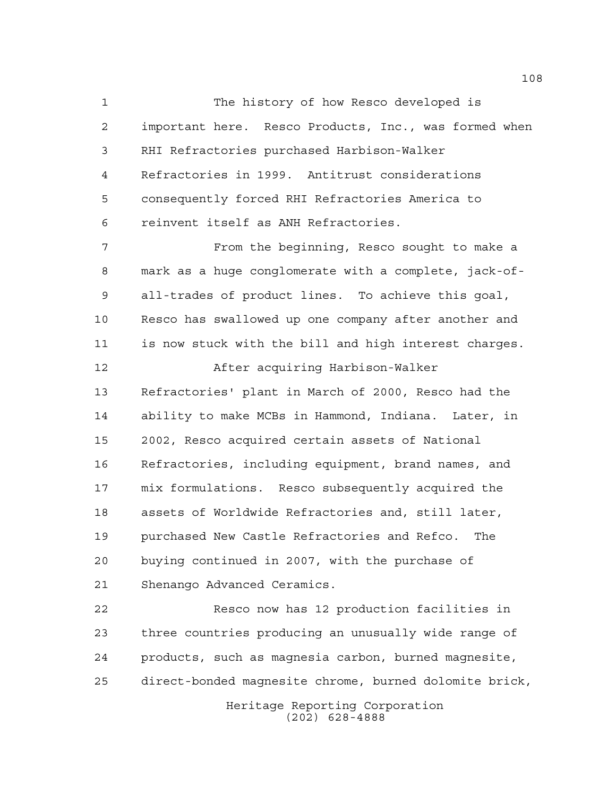The history of how Resco developed is important here. Resco Products, Inc., was formed when RHI Refractories purchased Harbison-Walker Refractories in 1999. Antitrust considerations consequently forced RHI Refractories America to reinvent itself as ANH Refractories. From the beginning, Resco sought to make a

 mark as a huge conglomerate with a complete, jack-of- all-trades of product lines. To achieve this goal, Resco has swallowed up one company after another and is now stuck with the bill and high interest charges. After acquiring Harbison-Walker Refractories' plant in March of 2000, Resco had the ability to make MCBs in Hammond, Indiana. Later, in 2002, Resco acquired certain assets of National

 Refractories, including equipment, brand names, and mix formulations. Resco subsequently acquired the assets of Worldwide Refractories and, still later, purchased New Castle Refractories and Refco. The buying continued in 2007, with the purchase of Shenango Advanced Ceramics.

 Resco now has 12 production facilities in three countries producing an unusually wide range of products, such as magnesia carbon, burned magnesite, direct-bonded magnesite chrome, burned dolomite brick,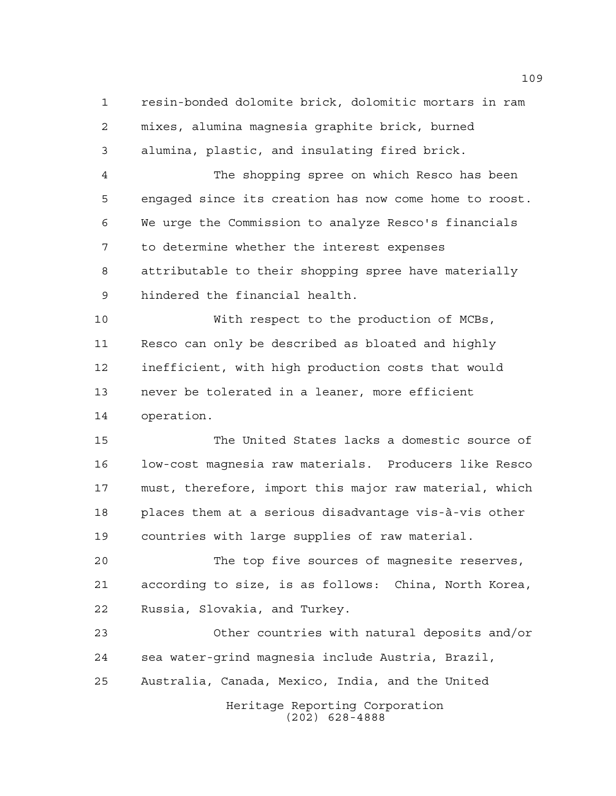resin-bonded dolomite brick, dolomitic mortars in ram mixes, alumina magnesia graphite brick, burned alumina, plastic, and insulating fired brick.

 The shopping spree on which Resco has been engaged since its creation has now come home to roost. We urge the Commission to analyze Resco's financials to determine whether the interest expenses attributable to their shopping spree have materially hindered the financial health.

 With respect to the production of MCBs, Resco can only be described as bloated and highly inefficient, with high production costs that would never be tolerated in a leaner, more efficient operation.

 The United States lacks a domestic source of low-cost magnesia raw materials. Producers like Resco must, therefore, import this major raw material, which places them at a serious disadvantage vis-à-vis other countries with large supplies of raw material.

 The top five sources of magnesite reserves, according to size, is as follows: China, North Korea, Russia, Slovakia, and Turkey.

Heritage Reporting Corporation Other countries with natural deposits and/or sea water-grind magnesia include Austria, Brazil, Australia, Canada, Mexico, India, and the United

(202) 628-4888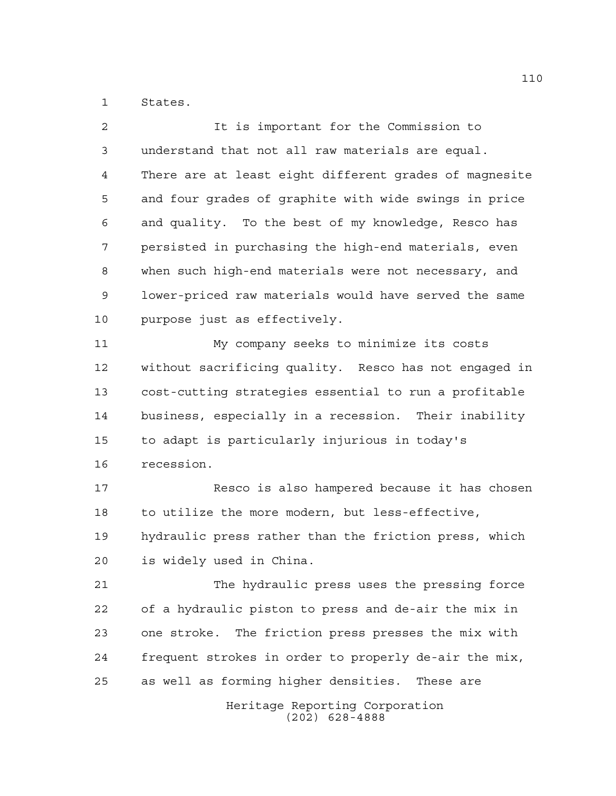States.

Heritage Reporting Corporation It is important for the Commission to understand that not all raw materials are equal. There are at least eight different grades of magnesite and four grades of graphite with wide swings in price and quality. To the best of my knowledge, Resco has persisted in purchasing the high-end materials, even when such high-end materials were not necessary, and lower-priced raw materials would have served the same purpose just as effectively. My company seeks to minimize its costs without sacrificing quality. Resco has not engaged in cost-cutting strategies essential to run a profitable business, especially in a recession. Their inability to adapt is particularly injurious in today's recession. Resco is also hampered because it has chosen to utilize the more modern, but less-effective, hydraulic press rather than the friction press, which is widely used in China. The hydraulic press uses the pressing force of a hydraulic piston to press and de-air the mix in one stroke. The friction press presses the mix with frequent strokes in order to properly de-air the mix, as well as forming higher densities. These are

(202) 628-4888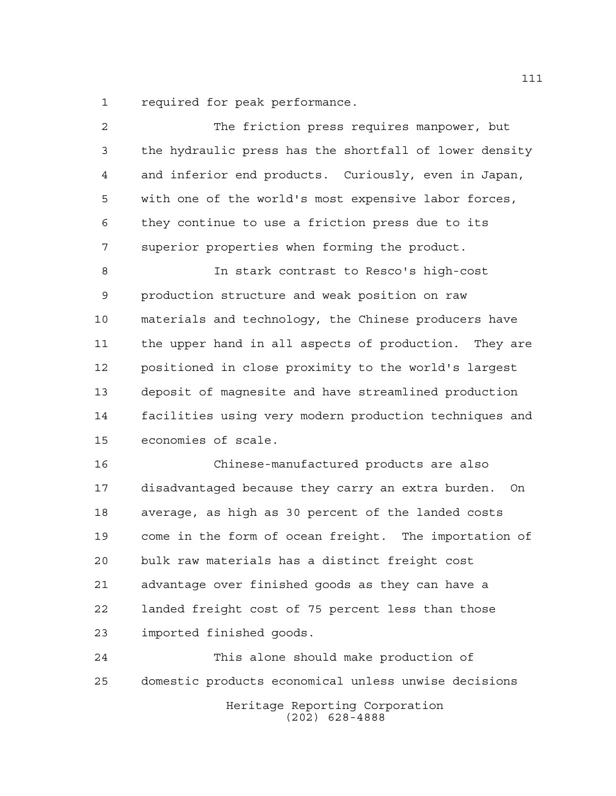required for peak performance.

| 2           | The friction press requires manpower, but                 |
|-------------|-----------------------------------------------------------|
| 3           | the hydraulic press has the shortfall of lower density    |
| 4           | and inferior end products. Curiously, even in Japan,      |
| 5           | with one of the world's most expensive labor forces,      |
| 6           | they continue to use a friction press due to its          |
| 7           | superior properties when forming the product.             |
| 8           | In stark contrast to Resco's high-cost                    |
| $\mathsf 9$ | production structure and weak position on raw             |
| 10          | materials and technology, the Chinese producers have      |
| 11          | the upper hand in all aspects of production. They are     |
| 12          | positioned in close proximity to the world's largest      |
| 13          | deposit of magnesite and have streamlined production      |
| 14          | facilities using very modern production techniques and    |
| 15          | economies of scale.                                       |
| 16          | Chinese-manufactured products are also                    |
| 17          | disadvantaged because they carry an extra burden.<br>– On |
| 18          | average, as high as 30 percent of the landed costs        |
| 19          | come in the form of ocean freight. The importation of     |
| 20          | bulk raw materials has a distinct freight cost            |
| 21          | advantage over finished goods as they can have a          |
| 22          | landed freight cost of 75 percent less than those         |
| 23          | imported finished goods.                                  |
| 24          | This alone should make production of                      |
| 25          | domestic products economical unless unwise decisions      |
|             |                                                           |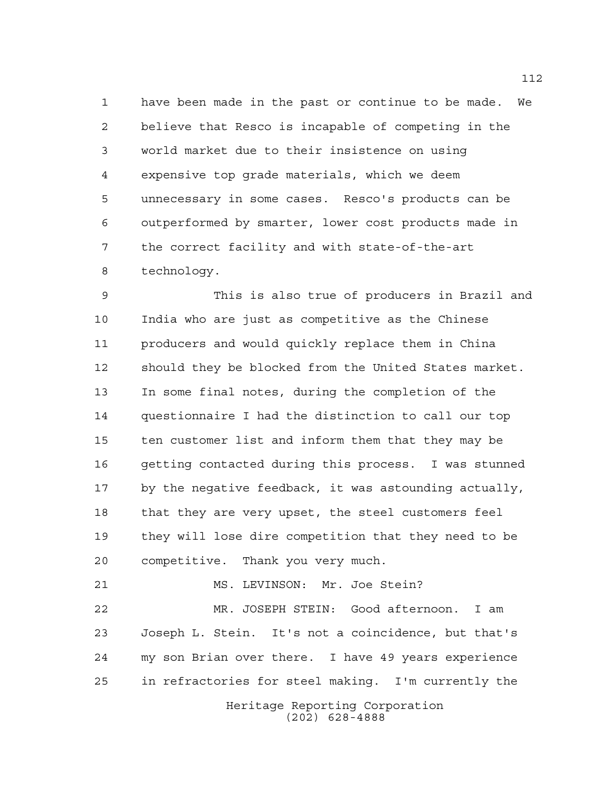have been made in the past or continue to be made. We believe that Resco is incapable of competing in the world market due to their insistence on using expensive top grade materials, which we deem unnecessary in some cases. Resco's products can be outperformed by smarter, lower cost products made in the correct facility and with state-of-the-art technology.

 This is also true of producers in Brazil and India who are just as competitive as the Chinese producers and would quickly replace them in China should they be blocked from the United States market. In some final notes, during the completion of the questionnaire I had the distinction to call our top ten customer list and inform them that they may be getting contacted during this process. I was stunned by the negative feedback, it was astounding actually, that they are very upset, the steel customers feel they will lose dire competition that they need to be competitive. Thank you very much.

MS. LEVINSON: Mr. Joe Stein?

 MR. JOSEPH STEIN: Good afternoon. I am Joseph L. Stein. It's not a coincidence, but that's my son Brian over there. I have 49 years experience in refractories for steel making. I'm currently the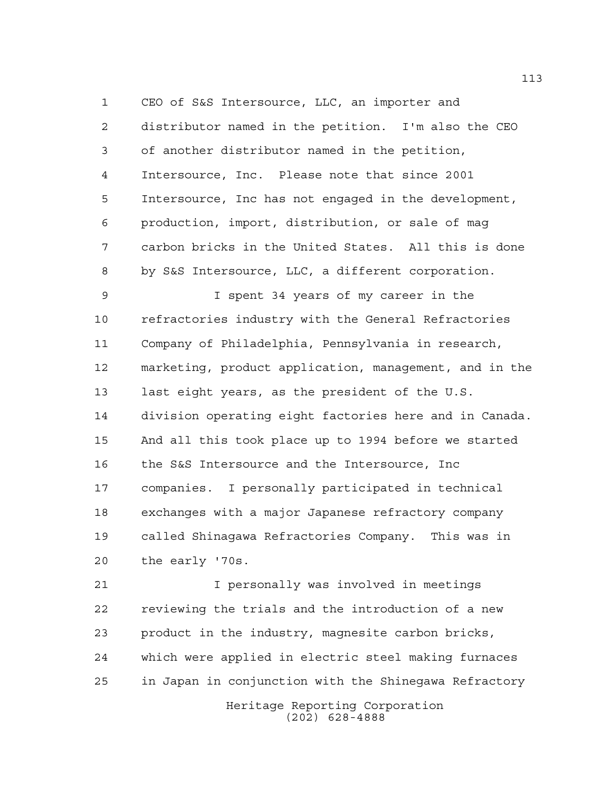CEO of S&S Intersource, LLC, an importer and distributor named in the petition. I'm also the CEO of another distributor named in the petition, Intersource, Inc. Please note that since 2001 Intersource, Inc has not engaged in the development, production, import, distribution, or sale of mag carbon bricks in the United States. All this is done by S&S Intersource, LLC, a different corporation.

 I spent 34 years of my career in the refractories industry with the General Refractories Company of Philadelphia, Pennsylvania in research, marketing, product application, management, and in the last eight years, as the president of the U.S. division operating eight factories here and in Canada. And all this took place up to 1994 before we started the S&S Intersource and the Intersource, Inc companies. I personally participated in technical exchanges with a major Japanese refractory company called Shinagawa Refractories Company. This was in the early '70s.

 I personally was involved in meetings reviewing the trials and the introduction of a new product in the industry, magnesite carbon bricks, which were applied in electric steel making furnaces in Japan in conjunction with the Shinegawa Refractory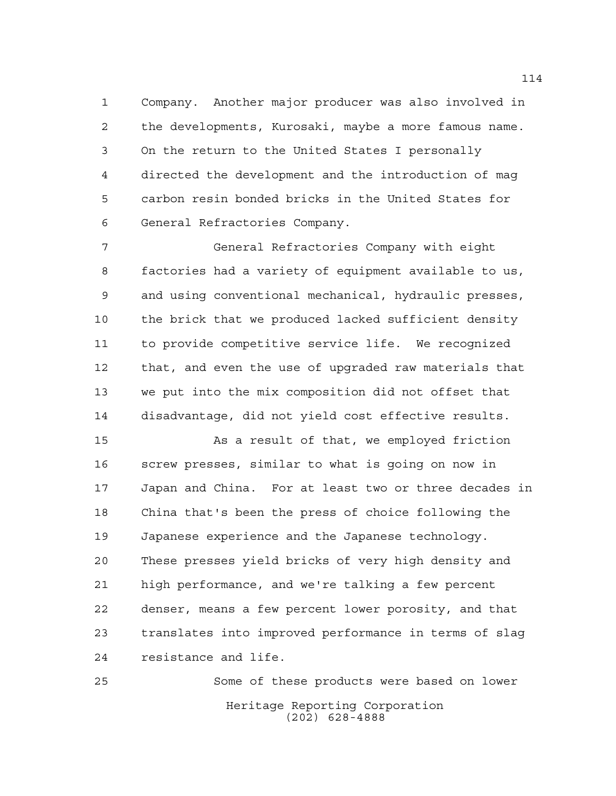Company. Another major producer was also involved in the developments, Kurosaki, maybe a more famous name. On the return to the United States I personally directed the development and the introduction of mag carbon resin bonded bricks in the United States for General Refractories Company.

 General Refractories Company with eight factories had a variety of equipment available to us, and using conventional mechanical, hydraulic presses, the brick that we produced lacked sufficient density to provide competitive service life. We recognized that, and even the use of upgraded raw materials that we put into the mix composition did not offset that disadvantage, did not yield cost effective results.

 As a result of that, we employed friction screw presses, similar to what is going on now in Japan and China. For at least two or three decades in China that's been the press of choice following the Japanese experience and the Japanese technology. These presses yield bricks of very high density and high performance, and we're talking a few percent denser, means a few percent lower porosity, and that translates into improved performance in terms of slag resistance and life.

Heritage Reporting Corporation (202) 628-4888 Some of these products were based on lower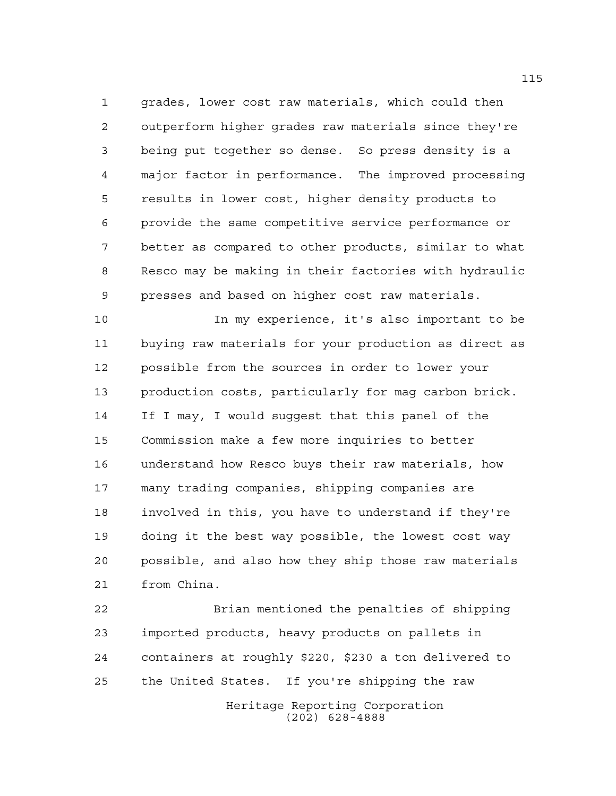grades, lower cost raw materials, which could then outperform higher grades raw materials since they're being put together so dense. So press density is a major factor in performance. The improved processing results in lower cost, higher density products to provide the same competitive service performance or better as compared to other products, similar to what Resco may be making in their factories with hydraulic presses and based on higher cost raw materials.

 In my experience, it's also important to be buying raw materials for your production as direct as possible from the sources in order to lower your production costs, particularly for mag carbon brick. If I may, I would suggest that this panel of the Commission make a few more inquiries to better understand how Resco buys their raw materials, how many trading companies, shipping companies are involved in this, you have to understand if they're doing it the best way possible, the lowest cost way possible, and also how they ship those raw materials from China.

Heritage Reporting Corporation (202) 628-4888 Brian mentioned the penalties of shipping imported products, heavy products on pallets in containers at roughly \$220, \$230 a ton delivered to the United States. If you're shipping the raw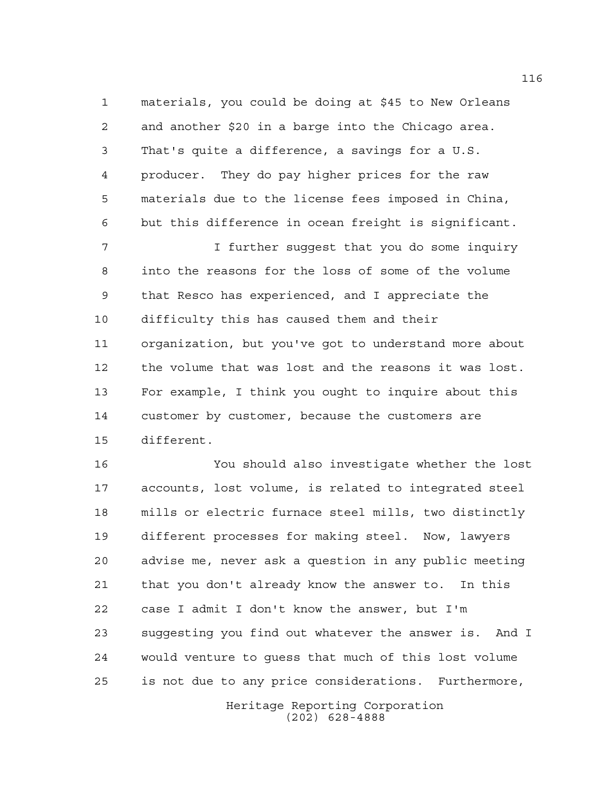materials, you could be doing at \$45 to New Orleans and another \$20 in a barge into the Chicago area. That's quite a difference, a savings for a U.S. producer. They do pay higher prices for the raw materials due to the license fees imposed in China, but this difference in ocean freight is significant.

 I further suggest that you do some inquiry into the reasons for the loss of some of the volume that Resco has experienced, and I appreciate the difficulty this has caused them and their organization, but you've got to understand more about the volume that was lost and the reasons it was lost. For example, I think you ought to inquire about this customer by customer, because the customers are different.

 You should also investigate whether the lost accounts, lost volume, is related to integrated steel mills or electric furnace steel mills, two distinctly different processes for making steel. Now, lawyers advise me, never ask a question in any public meeting that you don't already know the answer to. In this case I admit I don't know the answer, but I'm suggesting you find out whatever the answer is. And I would venture to guess that much of this lost volume is not due to any price considerations. Furthermore,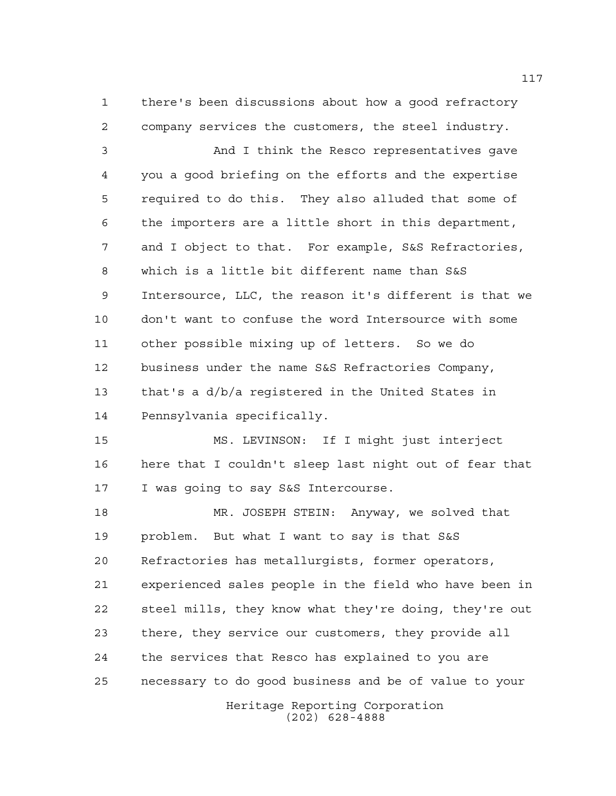there's been discussions about how a good refractory company services the customers, the steel industry.

 And I think the Resco representatives gave you a good briefing on the efforts and the expertise required to do this. They also alluded that some of the importers are a little short in this department, and I object to that. For example, S&S Refractories, which is a little bit different name than S&S Intersource, LLC, the reason it's different is that we don't want to confuse the word Intersource with some other possible mixing up of letters. So we do business under the name S&S Refractories Company, that's a d/b/a registered in the United States in Pennsylvania specifically.

 MS. LEVINSON: If I might just interject here that I couldn't sleep last night out of fear that I was going to say S&S Intercourse.

 MR. JOSEPH STEIN: Anyway, we solved that problem. But what I want to say is that S&S Refractories has metallurgists, former operators, experienced sales people in the field who have been in steel mills, they know what they're doing, they're out there, they service our customers, they provide all the services that Resco has explained to you are necessary to do good business and be of value to your

> Heritage Reporting Corporation (202) 628-4888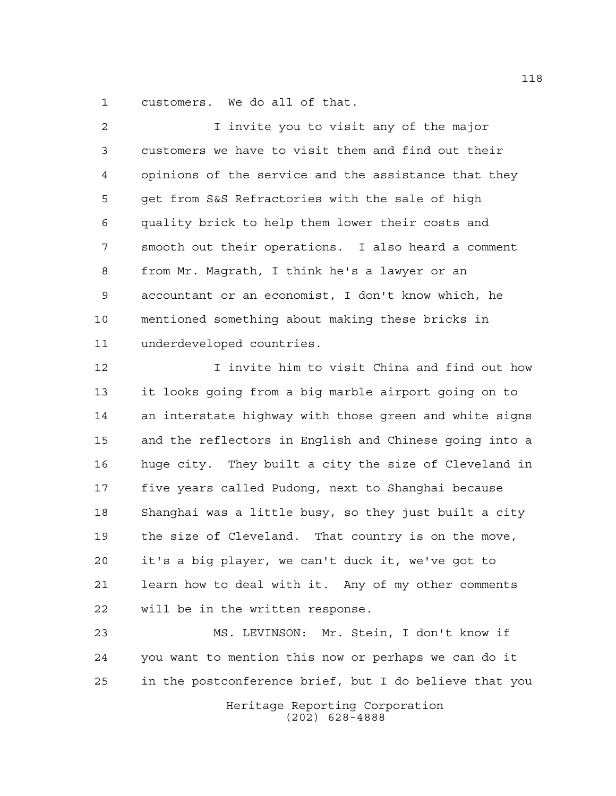customers. We do all of that.

 I invite you to visit any of the major customers we have to visit them and find out their opinions of the service and the assistance that they get from S&S Refractories with the sale of high quality brick to help them lower their costs and smooth out their operations. I also heard a comment from Mr. Magrath, I think he's a lawyer or an accountant or an economist, I don't know which, he mentioned something about making these bricks in underdeveloped countries.

 I invite him to visit China and find out how it looks going from a big marble airport going on to an interstate highway with those green and white signs and the reflectors in English and Chinese going into a huge city. They built a city the size of Cleveland in five years called Pudong, next to Shanghai because Shanghai was a little busy, so they just built a city the size of Cleveland. That country is on the move, it's a big player, we can't duck it, we've got to learn how to deal with it. Any of my other comments will be in the written response.

 MS. LEVINSON: Mr. Stein, I don't know if you want to mention this now or perhaps we can do it in the postconference brief, but I do believe that you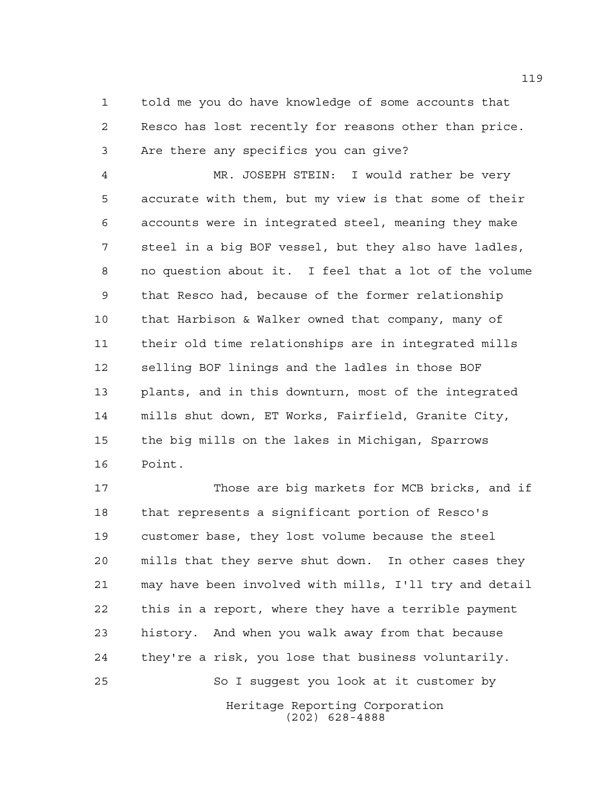told me you do have knowledge of some accounts that Resco has lost recently for reasons other than price. Are there any specifics you can give?

 MR. JOSEPH STEIN: I would rather be very accurate with them, but my view is that some of their accounts were in integrated steel, meaning they make steel in a big BOF vessel, but they also have ladles, no question about it. I feel that a lot of the volume that Resco had, because of the former relationship that Harbison & Walker owned that company, many of their old time relationships are in integrated mills selling BOF linings and the ladles in those BOF plants, and in this downturn, most of the integrated mills shut down, ET Works, Fairfield, Granite City, the big mills on the lakes in Michigan, Sparrows Point.

Heritage Reporting Corporation (202) 628-4888 Those are big markets for MCB bricks, and if that represents a significant portion of Resco's customer base, they lost volume because the steel mills that they serve shut down. In other cases they may have been involved with mills, I'll try and detail this in a report, where they have a terrible payment history. And when you walk away from that because they're a risk, you lose that business voluntarily. So I suggest you look at it customer by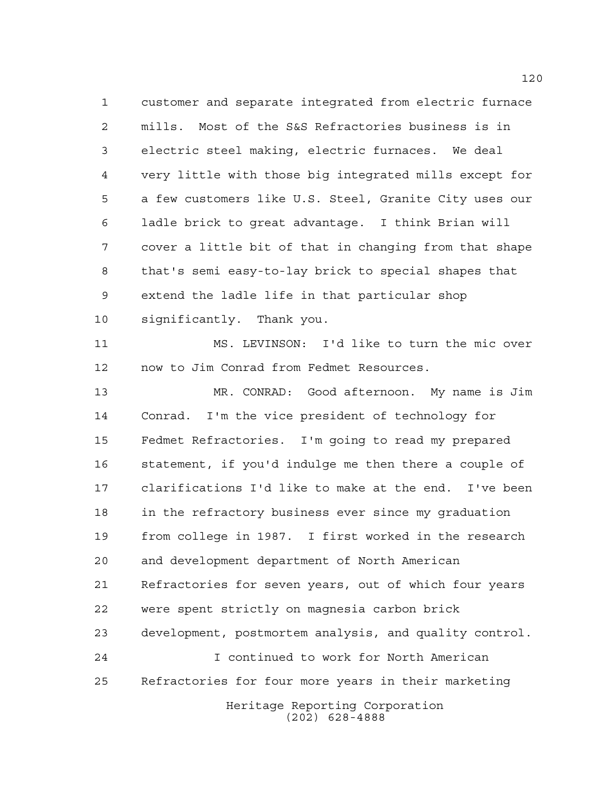customer and separate integrated from electric furnace mills. Most of the S&S Refractories business is in electric steel making, electric furnaces. We deal very little with those big integrated mills except for a few customers like U.S. Steel, Granite City uses our ladle brick to great advantage. I think Brian will cover a little bit of that in changing from that shape that's semi easy-to-lay brick to special shapes that extend the ladle life in that particular shop significantly. Thank you. MS. LEVINSON: I'd like to turn the mic over now to Jim Conrad from Fedmet Resources. MR. CONRAD: Good afternoon. My name is Jim Conrad. I'm the vice president of technology for Fedmet Refractories. I'm going to read my prepared statement, if you'd indulge me then there a couple of clarifications I'd like to make at the end. I've been in the refractory business ever since my graduation from college in 1987. I first worked in the research and development department of North American Refractories for seven years, out of which four years

 were spent strictly on magnesia carbon brick development, postmortem analysis, and quality control.

Heritage Reporting Corporation I continued to work for North American Refractories for four more years in their marketing

(202) 628-4888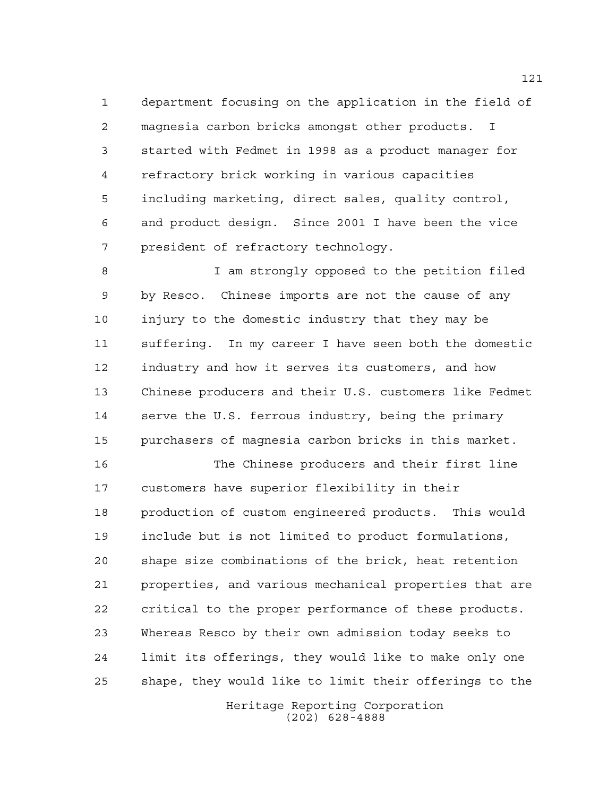department focusing on the application in the field of magnesia carbon bricks amongst other products. I started with Fedmet in 1998 as a product manager for refractory brick working in various capacities including marketing, direct sales, quality control, and product design. Since 2001 I have been the vice president of refractory technology.

 I am strongly opposed to the petition filed by Resco. Chinese imports are not the cause of any injury to the domestic industry that they may be suffering. In my career I have seen both the domestic industry and how it serves its customers, and how Chinese producers and their U.S. customers like Fedmet serve the U.S. ferrous industry, being the primary purchasers of magnesia carbon bricks in this market.

 The Chinese producers and their first line customers have superior flexibility in their production of custom engineered products. This would include but is not limited to product formulations, shape size combinations of the brick, heat retention properties, and various mechanical properties that are critical to the proper performance of these products. Whereas Resco by their own admission today seeks to limit its offerings, they would like to make only one shape, they would like to limit their offerings to the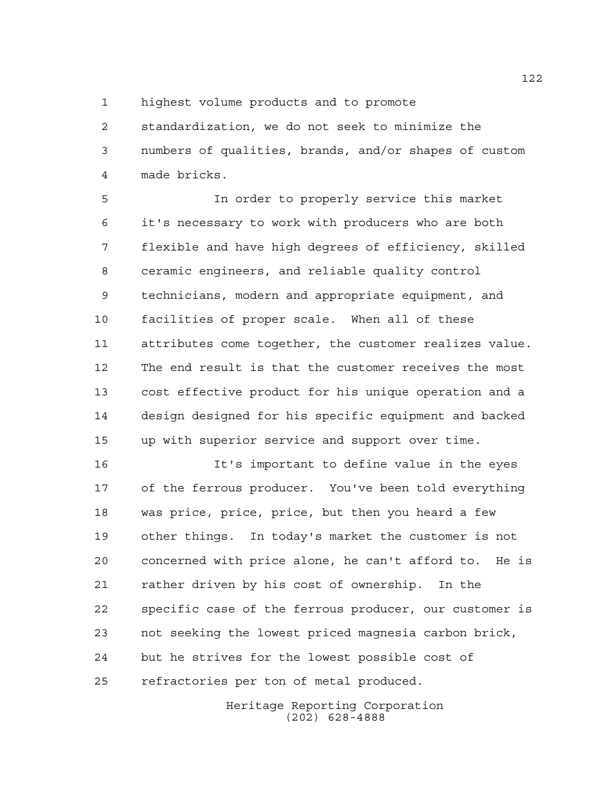highest volume products and to promote

 standardization, we do not seek to minimize the numbers of qualities, brands, and/or shapes of custom made bricks.

 In order to properly service this market it's necessary to work with producers who are both flexible and have high degrees of efficiency, skilled ceramic engineers, and reliable quality control technicians, modern and appropriate equipment, and facilities of proper scale. When all of these attributes come together, the customer realizes value. The end result is that the customer receives the most cost effective product for his unique operation and a design designed for his specific equipment and backed up with superior service and support over time.

 It's important to define value in the eyes of the ferrous producer. You've been told everything was price, price, price, but then you heard a few other things. In today's market the customer is not concerned with price alone, he can't afford to. He is rather driven by his cost of ownership. In the specific case of the ferrous producer, our customer is not seeking the lowest priced magnesia carbon brick, but he strives for the lowest possible cost of refractories per ton of metal produced.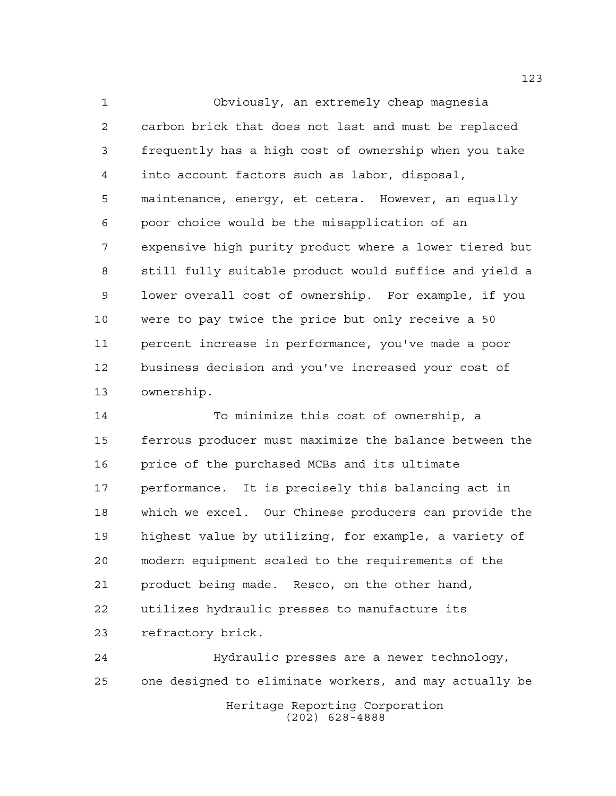Obviously, an extremely cheap magnesia carbon brick that does not last and must be replaced frequently has a high cost of ownership when you take into account factors such as labor, disposal, maintenance, energy, et cetera. However, an equally poor choice would be the misapplication of an expensive high purity product where a lower tiered but still fully suitable product would suffice and yield a lower overall cost of ownership. For example, if you were to pay twice the price but only receive a 50 percent increase in performance, you've made a poor business decision and you've increased your cost of ownership.

 To minimize this cost of ownership, a ferrous producer must maximize the balance between the price of the purchased MCBs and its ultimate performance. It is precisely this balancing act in which we excel. Our Chinese producers can provide the highest value by utilizing, for example, a variety of modern equipment scaled to the requirements of the product being made. Resco, on the other hand, utilizes hydraulic presses to manufacture its refractory brick.

Heritage Reporting Corporation (202) 628-4888 Hydraulic presses are a newer technology, one designed to eliminate workers, and may actually be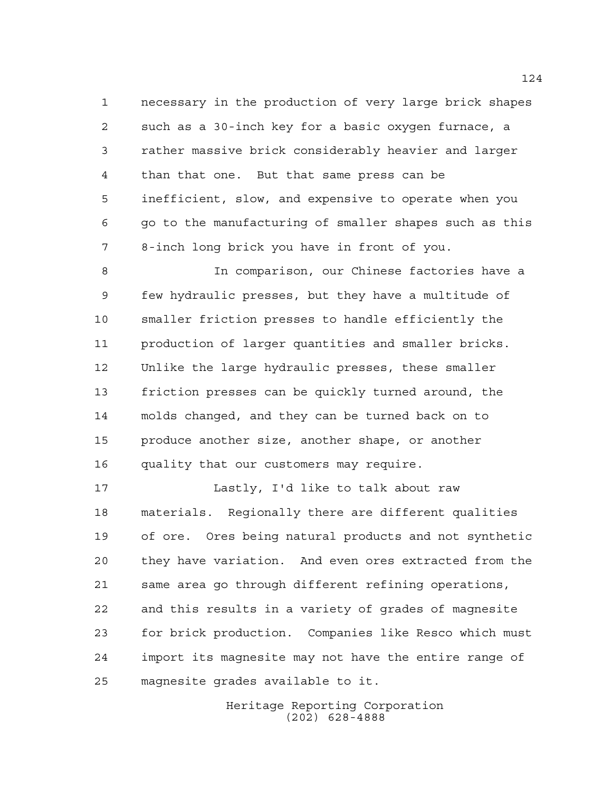necessary in the production of very large brick shapes such as a 30-inch key for a basic oxygen furnace, a rather massive brick considerably heavier and larger than that one. But that same press can be inefficient, slow, and expensive to operate when you go to the manufacturing of smaller shapes such as this 8-inch long brick you have in front of you.

 In comparison, our Chinese factories have a few hydraulic presses, but they have a multitude of smaller friction presses to handle efficiently the production of larger quantities and smaller bricks. Unlike the large hydraulic presses, these smaller friction presses can be quickly turned around, the molds changed, and they can be turned back on to produce another size, another shape, or another quality that our customers may require.

 Lastly, I'd like to talk about raw materials. Regionally there are different qualities of ore. Ores being natural products and not synthetic they have variation. And even ores extracted from the same area go through different refining operations, and this results in a variety of grades of magnesite for brick production. Companies like Resco which must import its magnesite may not have the entire range of magnesite grades available to it.

> Heritage Reporting Corporation (202) 628-4888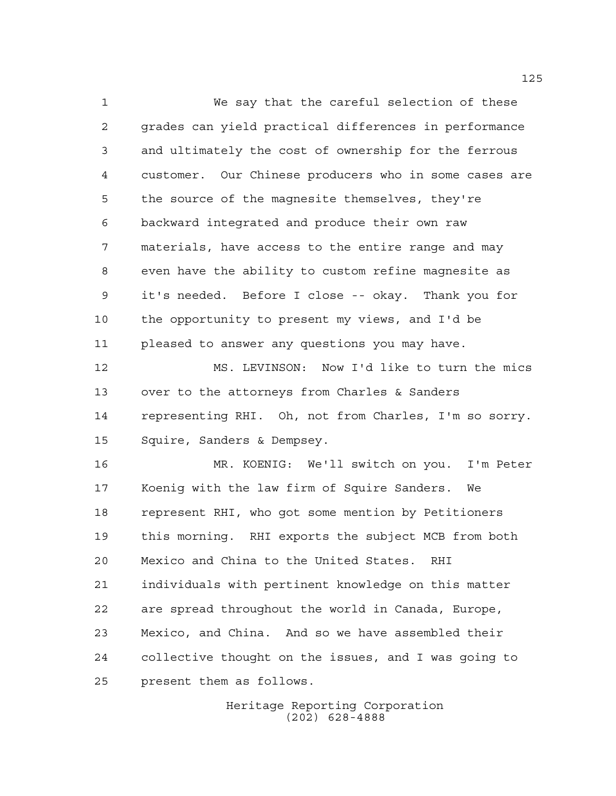We say that the careful selection of these grades can yield practical differences in performance and ultimately the cost of ownership for the ferrous customer. Our Chinese producers who in some cases are the source of the magnesite themselves, they're backward integrated and produce their own raw materials, have access to the entire range and may even have the ability to custom refine magnesite as it's needed. Before I close -- okay. Thank you for the opportunity to present my views, and I'd be pleased to answer any questions you may have.

 MS. LEVINSON: Now I'd like to turn the mics over to the attorneys from Charles & Sanders representing RHI. Oh, not from Charles, I'm so sorry. Squire, Sanders & Dempsey.

 MR. KOENIG: We'll switch on you. I'm Peter Koenig with the law firm of Squire Sanders. We represent RHI, who got some mention by Petitioners this morning. RHI exports the subject MCB from both Mexico and China to the United States. RHI individuals with pertinent knowledge on this matter are spread throughout the world in Canada, Europe, Mexico, and China. And so we have assembled their collective thought on the issues, and I was going to present them as follows.

> Heritage Reporting Corporation (202) 628-4888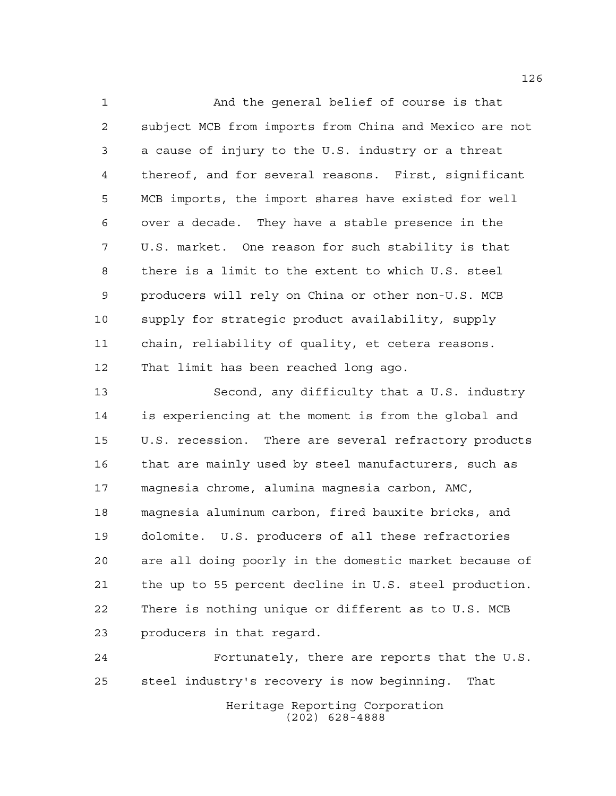And the general belief of course is that subject MCB from imports from China and Mexico are not a cause of injury to the U.S. industry or a threat thereof, and for several reasons. First, significant MCB imports, the import shares have existed for well over a decade. They have a stable presence in the U.S. market. One reason for such stability is that there is a limit to the extent to which U.S. steel producers will rely on China or other non-U.S. MCB supply for strategic product availability, supply chain, reliability of quality, et cetera reasons. That limit has been reached long ago.

 Second, any difficulty that a U.S. industry is experiencing at the moment is from the global and U.S. recession. There are several refractory products that are mainly used by steel manufacturers, such as magnesia chrome, alumina magnesia carbon, AMC, magnesia aluminum carbon, fired bauxite bricks, and dolomite. U.S. producers of all these refractories are all doing poorly in the domestic market because of the up to 55 percent decline in U.S. steel production. There is nothing unique or different as to U.S. MCB producers in that regard.

 Fortunately, there are reports that the U.S. steel industry's recovery is now beginning. That

Heritage Reporting Corporation (202) 628-4888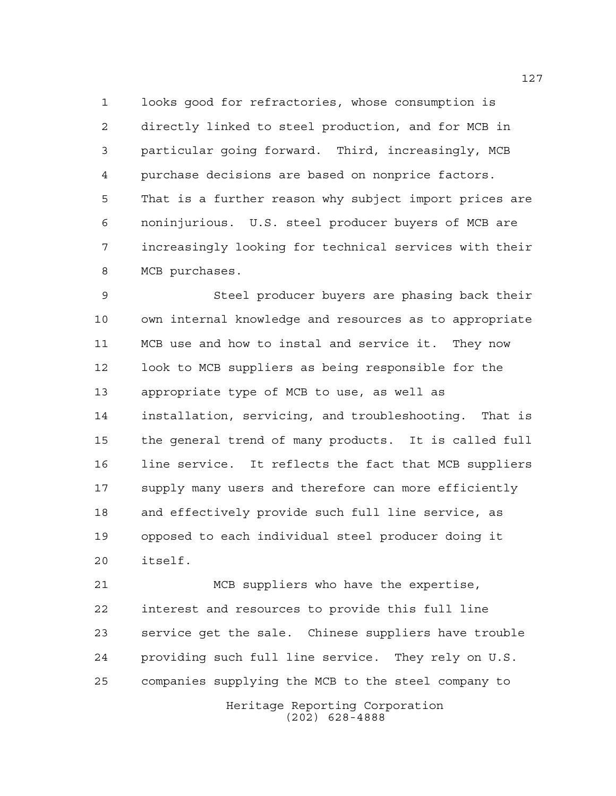looks good for refractories, whose consumption is directly linked to steel production, and for MCB in particular going forward. Third, increasingly, MCB purchase decisions are based on nonprice factors. That is a further reason why subject import prices are noninjurious. U.S. steel producer buyers of MCB are increasingly looking for technical services with their MCB purchases.

 Steel producer buyers are phasing back their own internal knowledge and resources as to appropriate MCB use and how to instal and service it. They now look to MCB suppliers as being responsible for the appropriate type of MCB to use, as well as installation, servicing, and troubleshooting. That is the general trend of many products. It is called full line service. It reflects the fact that MCB suppliers supply many users and therefore can more efficiently and effectively provide such full line service, as opposed to each individual steel producer doing it itself.

 MCB suppliers who have the expertise, interest and resources to provide this full line service get the sale. Chinese suppliers have trouble providing such full line service. They rely on U.S. companies supplying the MCB to the steel company to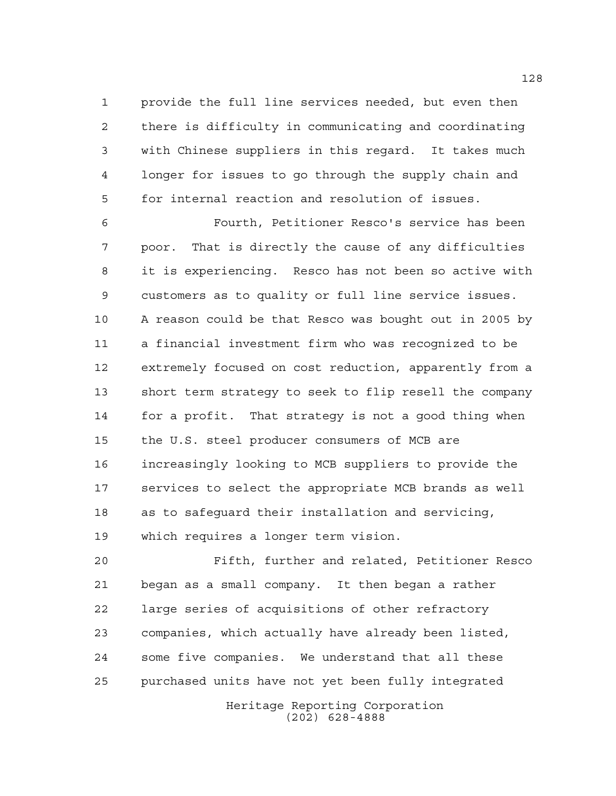provide the full line services needed, but even then there is difficulty in communicating and coordinating with Chinese suppliers in this regard. It takes much longer for issues to go through the supply chain and for internal reaction and resolution of issues.

 Fourth, Petitioner Resco's service has been poor. That is directly the cause of any difficulties it is experiencing. Resco has not been so active with customers as to quality or full line service issues. A reason could be that Resco was bought out in 2005 by a financial investment firm who was recognized to be extremely focused on cost reduction, apparently from a short term strategy to seek to flip resell the company for a profit. That strategy is not a good thing when the U.S. steel producer consumers of MCB are increasingly looking to MCB suppliers to provide the services to select the appropriate MCB brands as well as to safeguard their installation and servicing, which requires a longer term vision.

 Fifth, further and related, Petitioner Resco began as a small company. It then began a rather large series of acquisitions of other refractory companies, which actually have already been listed, some five companies. We understand that all these purchased units have not yet been fully integrated

Heritage Reporting Corporation (202) 628-4888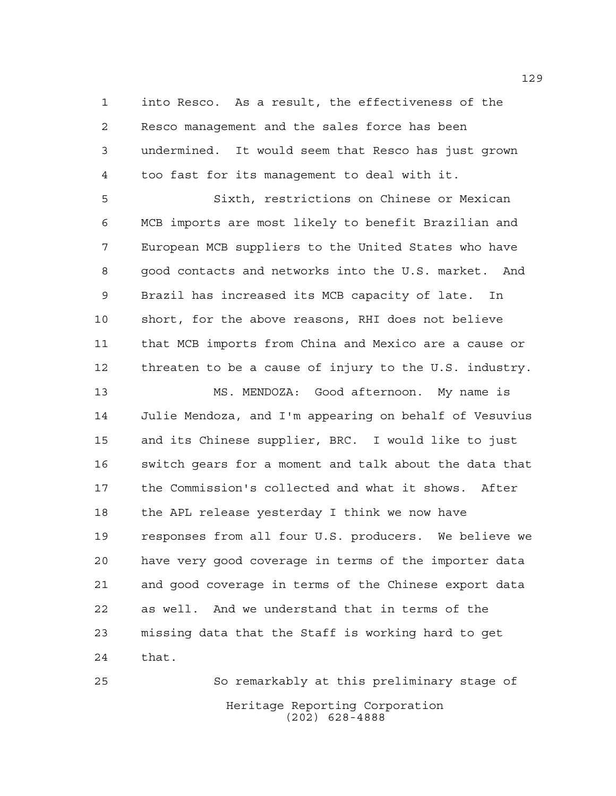into Resco. As a result, the effectiveness of the Resco management and the sales force has been undermined. It would seem that Resco has just grown too fast for its management to deal with it.

 Sixth, restrictions on Chinese or Mexican MCB imports are most likely to benefit Brazilian and European MCB suppliers to the United States who have good contacts and networks into the U.S. market. And Brazil has increased its MCB capacity of late. In short, for the above reasons, RHI does not believe that MCB imports from China and Mexico are a cause or threaten to be a cause of injury to the U.S. industry.

 MS. MENDOZA: Good afternoon. My name is Julie Mendoza, and I'm appearing on behalf of Vesuvius and its Chinese supplier, BRC. I would like to just switch gears for a moment and talk about the data that the Commission's collected and what it shows. After the APL release yesterday I think we now have responses from all four U.S. producers. We believe we have very good coverage in terms of the importer data and good coverage in terms of the Chinese export data as well. And we understand that in terms of the missing data that the Staff is working hard to get that.

Heritage Reporting Corporation (202) 628-4888 So remarkably at this preliminary stage of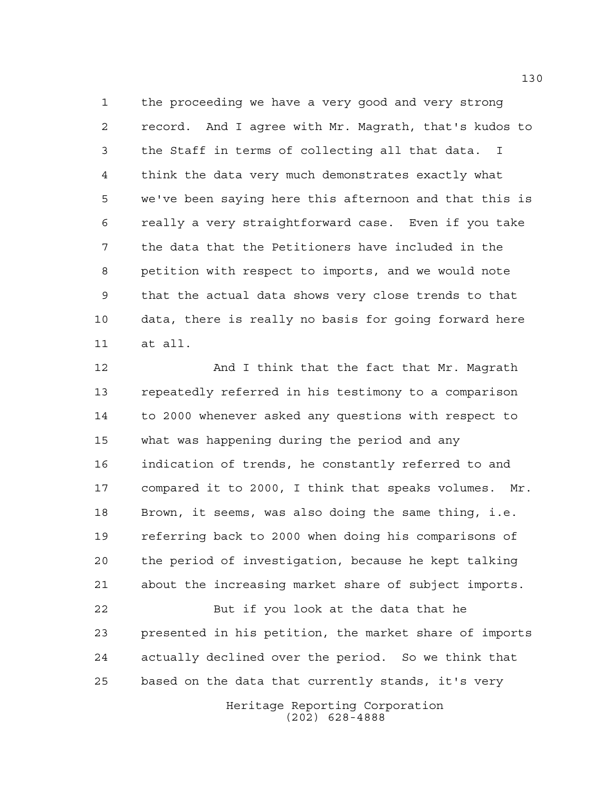the proceeding we have a very good and very strong record. And I agree with Mr. Magrath, that's kudos to the Staff in terms of collecting all that data. I think the data very much demonstrates exactly what we've been saying here this afternoon and that this is really a very straightforward case. Even if you take the data that the Petitioners have included in the petition with respect to imports, and we would note that the actual data shows very close trends to that data, there is really no basis for going forward here at all.

12 And I think that the fact that Mr. Magrath repeatedly referred in his testimony to a comparison to 2000 whenever asked any questions with respect to what was happening during the period and any indication of trends, he constantly referred to and compared it to 2000, I think that speaks volumes. Mr. Brown, it seems, was also doing the same thing, i.e. referring back to 2000 when doing his comparisons of the period of investigation, because he kept talking about the increasing market share of subject imports. But if you look at the data that he presented in his petition, the market share of imports actually declined over the period. So we think that based on the data that currently stands, it's very

> Heritage Reporting Corporation (202) 628-4888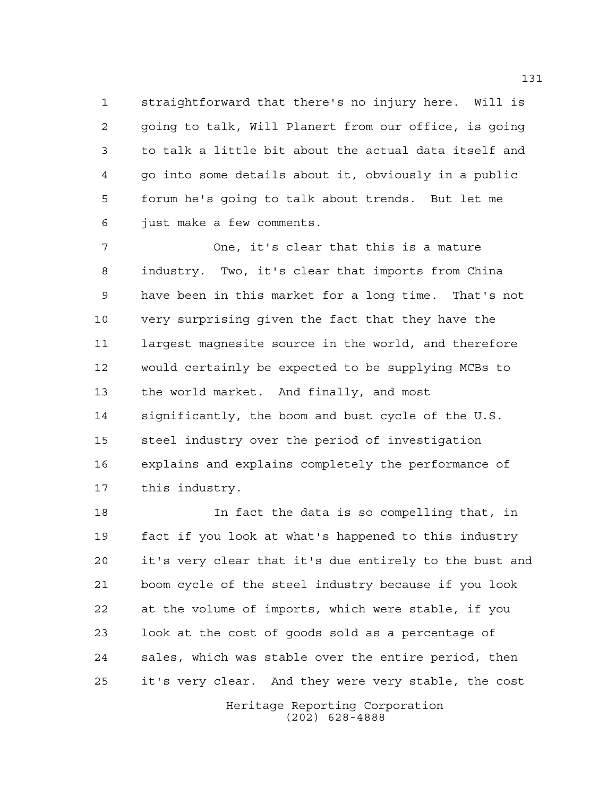straightforward that there's no injury here. Will is going to talk, Will Planert from our office, is going to talk a little bit about the actual data itself and go into some details about it, obviously in a public forum he's going to talk about trends. But let me just make a few comments.

 One, it's clear that this is a mature industry. Two, it's clear that imports from China have been in this market for a long time. That's not very surprising given the fact that they have the largest magnesite source in the world, and therefore would certainly be expected to be supplying MCBs to the world market. And finally, and most significantly, the boom and bust cycle of the U.S. steel industry over the period of investigation explains and explains completely the performance of this industry.

 In fact the data is so compelling that, in fact if you look at what's happened to this industry it's very clear that it's due entirely to the bust and boom cycle of the steel industry because if you look at the volume of imports, which were stable, if you look at the cost of goods sold as a percentage of sales, which was stable over the entire period, then it's very clear. And they were very stable, the cost

> Heritage Reporting Corporation (202) 628-4888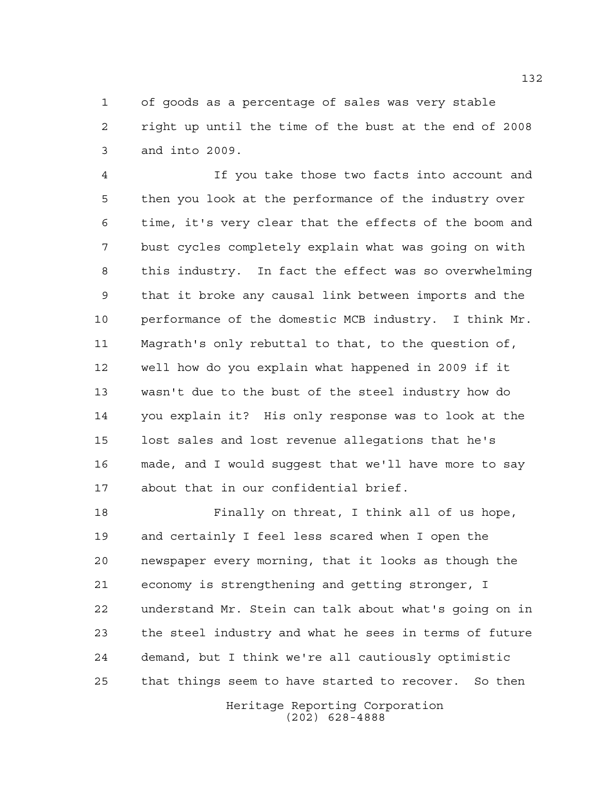of goods as a percentage of sales was very stable right up until the time of the bust at the end of 2008 and into 2009.

 If you take those two facts into account and then you look at the performance of the industry over time, it's very clear that the effects of the boom and bust cycles completely explain what was going on with this industry. In fact the effect was so overwhelming that it broke any causal link between imports and the performance of the domestic MCB industry. I think Mr. Magrath's only rebuttal to that, to the question of, well how do you explain what happened in 2009 if it wasn't due to the bust of the steel industry how do you explain it? His only response was to look at the lost sales and lost revenue allegations that he's made, and I would suggest that we'll have more to say about that in our confidential brief.

 Finally on threat, I think all of us hope, and certainly I feel less scared when I open the newspaper every morning, that it looks as though the economy is strengthening and getting stronger, I understand Mr. Stein can talk about what's going on in the steel industry and what he sees in terms of future demand, but I think we're all cautiously optimistic that things seem to have started to recover. So then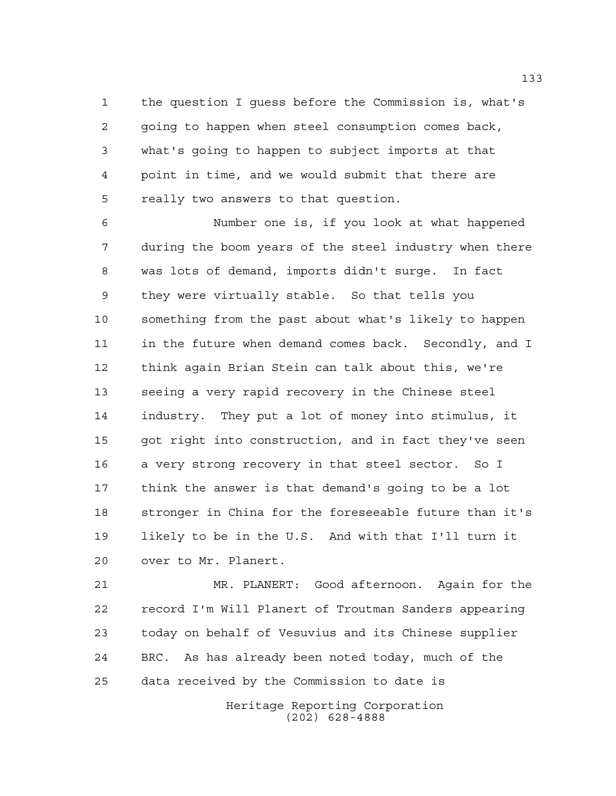the question I guess before the Commission is, what's going to happen when steel consumption comes back, what's going to happen to subject imports at that point in time, and we would submit that there are really two answers to that question.

 Number one is, if you look at what happened during the boom years of the steel industry when there was lots of demand, imports didn't surge. In fact they were virtually stable. So that tells you something from the past about what's likely to happen in the future when demand comes back. Secondly, and I think again Brian Stein can talk about this, we're seeing a very rapid recovery in the Chinese steel industry. They put a lot of money into stimulus, it got right into construction, and in fact they've seen a very strong recovery in that steel sector. So I think the answer is that demand's going to be a lot stronger in China for the foreseeable future than it's likely to be in the U.S. And with that I'll turn it over to Mr. Planert.

 MR. PLANERT: Good afternoon. Again for the record I'm Will Planert of Troutman Sanders appearing today on behalf of Vesuvius and its Chinese supplier BRC. As has already been noted today, much of the data received by the Commission to date is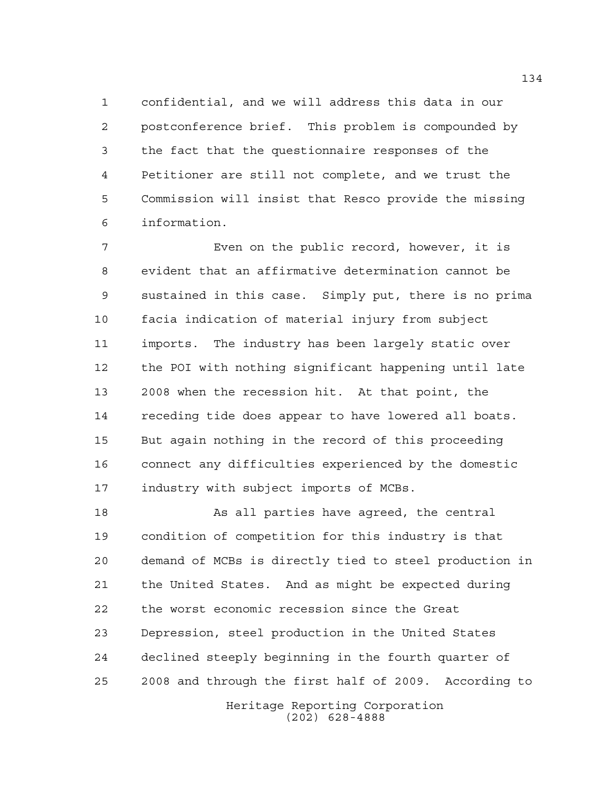confidential, and we will address this data in our postconference brief. This problem is compounded by the fact that the questionnaire responses of the Petitioner are still not complete, and we trust the Commission will insist that Resco provide the missing information.

 Even on the public record, however, it is evident that an affirmative determination cannot be sustained in this case. Simply put, there is no prima facia indication of material injury from subject imports. The industry has been largely static over the POI with nothing significant happening until late 2008 when the recession hit. At that point, the receding tide does appear to have lowered all boats. But again nothing in the record of this proceeding connect any difficulties experienced by the domestic industry with subject imports of MCBs.

18 As all parties have agreed, the central condition of competition for this industry is that demand of MCBs is directly tied to steel production in the United States. And as might be expected during the worst economic recession since the Great Depression, steel production in the United States declined steeply beginning in the fourth quarter of 2008 and through the first half of 2009. According to

Heritage Reporting Corporation (202) 628-4888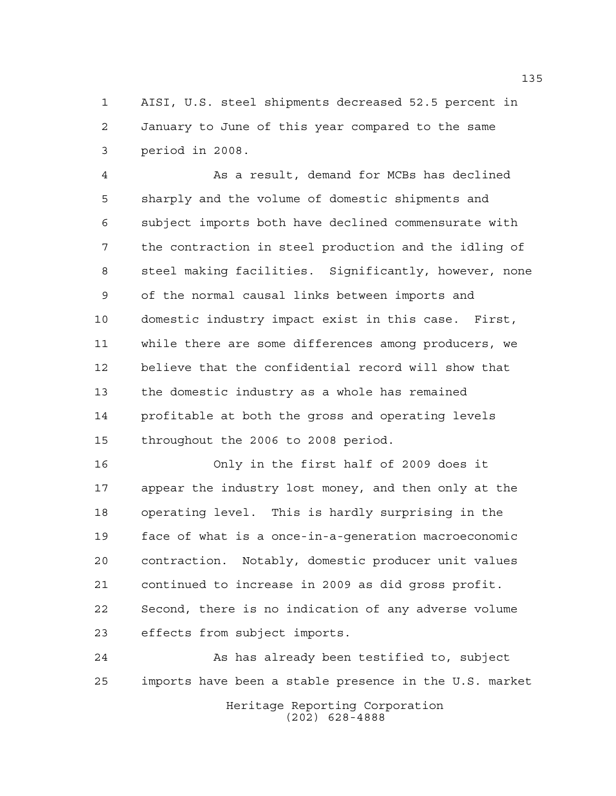AISI, U.S. steel shipments decreased 52.5 percent in January to June of this year compared to the same period in 2008.

 As a result, demand for MCBs has declined sharply and the volume of domestic shipments and subject imports both have declined commensurate with the contraction in steel production and the idling of steel making facilities. Significantly, however, none of the normal causal links between imports and domestic industry impact exist in this case. First, while there are some differences among producers, we believe that the confidential record will show that the domestic industry as a whole has remained profitable at both the gross and operating levels throughout the 2006 to 2008 period.

 Only in the first half of 2009 does it appear the industry lost money, and then only at the operating level. This is hardly surprising in the face of what is a once-in-a-generation macroeconomic contraction. Notably, domestic producer unit values continued to increase in 2009 as did gross profit. Second, there is no indication of any adverse volume effects from subject imports.

24 As has already been testified to, subject imports have been a stable presence in the U.S. market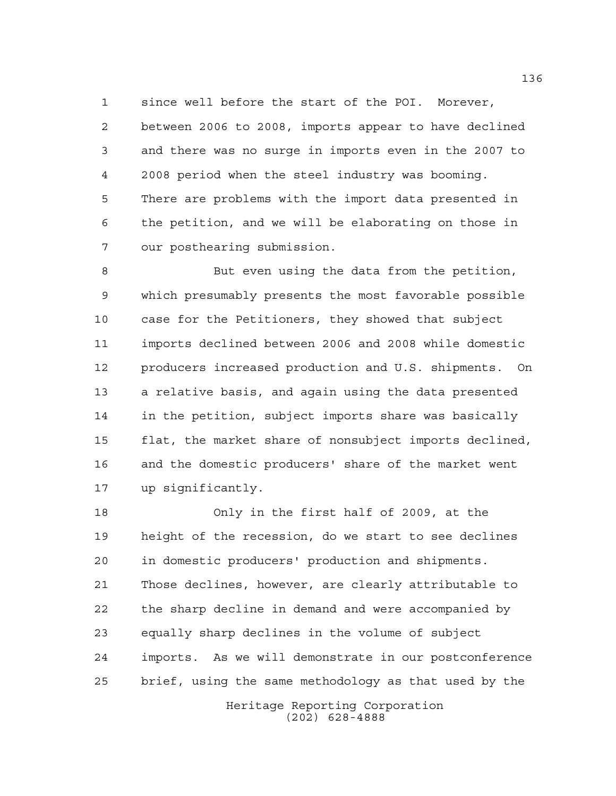since well before the start of the POI. Morever, between 2006 to 2008, imports appear to have declined and there was no surge in imports even in the 2007 to 2008 period when the steel industry was booming. There are problems with the import data presented in the petition, and we will be elaborating on those in our posthearing submission.

 But even using the data from the petition, which presumably presents the most favorable possible case for the Petitioners, they showed that subject imports declined between 2006 and 2008 while domestic producers increased production and U.S. shipments. On a relative basis, and again using the data presented in the petition, subject imports share was basically flat, the market share of nonsubject imports declined, and the domestic producers' share of the market went up significantly.

 Only in the first half of 2009, at the height of the recession, do we start to see declines in domestic producers' production and shipments. Those declines, however, are clearly attributable to the sharp decline in demand and were accompanied by equally sharp declines in the volume of subject imports. As we will demonstrate in our postconference brief, using the same methodology as that used by the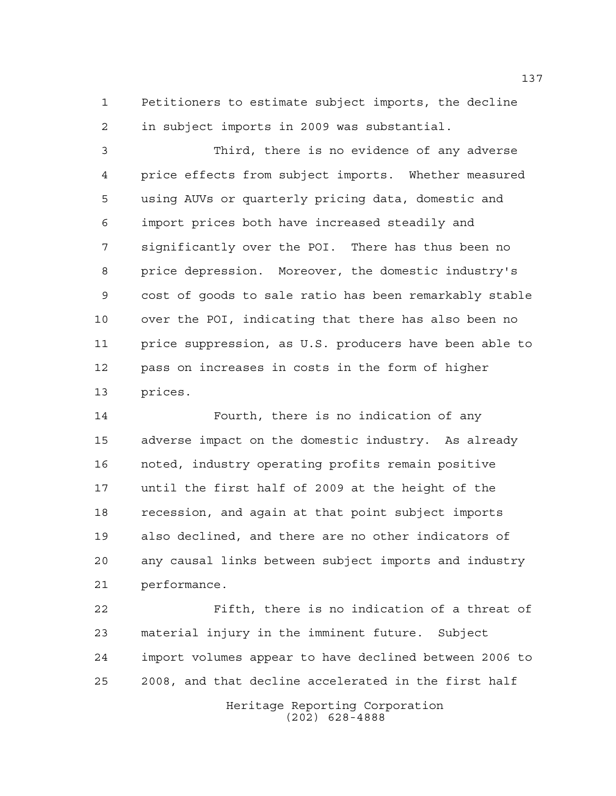Petitioners to estimate subject imports, the decline in subject imports in 2009 was substantial.

 Third, there is no evidence of any adverse price effects from subject imports. Whether measured using AUVs or quarterly pricing data, domestic and import prices both have increased steadily and significantly over the POI. There has thus been no price depression. Moreover, the domestic industry's cost of goods to sale ratio has been remarkably stable over the POI, indicating that there has also been no price suppression, as U.S. producers have been able to pass on increases in costs in the form of higher prices.

 Fourth, there is no indication of any adverse impact on the domestic industry. As already noted, industry operating profits remain positive until the first half of 2009 at the height of the recession, and again at that point subject imports also declined, and there are no other indicators of any causal links between subject imports and industry performance.

 Fifth, there is no indication of a threat of material injury in the imminent future. Subject import volumes appear to have declined between 2006 to 2008, and that decline accelerated in the first half

Heritage Reporting Corporation (202) 628-4888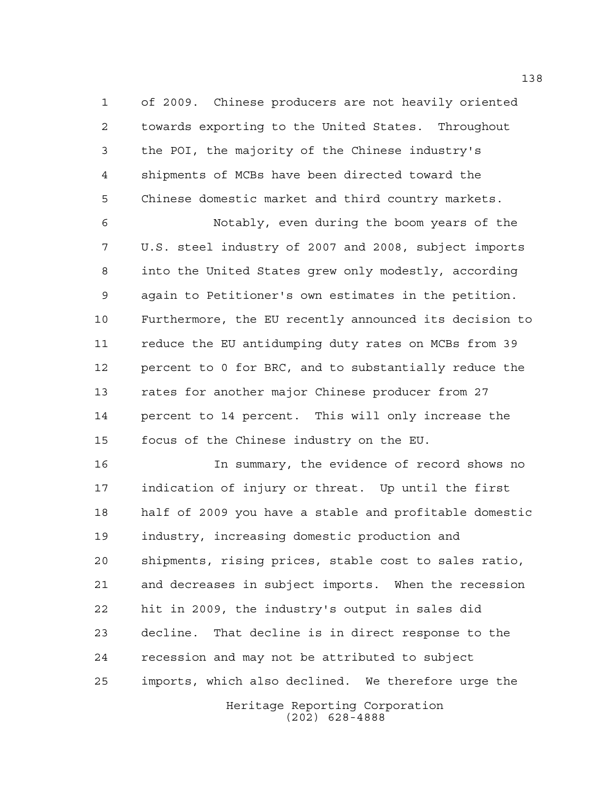of 2009. Chinese producers are not heavily oriented towards exporting to the United States. Throughout the POI, the majority of the Chinese industry's shipments of MCBs have been directed toward the Chinese domestic market and third country markets.

 Notably, even during the boom years of the U.S. steel industry of 2007 and 2008, subject imports into the United States grew only modestly, according again to Petitioner's own estimates in the petition. Furthermore, the EU recently announced its decision to reduce the EU antidumping duty rates on MCBs from 39 percent to 0 for BRC, and to substantially reduce the rates for another major Chinese producer from 27 percent to 14 percent. This will only increase the focus of the Chinese industry on the EU.

 In summary, the evidence of record shows no indication of injury or threat. Up until the first half of 2009 you have a stable and profitable domestic industry, increasing domestic production and shipments, rising prices, stable cost to sales ratio, and decreases in subject imports. When the recession hit in 2009, the industry's output in sales did decline. That decline is in direct response to the recession and may not be attributed to subject imports, which also declined. We therefore urge the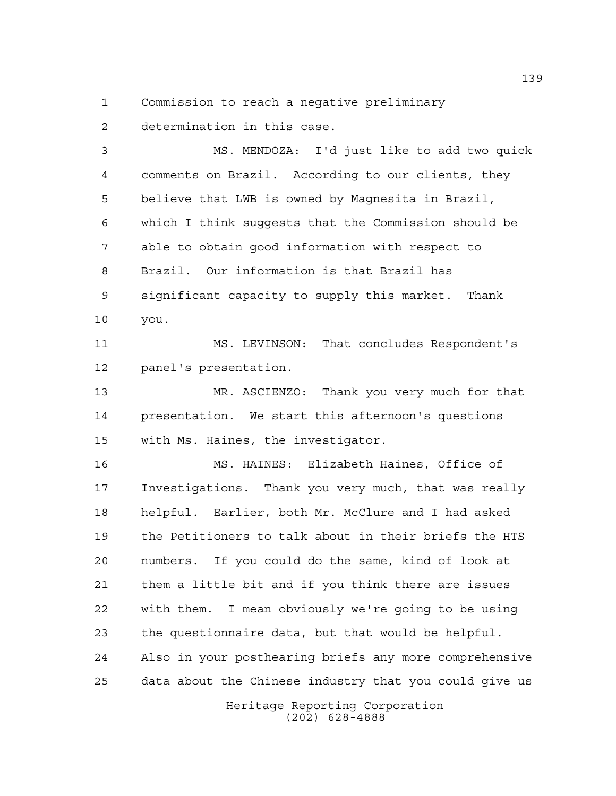Commission to reach a negative preliminary

determination in this case.

 MS. MENDOZA: I'd just like to add two quick comments on Brazil. According to our clients, they believe that LWB is owned by Magnesita in Brazil, which I think suggests that the Commission should be able to obtain good information with respect to Brazil. Our information is that Brazil has significant capacity to supply this market. Thank you.

11 MS. LEVINSON: That concludes Respondent's panel's presentation.

 MR. ASCIENZO: Thank you very much for that presentation. We start this afternoon's questions with Ms. Haines, the investigator.

 MS. HAINES: Elizabeth Haines, Office of Investigations. Thank you very much, that was really helpful. Earlier, both Mr. McClure and I had asked the Petitioners to talk about in their briefs the HTS numbers. If you could do the same, kind of look at them a little bit and if you think there are issues with them. I mean obviously we're going to be using the questionnaire data, but that would be helpful. Also in your posthearing briefs any more comprehensive data about the Chinese industry that you could give us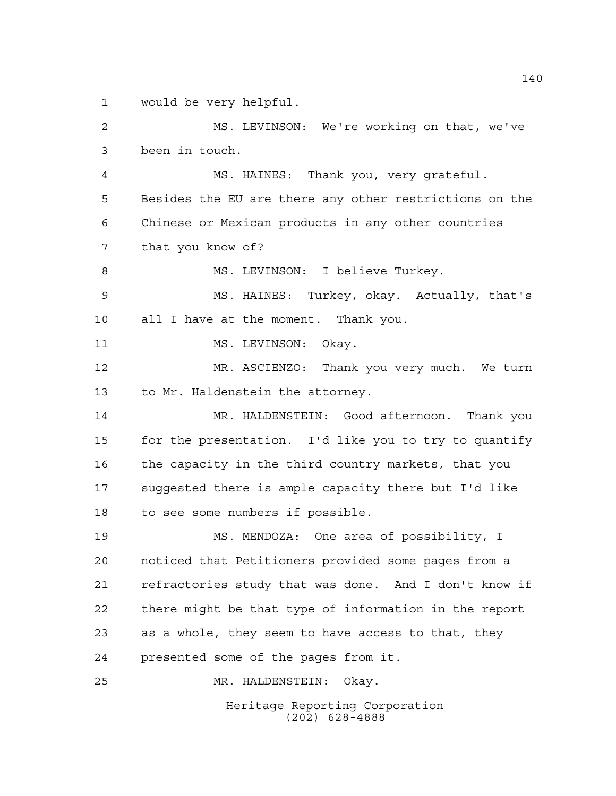would be very helpful.

Heritage Reporting Corporation MS. LEVINSON: We're working on that, we've been in touch. MS. HAINES: Thank you, very grateful. Besides the EU are there any other restrictions on the Chinese or Mexican products in any other countries that you know of? 8 MS. LEVINSON: I believe Turkey. MS. HAINES: Turkey, okay. Actually, that's all I have at the moment. Thank you. 11 MS. LEVINSON: Okay. MR. ASCIENZO: Thank you very much. We turn to Mr. Haldenstein the attorney. MR. HALDENSTEIN: Good afternoon. Thank you for the presentation. I'd like you to try to quantify the capacity in the third country markets, that you suggested there is ample capacity there but I'd like to see some numbers if possible. MS. MENDOZA: One area of possibility, I noticed that Petitioners provided some pages from a refractories study that was done. And I don't know if there might be that type of information in the report as a whole, they seem to have access to that, they presented some of the pages from it. MR. HALDENSTEIN: Okay.

(202) 628-4888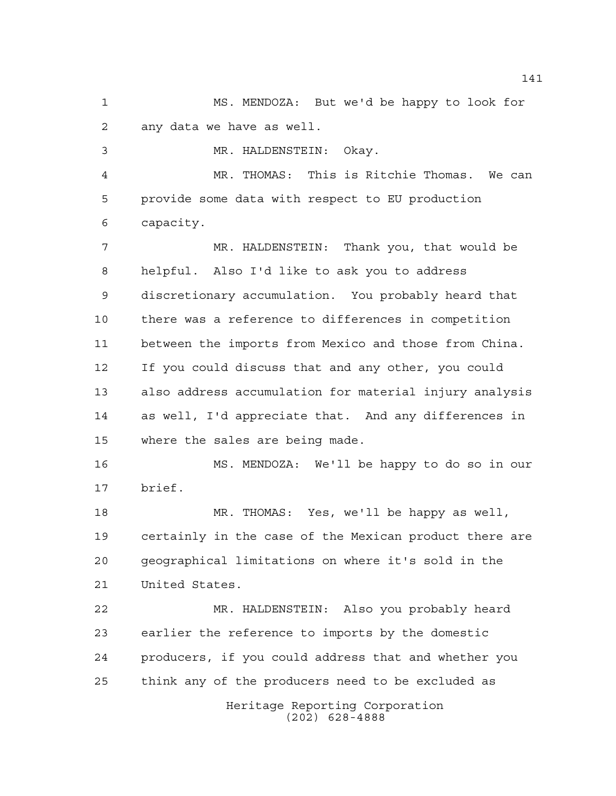MS. MENDOZA: But we'd be happy to look for any data we have as well.

MR. HALDENSTEIN: Okay.

 MR. THOMAS: This is Ritchie Thomas. We can provide some data with respect to EU production capacity.

 MR. HALDENSTEIN: Thank you, that would be helpful. Also I'd like to ask you to address discretionary accumulation. You probably heard that there was a reference to differences in competition between the imports from Mexico and those from China. If you could discuss that and any other, you could also address accumulation for material injury analysis as well, I'd appreciate that. And any differences in where the sales are being made.

 MS. MENDOZA: We'll be happy to do so in our brief.

 MR. THOMAS: Yes, we'll be happy as well, certainly in the case of the Mexican product there are geographical limitations on where it's sold in the United States.

 MR. HALDENSTEIN: Also you probably heard earlier the reference to imports by the domestic producers, if you could address that and whether you think any of the producers need to be excluded as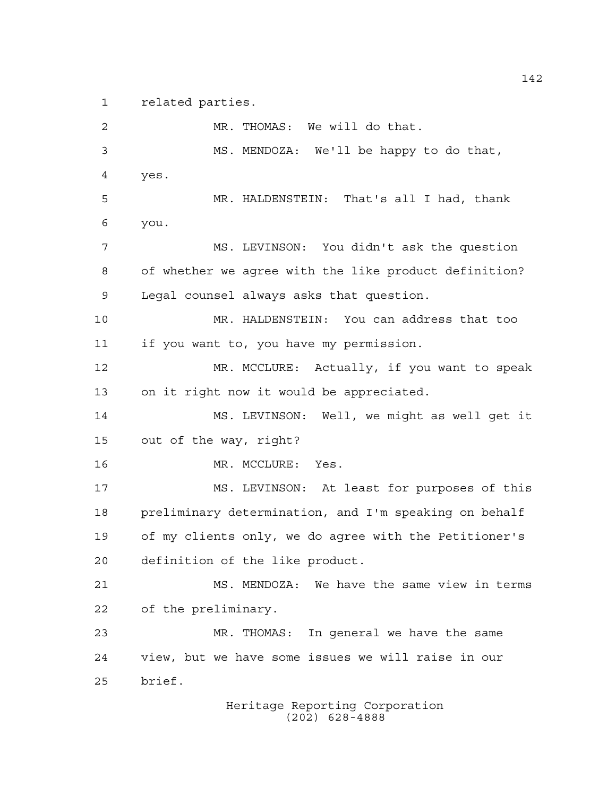related parties.

 MR. THOMAS: We will do that. MS. MENDOZA: We'll be happy to do that, yes. MR. HALDENSTEIN: That's all I had, thank you. MS. LEVINSON: You didn't ask the question of whether we agree with the like product definition? Legal counsel always asks that question. MR. HALDENSTEIN: You can address that too if you want to, you have my permission. MR. MCCLURE: Actually, if you want to speak on it right now it would be appreciated. MS. LEVINSON: Well, we might as well get it out of the way, right? 16 MR. MCCLURE: Yes. MS. LEVINSON: At least for purposes of this preliminary determination, and I'm speaking on behalf of my clients only, we do agree with the Petitioner's definition of the like product. MS. MENDOZA: We have the same view in terms of the preliminary. MR. THOMAS: In general we have the same view, but we have some issues we will raise in our brief.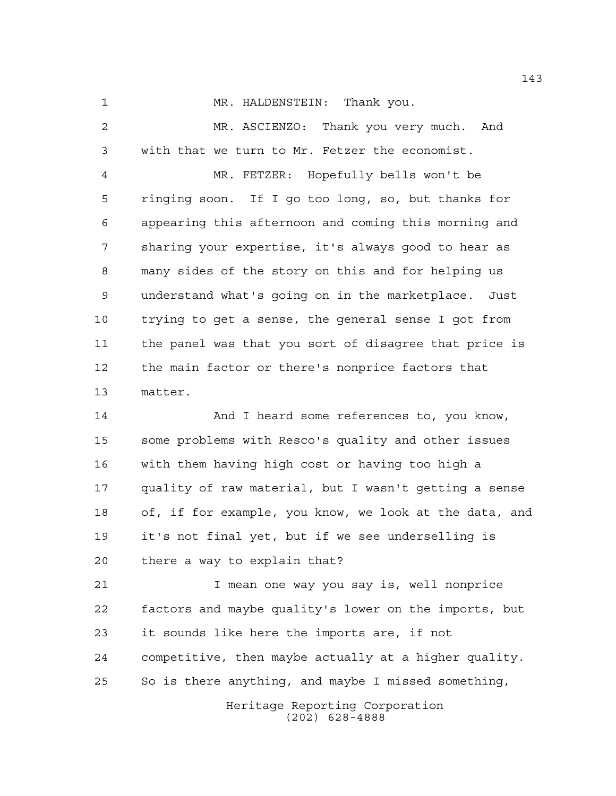MR. HALDENSTEIN: Thank you.

 MR. ASCIENZO: Thank you very much. And with that we turn to Mr. Fetzer the economist. MR. FETZER: Hopefully bells won't be ringing soon. If I go too long, so, but thanks for appearing this afternoon and coming this morning and sharing your expertise, it's always good to hear as many sides of the story on this and for helping us understand what's going on in the marketplace. Just trying to get a sense, the general sense I got from the panel was that you sort of disagree that price is the main factor or there's nonprice factors that matter.

14 And I heard some references to, you know, some problems with Resco's quality and other issues with them having high cost or having too high a quality of raw material, but I wasn't getting a sense of, if for example, you know, we look at the data, and it's not final yet, but if we see underselling is there a way to explain that?

 I mean one way you say is, well nonprice factors and maybe quality's lower on the imports, but it sounds like here the imports are, if not competitive, then maybe actually at a higher quality. So is there anything, and maybe I missed something,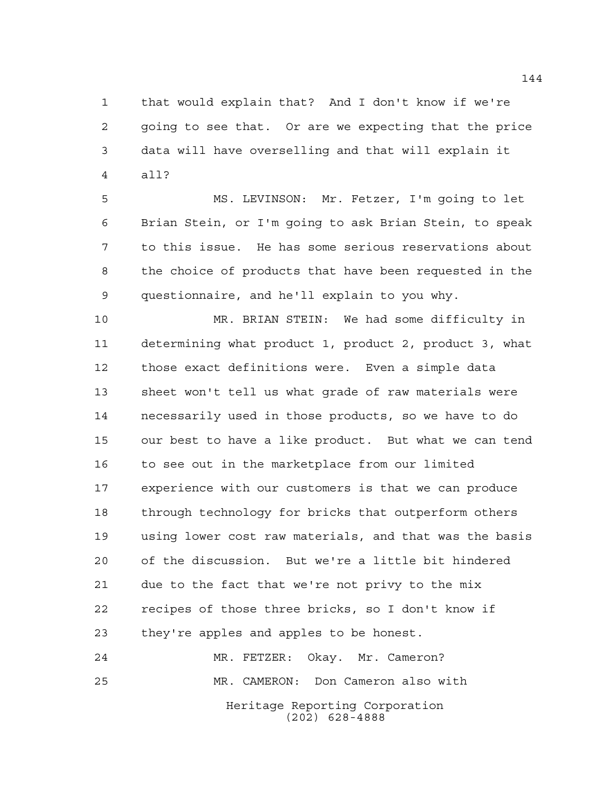that would explain that? And I don't know if we're going to see that. Or are we expecting that the price data will have overselling and that will explain it all?

 MS. LEVINSON: Mr. Fetzer, I'm going to let Brian Stein, or I'm going to ask Brian Stein, to speak to this issue. He has some serious reservations about the choice of products that have been requested in the questionnaire, and he'll explain to you why.

 MR. BRIAN STEIN: We had some difficulty in determining what product 1, product 2, product 3, what those exact definitions were. Even a simple data sheet won't tell us what grade of raw materials were necessarily used in those products, so we have to do our best to have a like product. But what we can tend 16 to see out in the marketplace from our limited experience with our customers is that we can produce through technology for bricks that outperform others using lower cost raw materials, and that was the basis of the discussion. But we're a little bit hindered due to the fact that we're not privy to the mix recipes of those three bricks, so I don't know if they're apples and apples to be honest.

Heritage Reporting Corporation (202) 628-4888 MR. FETZER: Okay. Mr. Cameron? MR. CAMERON: Don Cameron also with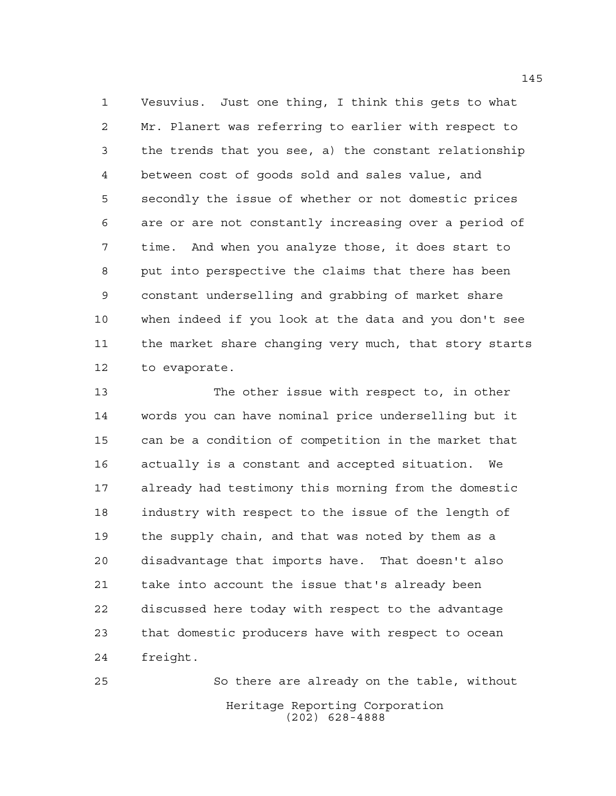Vesuvius. Just one thing, I think this gets to what Mr. Planert was referring to earlier with respect to the trends that you see, a) the constant relationship between cost of goods sold and sales value, and secondly the issue of whether or not domestic prices are or are not constantly increasing over a period of time. And when you analyze those, it does start to put into perspective the claims that there has been constant underselling and grabbing of market share when indeed if you look at the data and you don't see the market share changing very much, that story starts to evaporate.

 The other issue with respect to, in other words you can have nominal price underselling but it can be a condition of competition in the market that actually is a constant and accepted situation. We already had testimony this morning from the domestic industry with respect to the issue of the length of the supply chain, and that was noted by them as a disadvantage that imports have. That doesn't also take into account the issue that's already been discussed here today with respect to the advantage that domestic producers have with respect to ocean freight.

Heritage Reporting Corporation (202) 628-4888 So there are already on the table, without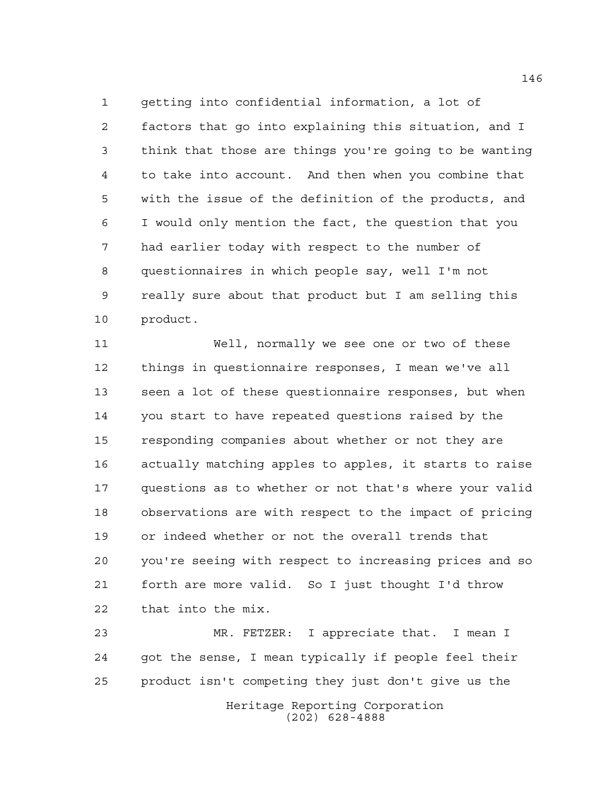getting into confidential information, a lot of factors that go into explaining this situation, and I think that those are things you're going to be wanting to take into account. And then when you combine that with the issue of the definition of the products, and I would only mention the fact, the question that you had earlier today with respect to the number of questionnaires in which people say, well I'm not really sure about that product but I am selling this product.

 Well, normally we see one or two of these things in questionnaire responses, I mean we've all seen a lot of these questionnaire responses, but when you start to have repeated questions raised by the responding companies about whether or not they are actually matching apples to apples, it starts to raise questions as to whether or not that's where your valid observations are with respect to the impact of pricing or indeed whether or not the overall trends that you're seeing with respect to increasing prices and so forth are more valid. So I just thought I'd throw that into the mix.

 MR. FETZER: I appreciate that. I mean I got the sense, I mean typically if people feel their product isn't competing they just don't give us the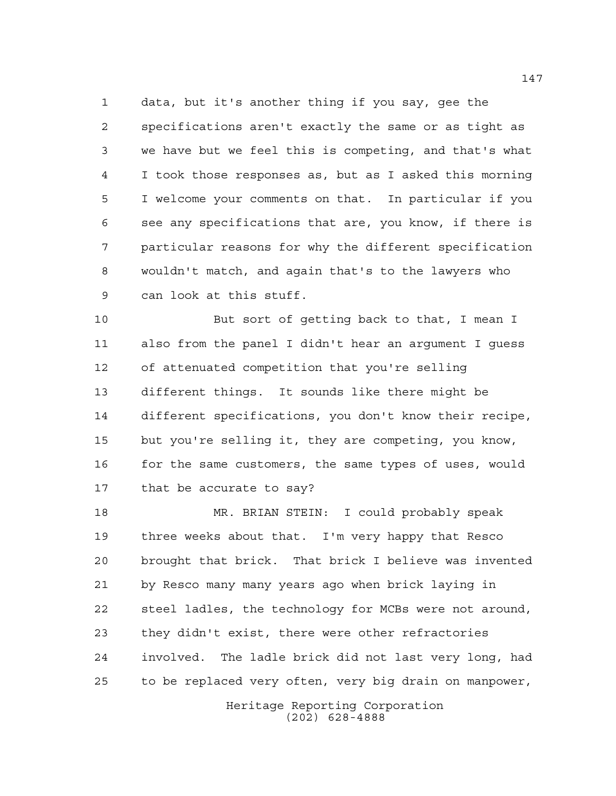data, but it's another thing if you say, gee the specifications aren't exactly the same or as tight as we have but we feel this is competing, and that's what I took those responses as, but as I asked this morning I welcome your comments on that. In particular if you see any specifications that are, you know, if there is particular reasons for why the different specification wouldn't match, and again that's to the lawyers who can look at this stuff.

 But sort of getting back to that, I mean I also from the panel I didn't hear an argument I guess of attenuated competition that you're selling different things. It sounds like there might be different specifications, you don't know their recipe, but you're selling it, they are competing, you know, 16 for the same customers, the same types of uses, would that be accurate to say?

 MR. BRIAN STEIN: I could probably speak three weeks about that. I'm very happy that Resco brought that brick. That brick I believe was invented by Resco many many years ago when brick laying in steel ladles, the technology for MCBs were not around, they didn't exist, there were other refractories involved. The ladle brick did not last very long, had to be replaced very often, very big drain on manpower,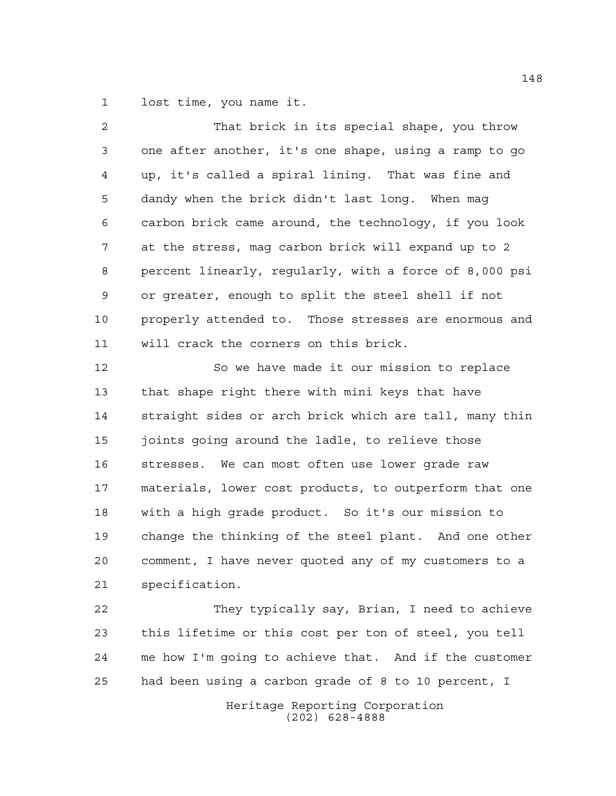lost time, you name it.

| 2  | That brick in its special shape, you throw             |
|----|--------------------------------------------------------|
| 3  | one after another, it's one shape, using a ramp to go  |
| 4  | up, it's called a spiral lining. That was fine and     |
| 5  | dandy when the brick didn't last long. When mag        |
| 6  | carbon brick came around, the technology, if you look  |
| 7  | at the stress, mag carbon brick will expand up to 2    |
| 8  | percent linearly, regularly, with a force of 8,000 psi |
| 9  | or greater, enough to split the steel shell if not     |
| 10 | properly attended to. Those stresses are enormous and  |
| 11 | will crack the corners on this brick.                  |
| 12 | So we have made it our mission to replace              |
| 13 | that shape right there with mini keys that have        |
| 14 | straight sides or arch brick which are tall, many thin |
| 15 | joints going around the ladle, to relieve those        |
| 16 | stresses. We can most often use lower grade raw        |
| 17 | materials, lower cost products, to outperform that one |
| 18 | with a high grade product. So it's our mission to      |
| 19 | change the thinking of the steel plant. And one other  |
| 20 | comment, I have never quoted any of my customers to a  |
| 21 | specification.                                         |
| 22 | They typically say, Brian, I need to achieve           |
| 23 | this lifetime or this cost per ton of steel, you tell  |
| 24 | me how I'm going to achieve that. And if the customer  |

had been using a carbon grade of 8 to 10 percent, I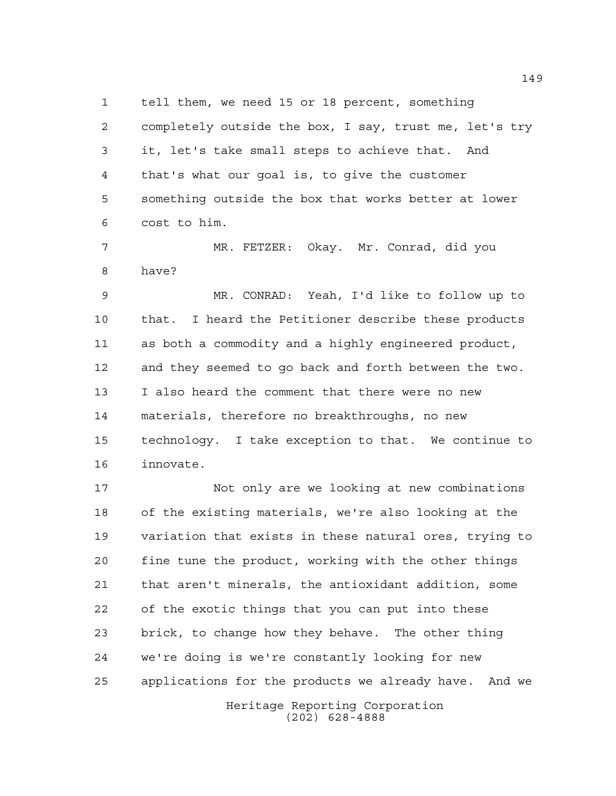tell them, we need 15 or 18 percent, something

 completely outside the box, I say, trust me, let's try it, let's take small steps to achieve that. And that's what our goal is, to give the customer something outside the box that works better at lower cost to him.

 MR. FETZER: Okay. Mr. Conrad, did you have?

 MR. CONRAD: Yeah, I'd like to follow up to that. I heard the Petitioner describe these products as both a commodity and a highly engineered product, and they seemed to go back and forth between the two. I also heard the comment that there were no new materials, therefore no breakthroughs, no new technology. I take exception to that. We continue to innovate.

Heritage Reporting Corporation Not only are we looking at new combinations of the existing materials, we're also looking at the variation that exists in these natural ores, trying to fine tune the product, working with the other things that aren't minerals, the antioxidant addition, some of the exotic things that you can put into these brick, to change how they behave. The other thing we're doing is we're constantly looking for new applications for the products we already have. And we

(202) 628-4888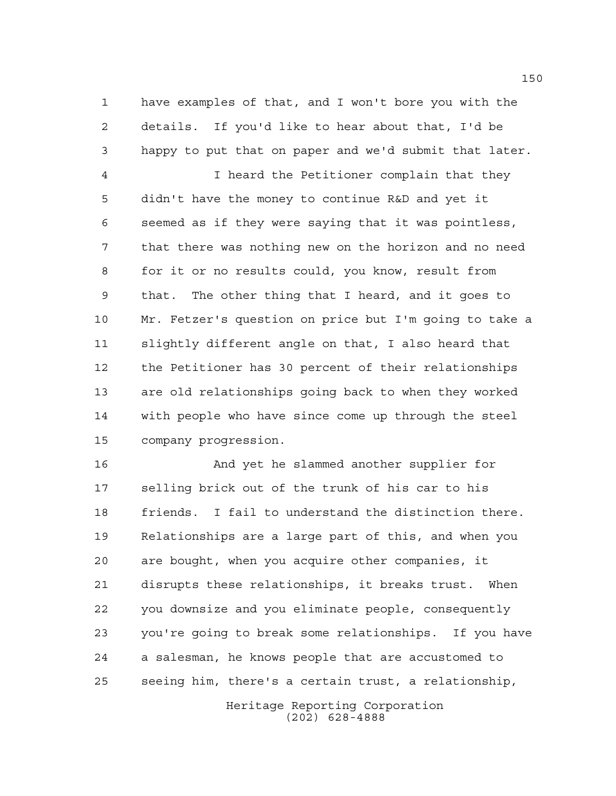have examples of that, and I won't bore you with the details. If you'd like to hear about that, I'd be happy to put that on paper and we'd submit that later.

 I heard the Petitioner complain that they didn't have the money to continue R&D and yet it seemed as if they were saying that it was pointless, that there was nothing new on the horizon and no need for it or no results could, you know, result from that. The other thing that I heard, and it goes to Mr. Fetzer's question on price but I'm going to take a slightly different angle on that, I also heard that the Petitioner has 30 percent of their relationships are old relationships going back to when they worked with people who have since come up through the steel company progression.

 And yet he slammed another supplier for selling brick out of the trunk of his car to his friends. I fail to understand the distinction there. Relationships are a large part of this, and when you are bought, when you acquire other companies, it disrupts these relationships, it breaks trust. When you downsize and you eliminate people, consequently you're going to break some relationships. If you have a salesman, he knows people that are accustomed to seeing him, there's a certain trust, a relationship,

> Heritage Reporting Corporation (202) 628-4888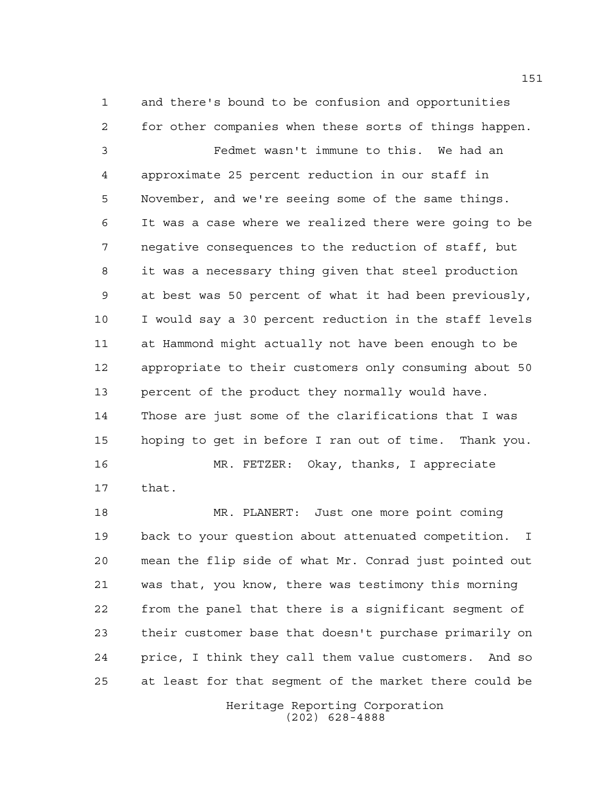and there's bound to be confusion and opportunities for other companies when these sorts of things happen. Fedmet wasn't immune to this. We had an approximate 25 percent reduction in our staff in November, and we're seeing some of the same things. It was a case where we realized there were going to be negative consequences to the reduction of staff, but it was a necessary thing given that steel production at best was 50 percent of what it had been previously, I would say a 30 percent reduction in the staff levels at Hammond might actually not have been enough to be appropriate to their customers only consuming about 50 percent of the product they normally would have. Those are just some of the clarifications that I was hoping to get in before I ran out of time. Thank you. MR. FETZER: Okay, thanks, I appreciate

that.

 MR. PLANERT: Just one more point coming back to your question about attenuated competition. I mean the flip side of what Mr. Conrad just pointed out was that, you know, there was testimony this morning from the panel that there is a significant segment of their customer base that doesn't purchase primarily on price, I think they call them value customers. And so at least for that segment of the market there could be

> Heritage Reporting Corporation (202) 628-4888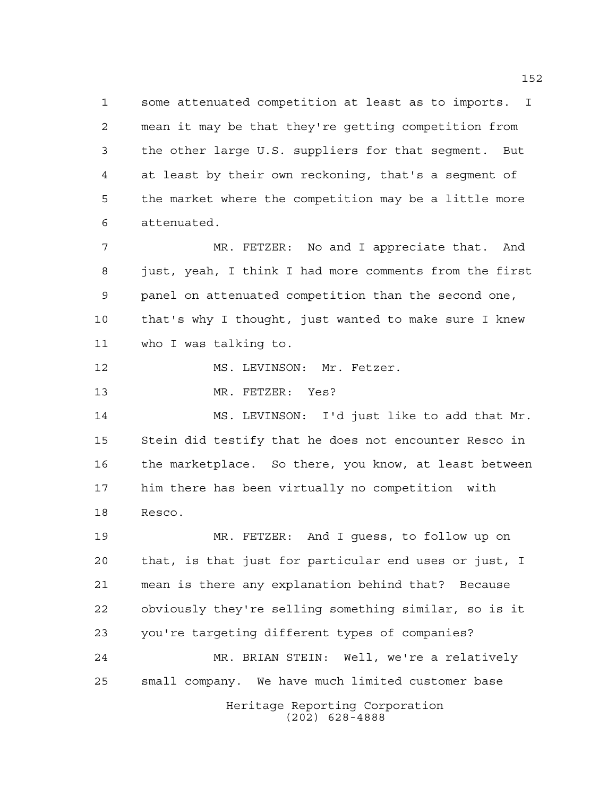some attenuated competition at least as to imports. I mean it may be that they're getting competition from the other large U.S. suppliers for that segment. But at least by their own reckoning, that's a segment of the market where the competition may be a little more attenuated.

 MR. FETZER: No and I appreciate that. And just, yeah, I think I had more comments from the first panel on attenuated competition than the second one, that's why I thought, just wanted to make sure I knew who I was talking to.

12 MS. LEVINSON: Mr. Fetzer.

13 MR. FETZER: Yes?

 MS. LEVINSON: I'd just like to add that Mr. Stein did testify that he does not encounter Resco in the marketplace. So there, you know, at least between him there has been virtually no competition with Resco.

Heritage Reporting Corporation (202) 628-4888 MR. FETZER: And I guess, to follow up on that, is that just for particular end uses or just, I mean is there any explanation behind that? Because obviously they're selling something similar, so is it you're targeting different types of companies? MR. BRIAN STEIN: Well, we're a relatively small company. We have much limited customer base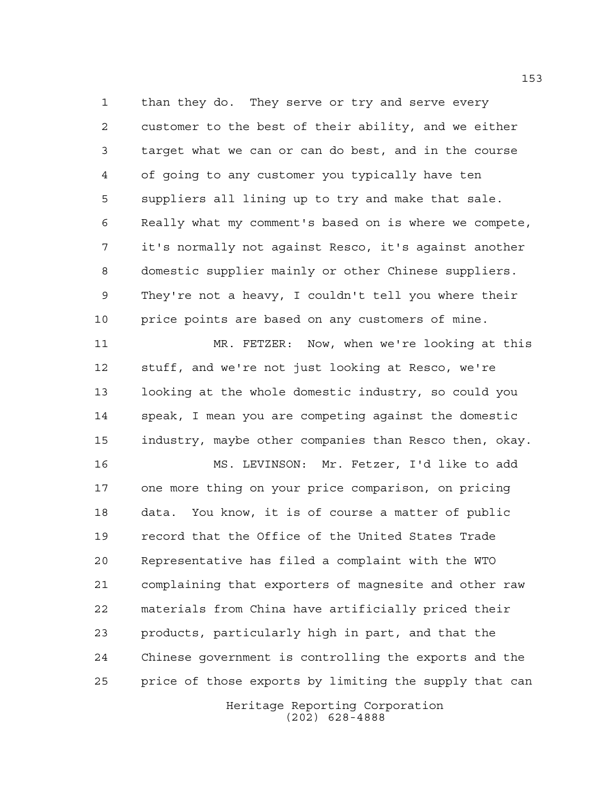than they do. They serve or try and serve every customer to the best of their ability, and we either target what we can or can do best, and in the course of going to any customer you typically have ten suppliers all lining up to try and make that sale. Really what my comment's based on is where we compete, it's normally not against Resco, it's against another domestic supplier mainly or other Chinese suppliers. They're not a heavy, I couldn't tell you where their price points are based on any customers of mine.

 MR. FETZER: Now, when we're looking at this stuff, and we're not just looking at Resco, we're looking at the whole domestic industry, so could you speak, I mean you are competing against the domestic industry, maybe other companies than Resco then, okay.

 MS. LEVINSON: Mr. Fetzer, I'd like to add one more thing on your price comparison, on pricing data. You know, it is of course a matter of public record that the Office of the United States Trade Representative has filed a complaint with the WTO complaining that exporters of magnesite and other raw materials from China have artificially priced their products, particularly high in part, and that the Chinese government is controlling the exports and the price of those exports by limiting the supply that can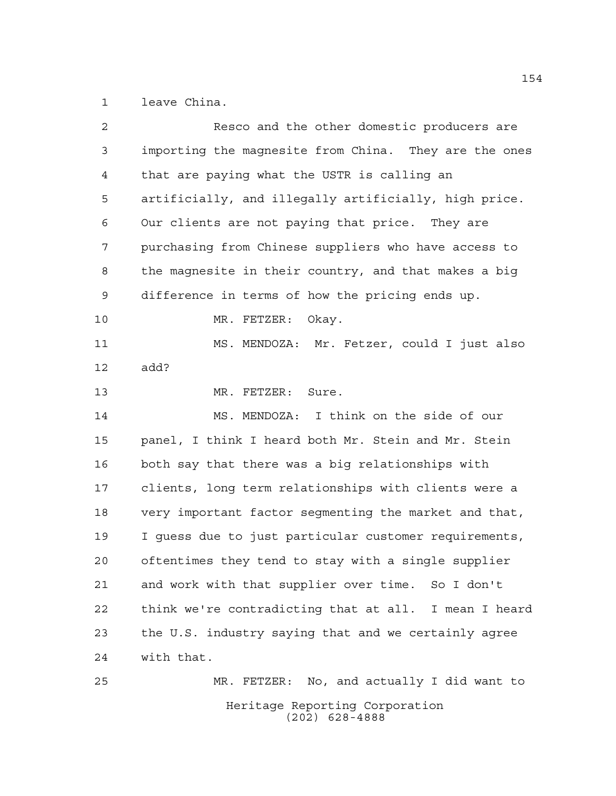leave China.

| $\overline{a}$ | Resco and the other domestic producers are            |
|----------------|-------------------------------------------------------|
| 3              | importing the magnesite from China. They are the ones |
| 4              | that are paying what the USTR is calling an           |
| 5              | artificially, and illegally artificially, high price. |
| 6              | Our clients are not paying that price. They are       |
| 7              | purchasing from Chinese suppliers who have access to  |
| 8              | the magnesite in their country, and that makes a big  |
| 9              | difference in terms of how the pricing ends up.       |
| 10             | Okay.<br>MR. FETZER:                                  |
| 11             | MS. MENDOZA: Mr. Fetzer, could I just also            |
| 12             | add?                                                  |
| 13             | MR. FETZER: Sure.                                     |
| 14             | MS. MENDOZA: I think on the side of our               |
| 15             | panel, I think I heard both Mr. Stein and Mr. Stein   |
| 16             | both say that there was a big relationships with      |
| 17             | clients, long term relationships with clients were a  |
| 18             | very important factor segmenting the market and that, |
| 19             | I quess due to just particular customer requirements, |
| 20             | oftentimes they tend to stay with a single supplier   |
| 21             | and work with that supplier over time. So I don't     |
| 22             | think we're contradicting that at all. I mean I heard |
| 23             | the U.S. industry saying that and we certainly agree  |
| 24             | with that.                                            |
| 25             | MR. FETZER: No, and actually I did want to            |
|                | Heritage Reporting Corporation<br>$(202)$ 628-4888    |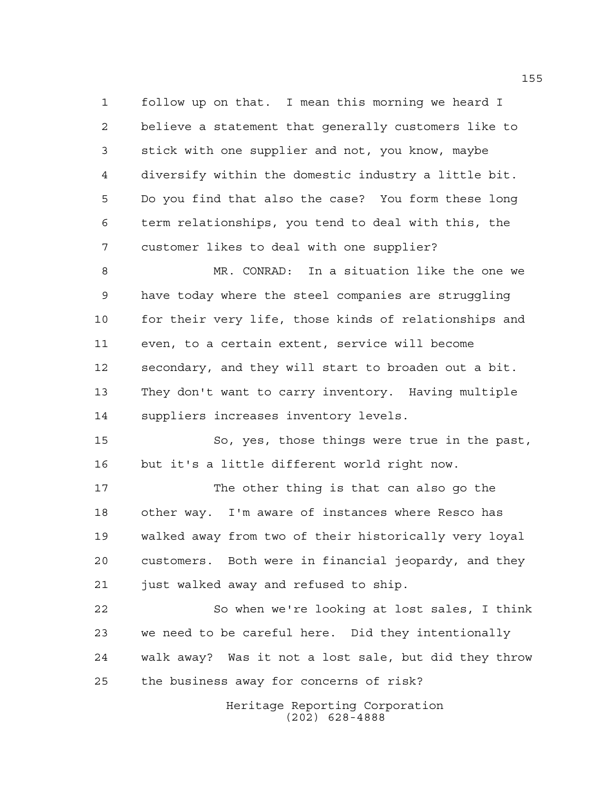follow up on that. I mean this morning we heard I believe a statement that generally customers like to stick with one supplier and not, you know, maybe diversify within the domestic industry a little bit. Do you find that also the case? You form these long term relationships, you tend to deal with this, the customer likes to deal with one supplier?

 MR. CONRAD: In a situation like the one we have today where the steel companies are struggling for their very life, those kinds of relationships and even, to a certain extent, service will become secondary, and they will start to broaden out a bit. They don't want to carry inventory. Having multiple suppliers increases inventory levels.

 So, yes, those things were true in the past, but it's a little different world right now.

 The other thing is that can also go the other way. I'm aware of instances where Resco has walked away from two of their historically very loyal customers. Both were in financial jeopardy, and they just walked away and refused to ship.

 So when we're looking at lost sales, I think we need to be careful here. Did they intentionally walk away? Was it not a lost sale, but did they throw the business away for concerns of risk?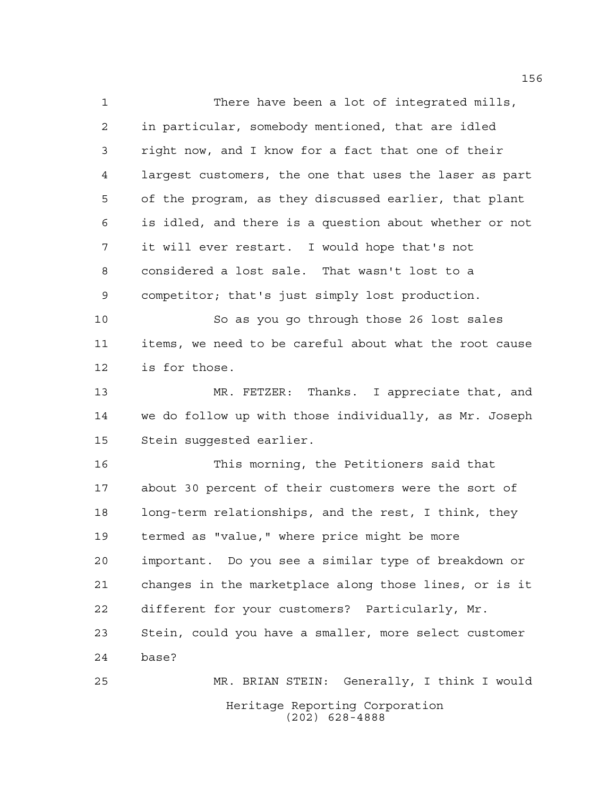There have been a lot of integrated mills, in particular, somebody mentioned, that are idled right now, and I know for a fact that one of their largest customers, the one that uses the laser as part of the program, as they discussed earlier, that plant is idled, and there is a question about whether or not it will ever restart. I would hope that's not considered a lost sale. That wasn't lost to a competitor; that's just simply lost production.

 So as you go through those 26 lost sales items, we need to be careful about what the root cause is for those.

 MR. FETZER: Thanks. I appreciate that, and we do follow up with those individually, as Mr. Joseph Stein suggested earlier.

 This morning, the Petitioners said that about 30 percent of their customers were the sort of long-term relationships, and the rest, I think, they termed as "value," where price might be more important. Do you see a similar type of breakdown or changes in the marketplace along those lines, or is it different for your customers? Particularly, Mr. Stein, could you have a smaller, more select customer base? MR. BRIAN STEIN: Generally, I think I would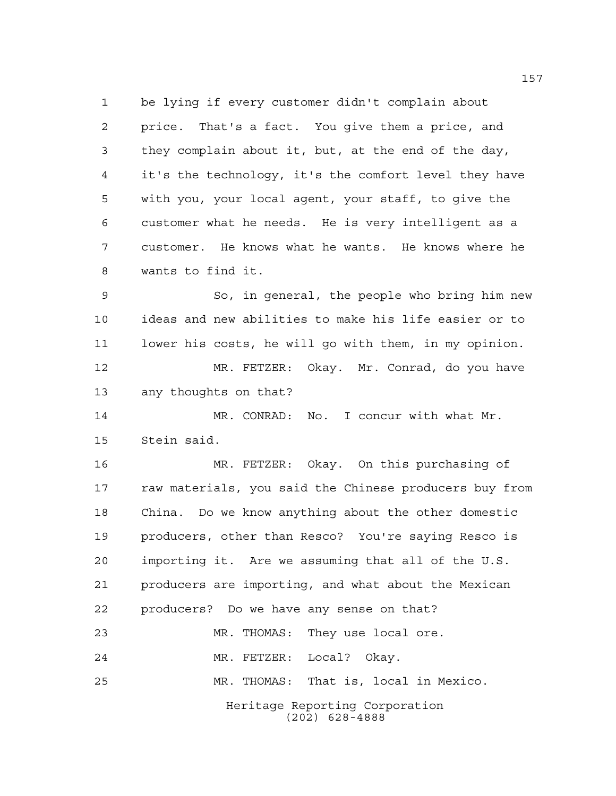be lying if every customer didn't complain about price. That's a fact. You give them a price, and they complain about it, but, at the end of the day, it's the technology, it's the comfort level they have with you, your local agent, your staff, to give the customer what he needs. He is very intelligent as a customer. He knows what he wants. He knows where he wants to find it.

 So, in general, the people who bring him new ideas and new abilities to make his life easier or to lower his costs, he will go with them, in my opinion. MR. FETZER: Okay. Mr. Conrad, do you have

any thoughts on that?

 MR. CONRAD: No. I concur with what Mr. Stein said.

 MR. FETZER: Okay. On this purchasing of raw materials, you said the Chinese producers buy from China. Do we know anything about the other domestic producers, other than Resco? You're saying Resco is importing it. Are we assuming that all of the U.S. producers are importing, and what about the Mexican producers? Do we have any sense on that? MR. THOMAS: They use local ore. MR. FETZER: Local? Okay.

MR. THOMAS: That is, local in Mexico.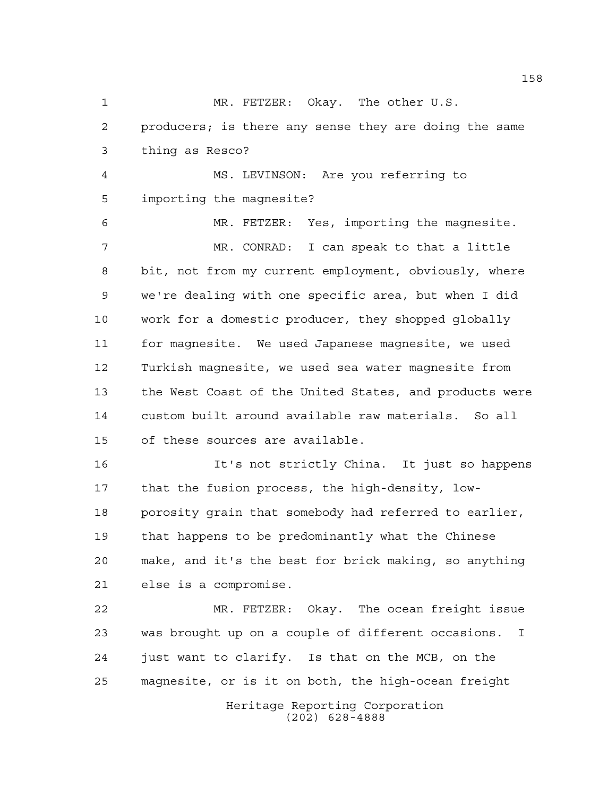MR. FETZER: Okay. The other U.S. producers; is there any sense they are doing the same thing as Resco? MS. LEVINSON: Are you referring to importing the magnesite? MR. FETZER: Yes, importing the magnesite. MR. CONRAD: I can speak to that a little bit, not from my current employment, obviously, where we're dealing with one specific area, but when I did work for a domestic producer, they shopped globally for magnesite. We used Japanese magnesite, we used Turkish magnesite, we used sea water magnesite from the West Coast of the United States, and products were custom built around available raw materials. So all of these sources are available. It's not strictly China. It just so happens that the fusion process, the high-density, low- porosity grain that somebody had referred to earlier, that happens to be predominantly what the Chinese make, and it's the best for brick making, so anything

else is a compromise.

 MR. FETZER: Okay. The ocean freight issue was brought up on a couple of different occasions. I just want to clarify. Is that on the MCB, on the magnesite, or is it on both, the high-ocean freight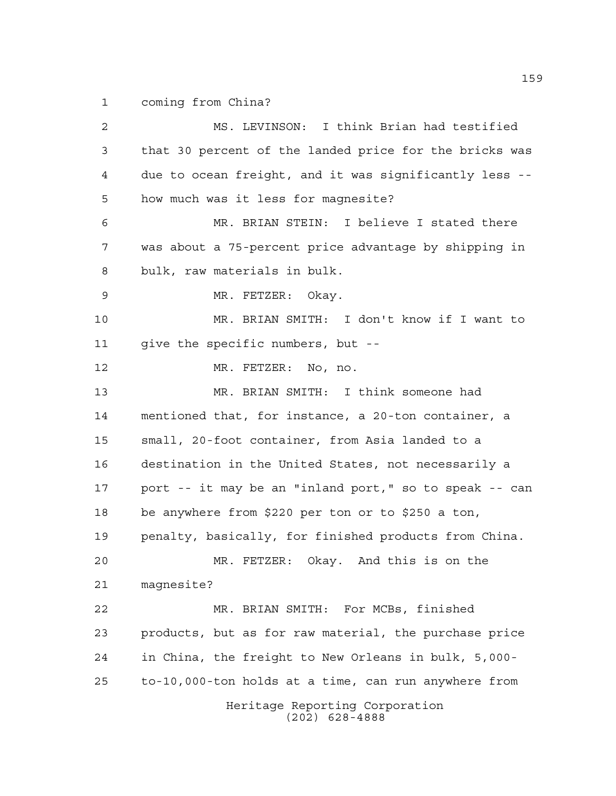coming from China?

Heritage Reporting Corporation (202) 628-4888 MS. LEVINSON: I think Brian had testified that 30 percent of the landed price for the bricks was due to ocean freight, and it was significantly less -- how much was it less for magnesite? MR. BRIAN STEIN: I believe I stated there was about a 75-percent price advantage by shipping in bulk, raw materials in bulk. MR. FETZER: Okay. MR. BRIAN SMITH: I don't know if I want to give the specific numbers, but -- MR. FETZER: No, no. MR. BRIAN SMITH: I think someone had mentioned that, for instance, a 20-ton container, a small, 20-foot container, from Asia landed to a destination in the United States, not necessarily a port -- it may be an "inland port," so to speak -- can be anywhere from \$220 per ton or to \$250 a ton, penalty, basically, for finished products from China. MR. FETZER: Okay. And this is on the magnesite? MR. BRIAN SMITH: For MCBs, finished products, but as for raw material, the purchase price in China, the freight to New Orleans in bulk, 5,000- to-10,000-ton holds at a time, can run anywhere from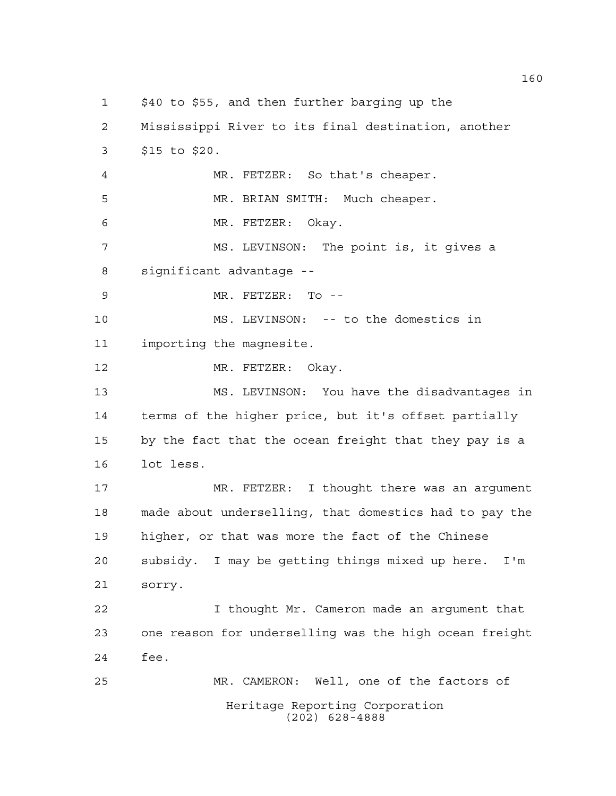Heritage Reporting Corporation (202) 628-4888 \$40 to \$55, and then further barging up the Mississippi River to its final destination, another \$15 to \$20. MR. FETZER: So that's cheaper. MR. BRIAN SMITH: Much cheaper. MR. FETZER: Okay. MS. LEVINSON: The point is, it gives a significant advantage -- MR. FETZER: To -- MS. LEVINSON: -- to the domestics in importing the magnesite. 12 MR. FETZER: Okay. MS. LEVINSON: You have the disadvantages in terms of the higher price, but it's offset partially by the fact that the ocean freight that they pay is a lot less. MR. FETZER: I thought there was an argument made about underselling, that domestics had to pay the higher, or that was more the fact of the Chinese subsidy. I may be getting things mixed up here. I'm sorry. I thought Mr. Cameron made an argument that one reason for underselling was the high ocean freight fee. MR. CAMERON: Well, one of the factors of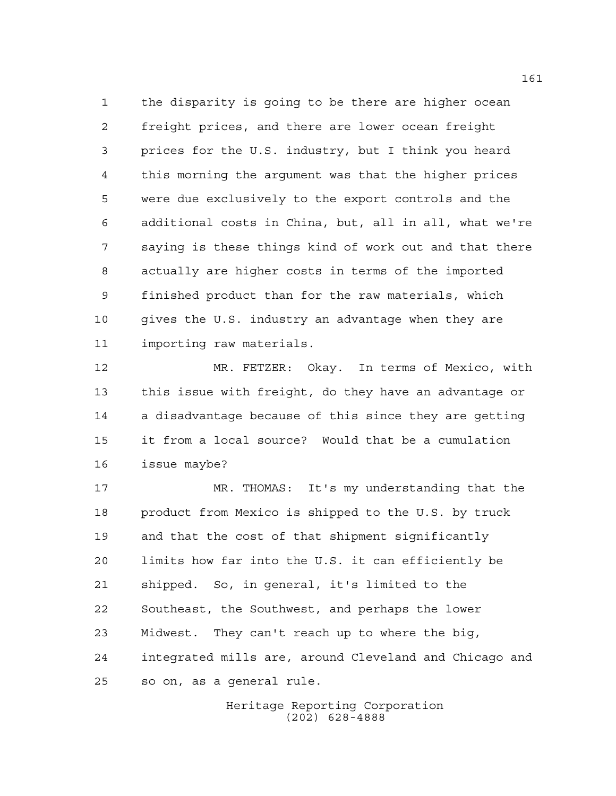the disparity is going to be there are higher ocean freight prices, and there are lower ocean freight prices for the U.S. industry, but I think you heard this morning the argument was that the higher prices were due exclusively to the export controls and the additional costs in China, but, all in all, what we're saying is these things kind of work out and that there actually are higher costs in terms of the imported finished product than for the raw materials, which gives the U.S. industry an advantage when they are importing raw materials.

 MR. FETZER: Okay. In terms of Mexico, with this issue with freight, do they have an advantage or a disadvantage because of this since they are getting it from a local source? Would that be a cumulation issue maybe?

 MR. THOMAS: It's my understanding that the product from Mexico is shipped to the U.S. by truck and that the cost of that shipment significantly limits how far into the U.S. it can efficiently be shipped. So, in general, it's limited to the Southeast, the Southwest, and perhaps the lower Midwest. They can't reach up to where the big, integrated mills are, around Cleveland and Chicago and so on, as a general rule.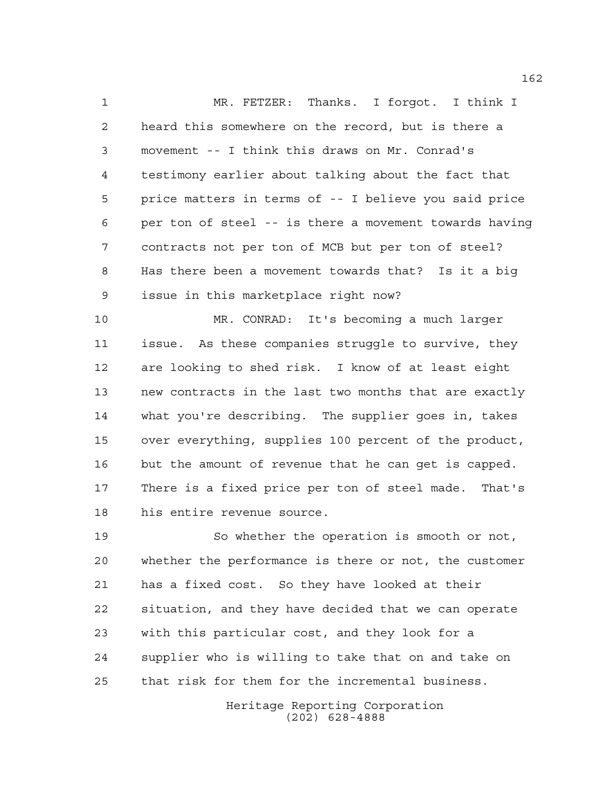MR. FETZER: Thanks. I forgot. I think I heard this somewhere on the record, but is there a movement -- I think this draws on Mr. Conrad's testimony earlier about talking about the fact that price matters in terms of -- I believe you said price per ton of steel -- is there a movement towards having contracts not per ton of MCB but per ton of steel? Has there been a movement towards that? Is it a big issue in this marketplace right now?

 MR. CONRAD: It's becoming a much larger issue. As these companies struggle to survive, they are looking to shed risk. I know of at least eight new contracts in the last two months that are exactly what you're describing. The supplier goes in, takes over everything, supplies 100 percent of the product, but the amount of revenue that he can get is capped. There is a fixed price per ton of steel made. That's his entire revenue source.

 So whether the operation is smooth or not, whether the performance is there or not, the customer has a fixed cost. So they have looked at their situation, and they have decided that we can operate with this particular cost, and they look for a supplier who is willing to take that on and take on that risk for them for the incremental business.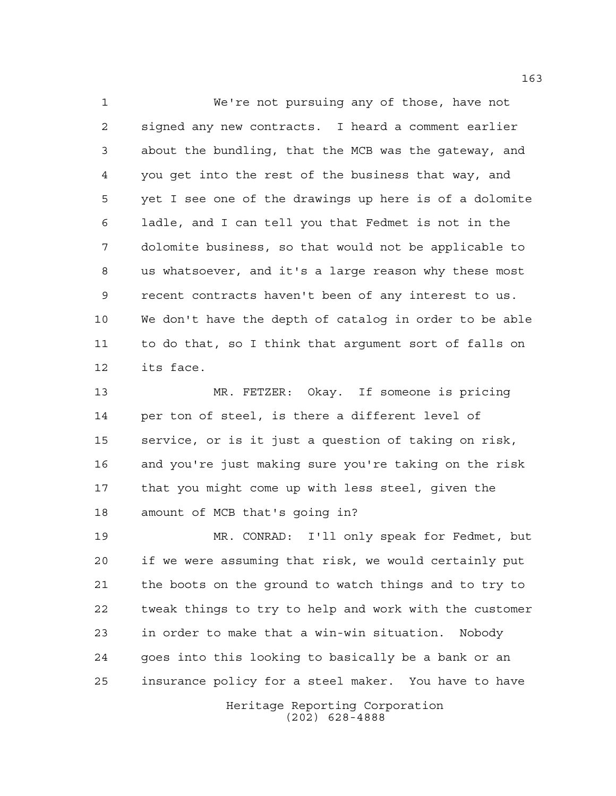We're not pursuing any of those, have not signed any new contracts. I heard a comment earlier about the bundling, that the MCB was the gateway, and you get into the rest of the business that way, and yet I see one of the drawings up here is of a dolomite ladle, and I can tell you that Fedmet is not in the dolomite business, so that would not be applicable to us whatsoever, and it's a large reason why these most recent contracts haven't been of any interest to us. We don't have the depth of catalog in order to be able to do that, so I think that argument sort of falls on its face.

 MR. FETZER: Okay. If someone is pricing per ton of steel, is there a different level of service, or is it just a question of taking on risk, and you're just making sure you're taking on the risk that you might come up with less steel, given the amount of MCB that's going in?

 MR. CONRAD: I'll only speak for Fedmet, but if we were assuming that risk, we would certainly put the boots on the ground to watch things and to try to tweak things to try to help and work with the customer in order to make that a win-win situation. Nobody goes into this looking to basically be a bank or an insurance policy for a steel maker. You have to have

> Heritage Reporting Corporation (202) 628-4888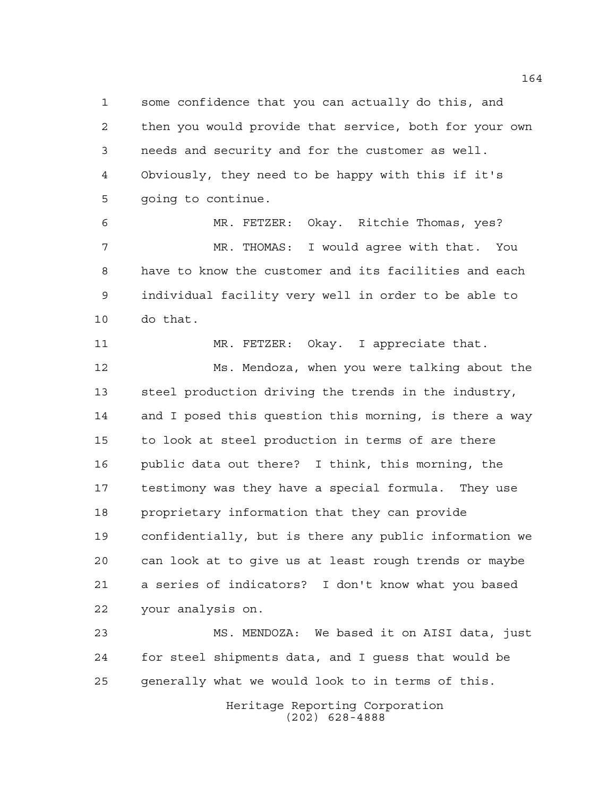some confidence that you can actually do this, and then you would provide that service, both for your own needs and security and for the customer as well. Obviously, they need to be happy with this if it's going to continue.

 MR. FETZER: Okay. Ritchie Thomas, yes? MR. THOMAS: I would agree with that. You have to know the customer and its facilities and each individual facility very well in order to be able to do that.

 MR. FETZER: Okay. I appreciate that. Ms. Mendoza, when you were talking about the steel production driving the trends in the industry, and I posed this question this morning, is there a way to look at steel production in terms of are there public data out there? I think, this morning, the testimony was they have a special formula. They use proprietary information that they can provide confidentially, but is there any public information we can look at to give us at least rough trends or maybe a series of indicators? I don't know what you based your analysis on.

 MS. MENDOZA: We based it on AISI data, just for steel shipments data, and I guess that would be generally what we would look to in terms of this.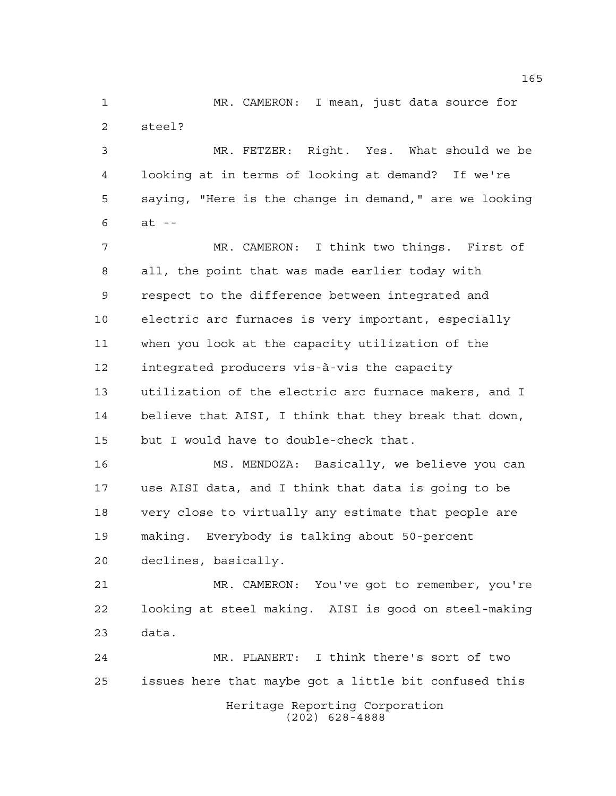MR. CAMERON: I mean, just data source for steel?

 MR. FETZER: Right. Yes. What should we be looking at in terms of looking at demand? If we're saying, "Here is the change in demand," are we looking at --

 MR. CAMERON: I think two things. First of all, the point that was made earlier today with respect to the difference between integrated and electric arc furnaces is very important, especially when you look at the capacity utilization of the integrated producers vis-à-vis the capacity utilization of the electric arc furnace makers, and I believe that AISI, I think that they break that down, but I would have to double-check that.

 MS. MENDOZA: Basically, we believe you can use AISI data, and I think that data is going to be very close to virtually any estimate that people are making. Everybody is talking about 50-percent declines, basically.

 MR. CAMERON: You've got to remember, you're looking at steel making. AISI is good on steel-making data.

Heritage Reporting Corporation (202) 628-4888 MR. PLANERT: I think there's sort of two issues here that maybe got a little bit confused this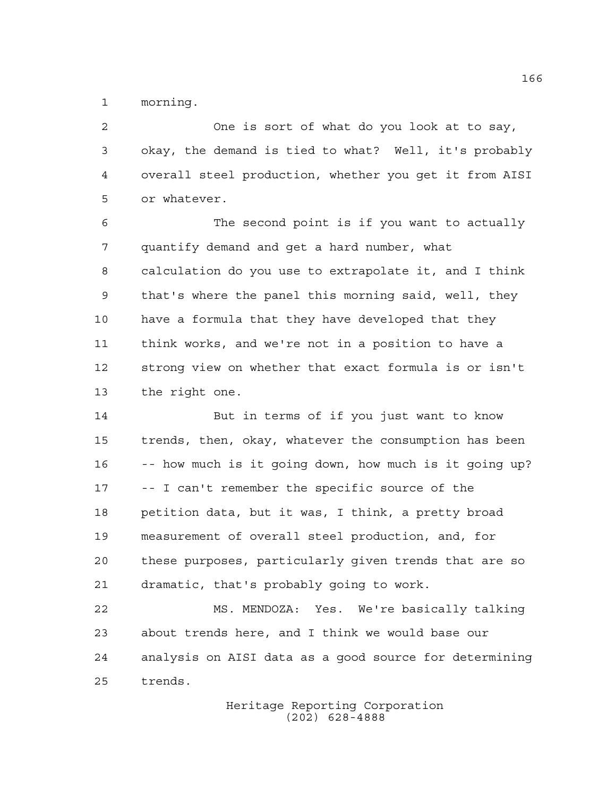morning.

 One is sort of what do you look at to say, okay, the demand is tied to what? Well, it's probably overall steel production, whether you get it from AISI or whatever. The second point is if you want to actually quantify demand and get a hard number, what calculation do you use to extrapolate it, and I think that's where the panel this morning said, well, they have a formula that they have developed that they think works, and we're not in a position to have a strong view on whether that exact formula is or isn't the right one. But in terms of if you just want to know trends, then, okay, whatever the consumption has been -- how much is it going down, how much is it going up? -- I can't remember the specific source of the petition data, but it was, I think, a pretty broad measurement of overall steel production, and, for

 these purposes, particularly given trends that are so dramatic, that's probably going to work.

 MS. MENDOZA: Yes. We're basically talking about trends here, and I think we would base our analysis on AISI data as a good source for determining trends.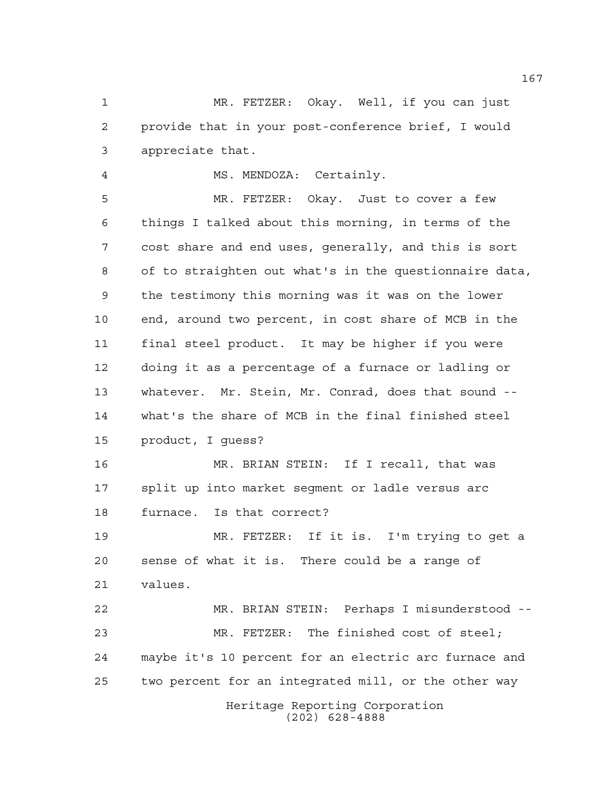MR. FETZER: Okay. Well, if you can just provide that in your post-conference brief, I would appreciate that.

MS. MENDOZA: Certainly.

 MR. FETZER: Okay. Just to cover a few things I talked about this morning, in terms of the cost share and end uses, generally, and this is sort of to straighten out what's in the questionnaire data, the testimony this morning was it was on the lower end, around two percent, in cost share of MCB in the final steel product. It may be higher if you were doing it as a percentage of a furnace or ladling or whatever. Mr. Stein, Mr. Conrad, does that sound -- what's the share of MCB in the final finished steel product, I guess?

 MR. BRIAN STEIN: If I recall, that was split up into market segment or ladle versus arc furnace. Is that correct?

 MR. FETZER: If it is. I'm trying to get a sense of what it is. There could be a range of values.

Heritage Reporting Corporation MR. BRIAN STEIN: Perhaps I misunderstood -- MR. FETZER: The finished cost of steel; maybe it's 10 percent for an electric arc furnace and two percent for an integrated mill, or the other way

(202) 628-4888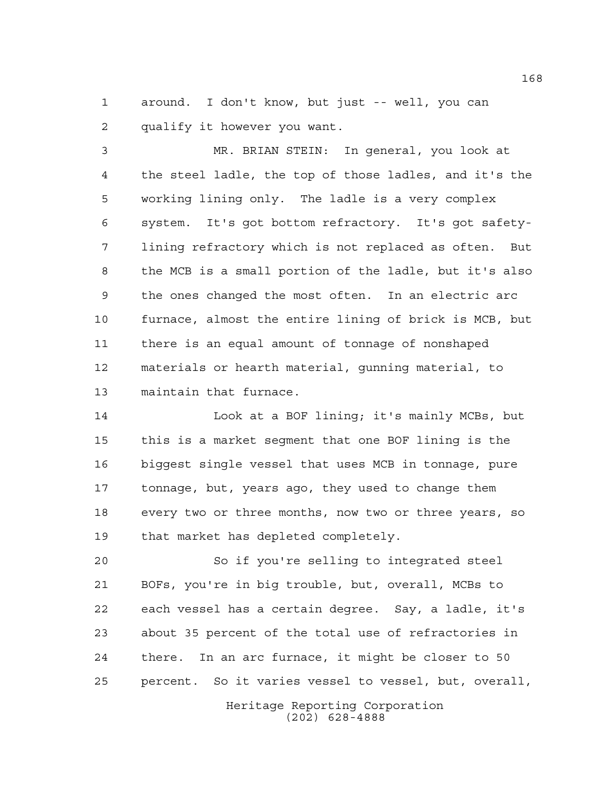around. I don't know, but just -- well, you can qualify it however you want.

 MR. BRIAN STEIN: In general, you look at the steel ladle, the top of those ladles, and it's the working lining only. The ladle is a very complex system. It's got bottom refractory. It's got safety- lining refractory which is not replaced as often. But the MCB is a small portion of the ladle, but it's also the ones changed the most often. In an electric arc furnace, almost the entire lining of brick is MCB, but there is an equal amount of tonnage of nonshaped materials or hearth material, gunning material, to maintain that furnace.

 Look at a BOF lining; it's mainly MCBs, but this is a market segment that one BOF lining is the biggest single vessel that uses MCB in tonnage, pure tonnage, but, years ago, they used to change them every two or three months, now two or three years, so that market has depleted completely.

 So if you're selling to integrated steel BOFs, you're in big trouble, but, overall, MCBs to each vessel has a certain degree. Say, a ladle, it's about 35 percent of the total use of refractories in there. In an arc furnace, it might be closer to 50 percent. So it varies vessel to vessel, but, overall,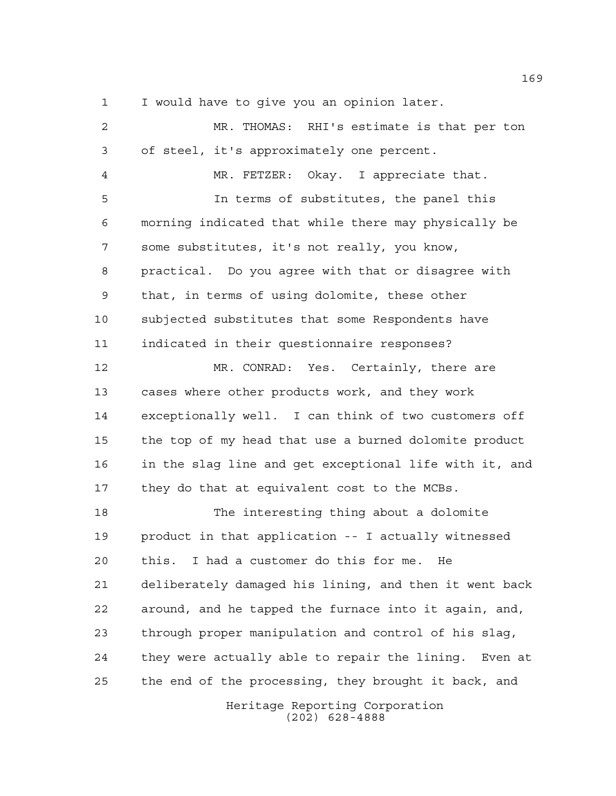I would have to give you an opinion later.

 MR. THOMAS: RHI's estimate is that per ton of steel, it's approximately one percent. MR. FETZER: Okay. I appreciate that. In terms of substitutes, the panel this morning indicated that while there may physically be some substitutes, it's not really, you know, practical. Do you agree with that or disagree with that, in terms of using dolomite, these other subjected substitutes that some Respondents have indicated in their questionnaire responses? MR. CONRAD: Yes. Certainly, there are cases where other products work, and they work exceptionally well. I can think of two customers off the top of my head that use a burned dolomite product in the slag line and get exceptional life with it, and they do that at equivalent cost to the MCBs. The interesting thing about a dolomite product in that application -- I actually witnessed this. I had a customer do this for me. He deliberately damaged his lining, and then it went back around, and he tapped the furnace into it again, and, through proper manipulation and control of his slag, they were actually able to repair the lining. Even at the end of the processing, they brought it back, and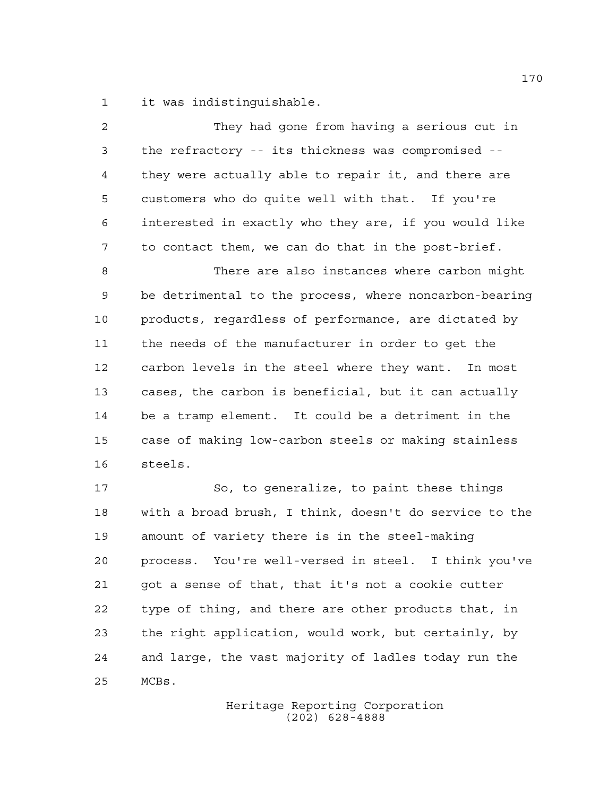it was indistinguishable.

| 2              | They had gone from having a serious cut in             |
|----------------|--------------------------------------------------------|
| $\mathfrak{Z}$ | the refractory -- its thickness was compromised --     |
| 4              | they were actually able to repair it, and there are    |
| 5              | customers who do quite well with that. If you're       |
| 6              | interested in exactly who they are, if you would like  |
| 7              | to contact them, we can do that in the post-brief.     |
| 8              | There are also instances where carbon might            |
| 9              | be detrimental to the process, where noncarbon-bearing |
| 10             | products, regardless of performance, are dictated by   |
| 11             | the needs of the manufacturer in order to get the      |
| 12             | carbon levels in the steel where they want. In most    |
| 13             | cases, the carbon is beneficial, but it can actually   |
| 14             | be a tramp element. It could be a detriment in the     |
| 15             | case of making low-carbon steels or making stainless   |
| 16             | steels.                                                |
| 17             | So, to generalize, to paint these things               |
| 18             | with a broad brush, I think, doesn't do service to the |
| 19             | amount of variety there is in the steel-making         |
| 20             | process. You're well-versed in steel. I think you've   |
| 21             | got a sense of that, that it's not a cookie cutter     |
| 22             | type of thing, and there are other products that, in   |
| 23             | the right application, would work, but certainly, by   |
| 24             | and large, the vast majority of ladles today run the   |
| 25             | MCBs.                                                  |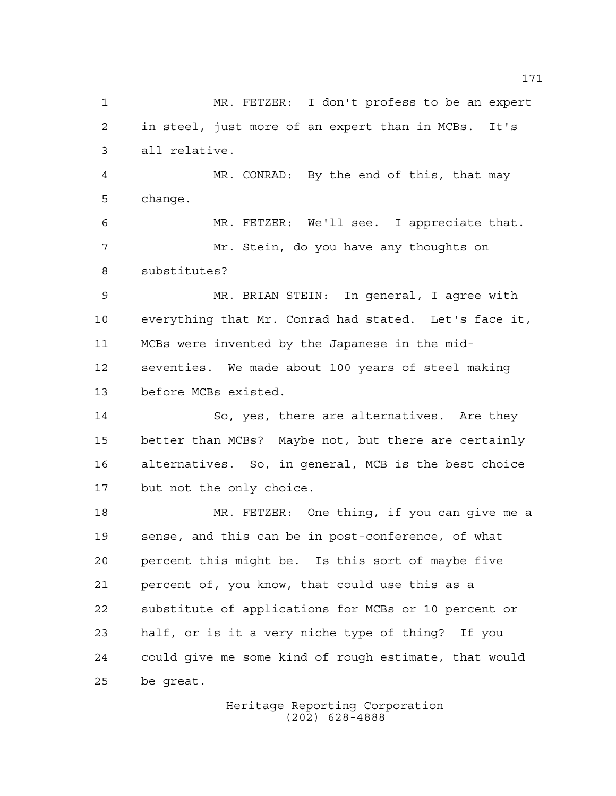MR. FETZER: I don't profess to be an expert in steel, just more of an expert than in MCBs. It's all relative. MR. CONRAD: By the end of this, that may change. MR. FETZER: We'll see. I appreciate that. Mr. Stein, do you have any thoughts on substitutes? MR. BRIAN STEIN: In general, I agree with everything that Mr. Conrad had stated. Let's face it, MCBs were invented by the Japanese in the mid- seventies. We made about 100 years of steel making before MCBs existed. So, yes, there are alternatives. Are they better than MCBs? Maybe not, but there are certainly alternatives. So, in general, MCB is the best choice but not the only choice. MR. FETZER: One thing, if you can give me a sense, and this can be in post-conference, of what percent this might be. Is this sort of maybe five percent of, you know, that could use this as a substitute of applications for MCBs or 10 percent or half, or is it a very niche type of thing? If you could give me some kind of rough estimate, that would be great.

Heritage Reporting Corporation (202) 628-4888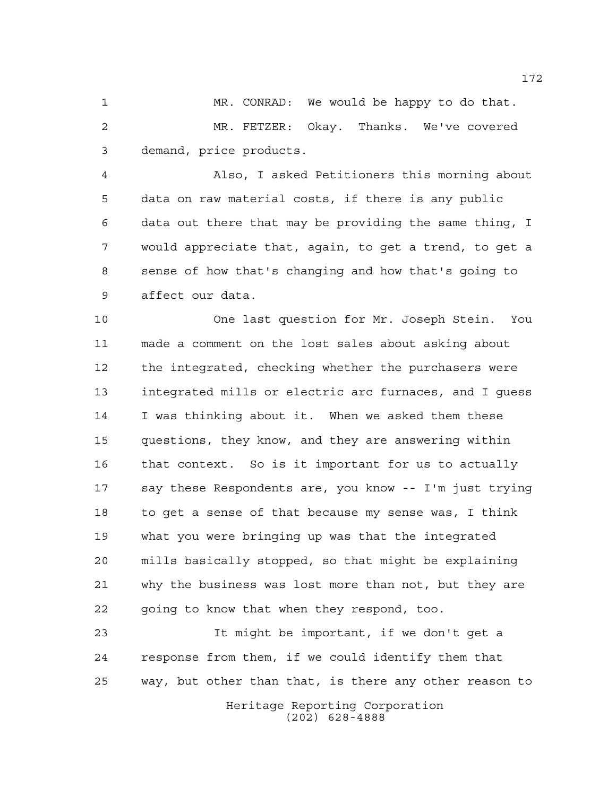MR. CONRAD: We would be happy to do that. MR. FETZER: Okay. Thanks. We've covered demand, price products.

 Also, I asked Petitioners this morning about data on raw material costs, if there is any public data out there that may be providing the same thing, I would appreciate that, again, to get a trend, to get a sense of how that's changing and how that's going to affect our data.

 One last question for Mr. Joseph Stein. You made a comment on the lost sales about asking about the integrated, checking whether the purchasers were integrated mills or electric arc furnaces, and I guess I was thinking about it. When we asked them these questions, they know, and they are answering within that context. So is it important for us to actually say these Respondents are, you know -- I'm just trying to get a sense of that because my sense was, I think what you were bringing up was that the integrated mills basically stopped, so that might be explaining why the business was lost more than not, but they are going to know that when they respond, too.

Heritage Reporting Corporation (202) 628-4888 It might be important, if we don't get a response from them, if we could identify them that way, but other than that, is there any other reason to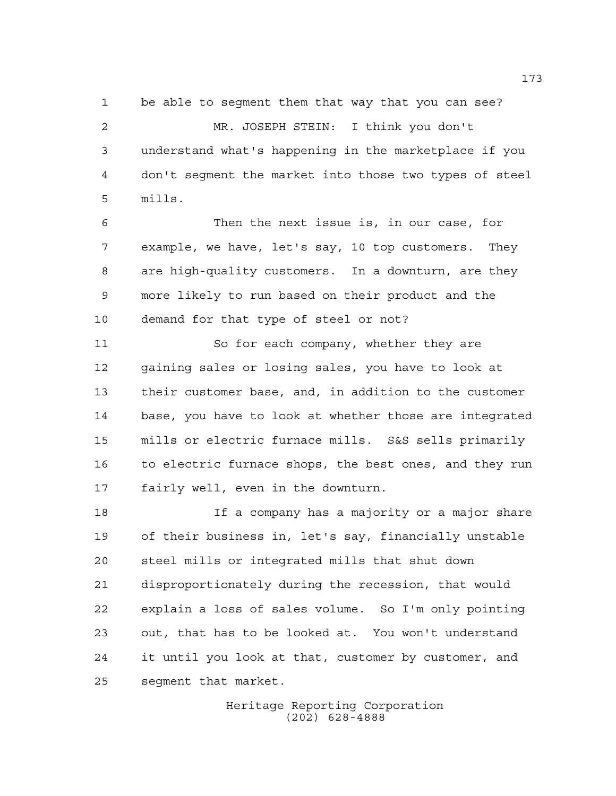be able to segment them that way that you can see? MR. JOSEPH STEIN: I think you don't understand what's happening in the marketplace if you don't segment the market into those two types of steel mills.

 Then the next issue is, in our case, for example, we have, let's say, 10 top customers. They are high-quality customers. In a downturn, are they more likely to run based on their product and the demand for that type of steel or not?

 So for each company, whether they are gaining sales or losing sales, you have to look at their customer base, and, in addition to the customer base, you have to look at whether those are integrated mills or electric furnace mills. S&S sells primarily to electric furnace shops, the best ones, and they run fairly well, even in the downturn.

 If a company has a majority or a major share of their business in, let's say, financially unstable steel mills or integrated mills that shut down disproportionately during the recession, that would explain a loss of sales volume. So I'm only pointing out, that has to be looked at. You won't understand it until you look at that, customer by customer, and segment that market.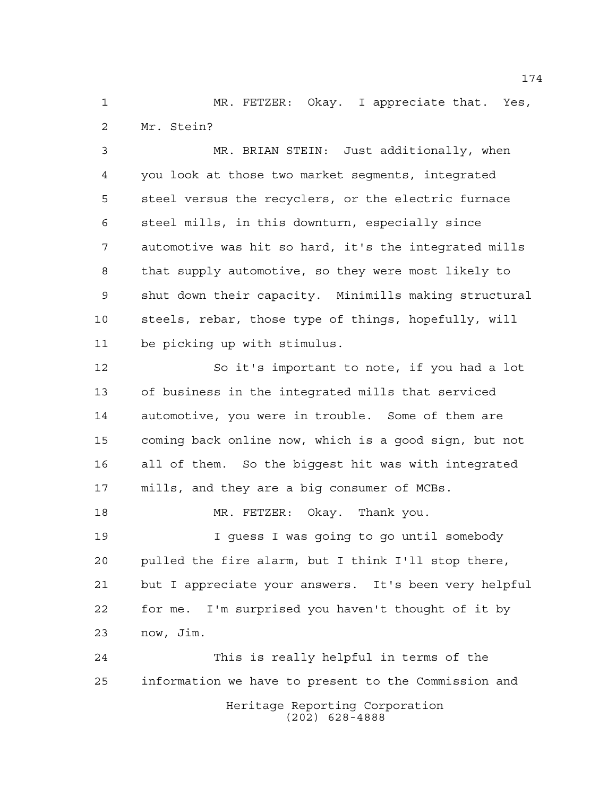MR. FETZER: Okay. I appreciate that. Yes, Mr. Stein?

 MR. BRIAN STEIN: Just additionally, when you look at those two market segments, integrated steel versus the recyclers, or the electric furnace steel mills, in this downturn, especially since automotive was hit so hard, it's the integrated mills that supply automotive, so they were most likely to shut down their capacity. Minimills making structural steels, rebar, those type of things, hopefully, will be picking up with stimulus.

 So it's important to note, if you had a lot of business in the integrated mills that serviced automotive, you were in trouble. Some of them are coming back online now, which is a good sign, but not all of them. So the biggest hit was with integrated mills, and they are a big consumer of MCBs. MR. FETZER: Okay. Thank you.

 I guess I was going to go until somebody pulled the fire alarm, but I think I'll stop there, but I appreciate your answers. It's been very helpful for me. I'm surprised you haven't thought of it by now, Jim.

Heritage Reporting Corporation (202) 628-4888 This is really helpful in terms of the information we have to present to the Commission and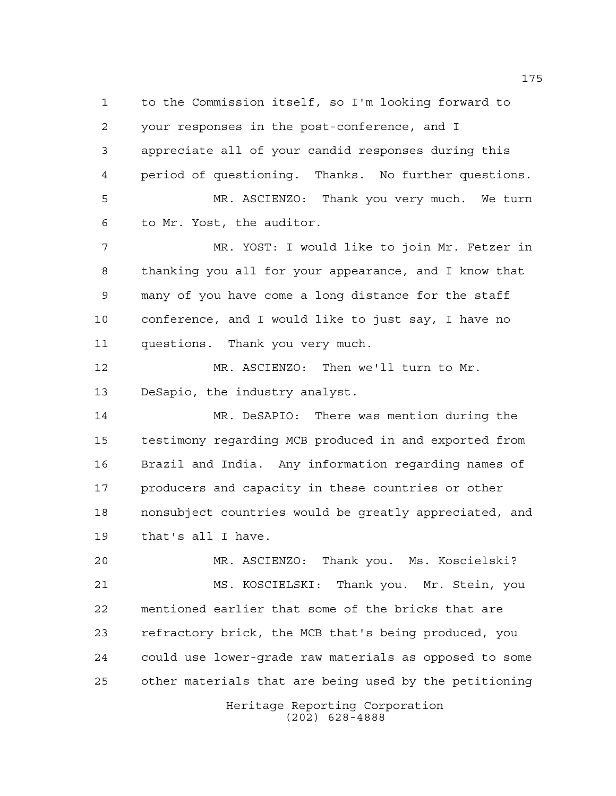to the Commission itself, so I'm looking forward to your responses in the post-conference, and I appreciate all of your candid responses during this period of questioning. Thanks. No further questions. MR. ASCIENZO: Thank you very much. We turn to Mr. Yost, the auditor. MR. YOST: I would like to join Mr. Fetzer in thanking you all for your appearance, and I know that many of you have come a long distance for the staff conference, and I would like to just say, I have no questions. Thank you very much. MR. ASCIENZO: Then we'll turn to Mr. DeSapio, the industry analyst. MR. DeSAPIO: There was mention during the testimony regarding MCB produced in and exported from Brazil and India. Any information regarding names of producers and capacity in these countries or other nonsubject countries would be greatly appreciated, and that's all I have. MR. ASCIENZO: Thank you. Ms. Koscielski? MS. KOSCIELSKI: Thank you. Mr. Stein, you mentioned earlier that some of the bricks that are refractory brick, the MCB that's being produced, you could use lower-grade raw materials as opposed to some other materials that are being used by the petitioning

Heritage Reporting Corporation (202) 628-4888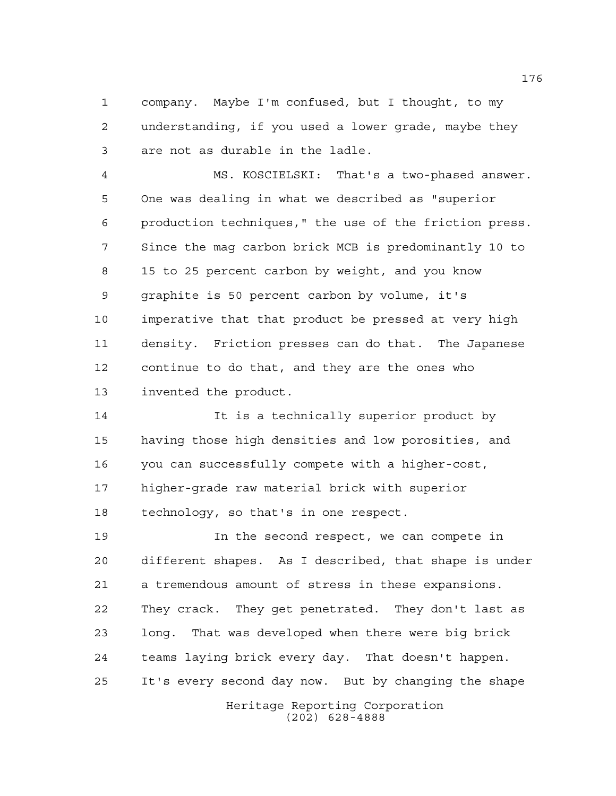company. Maybe I'm confused, but I thought, to my understanding, if you used a lower grade, maybe they are not as durable in the ladle.

 MS. KOSCIELSKI: That's a two-phased answer. One was dealing in what we described as "superior production techniques," the use of the friction press. Since the mag carbon brick MCB is predominantly 10 to 15 to 25 percent carbon by weight, and you know graphite is 50 percent carbon by volume, it's imperative that that product be pressed at very high density. Friction presses can do that. The Japanese continue to do that, and they are the ones who invented the product.

 It is a technically superior product by having those high densities and low porosities, and you can successfully compete with a higher-cost, higher-grade raw material brick with superior technology, so that's in one respect.

 In the second respect, we can compete in different shapes. As I described, that shape is under a tremendous amount of stress in these expansions. They crack. They get penetrated. They don't last as long. That was developed when there were big brick teams laying brick every day. That doesn't happen. It's every second day now. But by changing the shape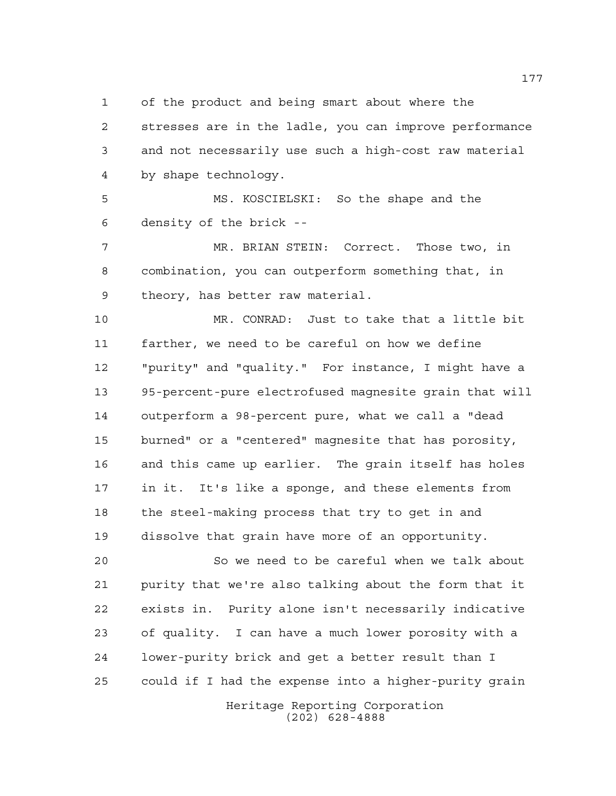of the product and being smart about where the

 stresses are in the ladle, you can improve performance and not necessarily use such a high-cost raw material by shape technology.

 MS. KOSCIELSKI: So the shape and the density of the brick --

 MR. BRIAN STEIN: Correct. Those two, in combination, you can outperform something that, in theory, has better raw material.

 MR. CONRAD: Just to take that a little bit farther, we need to be careful on how we define "purity" and "quality." For instance, I might have a 95-percent-pure electrofused magnesite grain that will outperform a 98-percent pure, what we call a "dead burned" or a "centered" magnesite that has porosity, and this came up earlier. The grain itself has holes in it. It's like a sponge, and these elements from the steel-making process that try to get in and dissolve that grain have more of an opportunity.

 So we need to be careful when we talk about purity that we're also talking about the form that it exists in. Purity alone isn't necessarily indicative of quality. I can have a much lower porosity with a lower-purity brick and get a better result than I could if I had the expense into a higher-purity grain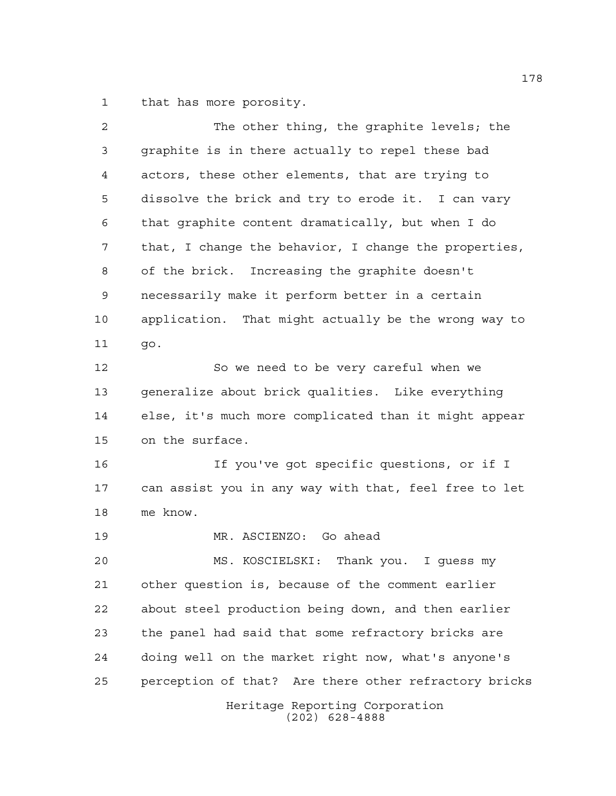that has more porosity.

| 2  | The other thing, the graphite levels; the             |
|----|-------------------------------------------------------|
| 3  | graphite is in there actually to repel these bad      |
| 4  | actors, these other elements, that are trying to      |
| 5  | dissolve the brick and try to erode it. I can vary    |
| 6  | that graphite content dramatically, but when I do     |
| 7  | that, I change the behavior, I change the properties, |
| 8  | of the brick. Increasing the graphite doesn't         |
| 9  | necessarily make it perform better in a certain       |
| 10 | application. That might actually be the wrong way to  |
| 11 | go.                                                   |
| 12 | So we need to be very careful when we                 |
| 13 | generalize about brick qualities. Like everything     |
| 14 | else, it's much more complicated than it might appear |
| 15 | on the surface.                                       |
| 16 | If you've got specific questions, or if I             |
| 17 | can assist you in any way with that, feel free to let |
| 18 | me know.                                              |
| 19 | MR. ASCIENZO: Go ahead                                |
| 20 | MS. KOSCIELSKI: Thank you. I guess my                 |
| 21 | other question is, because of the comment earlier     |
| 22 | about steel production being down, and then earlier   |
| 23 | the panel had said that some refractory bricks are    |
| 24 | doing well on the market right now, what's anyone's   |
| 25 | perception of that? Are there other refractory bricks |
|    | Heritage Reporting Corporation<br>$(202)$ 628-4888    |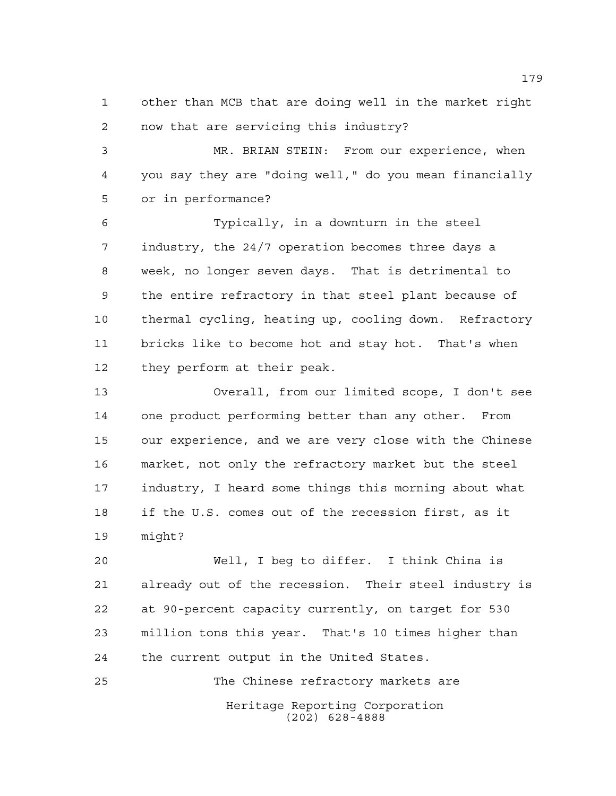other than MCB that are doing well in the market right now that are servicing this industry?

 MR. BRIAN STEIN: From our experience, when you say they are "doing well," do you mean financially or in performance?

 Typically, in a downturn in the steel industry, the 24/7 operation becomes three days a week, no longer seven days. That is detrimental to the entire refractory in that steel plant because of thermal cycling, heating up, cooling down. Refractory bricks like to become hot and stay hot. That's when they perform at their peak.

 Overall, from our limited scope, I don't see one product performing better than any other. From our experience, and we are very close with the Chinese market, not only the refractory market but the steel industry, I heard some things this morning about what if the U.S. comes out of the recession first, as it might?

 Well, I beg to differ. I think China is already out of the recession. Their steel industry is at 90-percent capacity currently, on target for 530 million tons this year. That's 10 times higher than the current output in the United States.

Heritage Reporting Corporation (202) 628-4888 The Chinese refractory markets are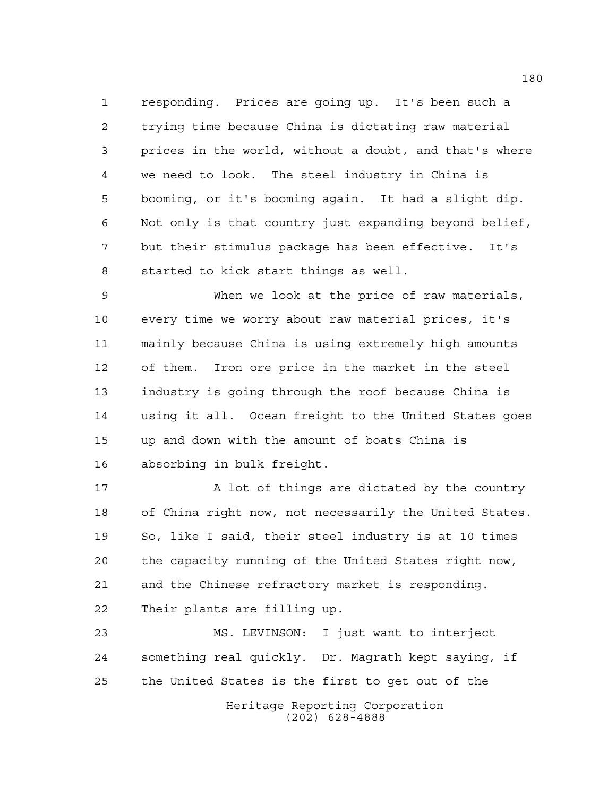responding. Prices are going up. It's been such a trying time because China is dictating raw material prices in the world, without a doubt, and that's where we need to look. The steel industry in China is booming, or it's booming again. It had a slight dip. Not only is that country just expanding beyond belief, but their stimulus package has been effective. It's started to kick start things as well.

 When we look at the price of raw materials, every time we worry about raw material prices, it's mainly because China is using extremely high amounts of them. Iron ore price in the market in the steel industry is going through the roof because China is using it all. Ocean freight to the United States goes up and down with the amount of boats China is absorbing in bulk freight.

17 A lot of things are dictated by the country of China right now, not necessarily the United States. So, like I said, their steel industry is at 10 times the capacity running of the United States right now, and the Chinese refractory market is responding. Their plants are filling up.

Heritage Reporting Corporation (202) 628-4888 MS. LEVINSON: I just want to interject something real quickly. Dr. Magrath kept saying, if the United States is the first to get out of the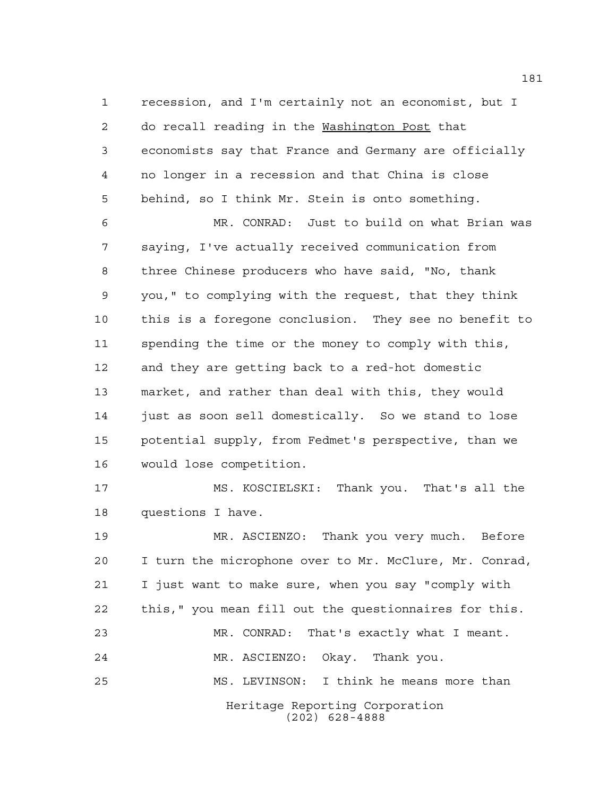recession, and I'm certainly not an economist, but I do recall reading in the Washington Post that economists say that France and Germany are officially no longer in a recession and that China is close behind, so I think Mr. Stein is onto something.

 MR. CONRAD: Just to build on what Brian was saying, I've actually received communication from three Chinese producers who have said, "No, thank you," to complying with the request, that they think this is a foregone conclusion. They see no benefit to spending the time or the money to comply with this, and they are getting back to a red-hot domestic market, and rather than deal with this, they would just as soon sell domestically. So we stand to lose potential supply, from Fedmet's perspective, than we would lose competition.

 MS. KOSCIELSKI: Thank you. That's all the questions I have.

Heritage Reporting Corporation (202) 628-4888 MR. ASCIENZO: Thank you very much. Before I turn the microphone over to Mr. McClure, Mr. Conrad, I just want to make sure, when you say "comply with this," you mean fill out the questionnaires for this. MR. CONRAD: That's exactly what I meant. MR. ASCIENZO: Okay. Thank you. MS. LEVINSON: I think he means more than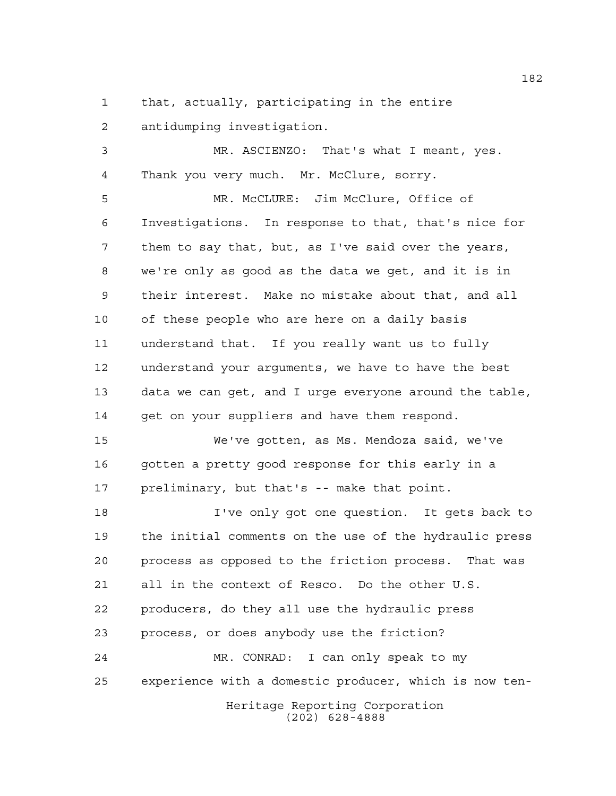that, actually, participating in the entire

antidumping investigation.

 MR. ASCIENZO: That's what I meant, yes. Thank you very much. Mr. McClure, sorry.

 MR. McCLURE: Jim McClure, Office of Investigations. In response to that, that's nice for them to say that, but, as I've said over the years, we're only as good as the data we get, and it is in their interest. Make no mistake about that, and all of these people who are here on a daily basis understand that. If you really want us to fully understand your arguments, we have to have the best data we can get, and I urge everyone around the table, 14 get on your suppliers and have them respond.

 We've gotten, as Ms. Mendoza said, we've gotten a pretty good response for this early in a preliminary, but that's -- make that point.

Heritage Reporting Corporation (202) 628-4888 I've only got one question. It gets back to the initial comments on the use of the hydraulic press process as opposed to the friction process. That was all in the context of Resco. Do the other U.S. producers, do they all use the hydraulic press process, or does anybody use the friction? MR. CONRAD: I can only speak to my experience with a domestic producer, which is now ten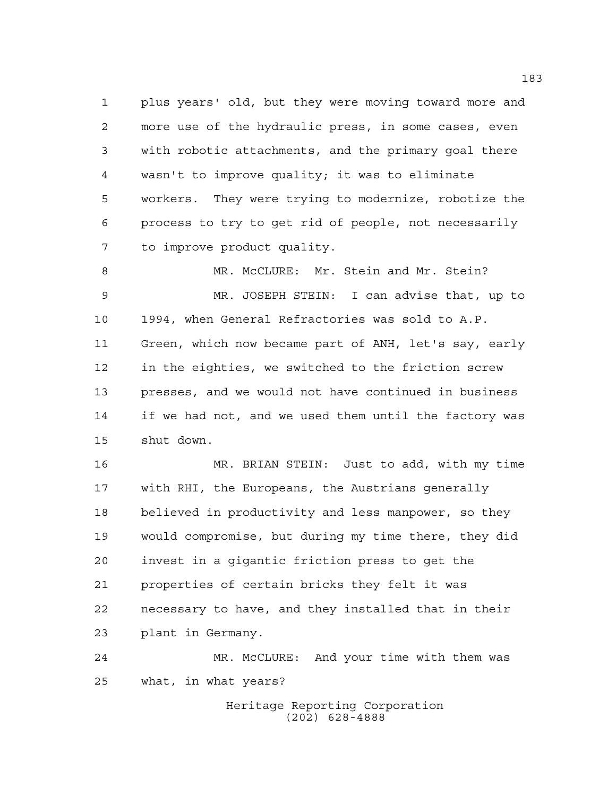plus years' old, but they were moving toward more and more use of the hydraulic press, in some cases, even with robotic attachments, and the primary goal there wasn't to improve quality; it was to eliminate workers. They were trying to modernize, robotize the process to try to get rid of people, not necessarily to improve product quality.

8 MR. McCLURE: Mr. Stein and Mr. Stein? MR. JOSEPH STEIN: I can advise that, up to 1994, when General Refractories was sold to A.P. Green, which now became part of ANH, let's say, early in the eighties, we switched to the friction screw presses, and we would not have continued in business if we had not, and we used them until the factory was shut down.

 MR. BRIAN STEIN: Just to add, with my time with RHI, the Europeans, the Austrians generally believed in productivity and less manpower, so they would compromise, but during my time there, they did invest in a gigantic friction press to get the properties of certain bricks they felt it was necessary to have, and they installed that in their plant in Germany.

 MR. McCLURE: And your time with them was what, in what years?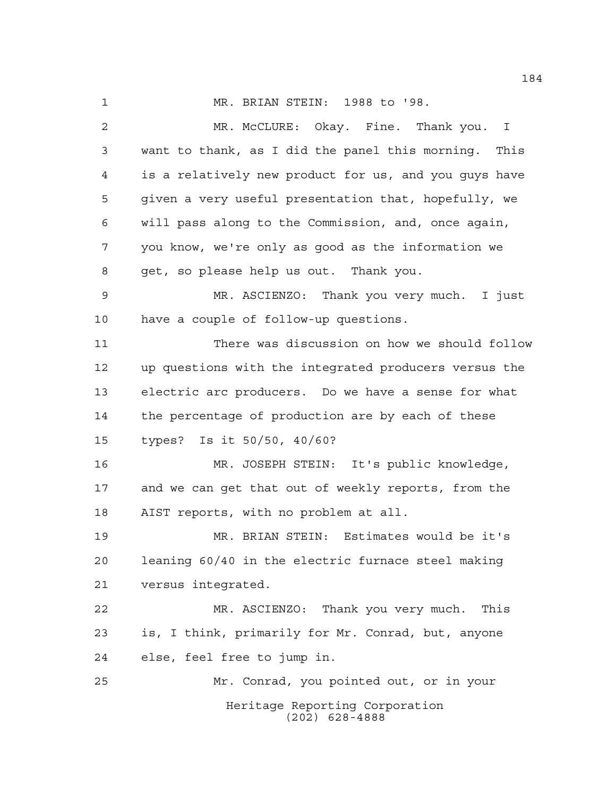MR. BRIAN STEIN: 1988 to '98.

Heritage Reporting Corporation (202) 628-4888 MR. McCLURE: Okay. Fine. Thank you. I want to thank, as I did the panel this morning. This is a relatively new product for us, and you guys have given a very useful presentation that, hopefully, we will pass along to the Commission, and, once again, you know, we're only as good as the information we get, so please help us out. Thank you. MR. ASCIENZO: Thank you very much. I just have a couple of follow-up questions. There was discussion on how we should follow up questions with the integrated producers versus the electric arc producers. Do we have a sense for what the percentage of production are by each of these types? Is it 50/50, 40/60? MR. JOSEPH STEIN: It's public knowledge, and we can get that out of weekly reports, from the AIST reports, with no problem at all. MR. BRIAN STEIN: Estimates would be it's leaning 60/40 in the electric furnace steel making versus integrated. MR. ASCIENZO: Thank you very much. This is, I think, primarily for Mr. Conrad, but, anyone else, feel free to jump in. Mr. Conrad, you pointed out, or in your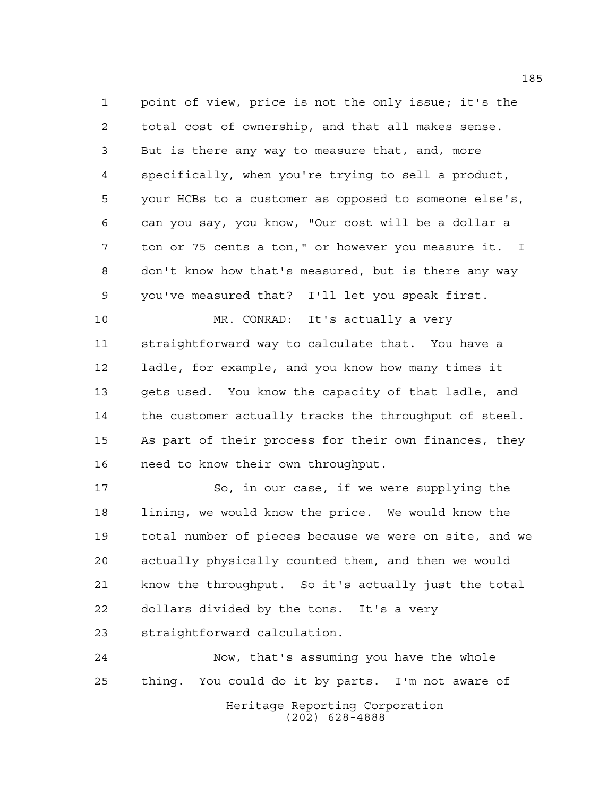point of view, price is not the only issue; it's the total cost of ownership, and that all makes sense. But is there any way to measure that, and, more specifically, when you're trying to sell a product, your HCBs to a customer as opposed to someone else's, can you say, you know, "Our cost will be a dollar a ton or 75 cents a ton," or however you measure it. I don't know how that's measured, but is there any way you've measured that? I'll let you speak first.

 MR. CONRAD: It's actually a very straightforward way to calculate that. You have a ladle, for example, and you know how many times it gets used. You know the capacity of that ladle, and the customer actually tracks the throughput of steel. As part of their process for their own finances, they need to know their own throughput.

 So, in our case, if we were supplying the lining, we would know the price. We would know the total number of pieces because we were on site, and we actually physically counted them, and then we would know the throughput. So it's actually just the total dollars divided by the tons. It's a very straightforward calculation.

Heritage Reporting Corporation (202) 628-4888 Now, that's assuming you have the whole thing. You could do it by parts. I'm not aware of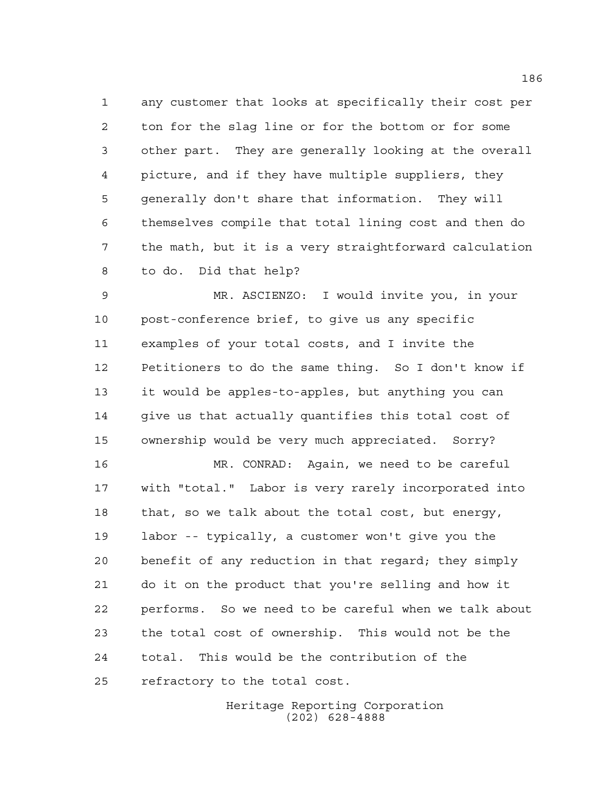any customer that looks at specifically their cost per ton for the slag line or for the bottom or for some other part. They are generally looking at the overall picture, and if they have multiple suppliers, they generally don't share that information. They will themselves compile that total lining cost and then do the math, but it is a very straightforward calculation to do. Did that help?

 MR. ASCIENZO: I would invite you, in your post-conference brief, to give us any specific examples of your total costs, and I invite the Petitioners to do the same thing. So I don't know if it would be apples-to-apples, but anything you can give us that actually quantifies this total cost of ownership would be very much appreciated. Sorry?

 MR. CONRAD: Again, we need to be careful with "total." Labor is very rarely incorporated into that, so we talk about the total cost, but energy, labor -- typically, a customer won't give you the benefit of any reduction in that regard; they simply do it on the product that you're selling and how it performs. So we need to be careful when we talk about the total cost of ownership. This would not be the total. This would be the contribution of the refractory to the total cost.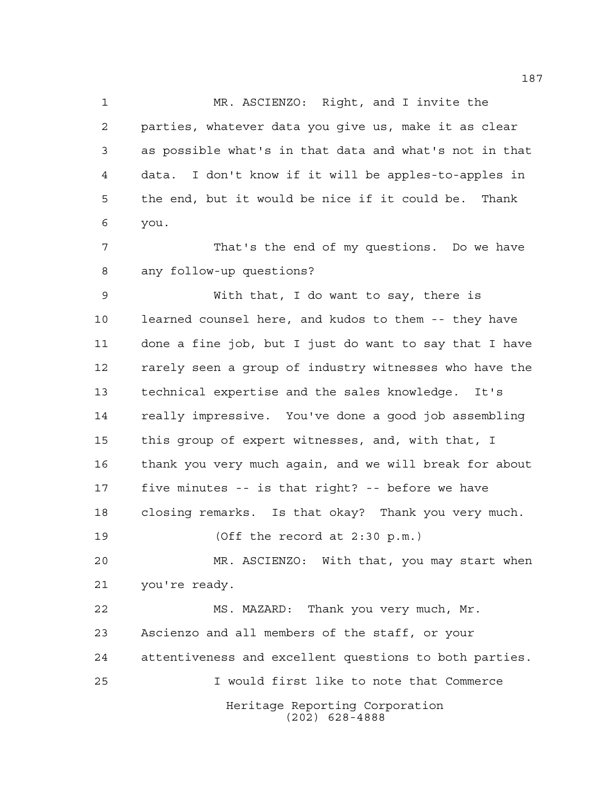MR. ASCIENZO: Right, and I invite the parties, whatever data you give us, make it as clear as possible what's in that data and what's not in that data. I don't know if it will be apples-to-apples in the end, but it would be nice if it could be. Thank you.

 That's the end of my questions. Do we have any follow-up questions?

 With that, I do want to say, there is learned counsel here, and kudos to them -- they have done a fine job, but I just do want to say that I have rarely seen a group of industry witnesses who have the technical expertise and the sales knowledge. It's really impressive. You've done a good job assembling this group of expert witnesses, and, with that, I thank you very much again, and we will break for about five minutes -- is that right? -- before we have closing remarks. Is that okay? Thank you very much. (Off the record at 2:30 p.m.)

 MR. ASCIENZO: With that, you may start when you're ready.

Heritage Reporting Corporation (202) 628-4888 MS. MAZARD: Thank you very much, Mr. Ascienzo and all members of the staff, or your attentiveness and excellent questions to both parties. I would first like to note that Commerce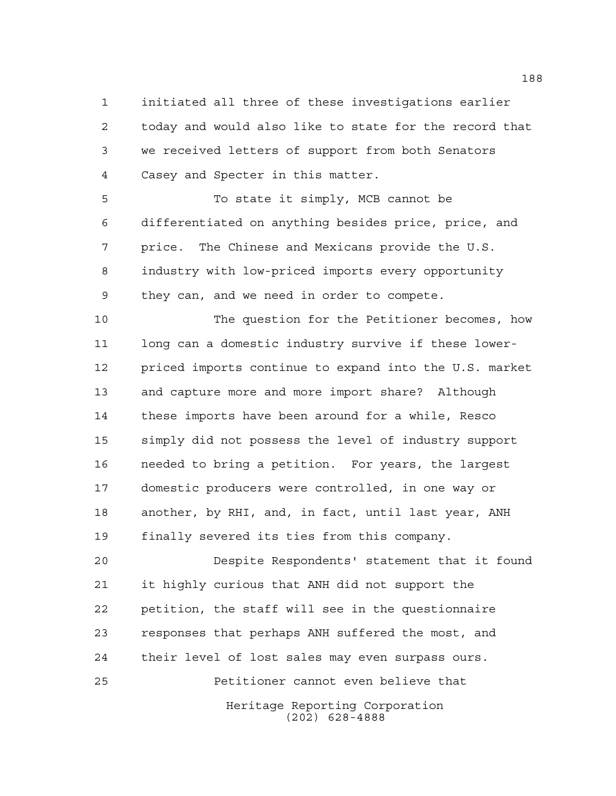initiated all three of these investigations earlier today and would also like to state for the record that we received letters of support from both Senators Casey and Specter in this matter.

 To state it simply, MCB cannot be differentiated on anything besides price, price, and price. The Chinese and Mexicans provide the U.S. industry with low-priced imports every opportunity they can, and we need in order to compete.

 The question for the Petitioner becomes, how 11 long can a domestic industry survive if these lower- priced imports continue to expand into the U.S. market and capture more and more import share? Although these imports have been around for a while, Resco simply did not possess the level of industry support needed to bring a petition. For years, the largest domestic producers were controlled, in one way or another, by RHI, and, in fact, until last year, ANH finally severed its ties from this company.

 Despite Respondents' statement that it found it highly curious that ANH did not support the petition, the staff will see in the questionnaire responses that perhaps ANH suffered the most, and their level of lost sales may even surpass ours. Petitioner cannot even believe that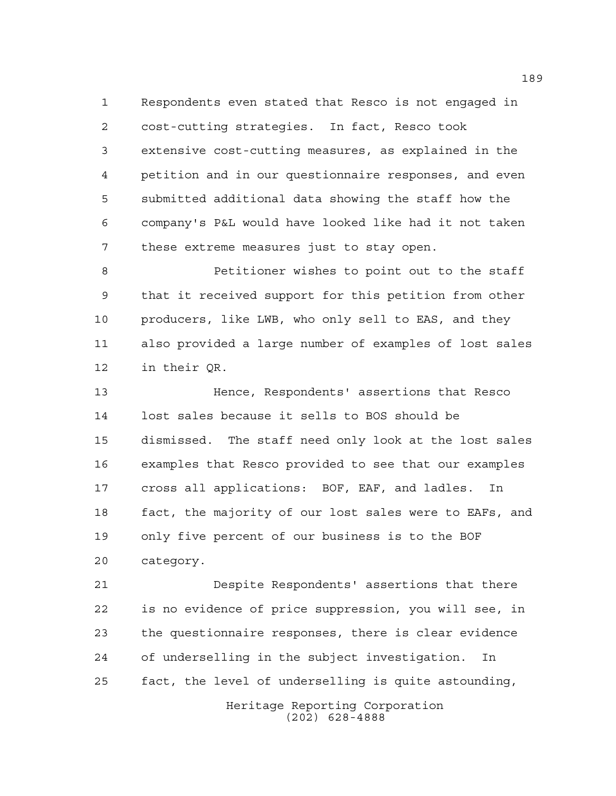Respondents even stated that Resco is not engaged in cost-cutting strategies. In fact, Resco took extensive cost-cutting measures, as explained in the petition and in our questionnaire responses, and even submitted additional data showing the staff how the company's P&L would have looked like had it not taken these extreme measures just to stay open.

 Petitioner wishes to point out to the staff that it received support for this petition from other producers, like LWB, who only sell to EAS, and they also provided a large number of examples of lost sales in their QR.

 Hence, Respondents' assertions that Resco lost sales because it sells to BOS should be dismissed. The staff need only look at the lost sales examples that Resco provided to see that our examples cross all applications: BOF, EAF, and ladles. In fact, the majority of our lost sales were to EAFs, and only five percent of our business is to the BOF category.

 Despite Respondents' assertions that there is no evidence of price suppression, you will see, in the questionnaire responses, there is clear evidence of underselling in the subject investigation. In fact, the level of underselling is quite astounding,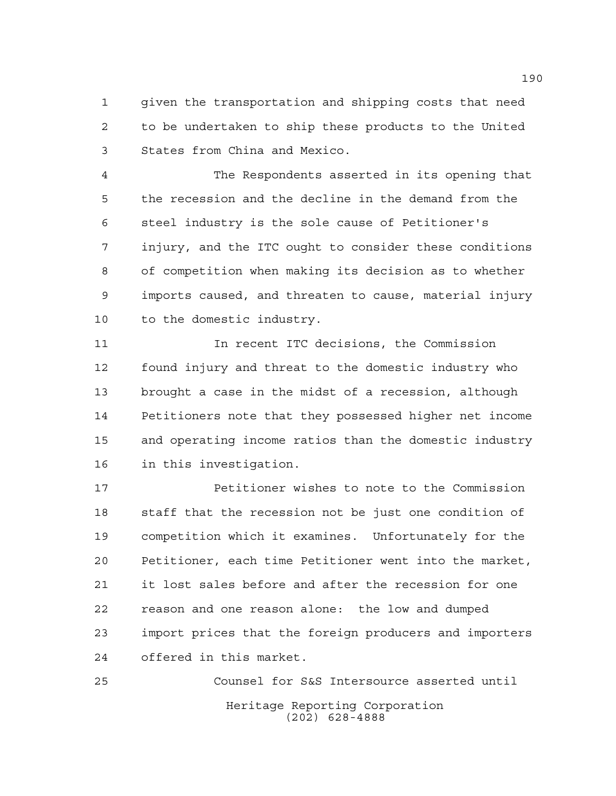given the transportation and shipping costs that need to be undertaken to ship these products to the United States from China and Mexico.

 The Respondents asserted in its opening that the recession and the decline in the demand from the steel industry is the sole cause of Petitioner's injury, and the ITC ought to consider these conditions of competition when making its decision as to whether imports caused, and threaten to cause, material injury to the domestic industry.

 In recent ITC decisions, the Commission found injury and threat to the domestic industry who brought a case in the midst of a recession, although Petitioners note that they possessed higher net income and operating income ratios than the domestic industry in this investigation.

 Petitioner wishes to note to the Commission staff that the recession not be just one condition of competition which it examines. Unfortunately for the Petitioner, each time Petitioner went into the market, it lost sales before and after the recession for one reason and one reason alone: the low and dumped import prices that the foreign producers and importers offered in this market.

Heritage Reporting Corporation (202) 628-4888 Counsel for S&S Intersource asserted until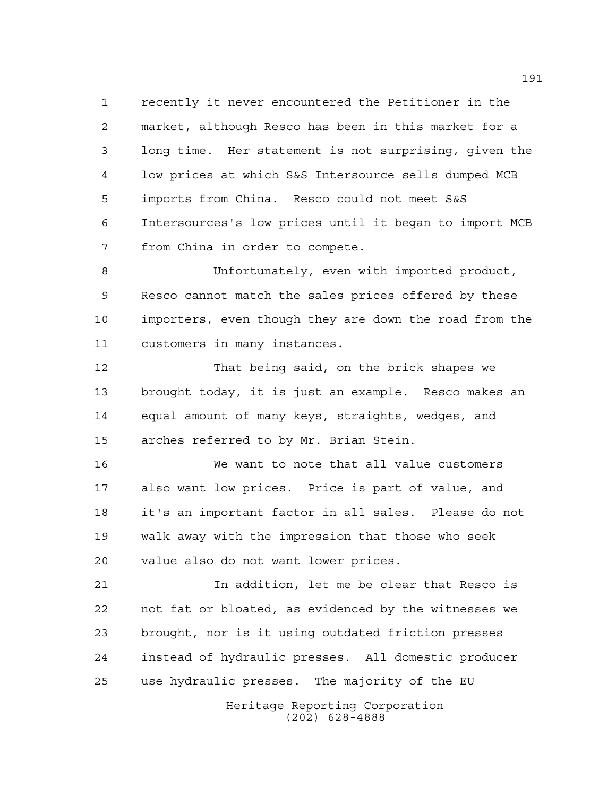recently it never encountered the Petitioner in the market, although Resco has been in this market for a long time. Her statement is not surprising, given the low prices at which S&S Intersource sells dumped MCB imports from China. Resco could not meet S&S Intersources's low prices until it began to import MCB from China in order to compete.

 Unfortunately, even with imported product, Resco cannot match the sales prices offered by these importers, even though they are down the road from the customers in many instances.

 That being said, on the brick shapes we brought today, it is just an example. Resco makes an equal amount of many keys, straights, wedges, and arches referred to by Mr. Brian Stein.

 We want to note that all value customers also want low prices. Price is part of value, and it's an important factor in all sales. Please do not walk away with the impression that those who seek value also do not want lower prices.

 In addition, let me be clear that Resco is not fat or bloated, as evidenced by the witnesses we brought, nor is it using outdated friction presses instead of hydraulic presses. All domestic producer use hydraulic presses. The majority of the EU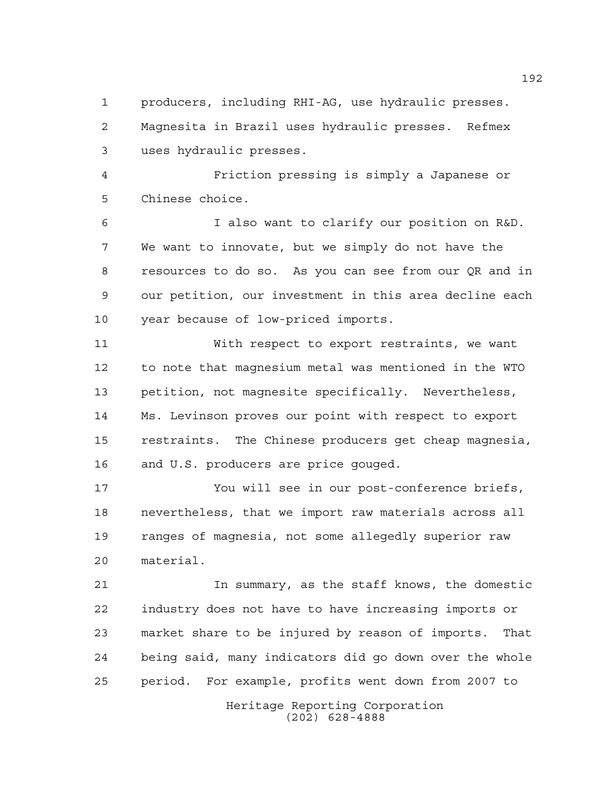producers, including RHI-AG, use hydraulic presses. Magnesita in Brazil uses hydraulic presses. Refmex uses hydraulic presses.

 Friction pressing is simply a Japanese or Chinese choice.

 I also want to clarify our position on R&D. We want to innovate, but we simply do not have the resources to do so. As you can see from our QR and in our petition, our investment in this area decline each year because of low-priced imports.

 With respect to export restraints, we want to note that magnesium metal was mentioned in the WTO petition, not magnesite specifically. Nevertheless, Ms. Levinson proves our point with respect to export restraints. The Chinese producers get cheap magnesia, and U.S. producers are price gouged.

 You will see in our post-conference briefs, nevertheless, that we import raw materials across all ranges of magnesia, not some allegedly superior raw material.

 In summary, as the staff knows, the domestic industry does not have to have increasing imports or market share to be injured by reason of imports. That being said, many indicators did go down over the whole period. For example, profits went down from 2007 to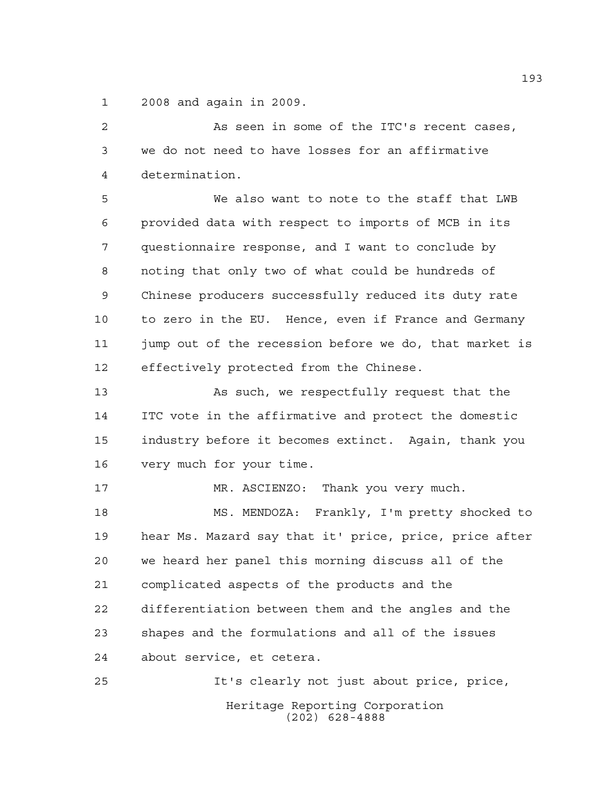2008 and again in 2009.

 As seen in some of the ITC's recent cases, we do not need to have losses for an affirmative determination.

 We also want to note to the staff that LWB provided data with respect to imports of MCB in its questionnaire response, and I want to conclude by noting that only two of what could be hundreds of Chinese producers successfully reduced its duty rate to zero in the EU. Hence, even if France and Germany jump out of the recession before we do, that market is effectively protected from the Chinese.

 As such, we respectfully request that the ITC vote in the affirmative and protect the domestic industry before it becomes extinct. Again, thank you very much for your time.

MR. ASCIENZO: Thank you very much.

 MS. MENDOZA: Frankly, I'm pretty shocked to hear Ms. Mazard say that it' price, price, price after we heard her panel this morning discuss all of the complicated aspects of the products and the differentiation between them and the angles and the shapes and the formulations and all of the issues about service, et cetera.

Heritage Reporting Corporation (202) 628-4888 It's clearly not just about price, price,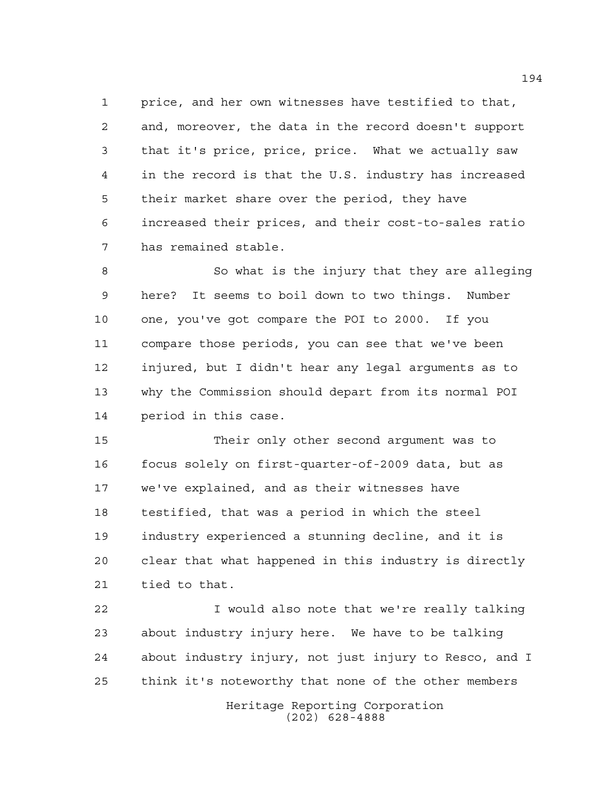price, and her own witnesses have testified to that, and, moreover, the data in the record doesn't support that it's price, price, price. What we actually saw in the record is that the U.S. industry has increased their market share over the period, they have increased their prices, and their cost-to-sales ratio has remained stable.

 So what is the injury that they are alleging here? It seems to boil down to two things. Number one, you've got compare the POI to 2000. If you compare those periods, you can see that we've been injured, but I didn't hear any legal arguments as to why the Commission should depart from its normal POI period in this case.

 Their only other second argument was to focus solely on first-quarter-of-2009 data, but as we've explained, and as their witnesses have testified, that was a period in which the steel industry experienced a stunning decline, and it is clear that what happened in this industry is directly tied to that.

 I would also note that we're really talking about industry injury here. We have to be talking about industry injury, not just injury to Resco, and I think it's noteworthy that none of the other members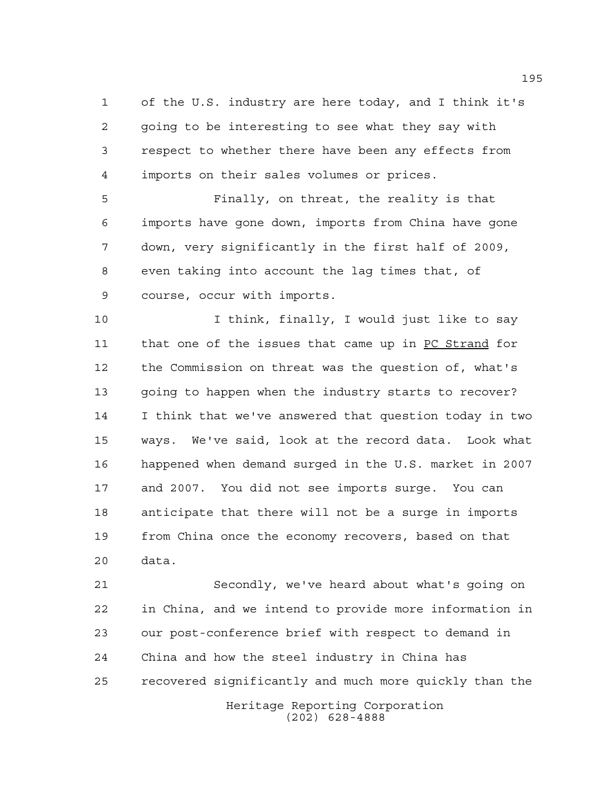of the U.S. industry are here today, and I think it's going to be interesting to see what they say with respect to whether there have been any effects from imports on their sales volumes or prices.

 Finally, on threat, the reality is that imports have gone down, imports from China have gone down, very significantly in the first half of 2009, even taking into account the lag times that, of course, occur with imports.

 I think, finally, I would just like to say that one of the issues that came up in PC Strand for the Commission on threat was the question of, what's going to happen when the industry starts to recover? I think that we've answered that question today in two ways. We've said, look at the record data. Look what happened when demand surged in the U.S. market in 2007 and 2007. You did not see imports surge. You can anticipate that there will not be a surge in imports from China once the economy recovers, based on that data.

 Secondly, we've heard about what's going on in China, and we intend to provide more information in our post-conference brief with respect to demand in China and how the steel industry in China has recovered significantly and much more quickly than the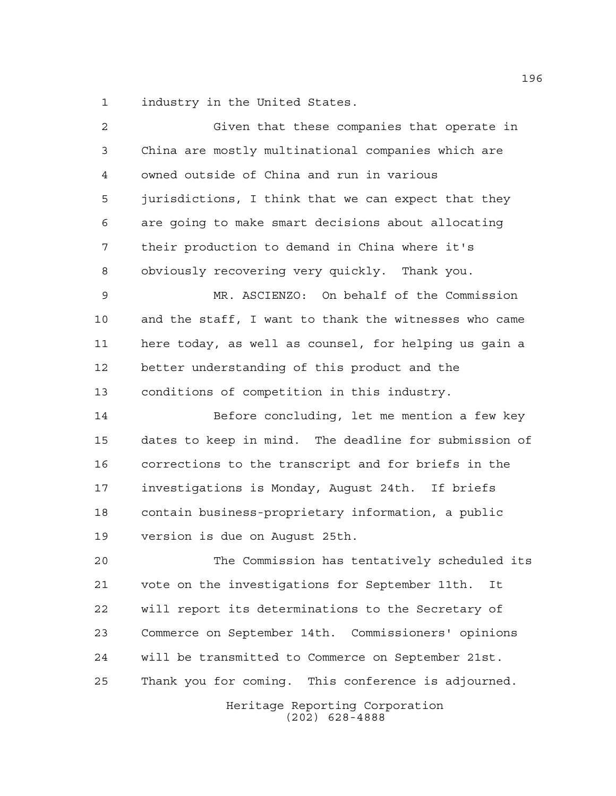industry in the United States.

| $\overline{2}$ | Given that these companies that operate in            |
|----------------|-------------------------------------------------------|
| 3              | China are mostly multinational companies which are    |
| $\overline{4}$ | owned outside of China and run in various             |
| 5              | jurisdictions, I think that we can expect that they   |
| 6              | are going to make smart decisions about allocating    |
| 7              | their production to demand in China where it's        |
| 8              | obviously recovering very quickly. Thank you.         |
| $\mathsf 9$    | MR. ASCIENZO: On behalf of the Commission             |
| 10             | and the staff, I want to thank the witnesses who came |
| 11             | here today, as well as counsel, for helping us gain a |
| 12             | better understanding of this product and the          |
| 13             | conditions of competition in this industry.           |
| 14             | Before concluding, let me mention a few key           |
| 15             | dates to keep in mind. The deadline for submission of |
| 16             | corrections to the transcript and for briefs in the   |
| 17             | investigations is Monday, August 24th. If briefs      |
| 18             | contain business-proprietary information, a public    |
| 19             | version is due on Auqust 25th.                        |
| 20             | The Commission has tentatively scheduled its          |
| 21             | vote on the investigations for September 11th.<br>It  |
| 22             | will report its determinations to the Secretary of    |
| 23             | Commerce on September 14th. Commissioners' opinions   |
| 24             | will be transmitted to Commerce on September 21st.    |
| 25             | Thank you for coming. This conference is adjourned.   |
|                | Heritage Reporting Corporation<br>$(202)$ 628-4888    |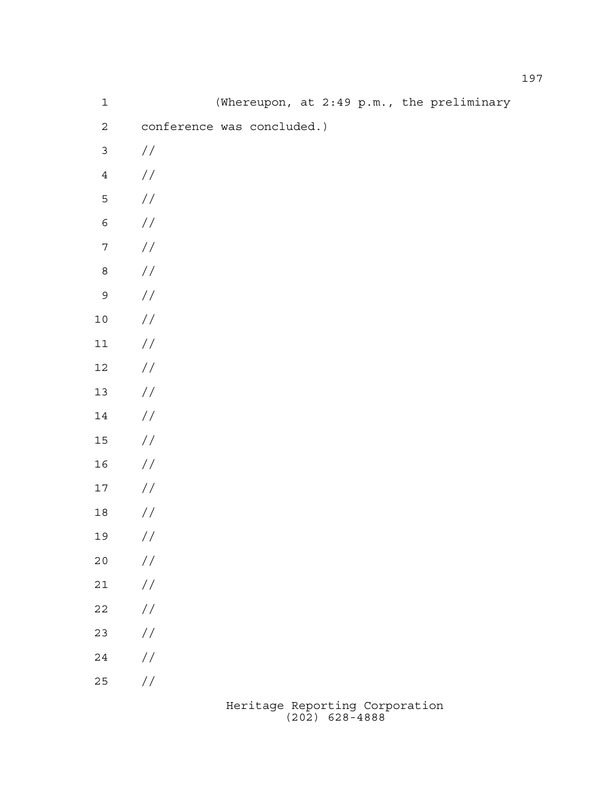| $\mathbf 1$      |                            |  |  |  | (Whereupon, at 2:49 p.m., the preliminary |
|------------------|----------------------------|--|--|--|-------------------------------------------|
| $\mathbf{2}$     | conference was concluded.) |  |  |  |                                           |
| $\mathfrak{Z}$   | $\sqrt{}$                  |  |  |  |                                           |
| $\ensuremath{4}$ | $\sqrt{}$                  |  |  |  |                                           |
| $\mathsf S$      | $\!/\!$                    |  |  |  |                                           |
| $\epsilon$       | $\!/\!$                    |  |  |  |                                           |
| $\boldsymbol{7}$ | $\!/\!$                    |  |  |  |                                           |
| $\,8\,$          | $\sqrt{}$                  |  |  |  |                                           |
| $\mathsf 9$      | $\!/\!$                    |  |  |  |                                           |
| $1\,0$           | $\!/\!$                    |  |  |  |                                           |
| $11\,$           | $\!/\!$                    |  |  |  |                                           |
| $12\,$           | $\!/\!$                    |  |  |  |                                           |
| $13$             | $\!/\!$                    |  |  |  |                                           |
| $14\,$           | $\!/\!$                    |  |  |  |                                           |
| $15\,$           | $\!/\!$                    |  |  |  |                                           |
| 16               | $\!/\!$                    |  |  |  |                                           |
| $17\,$           | $\sqrt{}$                  |  |  |  |                                           |
| $1\,8$           | $\sqrt{}$                  |  |  |  |                                           |
| 19               | $\!/\!$                    |  |  |  |                                           |
| $20$             | $\frac{1}{2}$              |  |  |  |                                           |
| $21$             | $\frac{1}{2}$              |  |  |  |                                           |
| 22               | $\frac{1}{2}$              |  |  |  |                                           |
| 23               | $\frac{1}{2}$              |  |  |  |                                           |
| 24               | $\frac{1}{2}$              |  |  |  |                                           |
| 25               | $\frac{1}{2}$              |  |  |  |                                           |
|                  |                            |  |  |  |                                           |